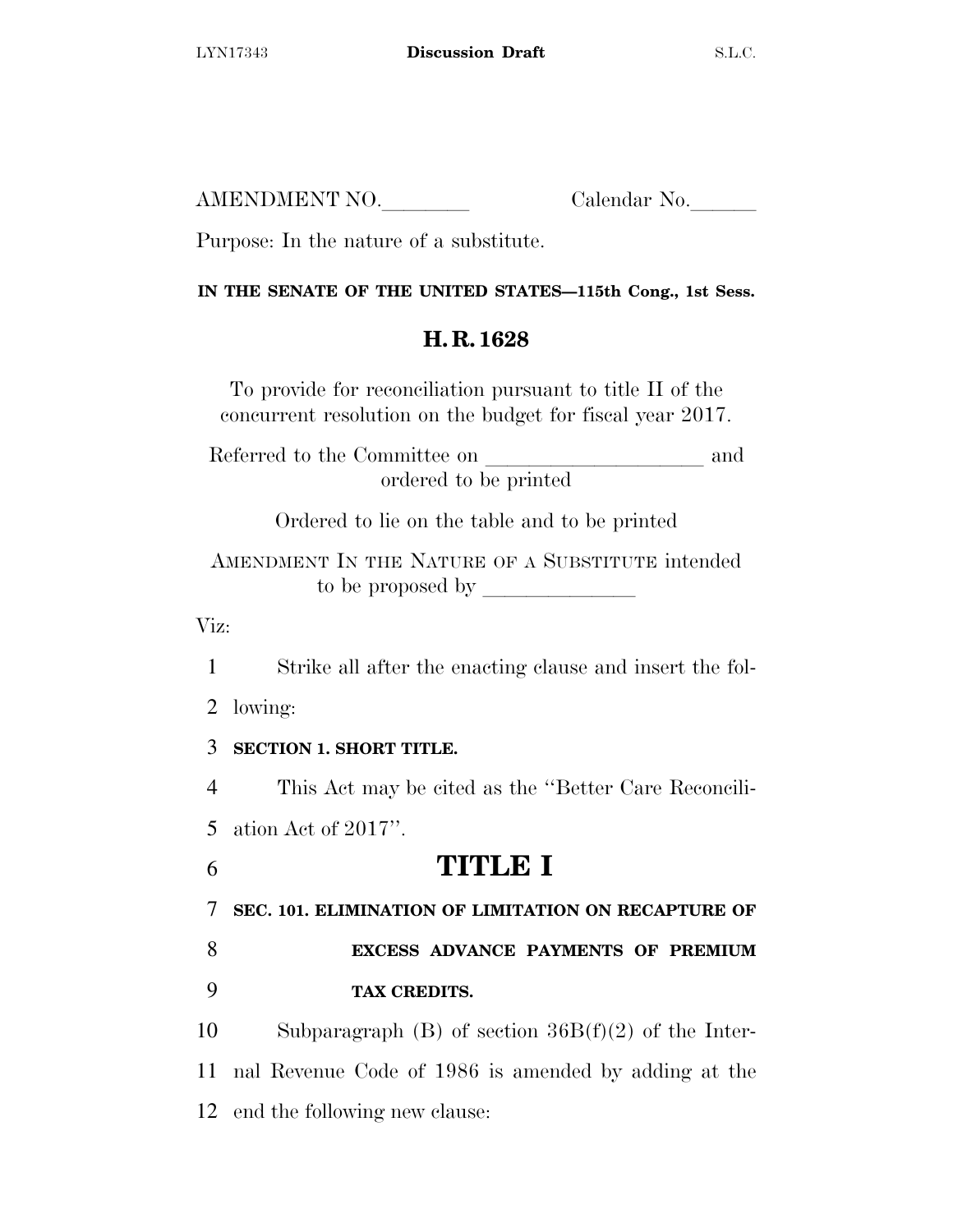AMENDMENT NO. Calendar No.

Purpose: In the nature of a substitute.

## **IN THE SENATE OF THE UNITED STATES—115th Cong., 1st Sess.**

# **H. R. 1628**

To provide for reconciliation pursuant to title II of the concurrent resolution on the budget for fiscal year 2017.

Referred to the Committee on and ordered to be printed

Ordered to lie on the table and to be printed

AMENDMENT IN THE NATURE OF A SUBSTITUTE intended to be proposed by  $\_\_$ 

Viz:

1 Strike all after the enacting clause and insert the fol-

2 lowing:

## 3 **SECTION 1. SHORT TITLE.**

4 This Act may be cited as the ''Better Care Reconcili-

5 ation Act of 2017''.

# 6 **TITLE I**

7 **SEC. 101. ELIMINATION OF LIMITATION ON RECAPTURE OF** 

8 **EXCESS ADVANCE PAYMENTS OF PREMIUM**  9 **TAX CREDITS.** 

10 Subparagraph (B) of section 36B(f)(2) of the Inter-11 nal Revenue Code of 1986 is amended by adding at the 12 end the following new clause: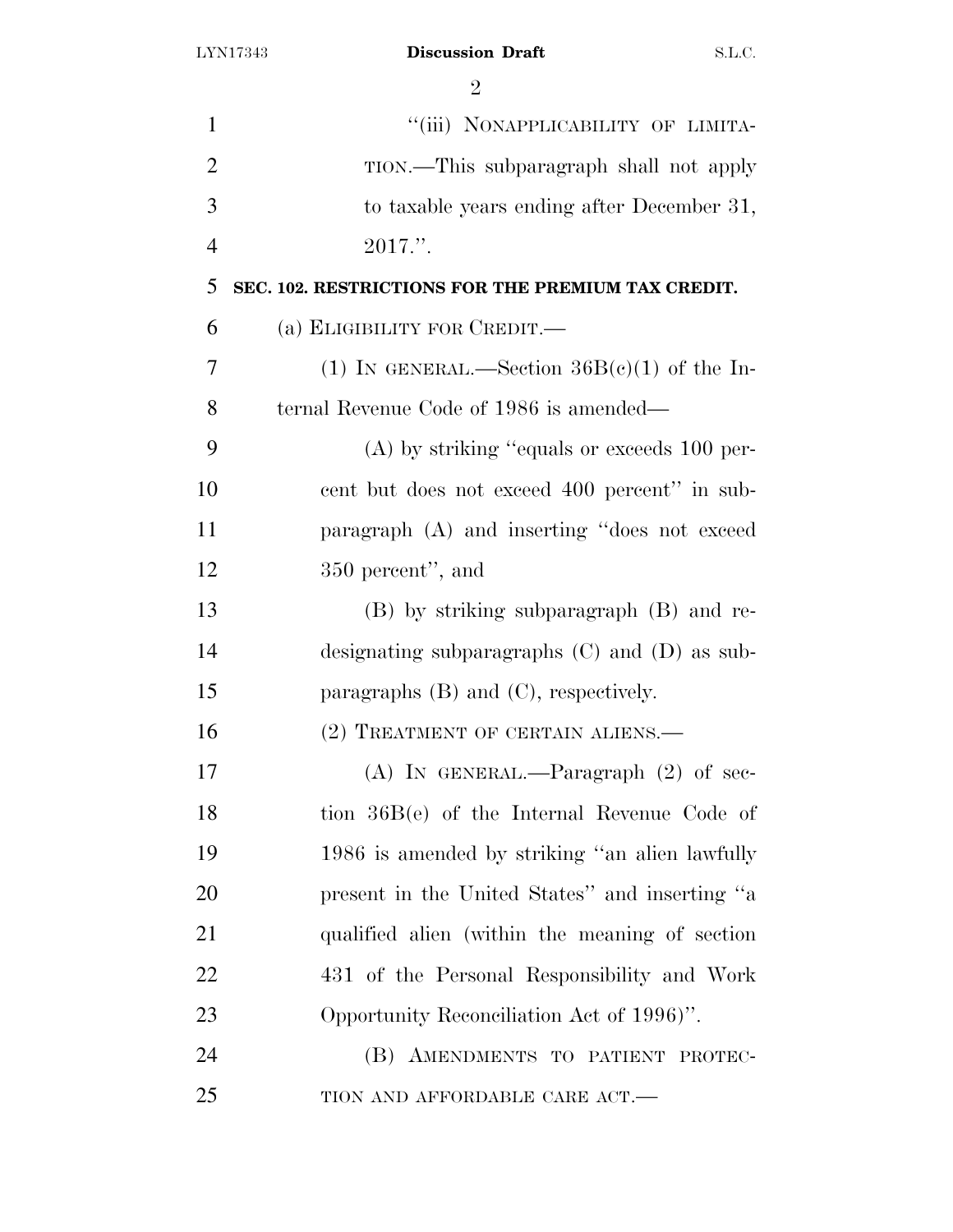| $\mathbf{1}$   | "(iii) NONAPPLICABILITY OF LIMITA-                 |
|----------------|----------------------------------------------------|
| $\overline{2}$ | TION.—This subparagraph shall not apply            |
| 3              | to taxable years ending after December 31,         |
| $\overline{4}$ | $2017."$ .                                         |
| 5              | SEC. 102. RESTRICTIONS FOR THE PREMIUM TAX CREDIT. |
| 6              | (а) ЕLIGIBILITY FOR CREDIT.—                       |
| 7              | (1) IN GENERAL.—Section $36B(e)(1)$ of the In-     |
| 8              | ternal Revenue Code of 1986 is amended—            |
| 9              | $(A)$ by striking "equals or exceeds 100 per-      |
| 10             | cent but does not exceed 400 percent" in sub-      |
| 11             | paragraph (A) and inserting "does not exceed       |
| 12             | 350 percent", and                                  |
| 13             | (B) by striking subparagraph (B) and re-           |
| 14             | designating subparagraphs $(C)$ and $(D)$ as sub-  |
| 15             | paragraphs $(B)$ and $(C)$ , respectively.         |
| 16             | (2) TREATMENT OF CERTAIN ALIENS.                   |
| 17             | (A) IN GENERAL.—Paragraph $(2)$ of sec-            |
| 18             | tion $36B(e)$ of the Internal Revenue Code of      |
| 19             | 1986 is amended by striking "an alien lawfully     |
| 20             | present in the United States" and inserting "a     |
| 21             | qualified alien (within the meaning of section     |
| 22             | 431 of the Personal Responsibility and Work        |
| 23             | Opportunity Reconciliation Act of 1996)".          |
| 24             | (B) AMENDMENTS TO PATIENT PROTEC-                  |
| 25             | TION AND AFFORDABLE CARE ACT.-                     |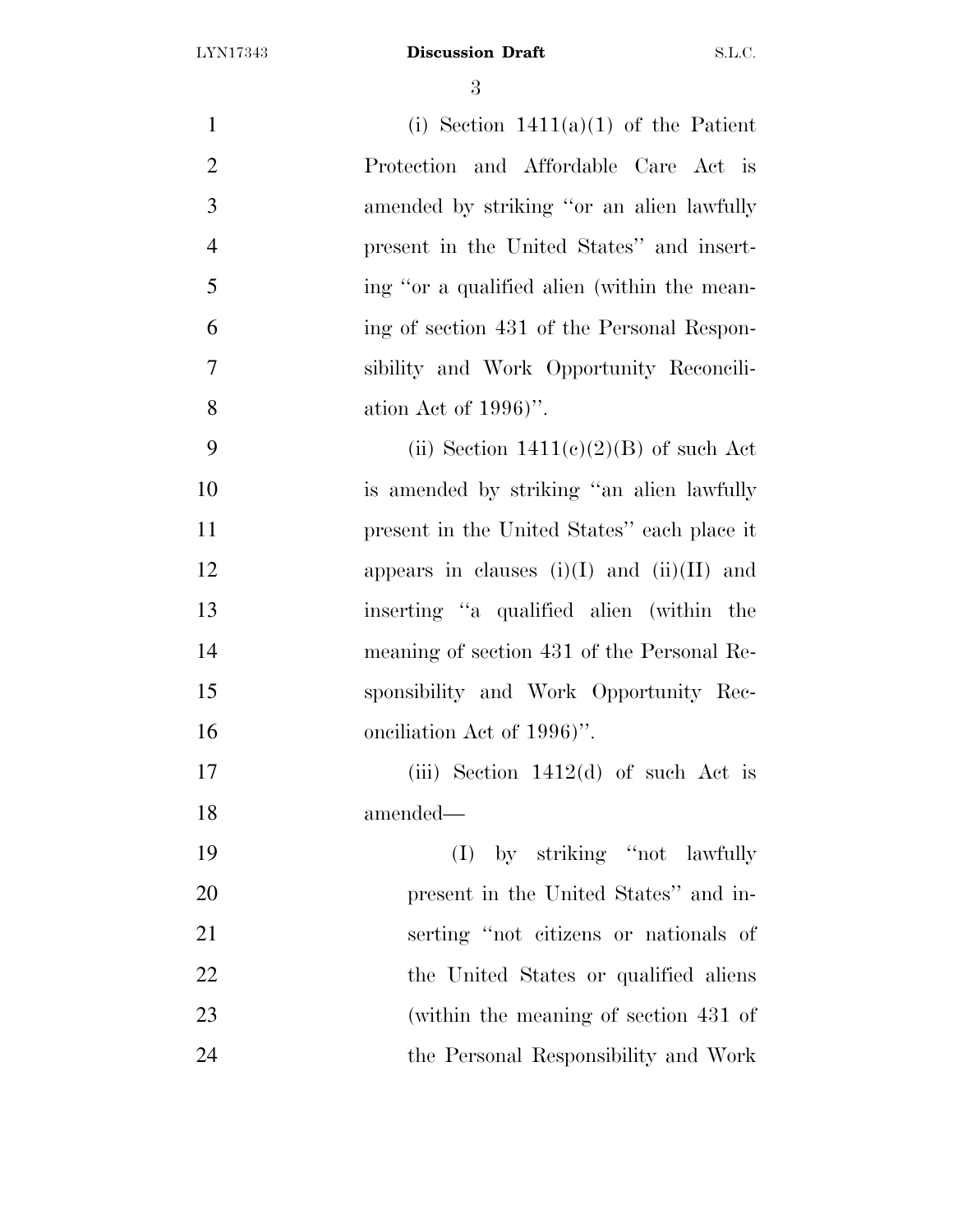| $\mathbf{1}$   | (i) Section $1411(a)(1)$ of the Patient        |
|----------------|------------------------------------------------|
| $\overline{2}$ | Protection and Affordable Care Act is          |
| 3              | amended by striking "or an alien lawfully      |
| $\overline{4}$ | present in the United States" and insert-      |
| 5              | ing "or a qualified alien (within the mean-    |
| 6              | ing of section 431 of the Personal Respon-     |
| $\overline{7}$ | sibility and Work Opportunity Reconcili-       |
| 8              | ation Act of $1996$ .                          |
| 9              | (ii) Section $1411(c)(2)(B)$ of such Act       |
| 10             | is amended by striking "an alien lawfully      |
| 11             | present in the United States" each place it    |
| 12             | appears in clauses $(i)(I)$ and $(ii)(II)$ and |
| 13             | inserting "a qualified alien (within the       |
| 14             | meaning of section 431 of the Personal Re-     |
| 15             | sponsibility and Work Opportunity Rec-         |
| 16             | onciliation Act of 1996)".                     |
| 17             | (iii) Section $1412(d)$ of such Act is         |
| 18             | amended-                                       |
| 19             | (I) by striking "not lawfully                  |
| 20             | present in the United States" and in-          |
| 21             | serting "not citizens or nationals of          |
| 22             | the United States or qualified aliens          |
| 23             | (within the meaning of section 431 of          |
| 24             | the Personal Responsibility and Work           |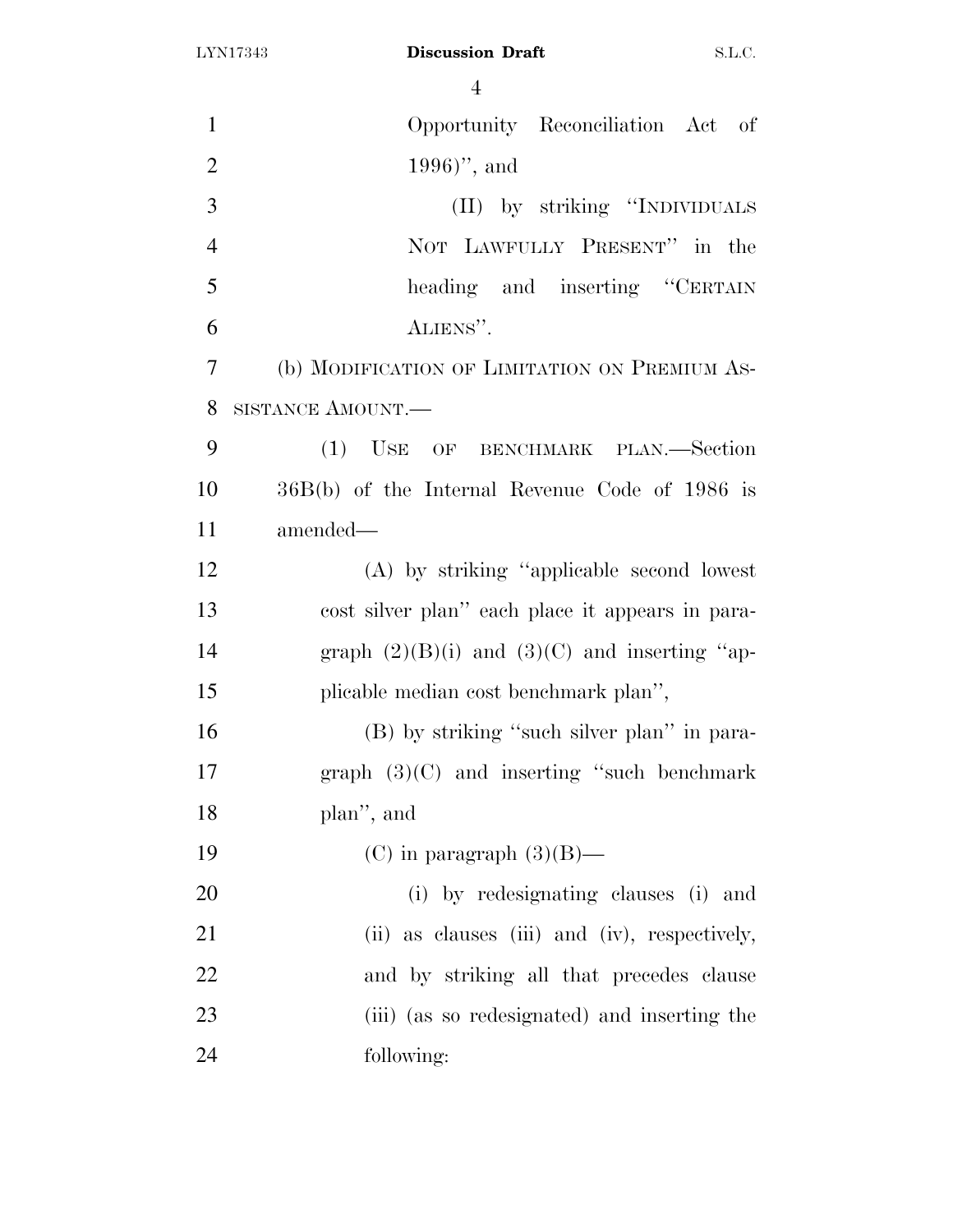| $\mathbf{1}$   | Opportunity Reconciliation Act of                 |
|----------------|---------------------------------------------------|
| $\overline{2}$ | $1996)$ , and                                     |
| 3              | (II) by striking "INDIVIDUALS                     |
| $\overline{4}$ | NOT LAWFULLY PRESENT" in the                      |
| 5              | heading and inserting "CERTAIN                    |
| 6              | ALIENS".                                          |
| $\overline{7}$ | (b) MODIFICATION OF LIMITATION ON PREMIUM AS-     |
| 8              | SISTANCE AMOUNT.                                  |
| 9              | (1) USE OF BENCHMARK PLAN.—Section                |
| 10             | 36B(b) of the Internal Revenue Code of 1986 is    |
| 11             | amended—                                          |
| 12             | (A) by striking "applicable second lowest         |
| 13             | cost silver plan" each place it appears in para-  |
| 14             | graph $(2)(B)(i)$ and $(3)(C)$ and inserting "ap- |
| 15             | plicable median cost benchmark plan",             |
| 16             | (B) by striking "such silver plan" in para-       |
| 17             | graph $(3)(C)$ and inserting "such benchmark      |
| 18             | plan", and                                        |
| 19             | (C) in paragraph $(3)(B)$ —                       |
| 20             | (i) by redesignating clauses (i) and              |
| 21             | (ii) as clauses (iii) and (iv), respectively,     |
| 22             | and by striking all that precedes clause          |
| 23             | (iii) (as so redesignated) and inserting the      |
| 24             | following:                                        |
|                |                                                   |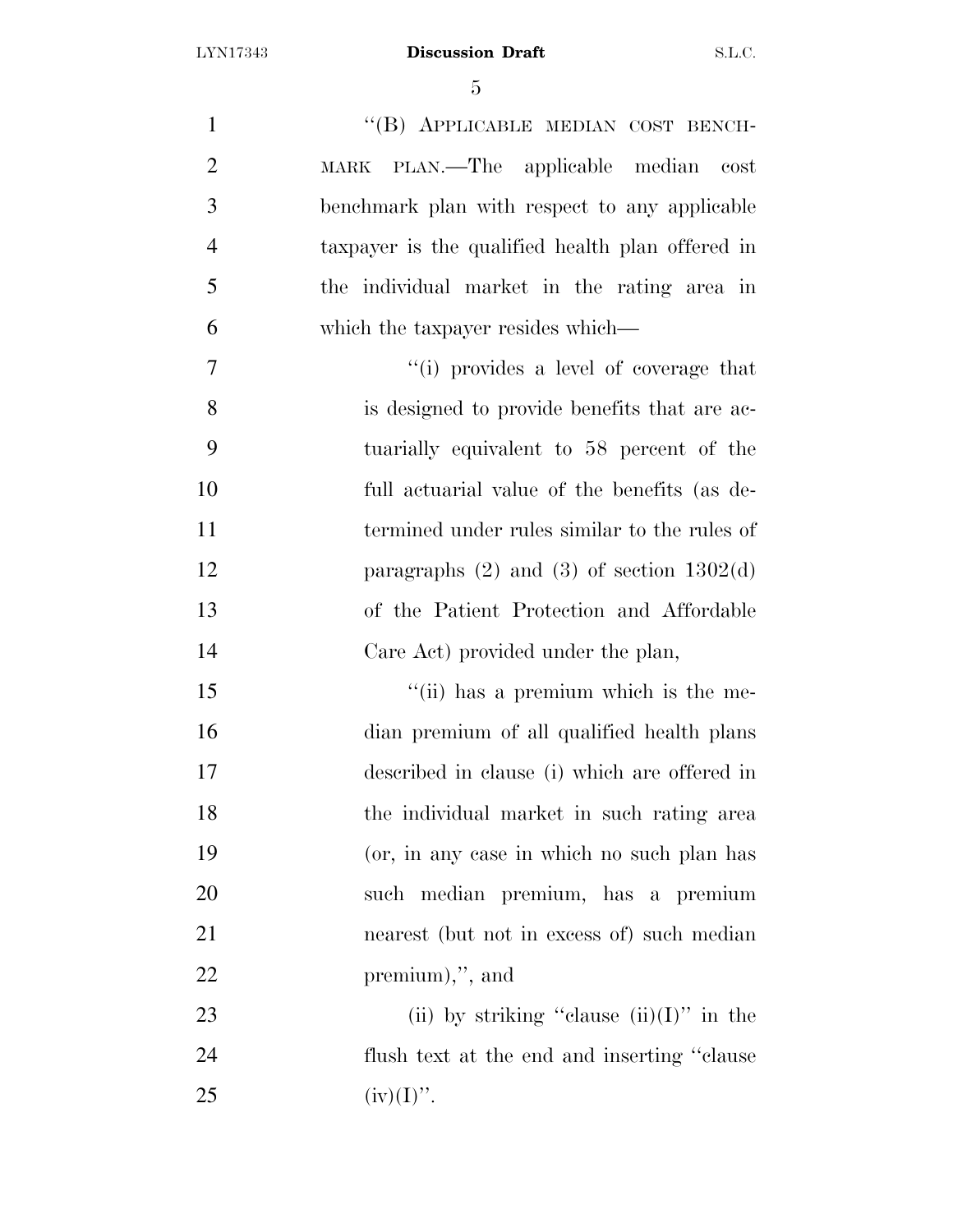1 "(B) APPLICABLE MEDIAN COST BENCH- MARK PLAN.—The applicable median cost benchmark plan with respect to any applicable taxpayer is the qualified health plan offered in the individual market in the rating area in which the taxpayer resides which— ''(i) provides a level of coverage that is designed to provide benefits that are ac- tuarially equivalent to 58 percent of the full actuarial value of the benefits (as de- termined under rules similar to the rules of 12 paragraphs (2) and (3) of section 1302(d) of the Patient Protection and Affordable Care Act) provided under the plan, 15 ''(ii) has a premium which is the me- dian premium of all qualified health plans described in clause (i) which are offered in the individual market in such rating area (or, in any case in which no such plan has such median premium, has a premium nearest (but not in excess of) such median premium),'', and 23 (ii) by striking "clause  $(ii)(I)$ " in the flush text at the end and inserting ''clause

25 (iv)(I)''.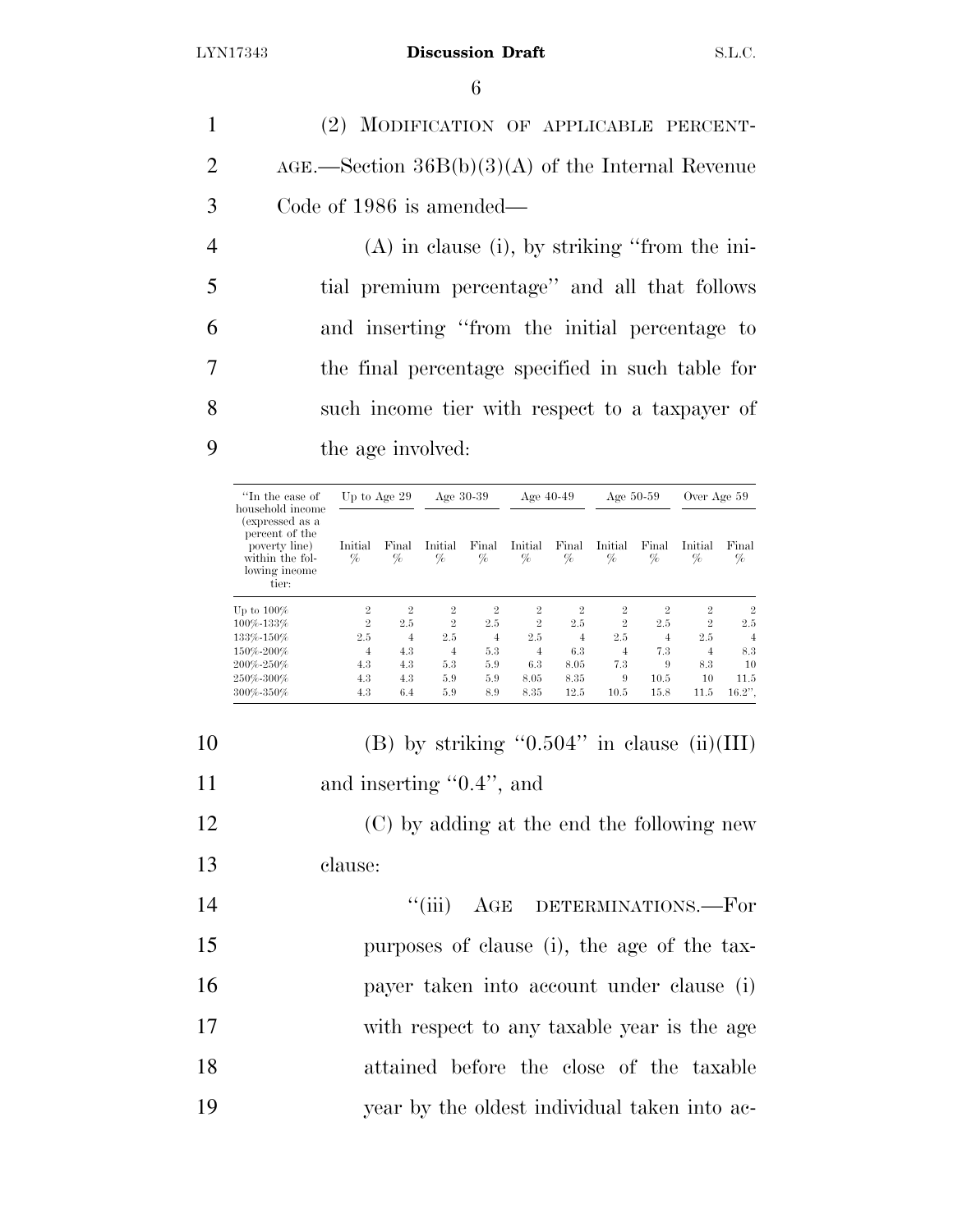(2) MODIFICATION OF APPLICABLE PERCENT- AGE.—Section 36B(b)(3)(A) of the Internal Revenue Code of 1986 is amended— (A) in clause (i), by striking ''from the ini- tial premium percentage'' and all that follows and inserting ''from the initial percentage to the final percentage specified in such table for such income tier with respect to a taxpayer of

9 the age involved:

| "In the case of                                                                                                     | Up to Age 29    |                | Age $30-39$    |                | Age $40-49$    |                | Age $50-59$    |                | Over Age 59    |                |
|---------------------------------------------------------------------------------------------------------------------|-----------------|----------------|----------------|----------------|----------------|----------------|----------------|----------------|----------------|----------------|
| household income<br>(expressed as a<br>percent of the<br>poverty line)<br>within the fol-<br>lowing income<br>tier: | Initial<br>$\%$ | Final<br>%     | Initial<br>%   | Final<br>$\%$  | Initial<br>%   | Final<br>%     | Initial<br>%   | Final<br>%     | Initial<br>%   | Final<br>%     |
| Up to $100\%$                                                                                                       | $\overline{2}$  | $\overline{2}$ | $\overline{2}$ | $\overline{2}$ | $\overline{2}$ | $\overline{2}$ | $\overline{2}$ | $\overline{2}$ | $\overline{2}$ | $\overline{2}$ |
| 100%-133%                                                                                                           | $\overline{2}$  | 2.5            | $\overline{2}$ | 2.5            | $\overline{2}$ | 2.5            | $\overline{2}$ | 2.5            | $\overline{2}$ | 2.5            |
| 133%-150%                                                                                                           | 2.5             | $\overline{4}$ | 2.5            | 4              | 2.5            | 4              | 2.5            | 4              | 2.5            | 4              |
| 150%-200%                                                                                                           | 4               | 4.3            | $\overline{4}$ | 5.3            | 4              | 6.3            | 4              | 7.3            | 4              | 8.3            |
| 200%-250%                                                                                                           | 4.3             | 4.3            | 5.3            | 5.9            | 6.3            | 8.05           | 7.3            | 9              | 8.3            | 10             |
| 250%-300%                                                                                                           | 4.3             | 4.3            | 5.9            | 5.9            | 8.05           | 8.35           | 9              | 10.5           | 10             | 11.5           |
| 300%-350%                                                                                                           | 4.3             | 6.4            | 5.9            | 8.9            | 8.35           | 12.5           | 10.5           | 15.8           | 11.5           | $16.2$ ".      |

| 10 | (B) by striking " $0.504$ " in clause (ii)(III) |
|----|-------------------------------------------------|
| 11 | and inserting $"0.4"$ , and                     |

12 (C) by adding at the end the following new 13 clause:

14 "(iii) AGE DETERMINATIONS.—For purposes of clause (i), the age of the tax- payer taken into account under clause (i) with respect to any taxable year is the age attained before the close of the taxable year by the oldest individual taken into ac-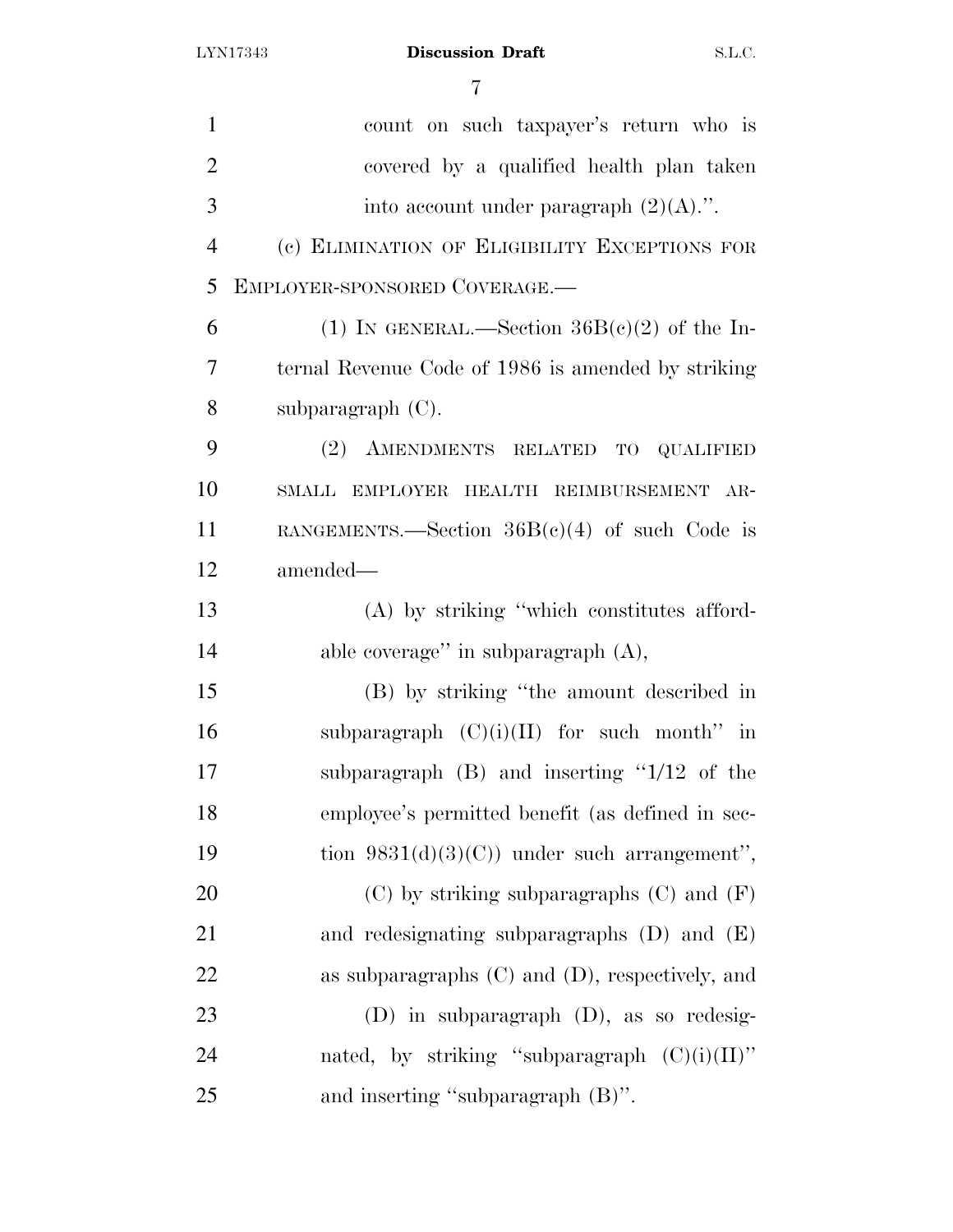| $\mathbf{1}$   | count on such taxpayer's return who is               |
|----------------|------------------------------------------------------|
| $\overline{2}$ | covered by a qualified health plan taken             |
| 3              | into account under paragraph $(2)(A)$ .".            |
| $\overline{4}$ | (c) ELIMINATION OF ELIGIBILITY EXCEPTIONS FOR        |
| 5              | EMPLOYER-SPONSORED COVERAGE.-                        |
| 6              | (1) IN GENERAL.—Section $36B(e)(2)$ of the In-       |
| 7              | ternal Revenue Code of 1986 is amended by striking   |
| 8              | subparagraph $(C)$ .                                 |
| 9              | (2) AMENDMENTS RELATED TO QUALIFIED                  |
| 10             | SMALL EMPLOYER HEALTH REIMBURSEMENT AR-              |
| 11             | RANGEMENTS.—Section $36B(e)(4)$ of such Code is      |
| 12             | amended—                                             |
| 13             | (A) by striking "which constitutes afford-           |
| 14             | able coverage" in subparagraph $(A)$ ,               |
| 15             | (B) by striking "the amount described in             |
| 16             | subparagraph $(C)(i)(II)$ for such month" in         |
| 17             | subparagraph $(B)$ and inserting " $1/12$ of the     |
| 18             | employee's permitted benefit (as defined in sec-     |
| 19             | tion $9831(d)(3)(C)$ under such arrangement",        |
| 20             | $(C)$ by striking subparagraphs $(C)$ and $(F)$      |
| 21             | and redesignating subparagraphs $(D)$ and $(E)$      |
| 22             | as subparagraphs $(C)$ and $(D)$ , respectively, and |
| 23             | $(D)$ in subparagraph $(D)$ , as so redesig-         |
| 24             | nated, by striking "subparagraph $(C)(i)(II)$ "      |
| 25             | and inserting "subparagraph (B)".                    |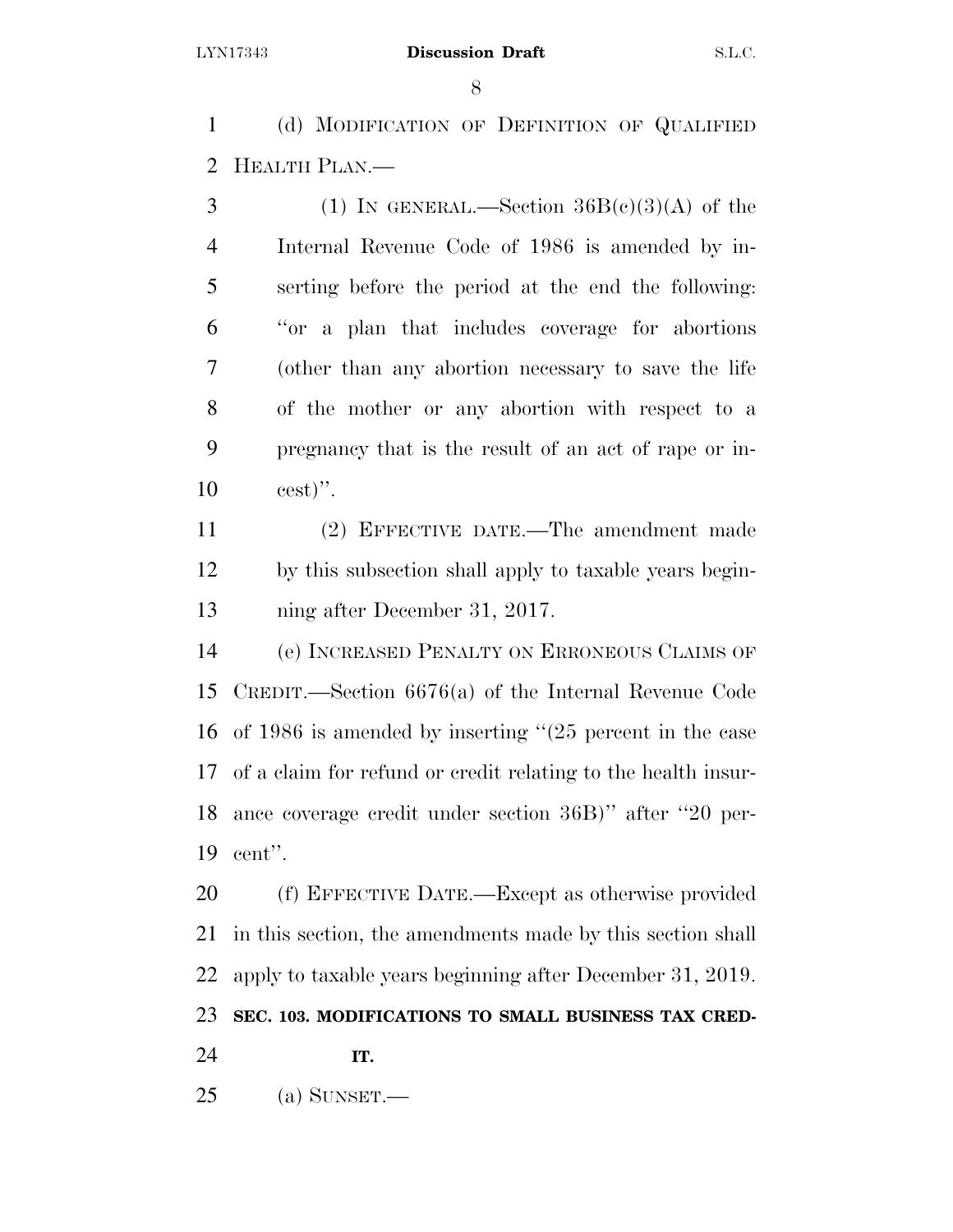(d) MODIFICATION OF DEFINITION OF QUALIFIED HEALTH PLAN.—

3 (1) IN GENERAL.—Section  $36B(c)(3)(A)$  of the Internal Revenue Code of 1986 is amended by in- serting before the period at the end the following: ''or a plan that includes coverage for abortions (other than any abortion necessary to save the life of the mother or any abortion with respect to a pregnancy that is the result of an act of rape or in-cest)''.

 (2) EFFECTIVE DATE.—The amendment made by this subsection shall apply to taxable years begin-ning after December 31, 2017.

 (e) INCREASED PENALTY ON ERRONEOUS CLAIMS OF CREDIT.—Section 6676(a) of the Internal Revenue Code of 1986 is amended by inserting ''(25 percent in the case of a claim for refund or credit relating to the health insur- ance coverage credit under section 36B)'' after ''20 per-cent''.

 (f) EFFECTIVE DATE.—Except as otherwise provided in this section, the amendments made by this section shall apply to taxable years beginning after December 31, 2019. **SEC. 103. MODIFICATIONS TO SMALL BUSINESS TAX CRED-**

**IT.** 

(a) SUNSET.—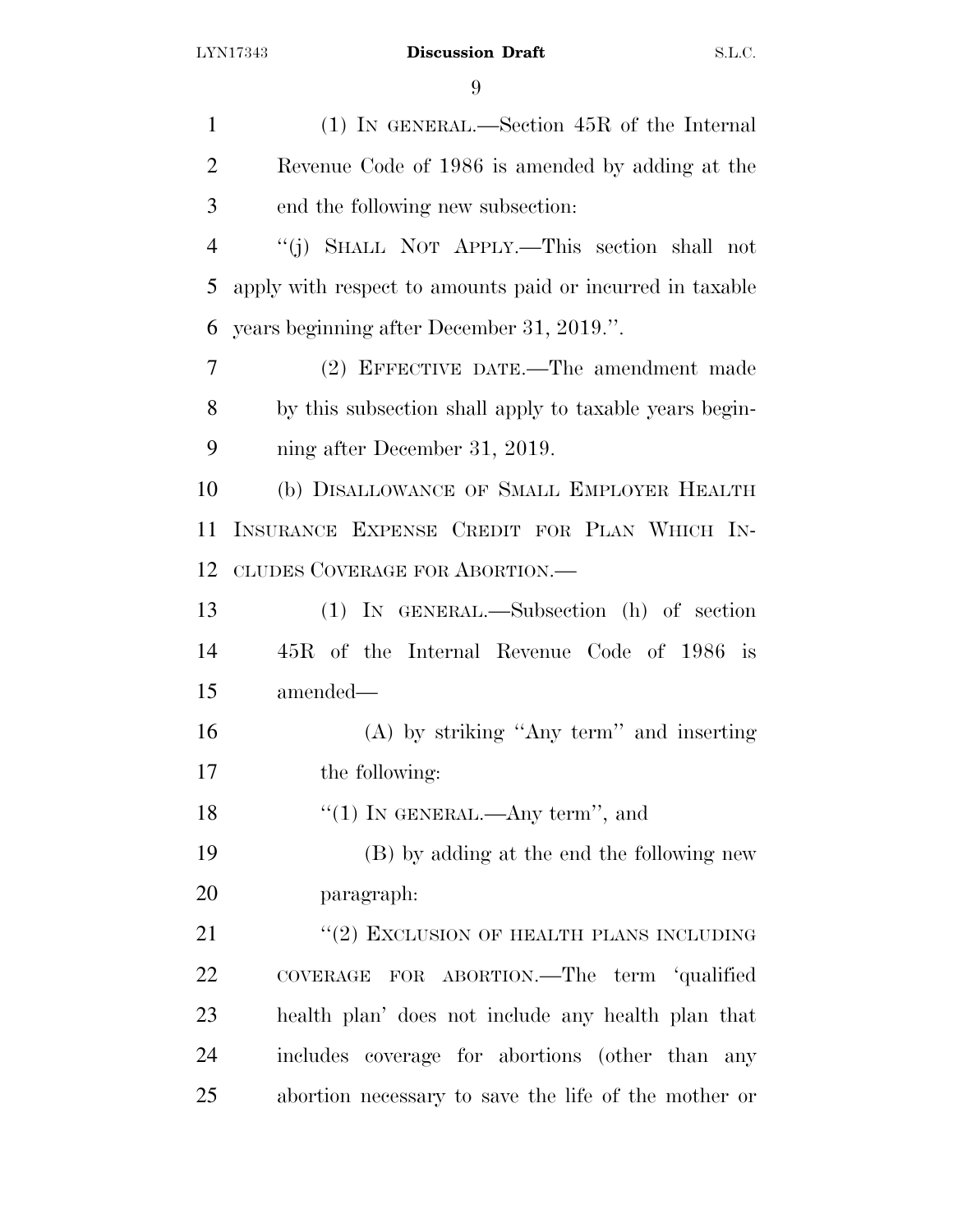| $\mathbf{1}$   | $(1)$ In GENERAL.—Section 45R of the Internal             |
|----------------|-----------------------------------------------------------|
| $\overline{2}$ | Revenue Code of 1986 is amended by adding at the          |
| 3              | end the following new subsection:                         |
| $\overline{4}$ | "(j) SHALL NOT APPLY.—This section shall not              |
| 5              | apply with respect to amounts paid or incurred in taxable |
| 6              | years beginning after December 31, 2019.".                |
| 7              | (2) EFFECTIVE DATE.—The amendment made                    |
| 8              | by this subsection shall apply to taxable years begin-    |
| 9              | ning after December 31, 2019.                             |
| 10             | (b) DISALLOWANCE OF SMALL EMPLOYER HEALTH                 |
| 11             | INSURANCE EXPENSE CREDIT FOR PLAN WHICH IN-               |
| 12             | CLUDES COVERAGE FOR ABORTION.-                            |
| 13             | (1) IN GENERAL.—Subsection (h) of section                 |
| 14             | 45R of the Internal Revenue Code of 1986 is               |
| 15             | amended—                                                  |
| 16             | $(A)$ by striking "Any term" and inserting                |
| 17             | the following:                                            |
| 18             | "(1) IN GENERAL.—Any term", and                           |
| 19             | (B) by adding at the end the following new                |
| 20             | paragraph:                                                |
| 21             | $``(2)$ EXCLUSION OF HEALTH PLANS INCLUDING               |
| <u>22</u>      | COVERAGE FOR ABORTION.—The term 'qualified                |
| 23             | health plan' does not include any health plan that        |
| 24             | includes coverage for abortions (other than any           |
| 25             | abortion necessary to save the life of the mother or      |
|                |                                                           |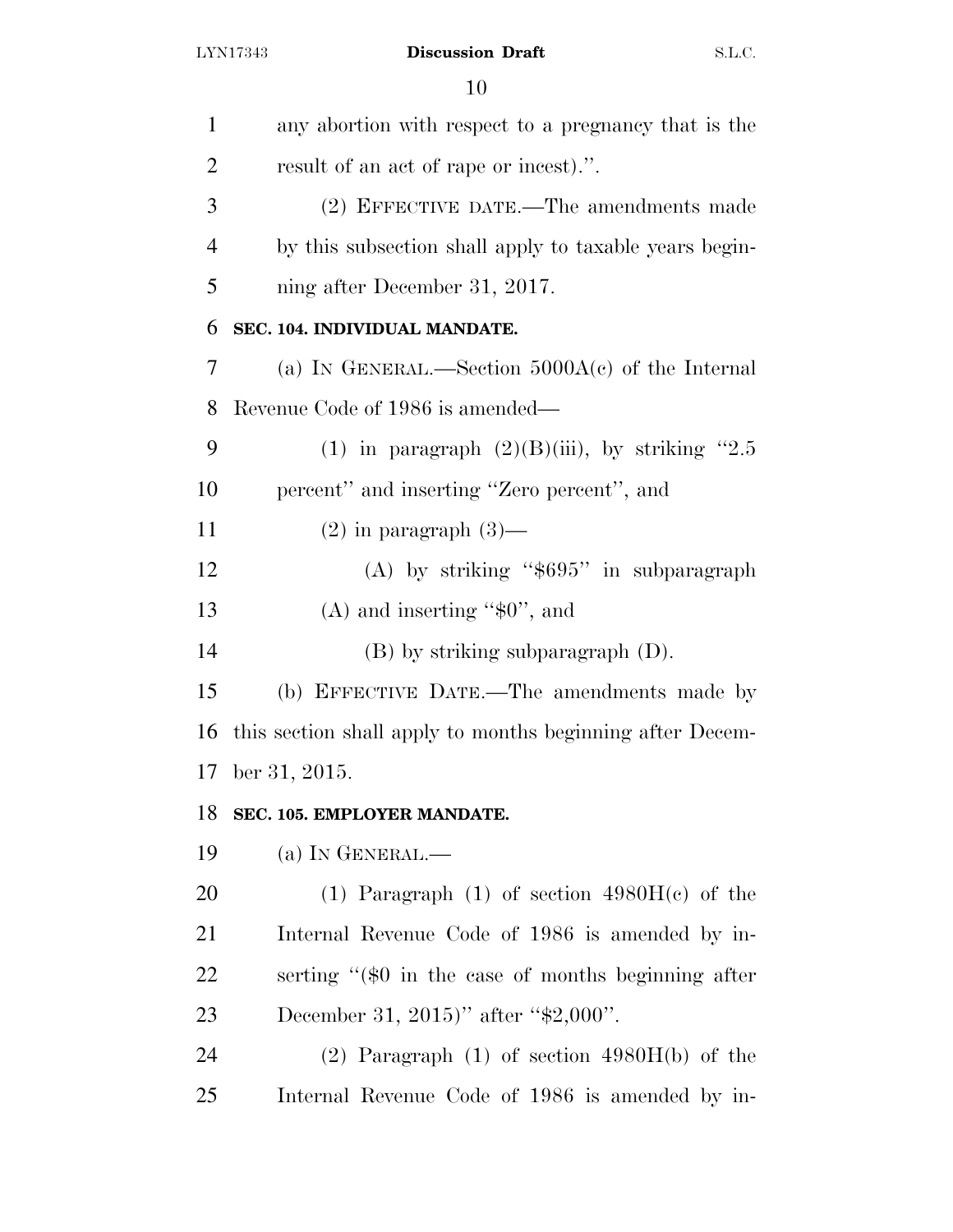| $\mathbf{1}$   | any abortion with respect to a pregnancy that is the      |
|----------------|-----------------------------------------------------------|
| 2              | result of an act of rape or incest).".                    |
| 3              | (2) EFFECTIVE DATE.—The amendments made                   |
| $\overline{4}$ | by this subsection shall apply to taxable years begin-    |
| 5              | ning after December 31, 2017.                             |
| 6              | SEC. 104. INDIVIDUAL MANDATE.                             |
| 7              | (a) IN GENERAL.—Section $5000A(c)$ of the Internal        |
| 8              | Revenue Code of 1986 is amended—                          |
| 9              | (1) in paragraph $(2)(B)(iii)$ , by striking "2.5         |
| 10             | percent" and inserting "Zero percent", and                |
| 11             | $(2)$ in paragraph $(3)$ —                                |
| 12             | (A) by striking " $$695"$ in subparagraph                 |
| 13             | $(A)$ and inserting " $\$ 0", and                         |
| 14             | $(B)$ by striking subparagraph $(D)$ .                    |
| 15             | (b) EFFECTIVE DATE.—The amendments made by                |
| 16             | this section shall apply to months beginning after Decem- |
| 17             | ber 31, 2015.                                             |
| 18             | SEC. 105. EMPLOYER MANDATE.                               |
| 19             | (a) IN GENERAL. $-$                                       |
| <b>20</b>      | (1) Paragraph (1) of section $4980H(c)$ of the            |
| 21             | Internal Revenue Code of 1986 is amended by in-           |
| <u>22</u>      | serting "(\$0 in the case of months beginning after       |
| 23             | December 31, 2015)" after "\$2,000".                      |
| 24             | $(2)$ Paragraph $(1)$ of section $4980H(b)$ of the        |
| 25             | Internal Revenue Code of 1986 is amended by in-           |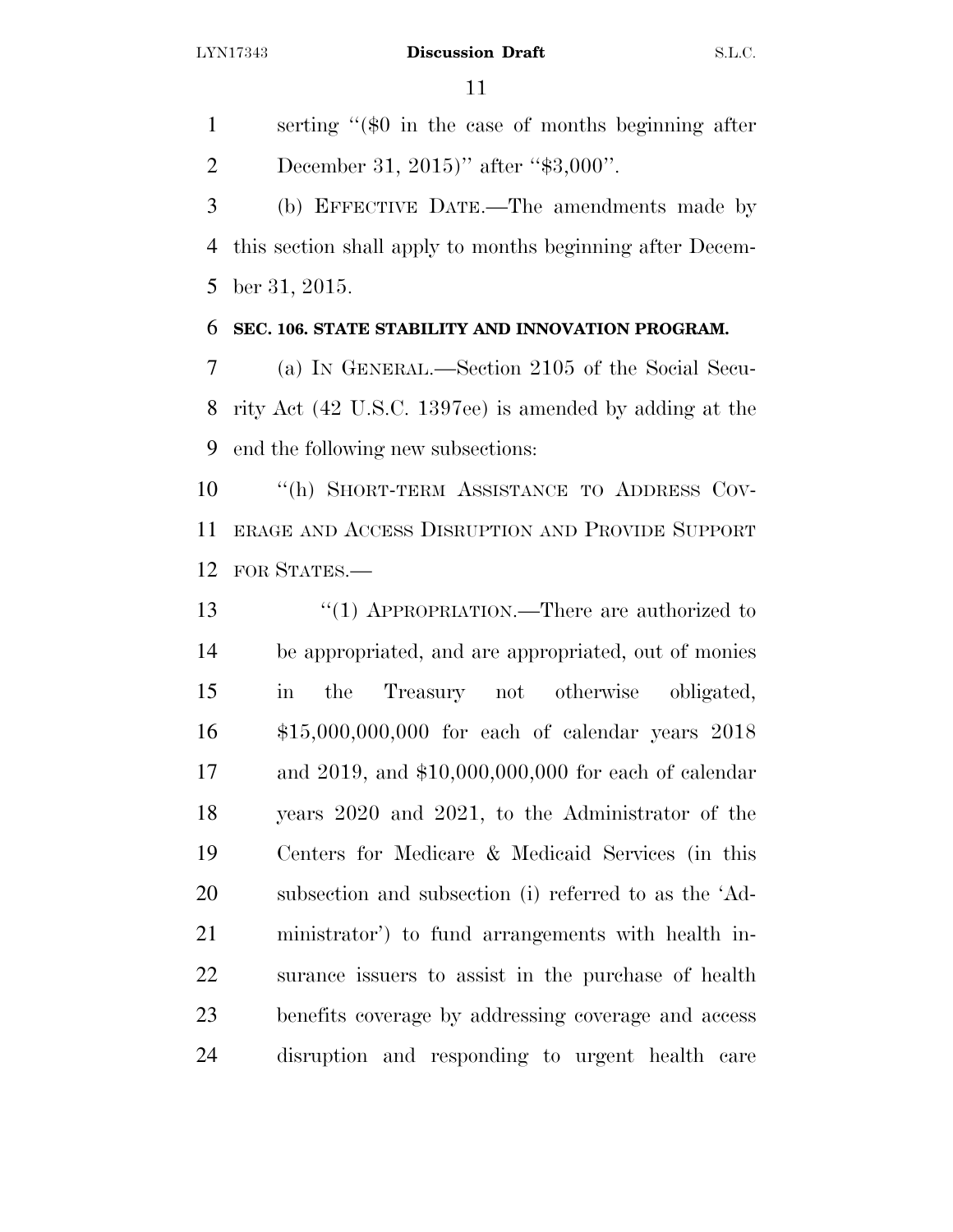serting ''(\$0 in the case of months beginning after December 31, 2015)'' after ''\$3,000''.

 (b) EFFECTIVE DATE.—The amendments made by this section shall apply to months beginning after Decem-ber 31, 2015.

### **SEC. 106. STATE STABILITY AND INNOVATION PROGRAM.**

 (a) IN GENERAL.—Section 2105 of the Social Secu- rity Act (42 U.S.C. 1397ee) is amended by adding at the end the following new subsections:

 ''(h) SHORT-TERM ASSISTANCE TO ADDRESS COV- ERAGE AND ACCESS DISRUPTION AND PROVIDE SUPPORT FOR STATES.—

 ''(1) APPROPRIATION.—There are authorized to be appropriated, and are appropriated, out of monies in the Treasury not otherwise obligated, \$15,000,000,000 for each of calendar years 2018 and 2019, and \$10,000,000,000 for each of calendar years 2020 and 2021, to the Administrator of the Centers for Medicare & Medicaid Services (in this subsection and subsection (i) referred to as the 'Ad- ministrator') to fund arrangements with health in- surance issuers to assist in the purchase of health benefits coverage by addressing coverage and access disruption and responding to urgent health care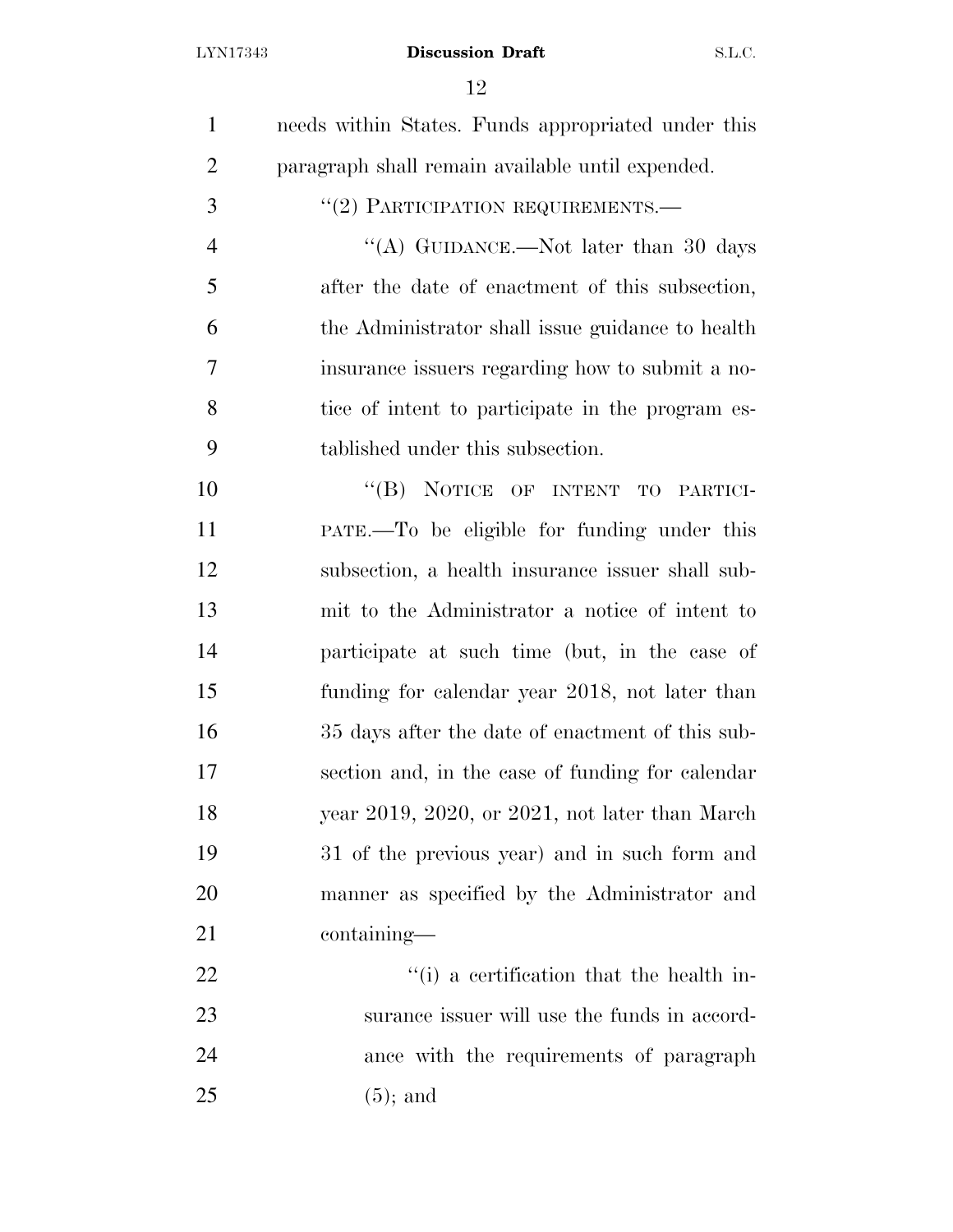| $\mathbf{1}$   | needs within States. Funds appropriated under this |
|----------------|----------------------------------------------------|
| $\overline{2}$ | paragraph shall remain available until expended.   |
| 3              | "(2) PARTICIPATION REQUIREMENTS.-                  |
| $\overline{4}$ | "(A) GUIDANCE.—Not later than 30 days              |
| 5              | after the date of enactment of this subsection,    |
| 6              | the Administrator shall issue guidance to health   |
| 7              | insurance issuers regarding how to submit a no-    |
| 8              | tice of intent to participate in the program es-   |
| 9              | tablished under this subsection.                   |
| 10             | "(B) NOTICE OF INTENT TO PARTICI-                  |
| 11             | PATE.—To be eligible for funding under this        |
| 12             | subsection, a health insurance issuer shall sub-   |
| 13             | mit to the Administrator a notice of intent to     |
| 14             | participate at such time (but, in the case of      |
| 15             | funding for calendar year 2018, not later than     |
| 16             | 35 days after the date of enactment of this sub-   |
| 17             | section and, in the case of funding for calendar   |
| 18             | year 2019, 2020, or 2021, not later than March     |
| 19             | 31 of the previous year) and in such form and      |
| 20             | manner as specified by the Administrator and       |
| 21             | containing—                                        |
| 22             | "(i) a certification that the health in-           |
| 23             | surance issuer will use the funds in accord-       |
| 24             | ance with the requirements of paragraph            |
| 25             | $(5)$ ; and                                        |
|                |                                                    |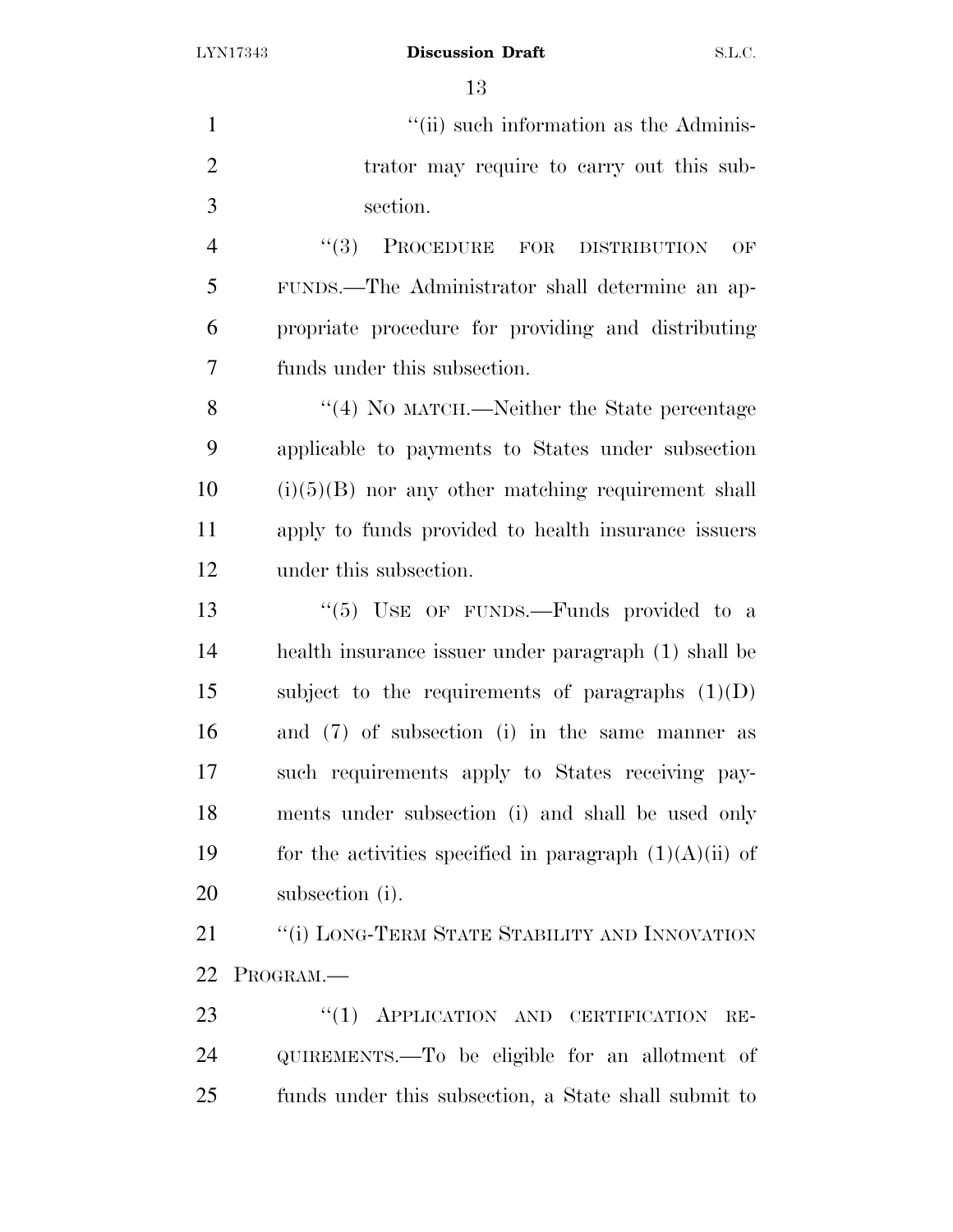$"$ (ii) such information as the Adminis-2 trator may require to carry out this sub- section. 4 "(3) PROCEDURE FOR DISTRIBUTION OF FUNDS.—The Administrator shall determine an ap- propriate procedure for providing and distributing funds under this subsection. 8 "(4) No MATCH.—Neither the State percentage applicable to payments to States under subsection (i)(5)(B) nor any other matching requirement shall apply to funds provided to health insurance issuers under this subsection. 13 "(5) USE OF FUNDS.—Funds provided to a health insurance issuer under paragraph (1) shall be 15 subject to the requirements of paragraphs  $(1)(D)$  and (7) of subsection (i) in the same manner as such requirements apply to States receiving pay- ments under subsection (i) and shall be used only 19 for the activities specified in paragraph  $(1)(A)(ii)$  of subsection (i). **''**(i) LONG-TERM STATE STABILITY AND INNOVATION PROGRAM.—

23 "(1) APPLICATION AND CERTIFICATION RE- QUIREMENTS.—To be eligible for an allotment of funds under this subsection, a State shall submit to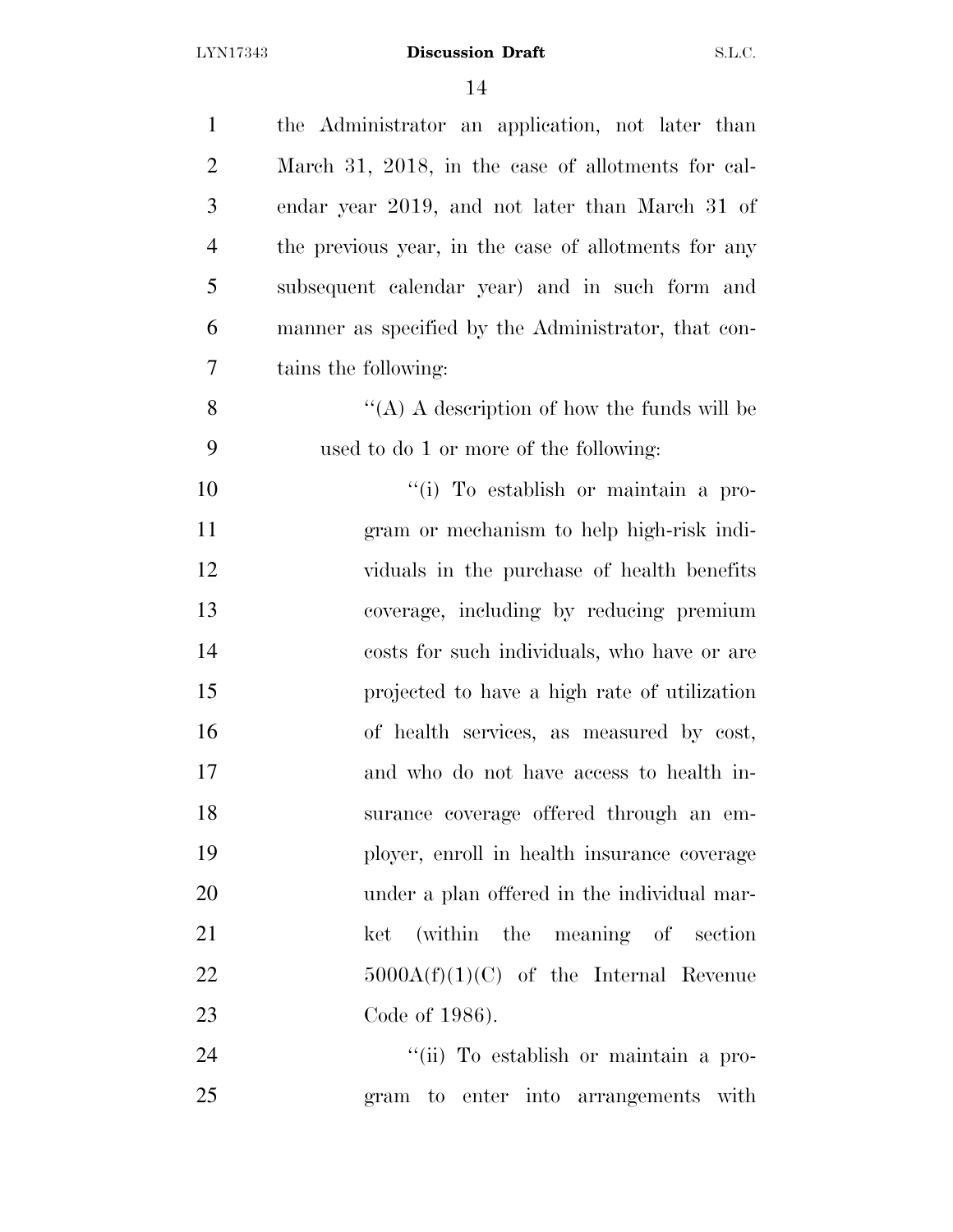| $\mathbf{1}$   | the Administrator an application, not later than     |
|----------------|------------------------------------------------------|
| $\overline{2}$ | March 31, 2018, in the case of allotments for cal-   |
| 3              | endar year 2019, and not later than March 31 of      |
| $\overline{4}$ | the previous year, in the case of allotments for any |
| 5              | subsequent calendar year) and in such form and       |
| 6              | manner as specified by the Administrator, that con-  |
| 7              | tains the following:                                 |
| 8              | "(A) A description of how the funds will be          |
| 9              | used to do 1 or more of the following:               |
| 10             | "(i) To establish or maintain a pro-                 |
| 11             | gram or mechanism to help high-risk indi-            |
| 12             | viduals in the purchase of health benefits           |
| 13             | coverage, including by reducing premium              |
| 14             | costs for such individuals, who have or are          |
| 15             | projected to have a high rate of utilization         |
| 16             | of health services, as measured by cost,             |
| 17             | and who do not have access to health in-             |
| 18             | surance coverage offered through an em-              |
| 19             | ployer, enroll in health insurance coverage          |
| 20             | under a plan offered in the individual mar-          |
| 21             | ket (within the meaning of section                   |
| 22             | $5000A(f)(1)(C)$ of the Internal Revenue             |
| 23             | Code of 1986).                                       |
| 24             | "(ii) To establish or maintain a pro-                |

gram to enter into arrangements with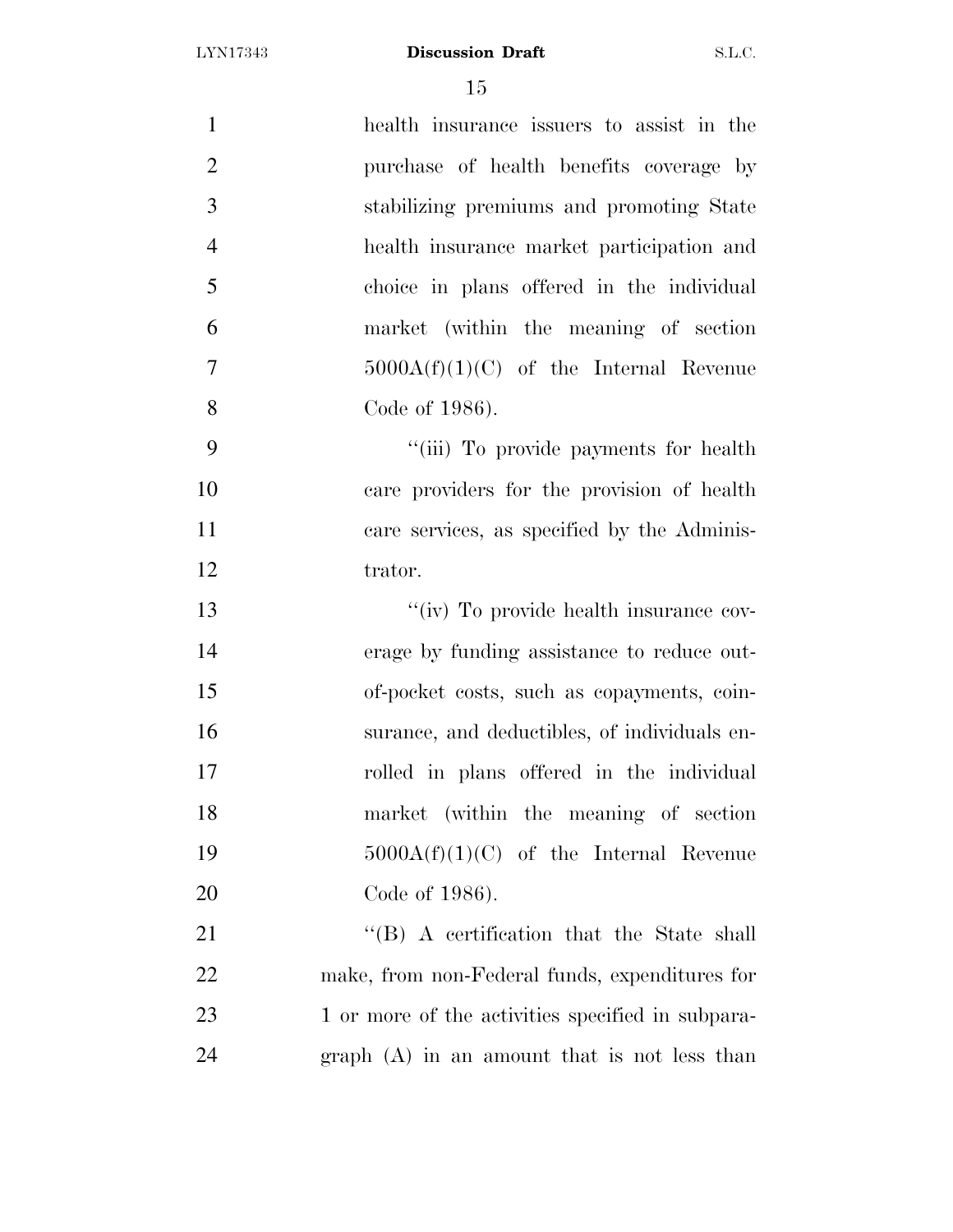| $\mathbf{1}$   | health insurance issuers to assist in the         |
|----------------|---------------------------------------------------|
| $\overline{2}$ | purchase of health benefits coverage by           |
| 3              | stabilizing premiums and promoting State          |
| $\overline{4}$ | health insurance market participation and         |
| 5              | choice in plans offered in the individual         |
| 6              | market (within the meaning of section             |
| $\overline{7}$ | $5000A(f)(1)(C)$ of the Internal Revenue          |
| 8              | Code of 1986).                                    |
| 9              | "(iii) To provide payments for health             |
| 10             | care providers for the provision of health        |
| 11             | care services, as specified by the Adminis-       |
| 12             | trator.                                           |
| 13             | "(iv) To provide health insurance cov-            |
| 14             | erage by funding assistance to reduce out-        |
| 15             | of-pocket costs, such as copayments, coin-        |
| 16             | surance, and deductibles, of individuals en-      |
| 17             | rolled in plans offered in the individual         |
| 18             | market (within the meaning of section             |
| 19             | $5000A(f)(1)(C)$ of the Internal Revenue          |
| 20             | Code of 1986).                                    |
| 21             | $\lq$ (B) A certification that the State shall    |
| 22             | make, from non-Federal funds, expenditures for    |
| 23             | 1 or more of the activities specified in subpara- |
| 24             | $graph(A)$ in an amount that is not less than     |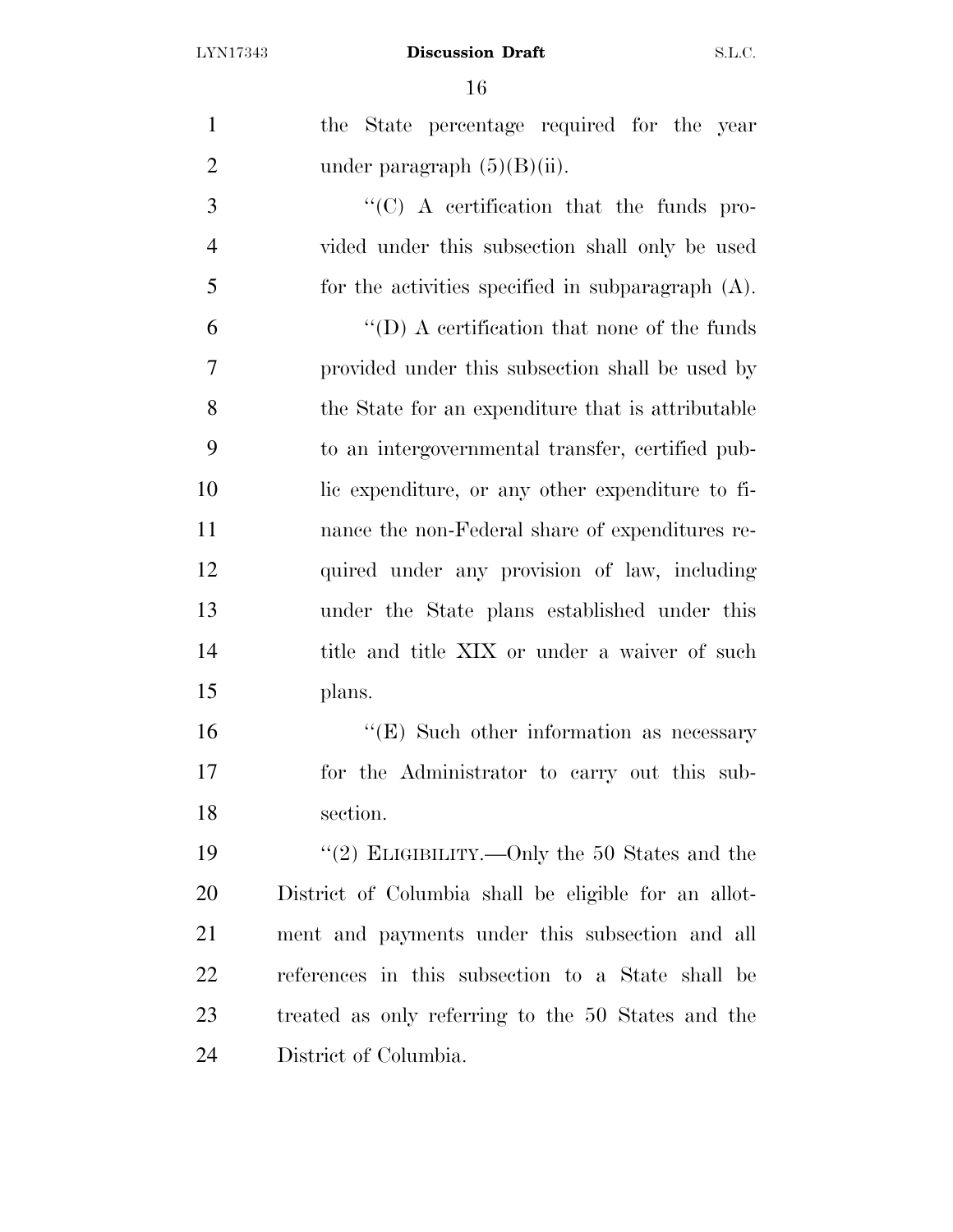| $\mathbf{1}$   | the State percentage required for the year           |
|----------------|------------------------------------------------------|
| $\overline{2}$ | under paragraph $(5)(B)(ii)$ .                       |
| 3              | $\cdot$ (C) A certification that the funds pro-      |
| $\overline{4}$ | vided under this subsection shall only be used       |
| 5              | for the activities specified in subparagraph $(A)$ . |
| 6              | $\lq\lq$ (D) A certification that none of the funds  |
| $\overline{7}$ | provided under this subsection shall be used by      |
| 8              | the State for an expenditure that is attributable    |
| 9              | to an intergovernmental transfer, certified pub-     |
| 10             | lic expenditure, or any other expenditure to fi-     |
| 11             | nance the non-Federal share of expenditures re-      |
| 12             | quired under any provision of law, including         |
| 13             | under the State plans established under this         |
| 14             | title and title XIX or under a waiver of such        |
| 15             | plans.                                               |
| 16             | $\lq\lq$ (E) Such other information as necessary     |
| 17             | for the Administrator to carry out this sub-         |
| 18             | section.                                             |
| 19             | "(2) ELIGIBILITY.—Only the 50 States and the         |
| 20             | District of Columbia shall be eligible for an allot- |
| 21             | ment and payments under this subsection and all      |
| 22             | references in this subsection to a State shall be    |
| 23             | treated as only referring to the 50 States and the   |
| 24             | District of Columbia.                                |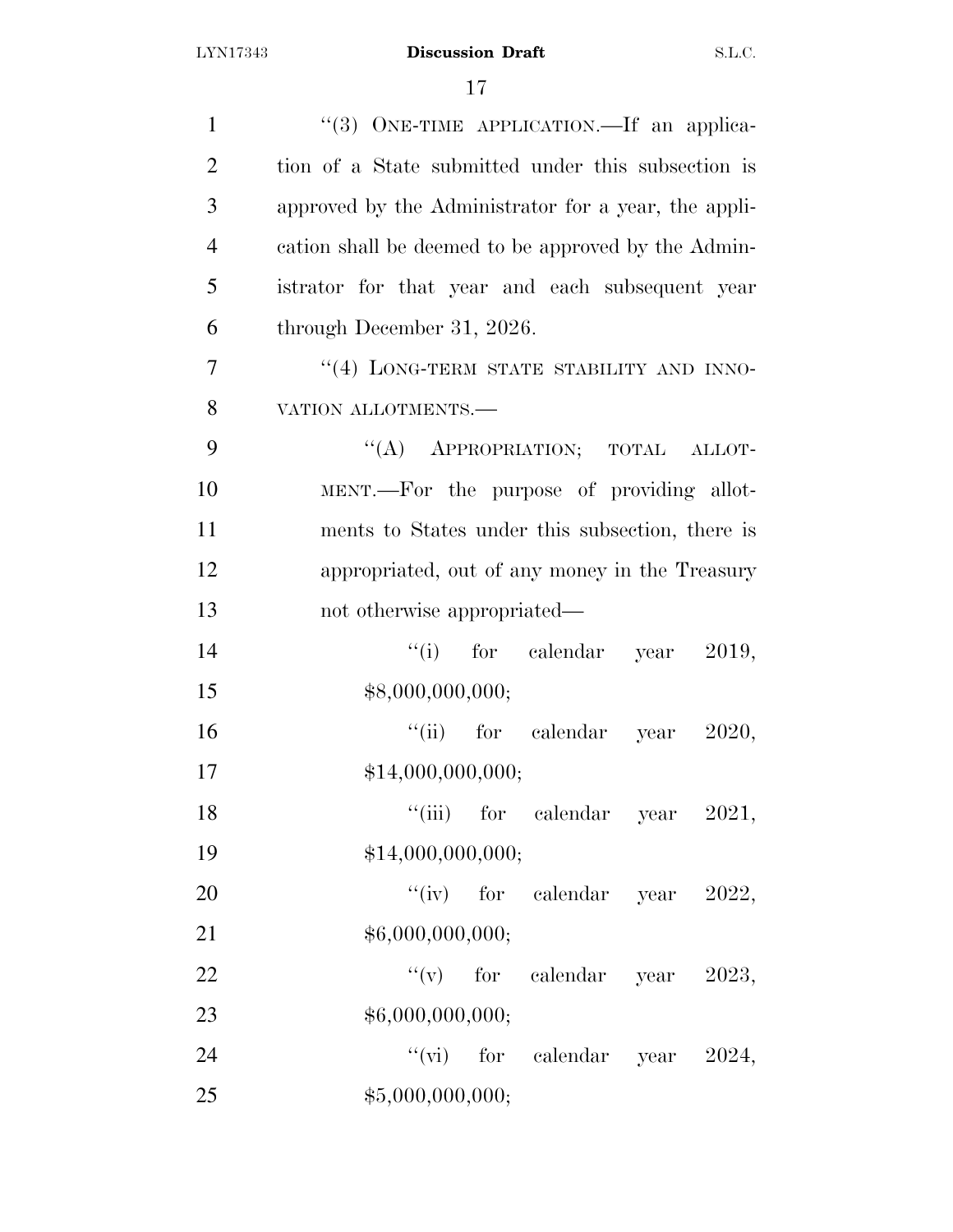| $\mathbf{1}$   | "(3) ONE-TIME APPLICATION.—If an applica-            |
|----------------|------------------------------------------------------|
| $\overline{2}$ | tion of a State submitted under this subsection is   |
| 3              | approved by the Administrator for a year, the appli- |
| $\overline{4}$ | cation shall be deemed to be approved by the Admin-  |
| 5              | istrator for that year and each subsequent year      |
| 6              | through December 31, 2026.                           |
| 7              | "(4) LONG-TERM STATE STABILITY AND INNO-             |
| 8              | VATION ALLOTMENTS.-                                  |
| 9              | "(A) APPROPRIATION; TOTAL ALLOT-                     |
| 10             | MENT.—For the purpose of providing allot-            |
| 11             | ments to States under this subsection, there is      |
| 12             | appropriated, out of any money in the Treasury       |
| 13             | not otherwise appropriated—                          |
| 14             | "(i) for calendar year $2019$ ,                      |
| 15             | \$8,000,000,000;                                     |
| 16             | "(ii) for calendar year $2020$ ,                     |
| 17             | \$14,000,000,000;                                    |
| 18             | "(iii) for calendar year $2021$ ,                    |
| 19             | \$14,000,000,000;                                    |
| 20             | "(iv) for calendar year $2022$ ,                     |
| 21             | \$6,000,000,000;                                     |
| 22             | "(v) for calendar year $2023$ ,                      |
| 23             | \$6,000,000,000;                                     |
| 24             | "(vi) for calendar year $2024$ ,                     |
| 25             | \$5,000,000,000;                                     |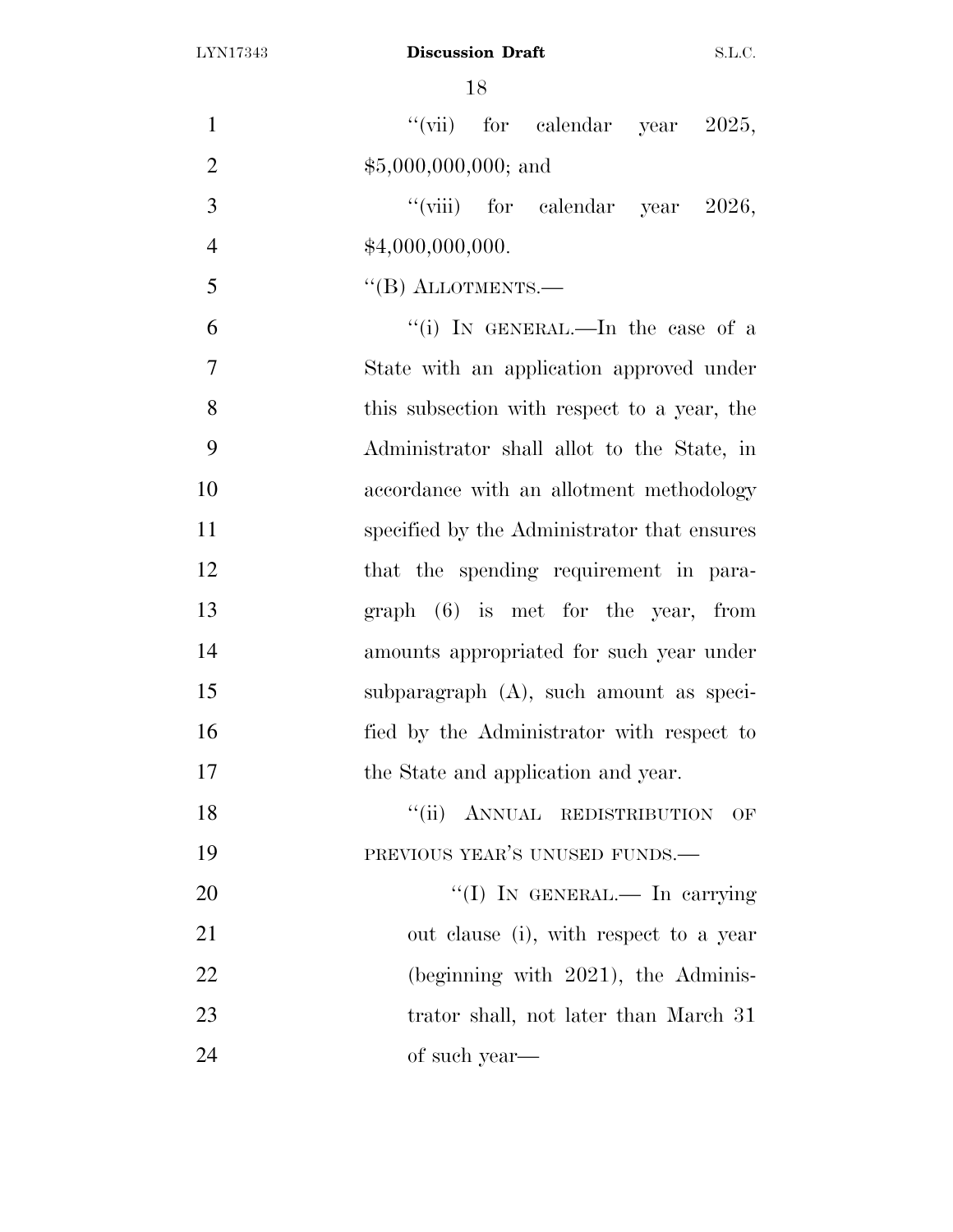| $\mathbf{1}$   | "(vii) for calendar year $2025$ ,           |
|----------------|---------------------------------------------|
| $\overline{2}$ | $$5,000,000,000;$ and                       |
| 3              | "(viii) for calendar year $2026$ ,          |
| $\overline{4}$ | \$4,000,000,000.                            |
| 5              | $\lq\lq$ (B) ALLOTMENTS.—                   |
| 6              | "(i) IN GENERAL.—In the case of a           |
| $\tau$         | State with an application approved under    |
| 8              | this subsection with respect to a year, the |
| 9              | Administrator shall allot to the State, in  |
| 10             | accordance with an allotment methodology    |
| 11             | specified by the Administrator that ensures |
| 12             | that the spending requirement in para-      |
| 13             | $graph (6)$ is met for the year, from       |
| 14             | amounts appropriated for such year under    |
| 15             | subparagraph (A), such amount as speci-     |
| 16             | fied by the Administrator with respect to   |
| 17             | the State and application and year.         |
| 18             | "(ii) ANNUAL REDISTRIBUTION<br>OF           |
| 19             | PREVIOUS YEAR'S UNUSED FUNDS.               |
| 20             | "(I) IN GENERAL.— In carrying               |
| 21             | out clause (i), with respect to a year      |
| 22             | $(beginning with 2021)$ , the Adminis-      |
| 23             | trator shall, not later than March 31       |
| 24             | of such year—                               |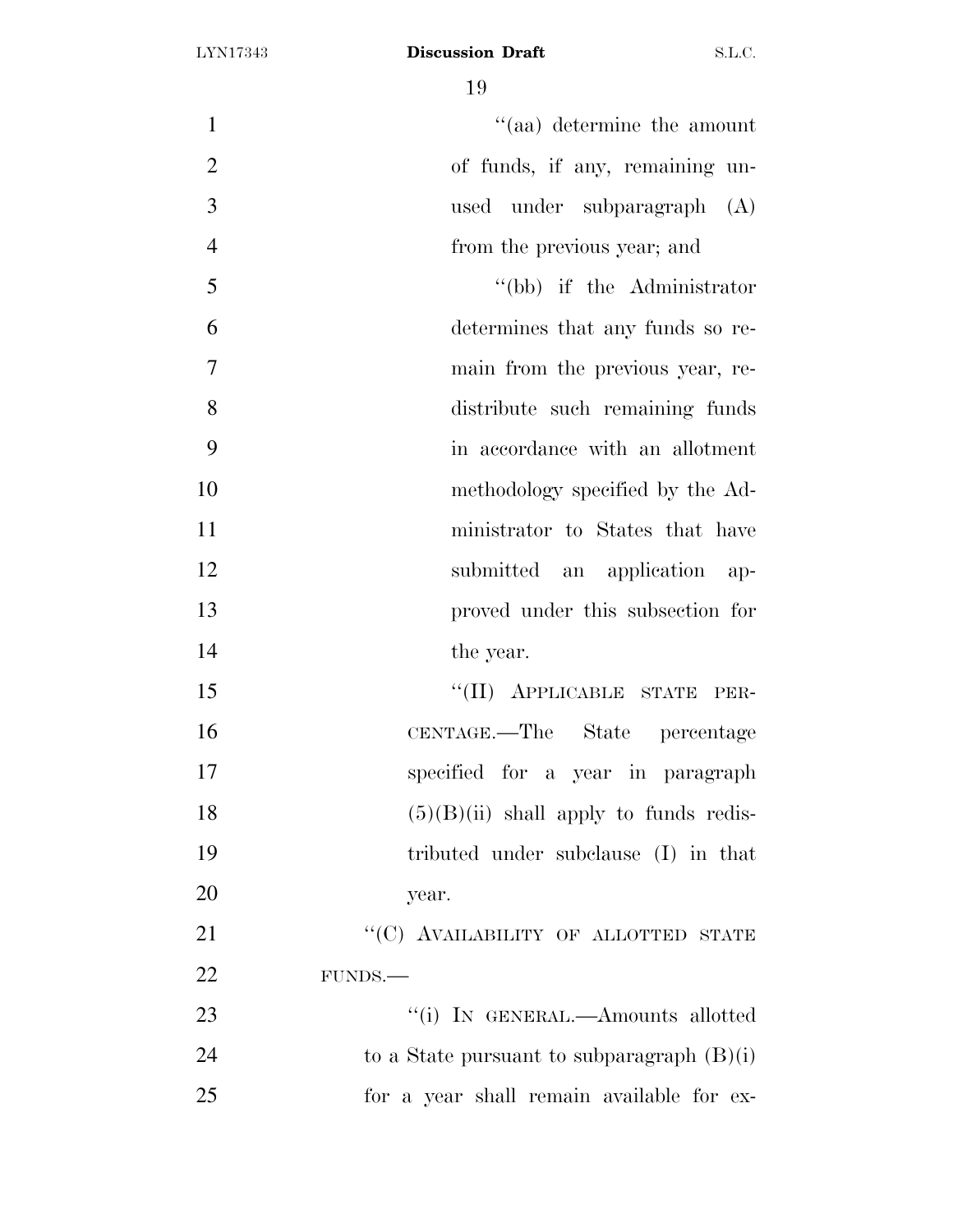| $\mathbf{1}$   | $\cdot$ (aa) determine the amount            |
|----------------|----------------------------------------------|
| $\overline{2}$ | of funds, if any, remaining un-              |
| 3              | used under subparagraph<br>(A)               |
| $\overline{4}$ | from the previous year; and                  |
| 5              | "(bb) if the Administrator                   |
| 6              | determines that any funds so re-             |
| $\tau$         | main from the previous year, re-             |
| 8              | distribute such remaining funds              |
| 9              | in accordance with an allotment              |
| 10             | methodology specified by the Ad-             |
| 11             | ministrator to States that have              |
| 12             | submitted an application ap-                 |
| 13             | proved under this subsection for             |
| 14             | the year.                                    |
| 15             | "(II) APPLICABLE STATE PER-                  |
| 16             | CENTAGE.—The State percentage                |
| 17             | specified for a year in paragraph            |
| 18             | $(5)(B)(ii)$ shall apply to funds redis-     |
| 19             | tributed under subclause (I) in that         |
| 20             | year.                                        |
| 21             | "(C) AVAILABILITY OF ALLOTTED STATE          |
| 22             | FUNDS.                                       |
| 23             | "(i) IN GENERAL.—Amounts allotted            |
| 24             | to a State pursuant to subparagraph $(B)(i)$ |
| 25             | for a year shall remain available for ex-    |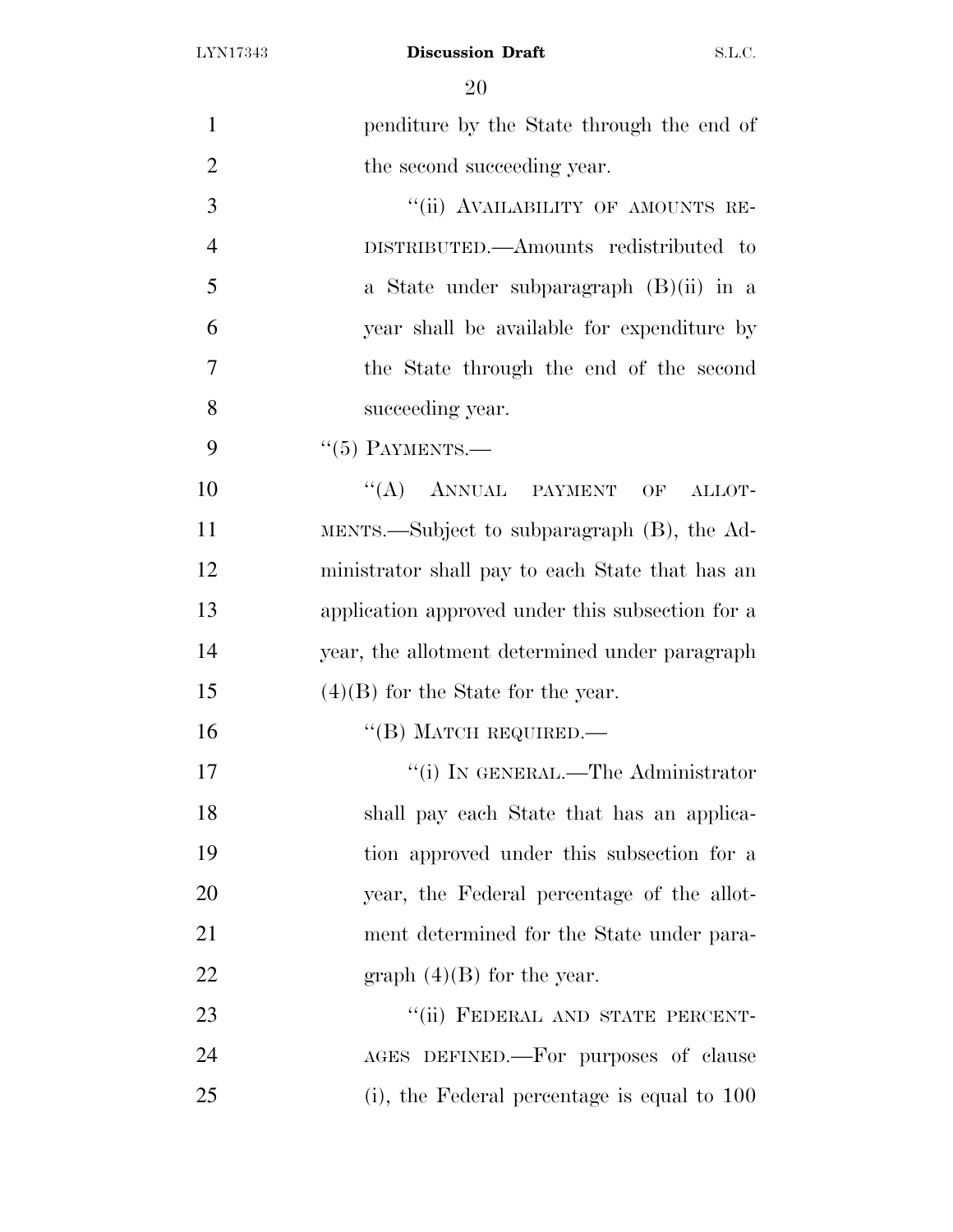| $\mathbf{1}$   | penditure by the State through the end of        |
|----------------|--------------------------------------------------|
| $\overline{2}$ | the second succeeding year.                      |
| 3              | "(ii) AVAILABILITY OF AMOUNTS RE-                |
| $\overline{4}$ | DISTRIBUTED.—Amounts redistributed to            |
| 5              | a State under subparagraph $(B)(ii)$ in a        |
| 6              | year shall be available for expenditure by       |
| 7              | the State through the end of the second          |
| 8              | succeeding year.                                 |
| 9              | $``(5)$ PAYMENTS.—                               |
| 10             | $\lq\lq (A)$ ANNUAL PAYMENT<br>OF<br>ALLOT-      |
| 11             | MENTS.—Subject to subparagraph (B), the Ad-      |
| 12             | ministrator shall pay to each State that has an  |
| 13             | application approved under this subsection for a |
| 14             | year, the allotment determined under paragraph   |
| 15             | $(4)(B)$ for the State for the year.             |
| 16             | $``$ (B) MATCH REQUIRED.—                        |
| 17             | "(i) IN GENERAL.—The Administrator               |
| 18             | shall pay each State that has an applica-        |
| 19             | tion approved under this subsection for a        |
| 20             | year, the Federal percentage of the allot-       |
| 21             | ment determined for the State under para-        |
| 22             | graph $(4)(B)$ for the year.                     |
| 23             | "(ii) FEDERAL AND STATE PERCENT-                 |
| 24             | AGES DEFINED.—For purposes of clause             |
| 25             | $(i)$ , the Federal percentage is equal to 100   |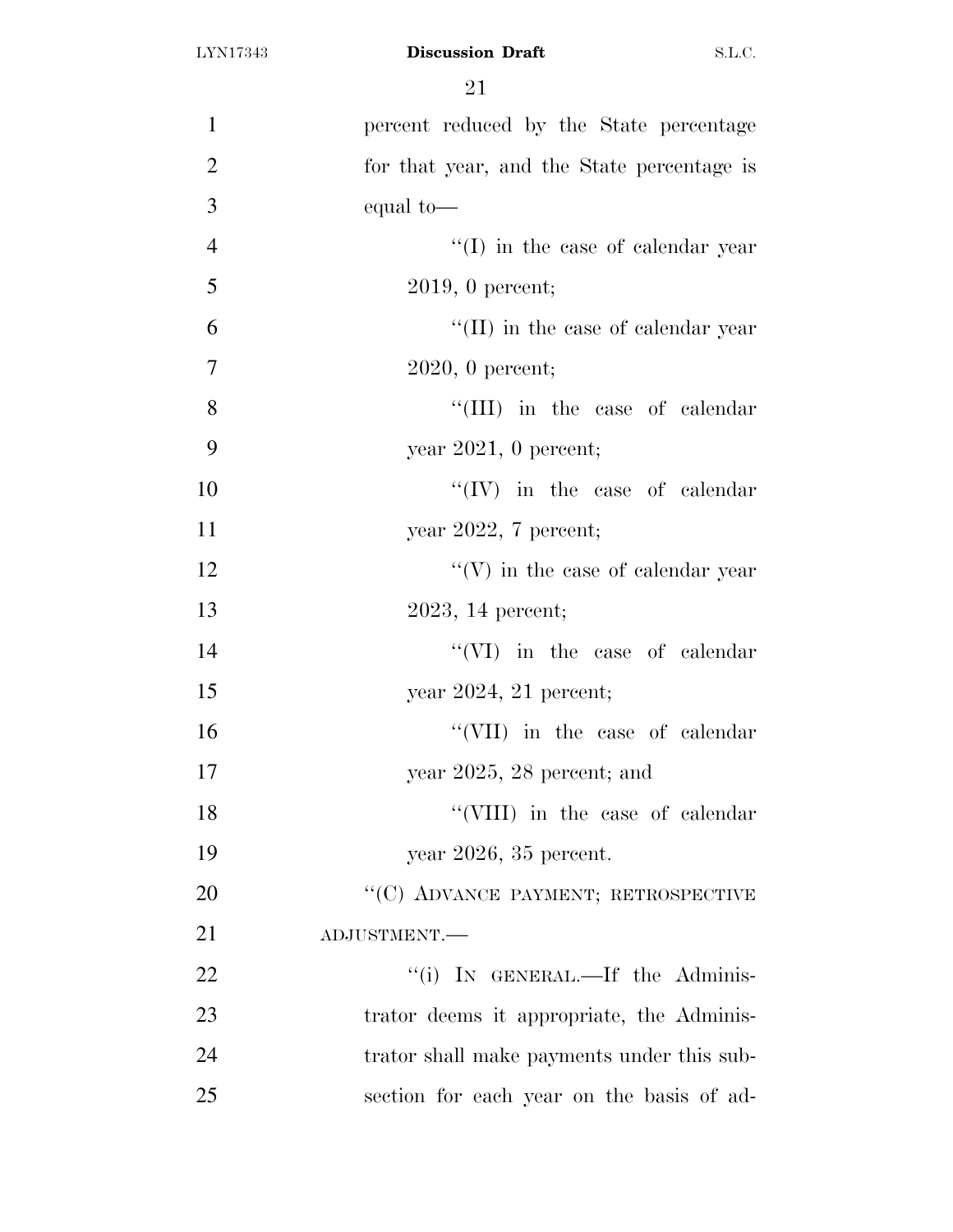| 1              | percent reduced by the State percentage    |
|----------------|--------------------------------------------|
| $\overline{2}$ | for that year, and the State percentage is |
| 3              | equal to-                                  |
| $\overline{4}$ | $\lq\lq$ (I) in the case of calendar year  |
| 5              | $2019, 0$ percent;                         |
| 6              | $\lq\lq$ (II) in the case of calendar year |
| $\overline{7}$ | $2020, 0$ percent;                         |
| 8              | "(III) in the case of calendar             |
| 9              | year $2021$ , 0 percent;                   |
| 10             | $\lq\lq (IV)$ in the case of calendar      |
| 11             | year 2022, 7 percent;                      |
| 12             | $\lq\lq(V)$ in the case of calendar year   |
| 13             | $2023$ , 14 percent;                       |
| 14             | $\lq\lq$ (VI) in the case of calendar      |
| 15             | year $2024$ , 21 percent;                  |
| 16             | "(VII) in the case of calendar             |
| 17             | year 2025, 28 percent; and                 |
| 18             | "(VIII) in the case of calendar            |
| 19             | year $2026$ , $35$ percent.                |
| 20             | "(C) ADVANCE PAYMENT; RETROSPECTIVE        |
| 21             | ADJUSTMENT.                                |
| 22             | "(i) IN GENERAL.—If the Adminis-           |
| 23             | trator deems it appropriate, the Adminis-  |
| 24             | trator shall make payments under this sub- |
| 25             | section for each year on the basis of ad-  |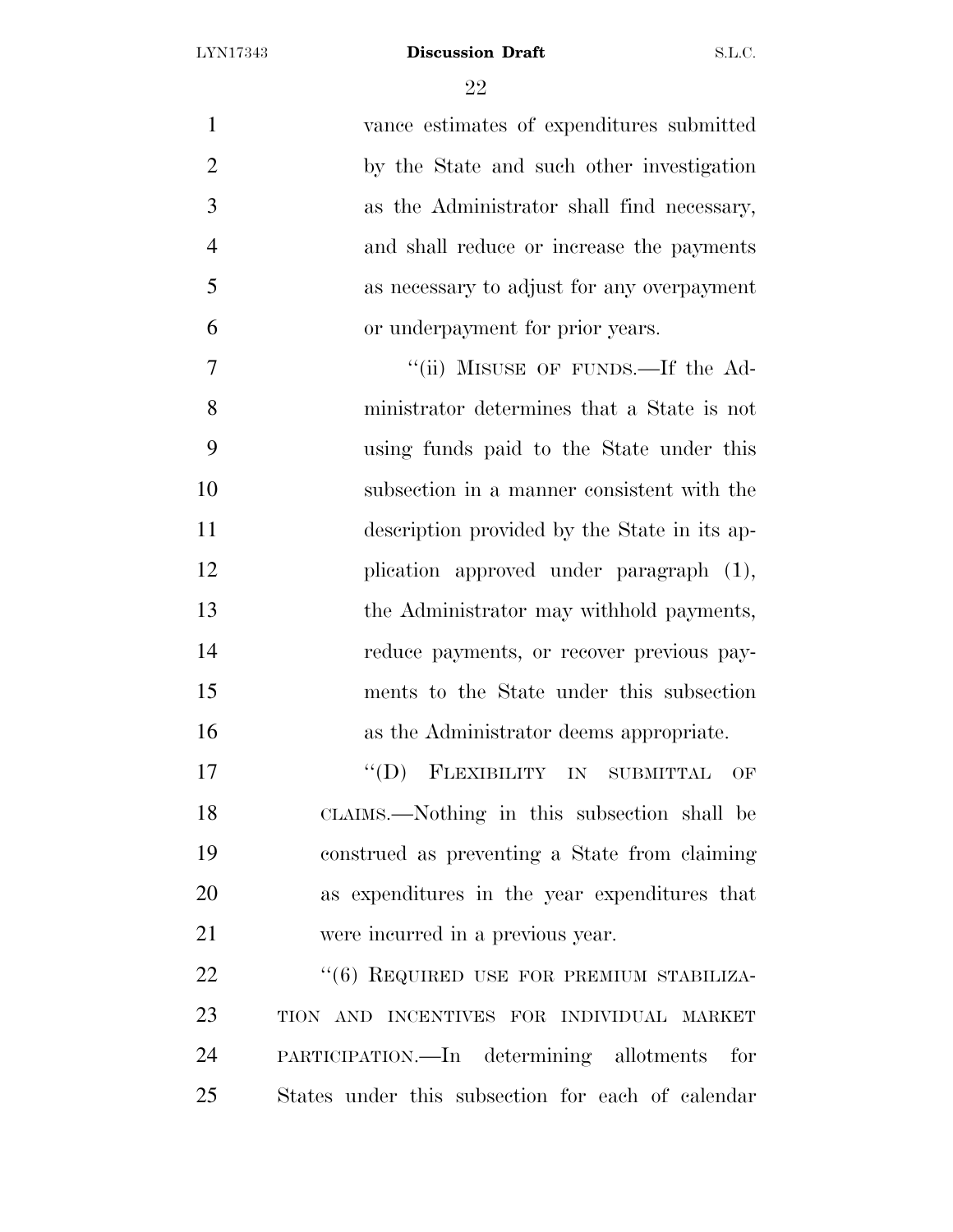| $\mathbf{1}$   | vance estimates of expenditures submitted         |
|----------------|---------------------------------------------------|
| $\overline{2}$ | by the State and such other investigation         |
| 3              | as the Administrator shall find necessary,        |
| $\overline{4}$ | and shall reduce or increase the payments         |
| 5              | as necessary to adjust for any overpayment        |
| 6              | or underpayment for prior years.                  |
| 7              | "(ii) MISUSE OF FUNDS.—If the Ad-                 |
| 8              | ministrator determines that a State is not        |
| 9              | using funds paid to the State under this          |
| 10             | subsection in a manner consistent with the        |
| 11             | description provided by the State in its ap-      |
| 12             | plication approved under paragraph (1),           |
| 13             | the Administrator may withhold payments,          |
| 14             | reduce payments, or recover previous pay-         |
| 15             | ments to the State under this subsection          |
| 16             | as the Administrator deems appropriate.           |
| 17             | "(D) FLEXIBILITY IN SUBMITTAL OF                  |
| 18             | CLAIMS.—Nothing in this subsection shall be       |
| 19             | construed as preventing a State from claiming     |
| 20             | as expenditures in the year expenditures that     |
| 21             | were incurred in a previous year.                 |
| 22             | "(6) REQUIRED USE FOR PREMIUM STABILIZA-          |
| 23             | TION AND INCENTIVES FOR INDIVIDUAL MARKET         |
| 24             | PARTICIPATION.—In determining allotments<br>for   |
| 25             | States under this subsection for each of calendar |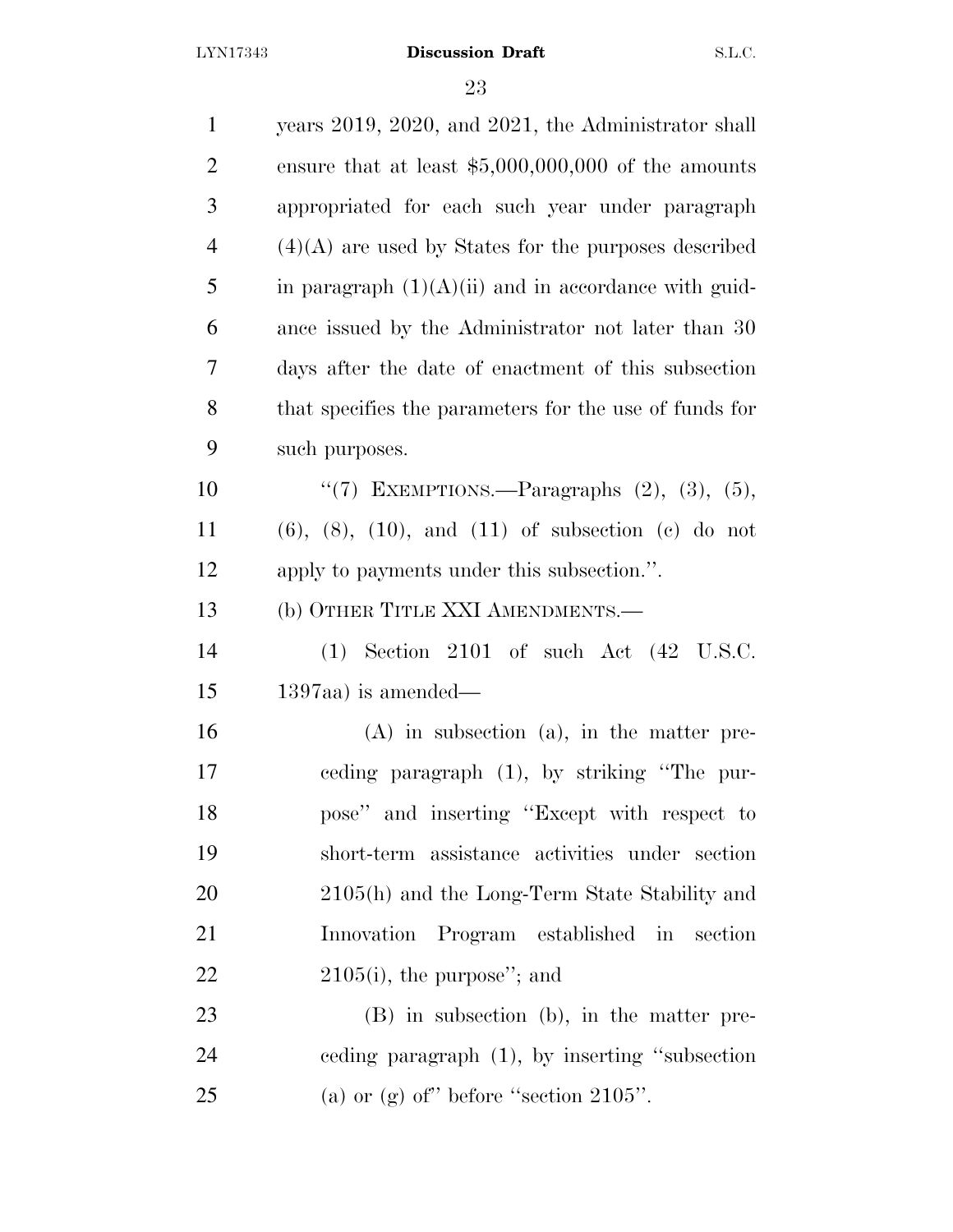| $\mathbf{1}$   | years 2019, 2020, and 2021, the Administrator shall            |
|----------------|----------------------------------------------------------------|
| $\overline{2}$ | ensure that at least $$5,000,000,000$ of the amounts           |
| 3              | appropriated for each such year under paragraph                |
| $\overline{4}$ | $(4)(A)$ are used by States for the purposes described         |
| 5              | in paragraph $(1)(A)(ii)$ and in accordance with guid-         |
| 6              | ance issued by the Administrator not later than 30             |
| 7              | days after the date of enactment of this subsection            |
| 8              | that specifies the parameters for the use of funds for         |
| 9              | such purposes.                                                 |
| 10             | "(7) EXEMPTIONS.—Paragraphs $(2)$ , $(3)$ , $(5)$ ,            |
| 11             | $(6)$ , $(8)$ , $(10)$ , and $(11)$ of subsection $(e)$ do not |
| 12             | apply to payments under this subsection.".                     |
| 13             | (b) OTHER TITLE XXI AMENDMENTS.—                               |
| 14             | $(1)$ Section 2101 of such Act $(42 \text{ U.S.C.})$           |
| 15             | $1397$ aa) is amended—                                         |
| 16             | $(A)$ in subsection $(a)$ , in the matter pre-                 |
| 17             | eeding paragraph (1), by striking "The pur-                    |
| 18             | pose" and inserting "Except with respect to                    |
| 19             | short-term assistance activities under section                 |
| 20             | 2105(h) and the Long-Term State Stability and                  |
| 21             | Innovation Program established in section                      |
| 22             | $2105(i)$ , the purpose"; and                                  |
| 23             | $(B)$ in subsection $(b)$ , in the matter pre-                 |
| 24             | eeding paragraph $(1)$ , by inserting "subsection"             |
| 25             | (a) or (g) of" before "section $2105"$ .                       |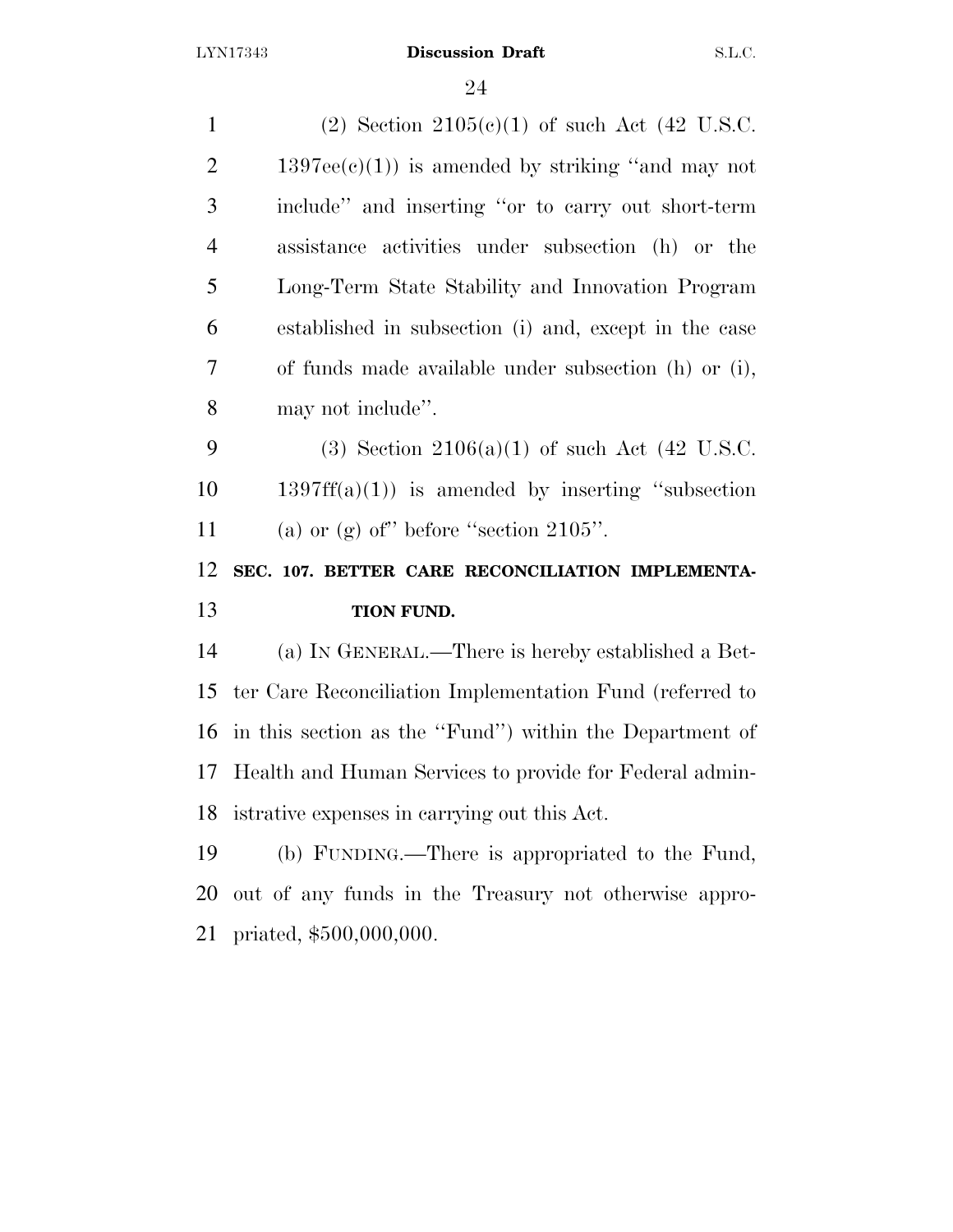| $\mathbf{1}$   | (2) Section $2105(c)(1)$ of such Act (42 U.S.C.          |
|----------------|----------------------------------------------------------|
| $\overline{2}$ | $1397ee(e)(1)$ is amended by striking "and may not       |
| 3              | include" and inserting "or to carry out short-term       |
| $\overline{4}$ | assistance activities under subsection (h) or the        |
| 5              | Long-Term State Stability and Innovation Program         |
| 6              | established in subsection (i) and, except in the case    |
| 7              | of funds made available under subsection (h) or (i),     |
| 8              | may not include".                                        |
| 9              | (3) Section 2106(a)(1) of such Act (42 U.S.C.            |
| 10             | $1397ff(a)(1)$ is amended by inserting "subsection"      |
|                |                                                          |
| 11             | (a) or (g) of" before "section $2105$ ".                 |
| 12             | SEC. 107. BETTER CARE RECONCILIATION IMPLEMENTA-         |
| 13             | TION FUND.                                               |
| 14             | (a) IN GENERAL.—There is hereby established a Bet-       |
| 15             | ter Care Reconciliation Implementation Fund (referred to |
| 16             | in this section as the "Fund") within the Department of  |
| 17             | Health and Human Services to provide for Federal admin-  |
| 18             | istrative expenses in carrying out this Act.             |
| 19             | (b) FUNDING.—There is appropriated to the Fund,          |
| 20             | out of any funds in the Treasury not otherwise appro-    |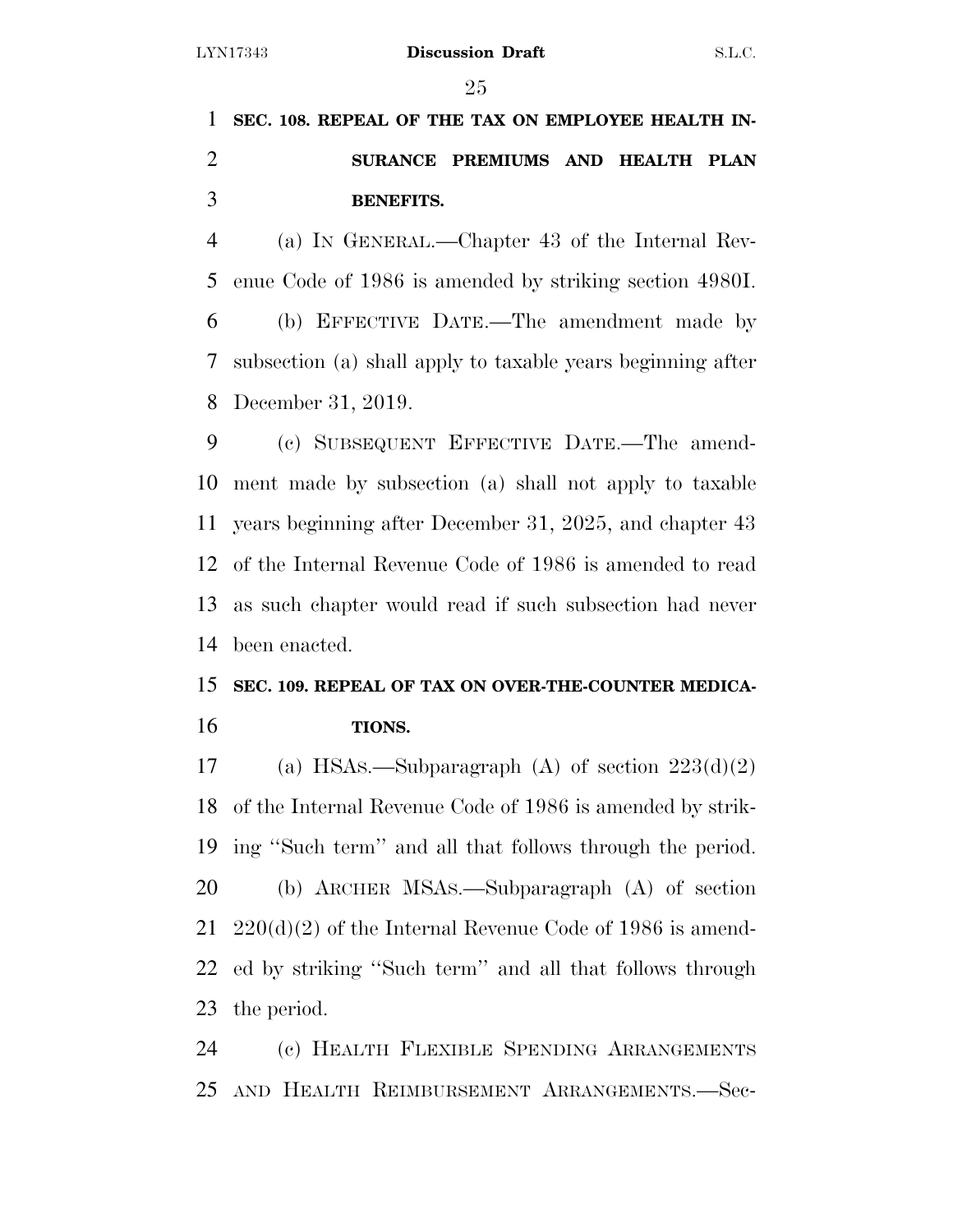**SEC. 108. REPEAL OF THE TAX ON EMPLOYEE HEALTH IN- SURANCE PREMIUMS AND HEALTH PLAN BENEFITS.** 

 (a) IN GENERAL.—Chapter 43 of the Internal Rev- enue Code of 1986 is amended by striking section 4980I. (b) EFFECTIVE DATE.—The amendment made by subsection (a) shall apply to taxable years beginning after December 31, 2019.

 (c) SUBSEQUENT EFFECTIVE DATE.—The amend- ment made by subsection (a) shall not apply to taxable years beginning after December 31, 2025, and chapter 43 of the Internal Revenue Code of 1986 is amended to read as such chapter would read if such subsection had never been enacted.

# **SEC. 109. REPEAL OF TAX ON OVER-THE-COUNTER MEDICA-TIONS.**

17 (a) HSAs.—Subparagraph (A) of section  $223(d)(2)$  of the Internal Revenue Code of 1986 is amended by strik- ing ''Such term'' and all that follows through the period. (b) ARCHER MSAS.—Subparagraph (A) of section 220(d)(2) of the Internal Revenue Code of 1986 is amend- ed by striking ''Such term'' and all that follows through the period.

 (c) HEALTH FLEXIBLE SPENDING ARRANGEMENTS AND HEALTH REIMBURSEMENT ARRANGEMENTS.—Sec-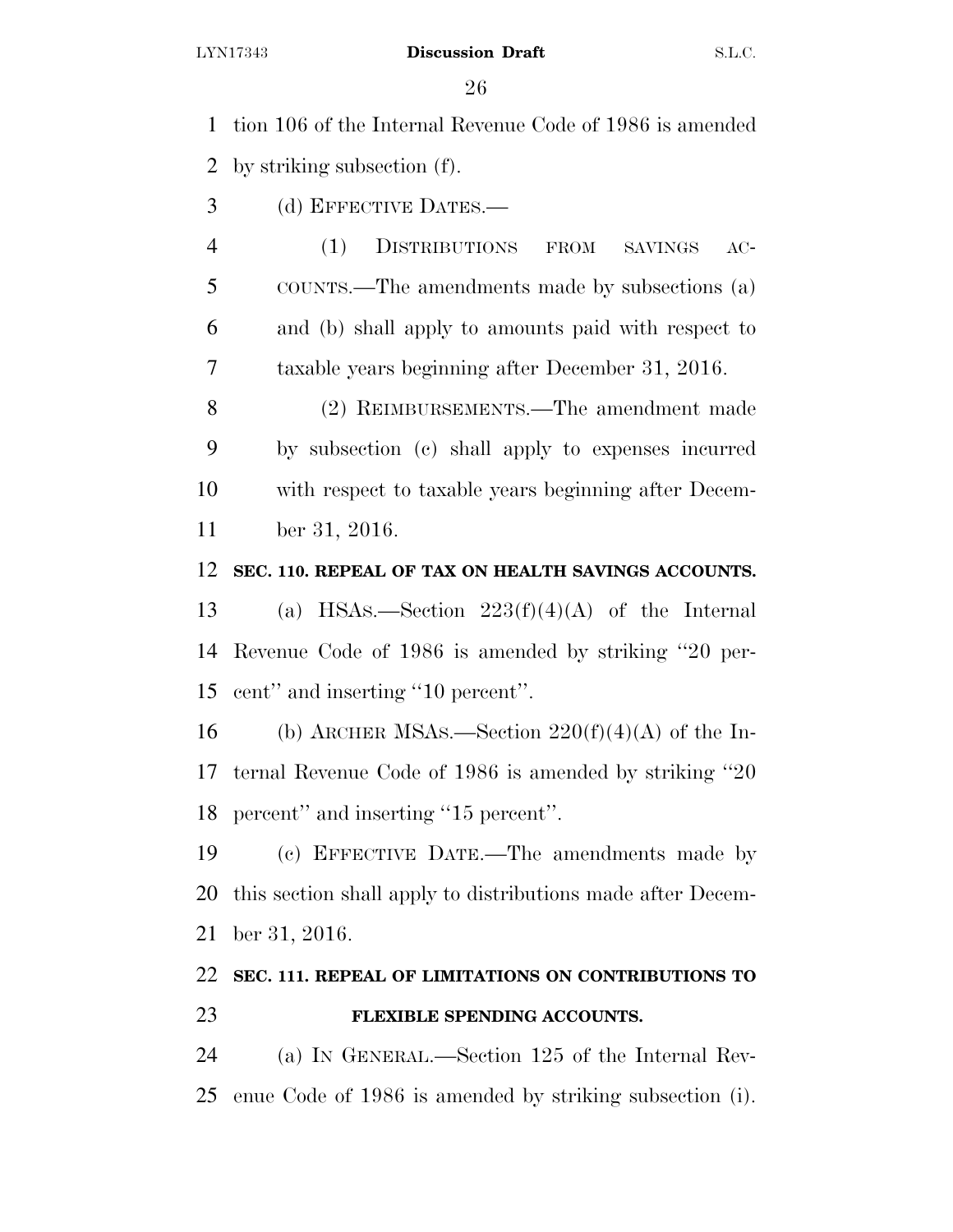tion 106 of the Internal Revenue Code of 1986 is amended by striking subsection (f).

- (d) EFFECTIVE DATES.—
- (1) DISTRIBUTIONS FROM SAVINGS AC- COUNTS.—The amendments made by subsections (a) and (b) shall apply to amounts paid with respect to taxable years beginning after December 31, 2016.

 (2) REIMBURSEMENTS.—The amendment made by subsection (c) shall apply to expenses incurred with respect to taxable years beginning after Decem-ber 31, 2016.

### **SEC. 110. REPEAL OF TAX ON HEALTH SAVINGS ACCOUNTS.**

13 (a) HSAs.—Section  $223(f)(4)(A)$  of the Internal Revenue Code of 1986 is amended by striking ''20 per-cent'' and inserting ''10 percent''.

16 (b) ARCHER MSAs.—Section  $220(f)(4)(A)$  of the In- ternal Revenue Code of 1986 is amended by striking ''20 percent'' and inserting ''15 percent''.

 (c) EFFECTIVE DATE.—The amendments made by this section shall apply to distributions made after Decem-ber 31, 2016.

# **SEC. 111. REPEAL OF LIMITATIONS ON CONTRIBUTIONS TO FLEXIBLE SPENDING ACCOUNTS.**

 (a) IN GENERAL.—Section 125 of the Internal Rev-enue Code of 1986 is amended by striking subsection (i).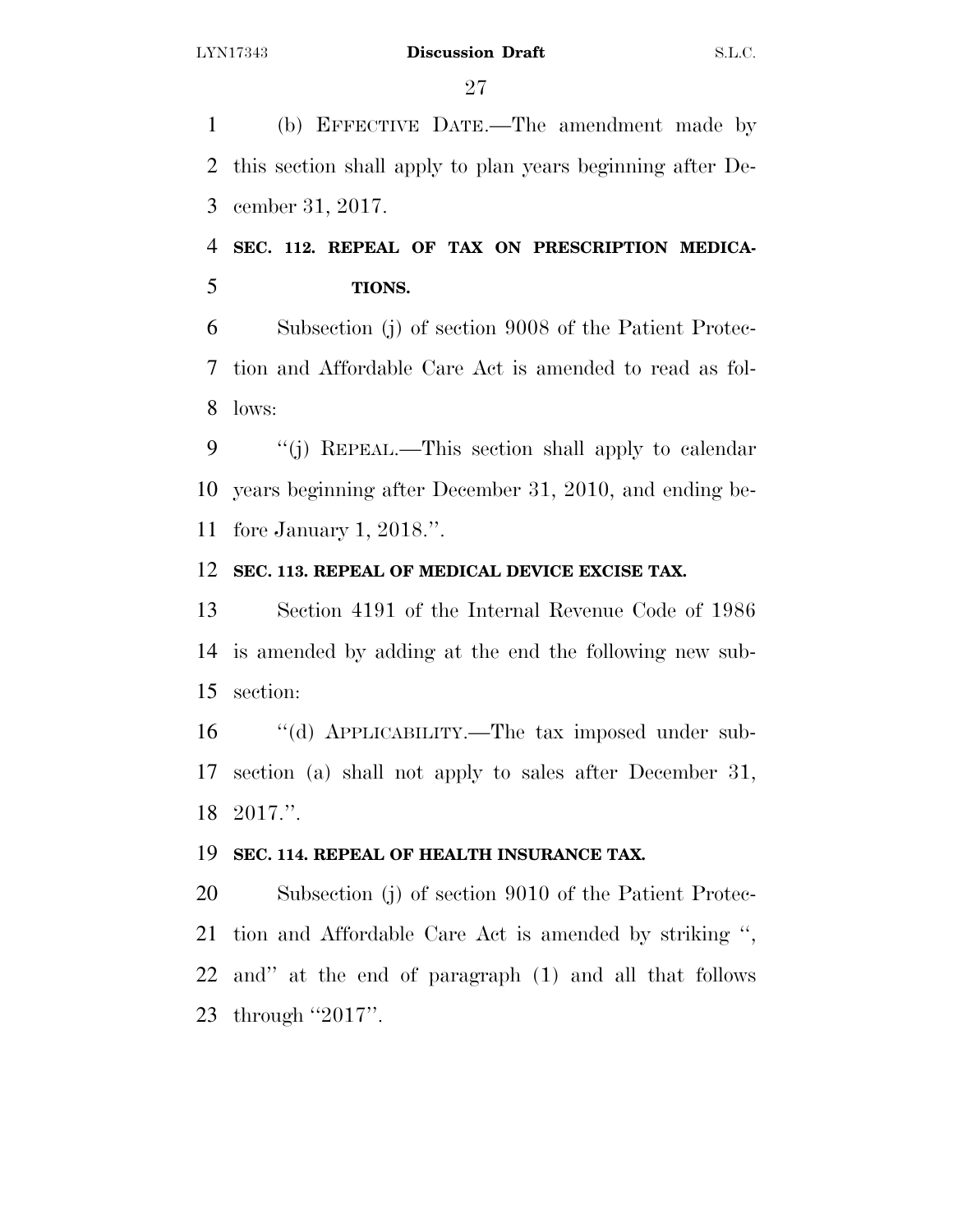(b) EFFECTIVE DATE.—The amendment made by this section shall apply to plan years beginning after De-cember 31, 2017.

# **SEC. 112. REPEAL OF TAX ON PRESCRIPTION MEDICA-TIONS.**

 Subsection (j) of section 9008 of the Patient Protec- tion and Affordable Care Act is amended to read as fol-lows:

 ''(j) REPEAL.—This section shall apply to calendar years beginning after December 31, 2010, and ending be-fore January 1, 2018.''.

## **SEC. 113. REPEAL OF MEDICAL DEVICE EXCISE TAX.**

 Section 4191 of the Internal Revenue Code of 1986 is amended by adding at the end the following new sub-section:

 ''(d) APPLICABILITY.—The tax imposed under sub- section (a) shall not apply to sales after December 31, 2017.''.

## **SEC. 114. REPEAL OF HEALTH INSURANCE TAX.**

 Subsection (j) of section 9010 of the Patient Protec- tion and Affordable Care Act is amended by striking '', and'' at the end of paragraph (1) and all that follows 23 through "2017".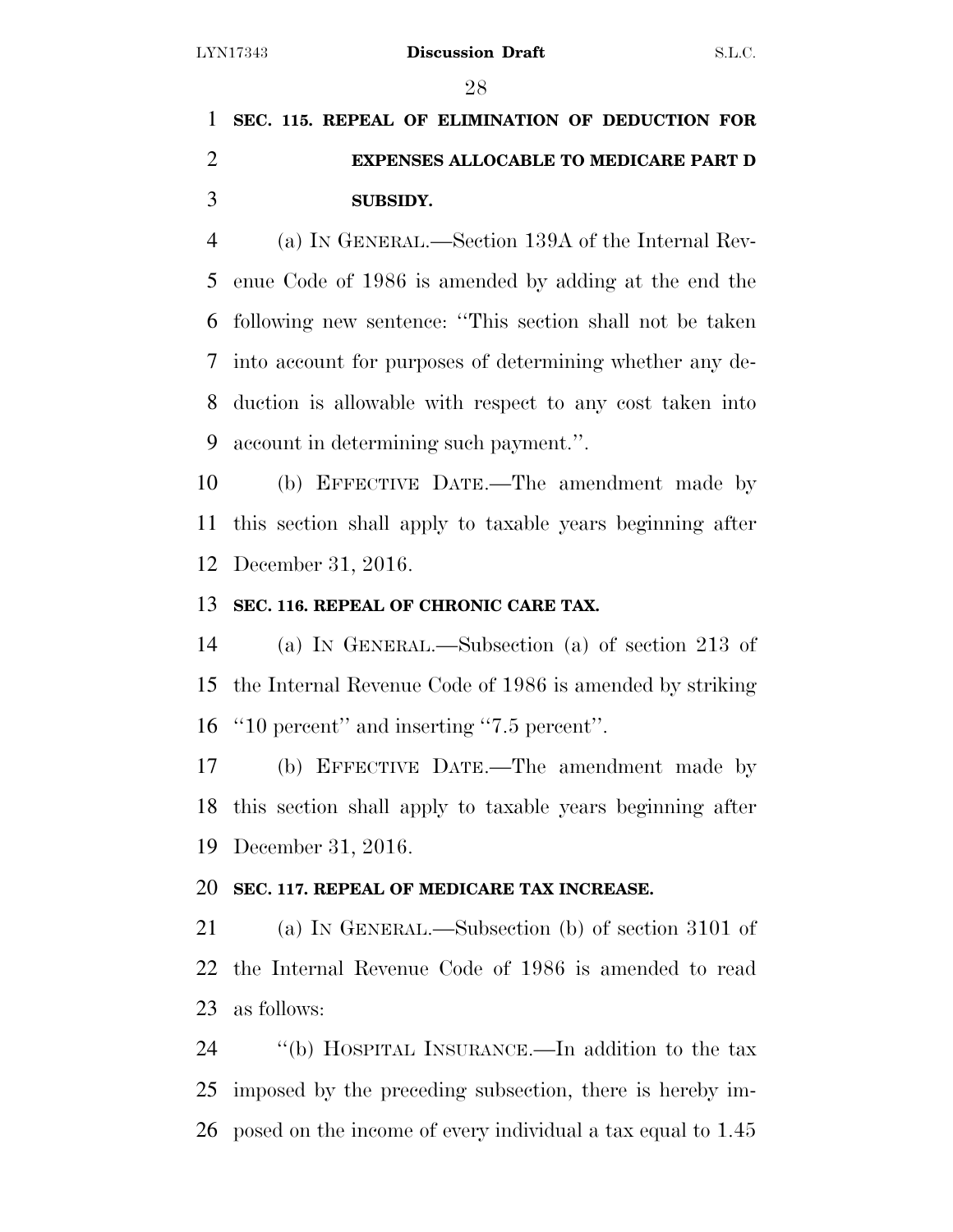# **SEC. 115. REPEAL OF ELIMINATION OF DEDUCTION FOR EXPENSES ALLOCABLE TO MEDICARE PART D SUBSIDY.**

 (a) IN GENERAL.—Section 139A of the Internal Rev- enue Code of 1986 is amended by adding at the end the following new sentence: ''This section shall not be taken into account for purposes of determining whether any de- duction is allowable with respect to any cost taken into account in determining such payment.''.

 (b) EFFECTIVE DATE.—The amendment made by this section shall apply to taxable years beginning after December 31, 2016.

### **SEC. 116. REPEAL OF CHRONIC CARE TAX.**

 (a) IN GENERAL.—Subsection (a) of section 213 of the Internal Revenue Code of 1986 is amended by striking ''10 percent'' and inserting ''7.5 percent''.

 (b) EFFECTIVE DATE.—The amendment made by this section shall apply to taxable years beginning after December 31, 2016.

### **SEC. 117. REPEAL OF MEDICARE TAX INCREASE.**

 (a) IN GENERAL.—Subsection (b) of section 3101 of the Internal Revenue Code of 1986 is amended to read as follows:

 ''(b) HOSPITAL INSURANCE.—In addition to the tax imposed by the preceding subsection, there is hereby im-posed on the income of every individual a tax equal to 1.45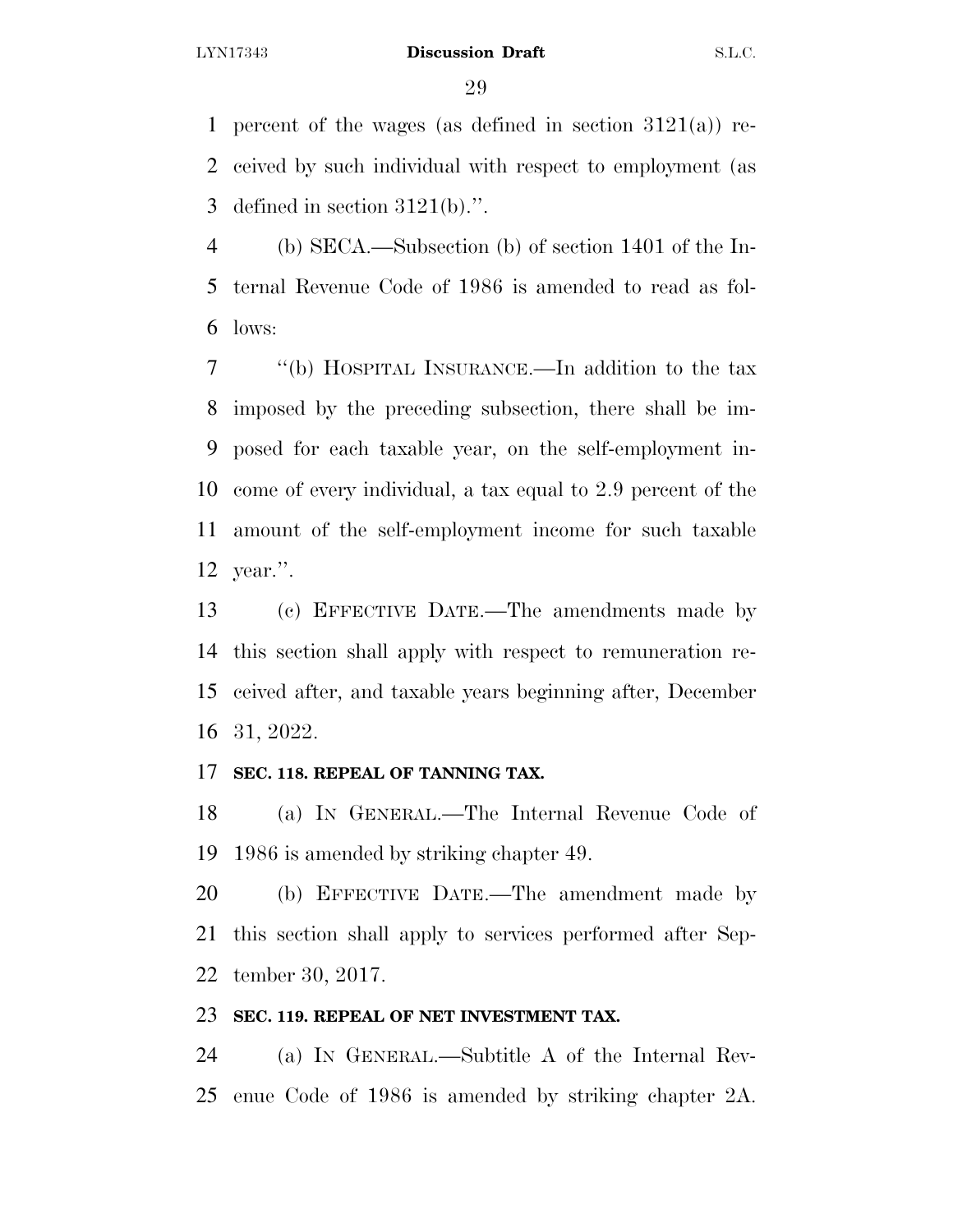percent of the wages (as defined in section 3121(a)) re- ceived by such individual with respect to employment (as 3 defined in section  $3121(b)$ .".

 (b) SECA.—Subsection (b) of section 1401 of the In- ternal Revenue Code of 1986 is amended to read as fol-lows:

 ''(b) HOSPITAL INSURANCE.—In addition to the tax imposed by the preceding subsection, there shall be im- posed for each taxable year, on the self-employment in- come of every individual, a tax equal to 2.9 percent of the amount of the self-employment income for such taxable year.''.

 (c) EFFECTIVE DATE.—The amendments made by this section shall apply with respect to remuneration re- ceived after, and taxable years beginning after, December 31, 2022.

### **SEC. 118. REPEAL OF TANNING TAX.**

 (a) IN GENERAL.—The Internal Revenue Code of 1986 is amended by striking chapter 49.

 (b) EFFECTIVE DATE.—The amendment made by this section shall apply to services performed after Sep-tember 30, 2017.

### **SEC. 119. REPEAL OF NET INVESTMENT TAX.**

 (a) IN GENERAL.—Subtitle A of the Internal Rev-enue Code of 1986 is amended by striking chapter 2A.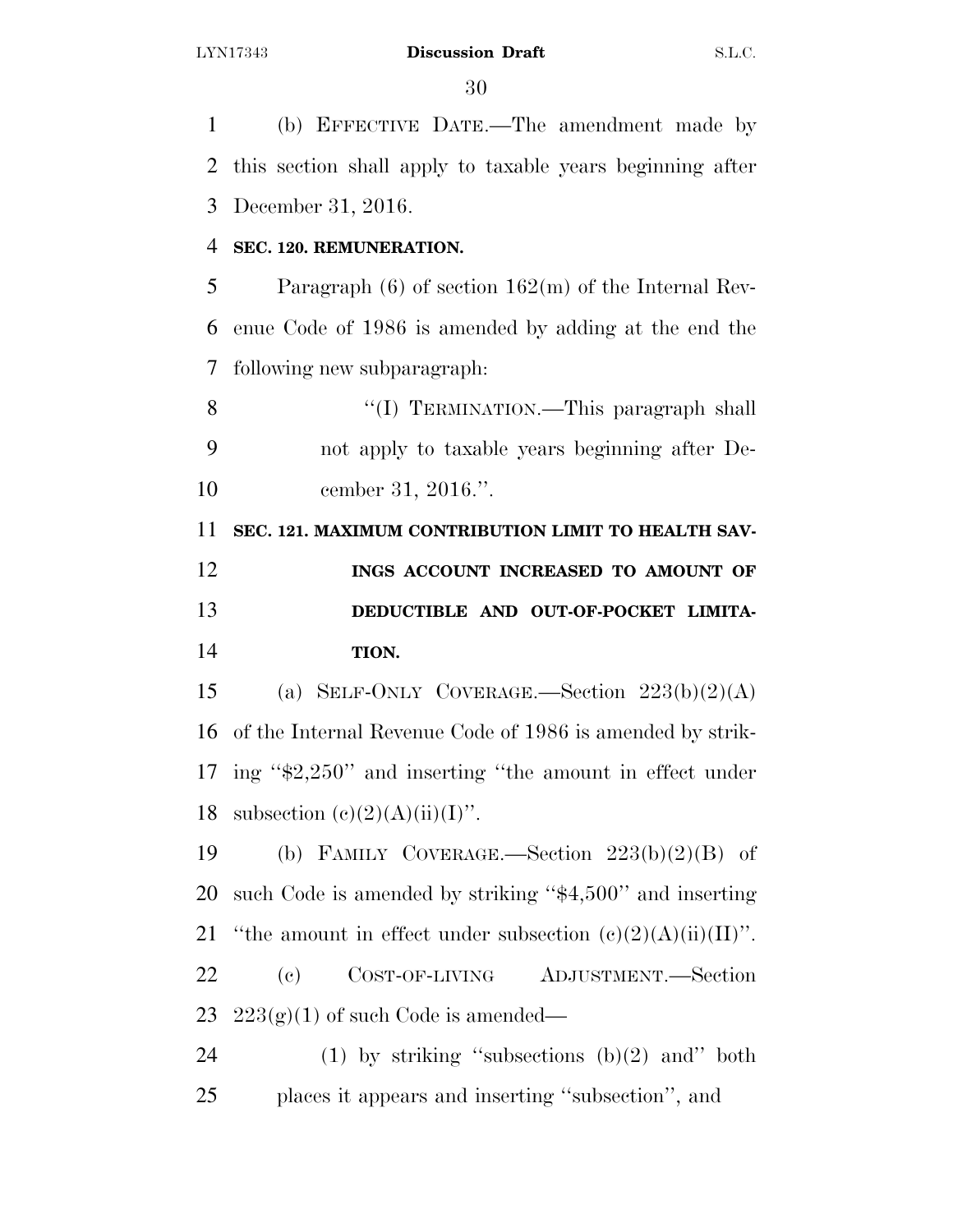(b) EFFECTIVE DATE.—The amendment made by this section shall apply to taxable years beginning after December 31, 2016.

### **SEC. 120. REMUNERATION.**

 Paragraph (6) of section 162(m) of the Internal Rev- enue Code of 1986 is amended by adding at the end the following new subparagraph:

 ''(I) TERMINATION.—This paragraph shall not apply to taxable years beginning after De-cember 31, 2016.''.

**SEC. 121. MAXIMUM CONTRIBUTION LIMIT TO HEALTH SAV-**

 **INGS ACCOUNT INCREASED TO AMOUNT OF DEDUCTIBLE AND OUT-OF-POCKET LIMITA-TION.** 

15 (a) SELF-ONLY COVERAGE.—Section  $223(b)(2)(A)$  of the Internal Revenue Code of 1986 is amended by strik- ing ''\$2,250'' and inserting ''the amount in effect under 18 subsection  $(c)(2)(A)(ii)(I)$ ".

19 (b) FAMILY COVERAGE.—Section  $223(b)(2)(B)$  of such Code is amended by striking ''\$4,500'' and inserting 21 "the amount in effect under subsection  $(c)(2)(A)(ii)(II)$ ". (c) COST-OF-LIVING ADJUSTMENT.—Section 23  $223(g)(1)$  of such Code is amended—

24 (1) by striking "subsections  $(b)(2)$  and" both places it appears and inserting ''subsection'', and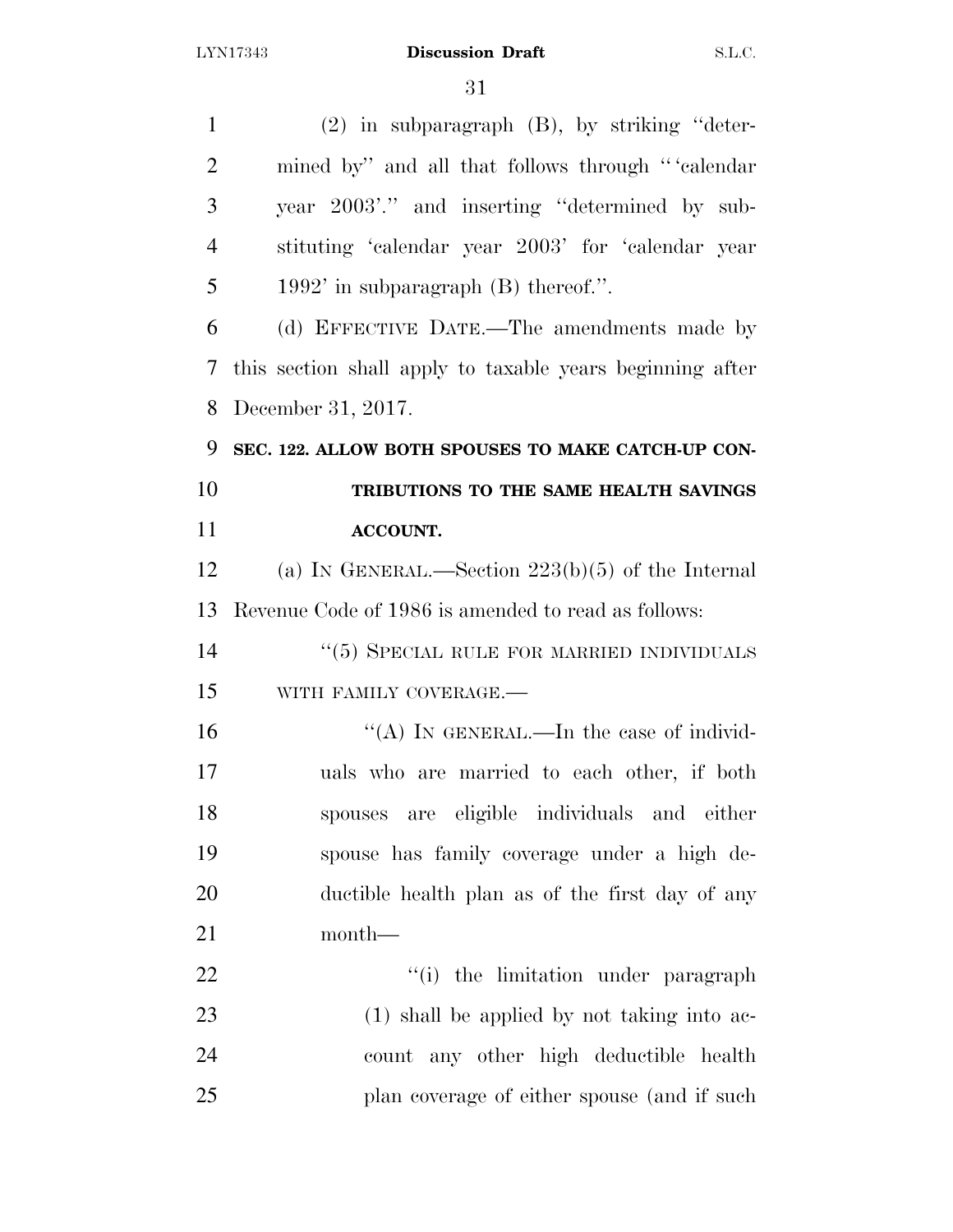(2) in subparagraph (B), by striking ''deter- mined by'' and all that follows through '' 'calendar year 2003'.'' and inserting ''determined by sub- stituting 'calendar year 2003' for 'calendar year 1992' in subparagraph (B) thereof.''. (d) EFFECTIVE DATE.—The amendments made by this section shall apply to taxable years beginning after December 31, 2017. **SEC. 122. ALLOW BOTH SPOUSES TO MAKE CATCH-UP CON- TRIBUTIONS TO THE SAME HEALTH SAVINGS ACCOUNT.**  (a) IN GENERAL.—Section 223(b)(5) of the Internal Revenue Code of 1986 is amended to read as follows: 14 ''(5) SPECIAL RULE FOR MARRIED INDIVIDUALS WITH FAMILY COVERAGE.—  $H(A)$  In GENERAL.—In the case of individ- uals who are married to each other, if both spouses are eligible individuals and either spouse has family coverage under a high de- ductible health plan as of the first day of any month—  $\frac{1}{2}$   $\frac{1}{2}$  the limitation under paragraph 23 (1) shall be applied by not taking into ac- count any other high deductible health plan coverage of either spouse (and if such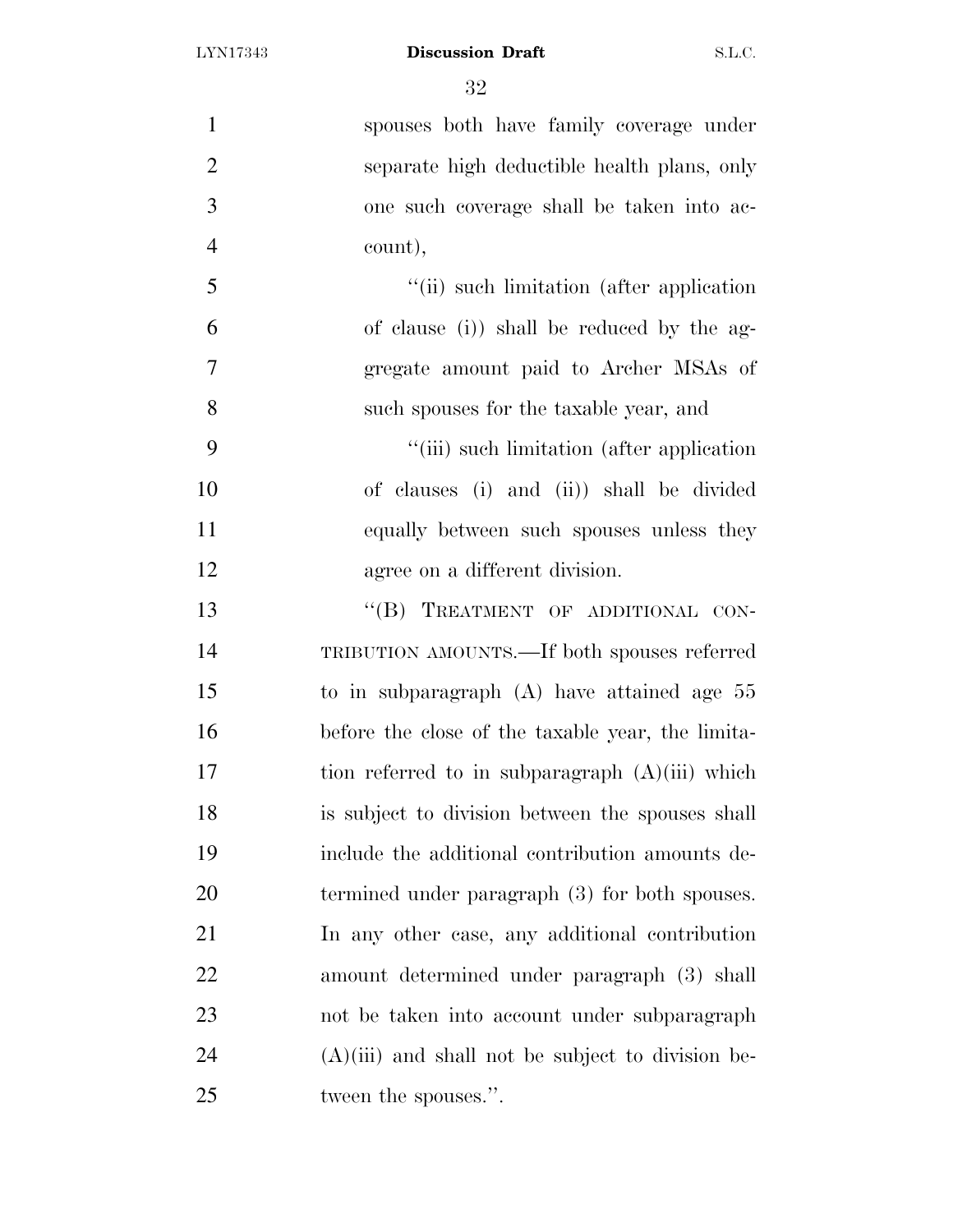| $\mathbf{1}$   | spouses both have family coverage under             |
|----------------|-----------------------------------------------------|
| $\overline{2}$ | separate high deductible health plans, only         |
| 3              | one such coverage shall be taken into ac-           |
| $\overline{4}$ | count),                                             |
| 5              | "(ii) such limitation (after application)           |
| 6              | of clause (i)) shall be reduced by the ag-          |
| $\overline{7}$ | gregate amount paid to Archer MSAs of               |
| 8              | such spouses for the taxable year, and              |
| 9              | "(iii) such limitation (after application)          |
| 10             | of clauses (i) and (ii)) shall be divided           |
| 11             | equally between such spouses unless they            |
| 12             | agree on a different division.                      |
| 13             | "(B) TREATMENT OF ADDITIONAL CON-                   |
| 14             | TRIBUTION AMOUNTS.—If both spouses referred         |
| 15             | to in subparagraph $(A)$ have attained age 55       |
| 16             | before the close of the taxable year, the limita-   |
| 17             | tion referred to in subparagraph $(A)(iii)$ which   |
| 18             | is subject to division between the spouses shall    |
| 19             | include the additional contribution amounts de-     |
| 20             | termined under paragraph (3) for both spouses.      |
| 21             | In any other case, any additional contribution      |
| 22             | amount determined under paragraph (3) shall         |
| 23             | not be taken into account under subparagraph        |
| 24             | $(A)(iii)$ and shall not be subject to division be- |
| 25             | tween the spouses.".                                |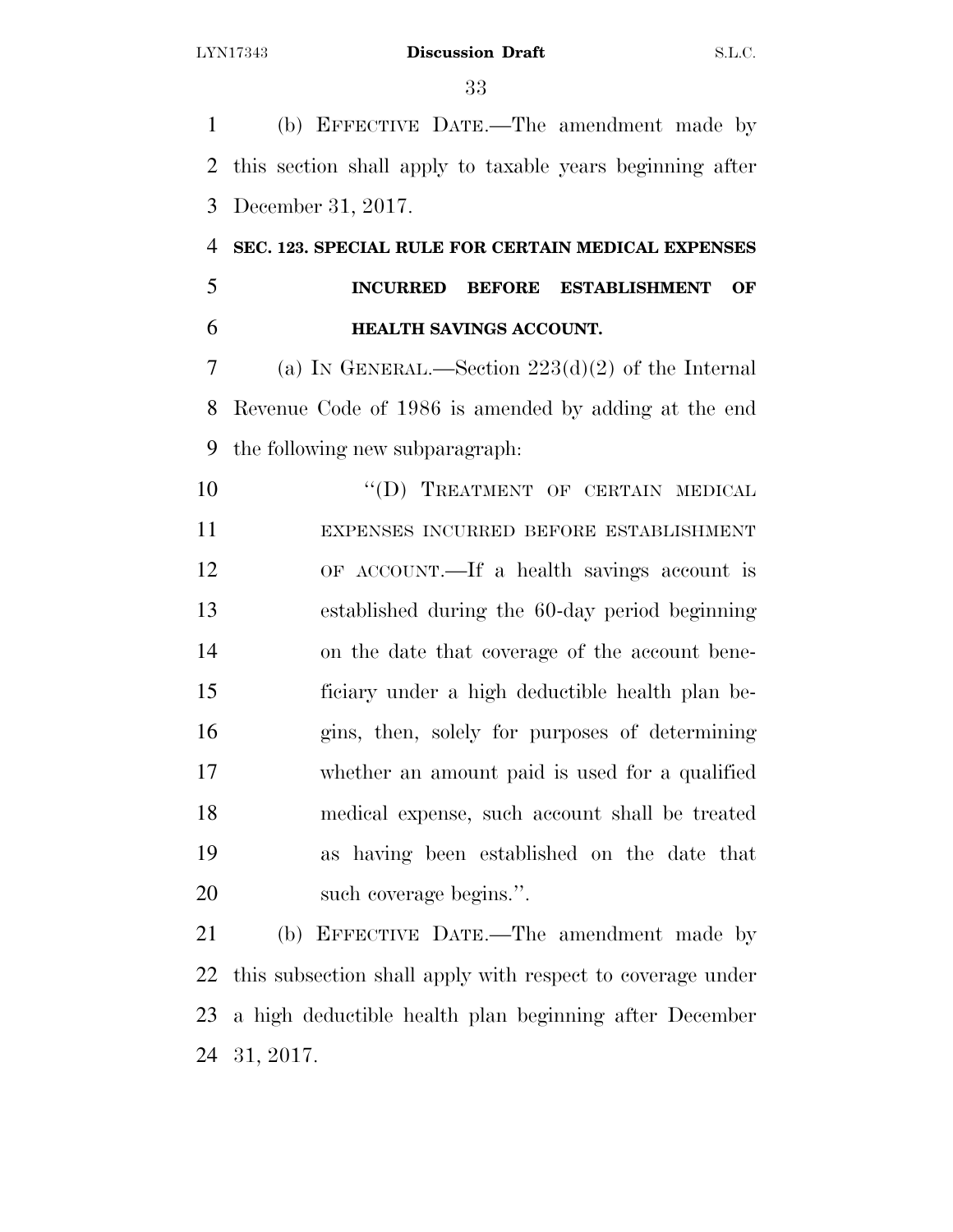(b) EFFECTIVE DATE.—The amendment made by this section shall apply to taxable years beginning after December 31, 2017.

 **SEC. 123. SPECIAL RULE FOR CERTAIN MEDICAL EXPENSES INCURRED BEFORE ESTABLISHMENT OF HEALTH SAVINGS ACCOUNT.** 

 (a) IN GENERAL.—Section 223(d)(2) of the Internal Revenue Code of 1986 is amended by adding at the end the following new subparagraph:

10 "(D) TREATMENT OF CERTAIN MEDICAL EXPENSES INCURRED BEFORE ESTABLISHMENT OF ACCOUNT.—If a health savings account is established during the 60-day period beginning on the date that coverage of the account bene- ficiary under a high deductible health plan be- gins, then, solely for purposes of determining whether an amount paid is used for a qualified medical expense, such account shall be treated as having been established on the date that such coverage begins.''.

 (b) EFFECTIVE DATE.—The amendment made by this subsection shall apply with respect to coverage under a high deductible health plan beginning after December 31, 2017.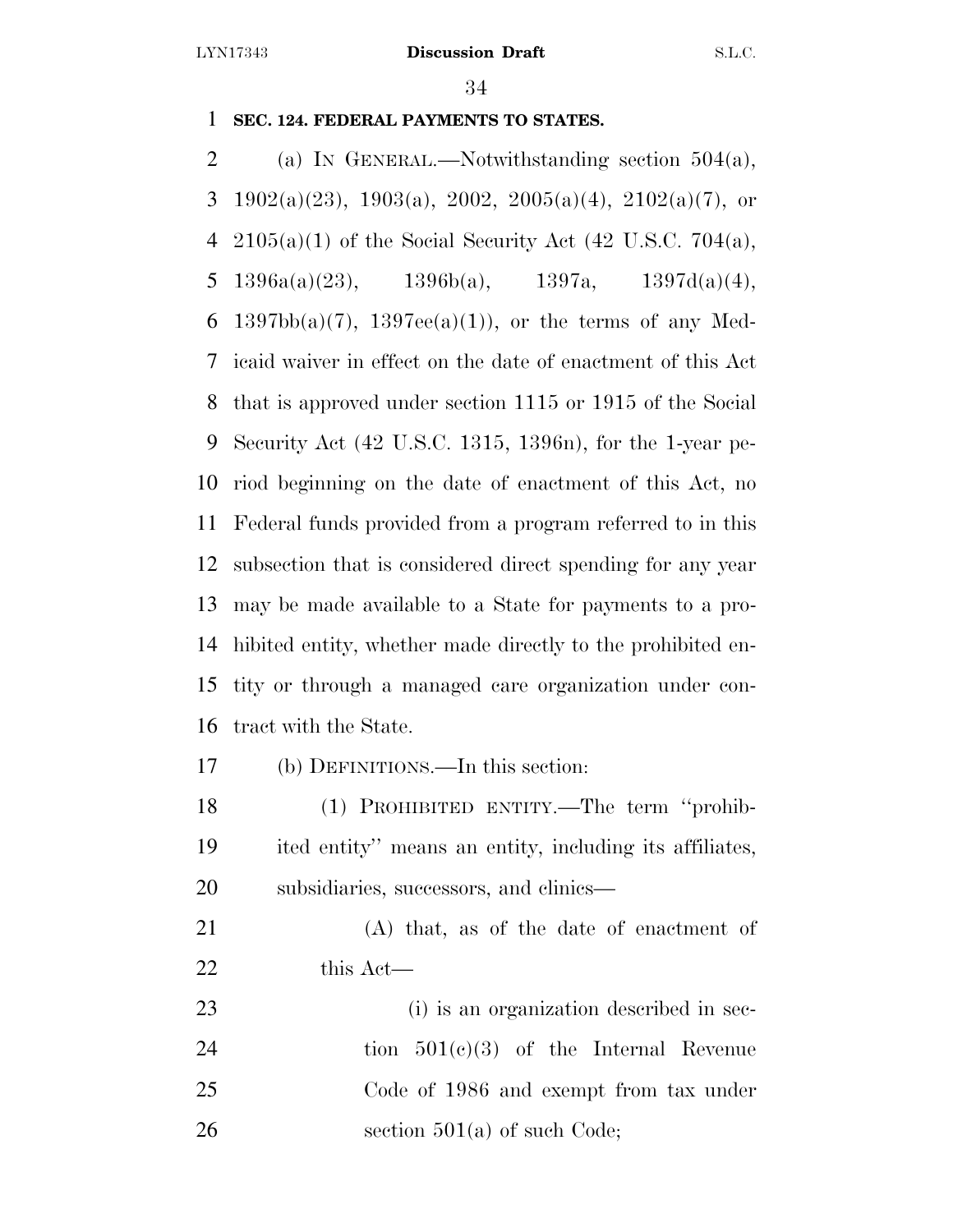### **SEC. 124. FEDERAL PAYMENTS TO STATES.**

 (a) IN GENERAL.—Notwithstanding section 504(a), 3 1902(a)(23), 1903(a), 2002, 2005(a)(4), 2102(a)(7), or 4 2105(a)(1) of the Social Security Act  $(42 \text{ U.S.C. } 704(a))$ , 5 1396a(a)(23), 1396b(a), 1397a, 1397d(a)(4), 6 1397bb(a)(7), 1397ee(a)(1)), or the terms of any Med- icaid waiver in effect on the date of enactment of this Act that is approved under section 1115 or 1915 of the Social Security Act (42 U.S.C. 1315, 1396n), for the 1-year pe- riod beginning on the date of enactment of this Act, no Federal funds provided from a program referred to in this subsection that is considered direct spending for any year may be made available to a State for payments to a pro- hibited entity, whether made directly to the prohibited en- tity or through a managed care organization under con-tract with the State.

(b) DEFINITIONS.—In this section:

 (1) PROHIBITED ENTITY.—The term ''prohib- ited entity'' means an entity, including its affiliates, subsidiaries, successors, and clinics—

 (A) that, as of the date of enactment of this Act—

 (i) is an organization described in sec-24 tion  $501(c)(3)$  of the Internal Revenue Code of 1986 and exempt from tax under 26 section  $501(a)$  of such Code;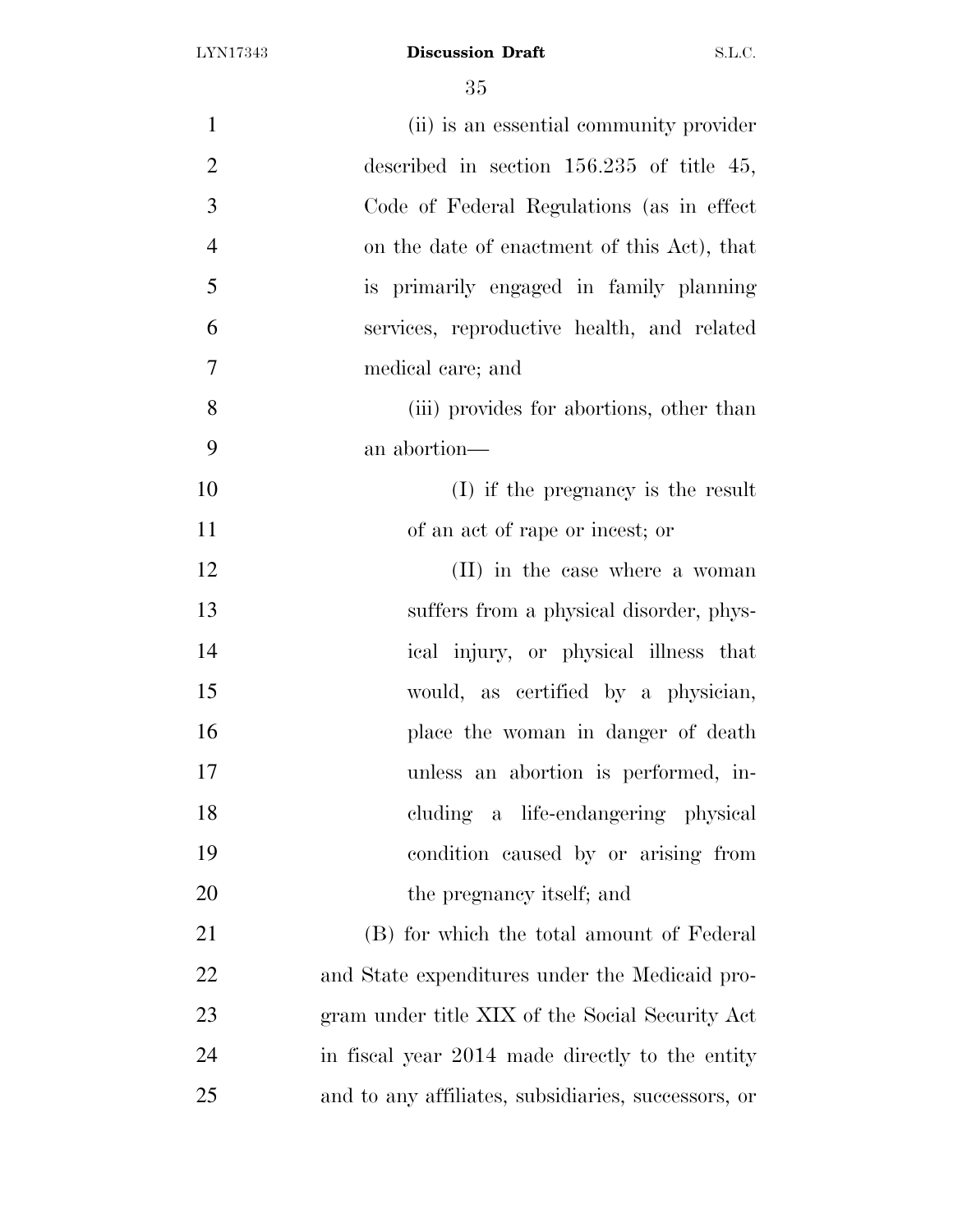| $\mathbf{1}$   | (ii) is an essential community provider             |
|----------------|-----------------------------------------------------|
| $\overline{2}$ | described in section $156.235$ of title 45,         |
| 3              | Code of Federal Regulations (as in effect)          |
| $\overline{4}$ | on the date of enactment of this Act), that         |
| 5              | is primarily engaged in family planning             |
| 6              | services, reproductive health, and related          |
| $\overline{7}$ | medical care; and                                   |
| 8              | (iii) provides for abortions, other than            |
| 9              | an abortion—                                        |
| 10             | (I) if the pregnancy is the result                  |
| 11             | of an act of rape or incest; or                     |
| 12             | (II) in the case where a woman                      |
| 13             | suffers from a physical disorder, phys-             |
| 14             | ical injury, or physical illness that               |
| 15             | would, as certified by a physician,                 |
| 16             | place the woman in danger of death                  |
| 17             | unless an abortion is performed, in-                |
| 18             | cluding a life-endangering physical                 |
| 19             | condition caused by or arising from                 |
| 20             | the pregnancy itself; and                           |
| 21             | (B) for which the total amount of Federal           |
| 22             | and State expenditures under the Medicaid pro-      |
| 23             | gram under title XIX of the Social Security Act     |
| 24             | in fiscal year 2014 made directly to the entity     |
| 25             | and to any affiliates, subsidiaries, successors, or |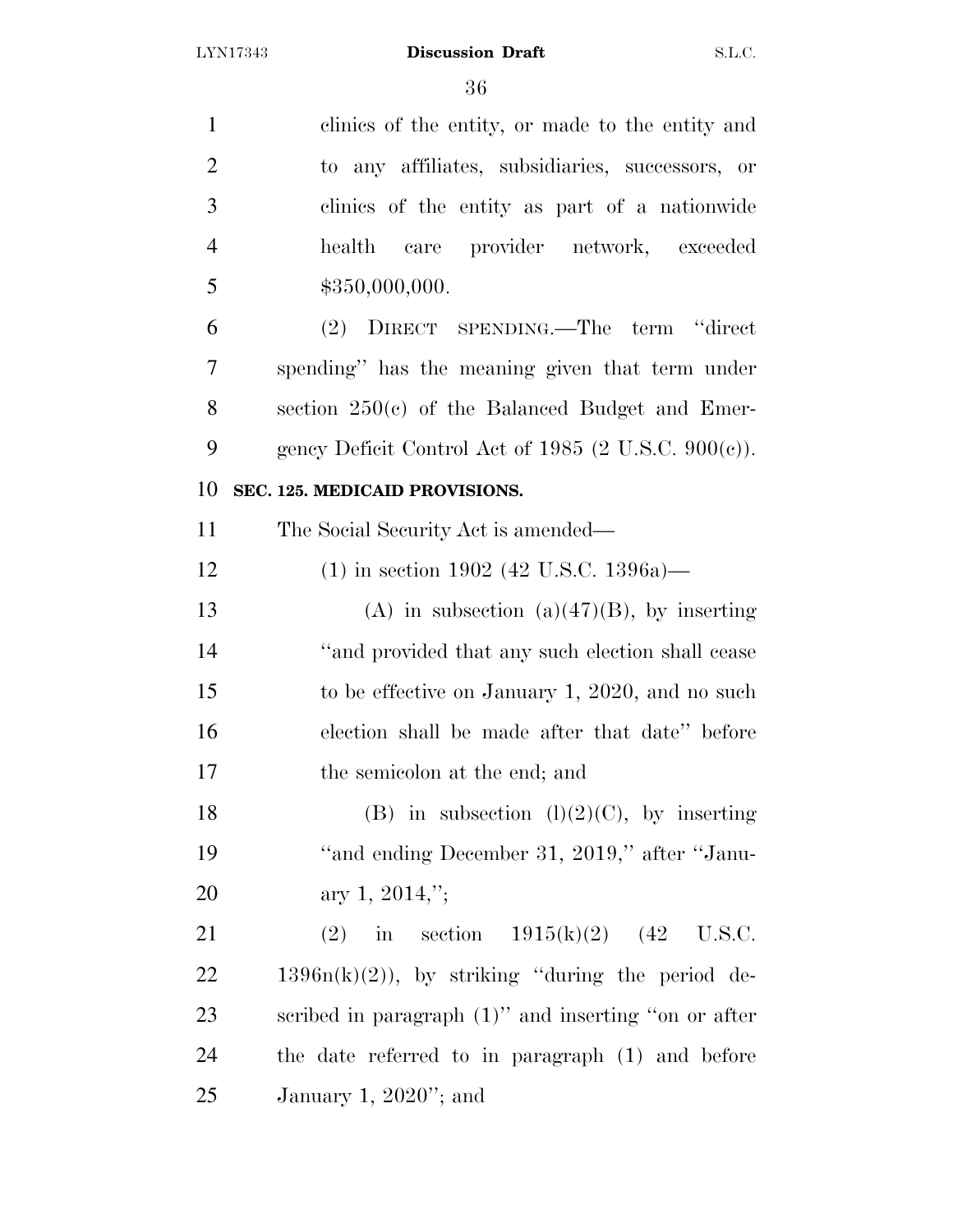| $\mathbf{1}$   | clinics of the entity, or made to the entity and                 |
|----------------|------------------------------------------------------------------|
| $\overline{2}$ | to any affiliates, subsidiaries, successors, or                  |
| 3              | clinics of the entity as part of a nationwide                    |
| $\overline{4}$ | care provider network, exceeded<br>health                        |
| 5              | \$350,000,000.                                                   |
| 6              | (2) DIRECT SPENDING.—The term "direct                            |
| 7              | spending" has the meaning given that term under                  |
| 8              | section $250(c)$ of the Balanced Budget and Emer-                |
| 9              | gency Deficit Control Act of 1985 $(2 \text{ U.S.C. } 900(c))$ . |
| 10             | SEC. 125. MEDICAID PROVISIONS.                                   |
| 11             | The Social Security Act is amended—                              |
| 12             | $(1)$ in section 1902 (42 U.S.C. 1396a)—                         |
| 13             | (A) in subsection (a) $(47)(B)$ , by inserting                   |
| 14             | "and provided that any such election shall cease                 |
| 15             | to be effective on January 1, 2020, and no such                  |
| 16             | election shall be made after that date" before                   |
| 17             | the semicolon at the end; and                                    |
| 18             | (B) in subsection $(l)(2)(C)$ , by inserting                     |
| 19             | "and ending December 31, 2019," after "Janu-                     |
| 20             | ary 1, 2014,";                                                   |
| 21             | in section $1915(k)(2)$ (42 U.S.C.<br>(2)                        |
| 22             | $1396n(k)(2)$ , by striking "during the period de-               |
| 23             | scribed in paragraph $(1)$ " and inserting "on or after          |
| 24             | the date referred to in paragraph (1) and before                 |
| 25             | January 1, $2020$ "; and                                         |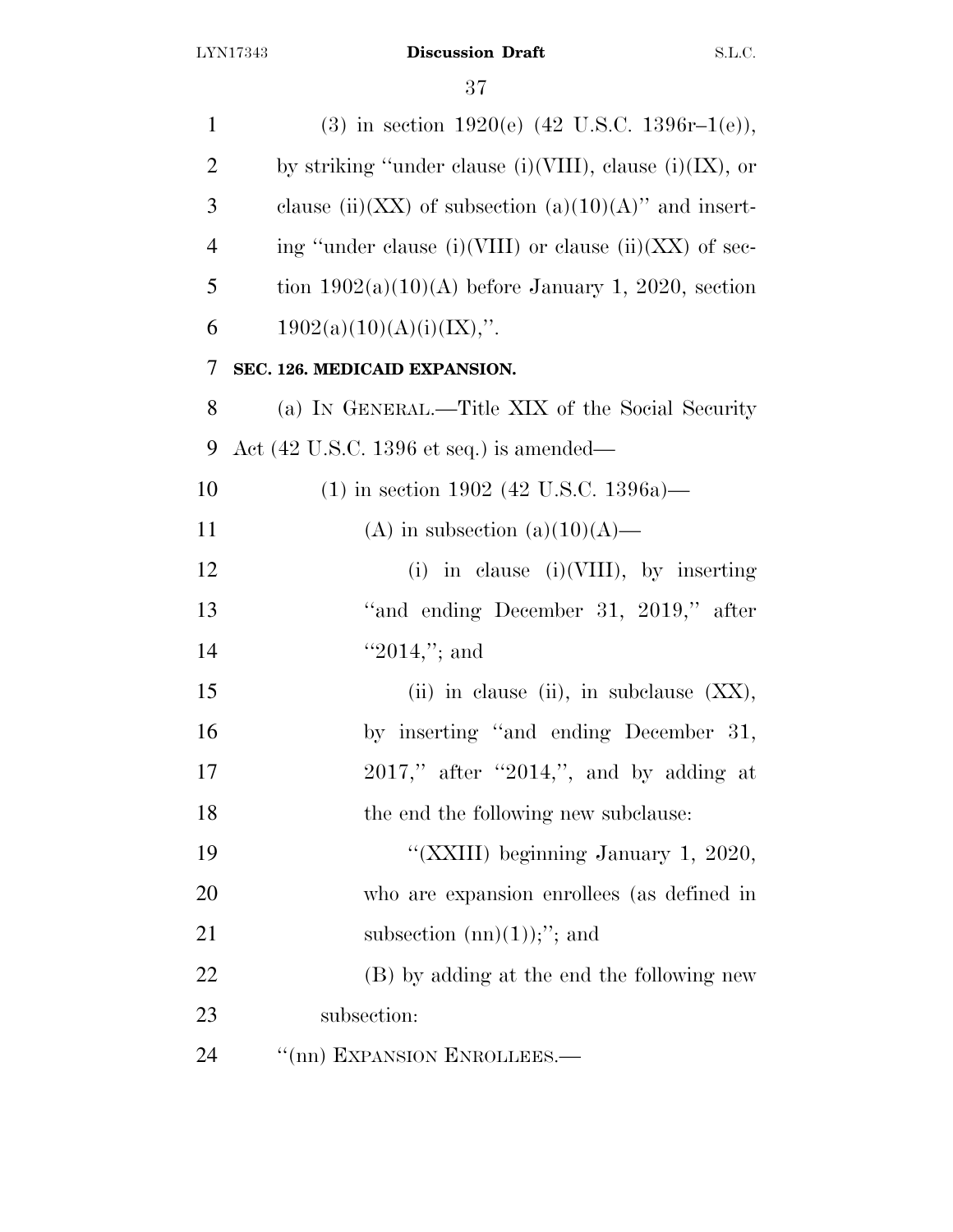| $\mathbf{1}$   | (3) in section 1920(e) $(42 \text{ U.S.C. } 1396r-1(e)),$   |
|----------------|-------------------------------------------------------------|
| $\overline{2}$ | by striking "under clause (i)(VIII), clause (i)(IX), or     |
| 3              | clause (ii)(XX) of subsection (a)(10)(A)" and insert-       |
| $\overline{4}$ | ing "under clause (i)(VIII) or clause (ii)(XX) of sec-      |
| 5              | tion $1902(a)(10)(A)$ before January 1, 2020, section       |
| 6              | $1902(a)(10)(A)(i)(IX)$ ,".                                 |
| 7              | SEC. 126. MEDICAID EXPANSION.                               |
| 8              | (a) IN GENERAL.—Title XIX of the Social Security            |
| 9              | Act $(42 \text{ U.S.C. } 1396 \text{ et seq.})$ is amended— |
| 10             | $(1)$ in section 1902 (42 U.S.C. 1396a)—                    |
| 11             | (A) in subsection (a) $(10)(A)$ —                           |
| 12             | (i) in clause (i) (VIII), by inserting                      |
| 13             | "and ending December 31, 2019," after                       |
| 14             | $"2014,"$ ; and                                             |
| 15             | (ii) in clause (ii), in subclause $(XX)$ ,                  |
| 16             | by inserting "and ending December 31,                       |
| 17             | $2017$ ," after "2014,", and by adding at                   |
| 18             | the end the following new subclause:                        |
| 19             | "(XXIII) beginning January 1, 2020,                         |
| 20             | who are expansion enrollees (as defined in                  |
| 21             | subsection $(nn)(1))$ ;"; and                               |
| 22             | (B) by adding at the end the following new                  |
| 23             | subsection:                                                 |
| 24             | "(nn) EXPANSION ENROLLEES.-                                 |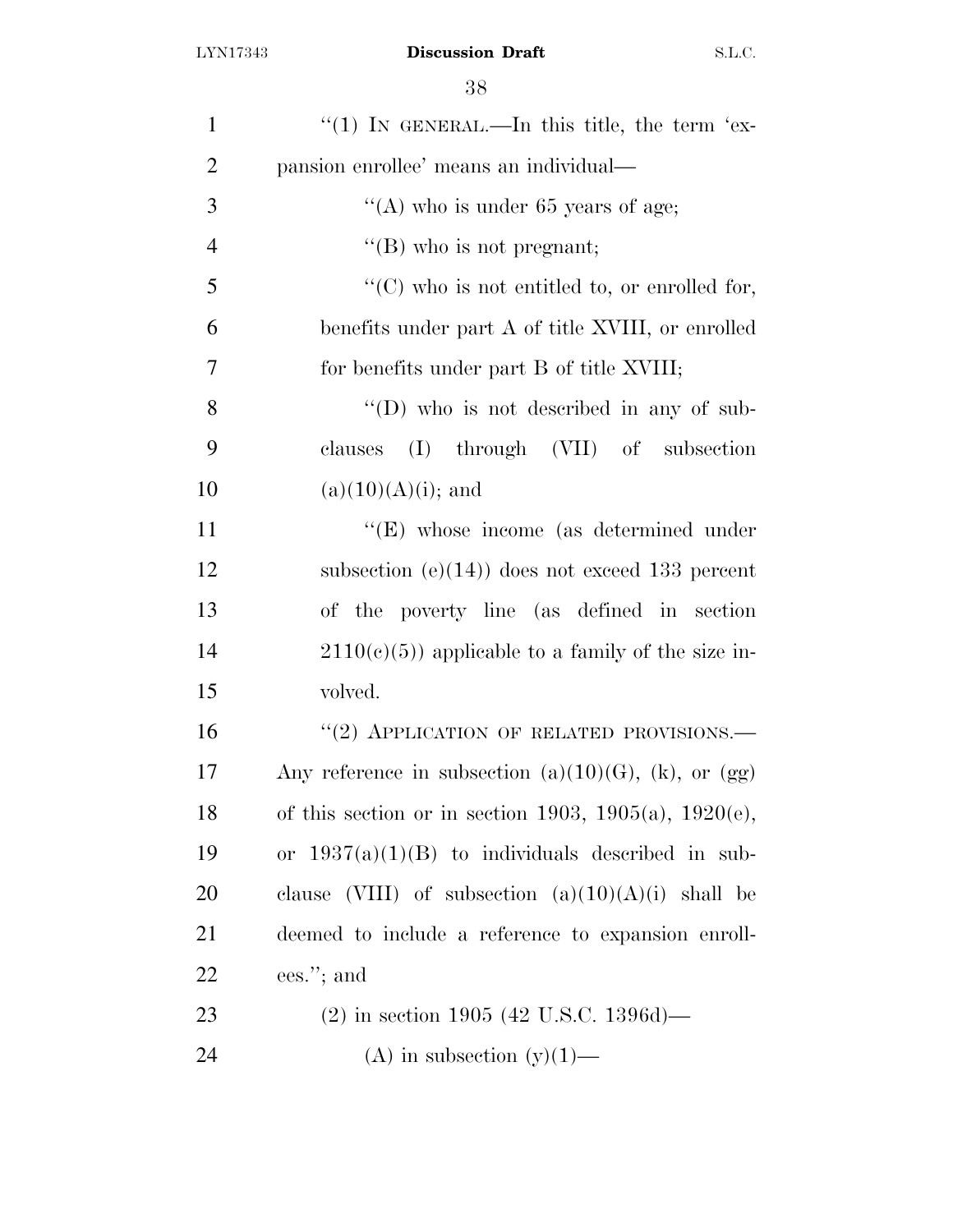| $\mathbf{1}$   | "(1) IN GENERAL.—In this title, the term 'ex-                |
|----------------|--------------------------------------------------------------|
| $\overline{2}$ | pansion enrollee' means an individual—                       |
| 3              | "(A) who is under $65$ years of age;                         |
| $\overline{4}$ | "(B) who is not pregnant;                                    |
| 5              | " $(C)$ who is not entitled to, or enrolled for,             |
| 6              | benefits under part A of title XVIII, or enrolled            |
| 7              | for benefits under part B of title XVIII;                    |
| 8              | $\lq\lq$ (D) who is not described in any of sub-             |
| 9              | (I) through (VII) of subsection<br>clauses                   |
| 10             | $(a)(10)(A)(i);$ and                                         |
| 11             | $\lq\lq(E)$ whose income (as determined under                |
| 12             | subsection $(e)(14)$ does not exceed 133 percent             |
| 13             | of the poverty line (as defined in section                   |
| 14             | $2110(c)(5)$ applicable to a family of the size in-          |
| 15             | volved.                                                      |
| 16             | $``(2)$ APPLICATION OF RELATED PROVISIONS.—                  |
| 17             | Any reference in subsection $(a)(10)(G)$ , $(k)$ , or $(gg)$ |
| 18             | of this section or in section 1903, 1905(a), 1920(e),        |
| 19             | or $1937(a)(1)(B)$ to individuals described in sub-          |
| 20             | clause (VIII) of subsection $(a)(10)(A)(i)$ shall be         |
| 21             | deemed to include a reference to expansion enroll-           |
| 22             | ees."; and                                                   |
| 23             | $(2)$ in section 1905 (42 U.S.C. 1396d)—                     |
| 24             | (A) in subsection $(y)(1)$ —                                 |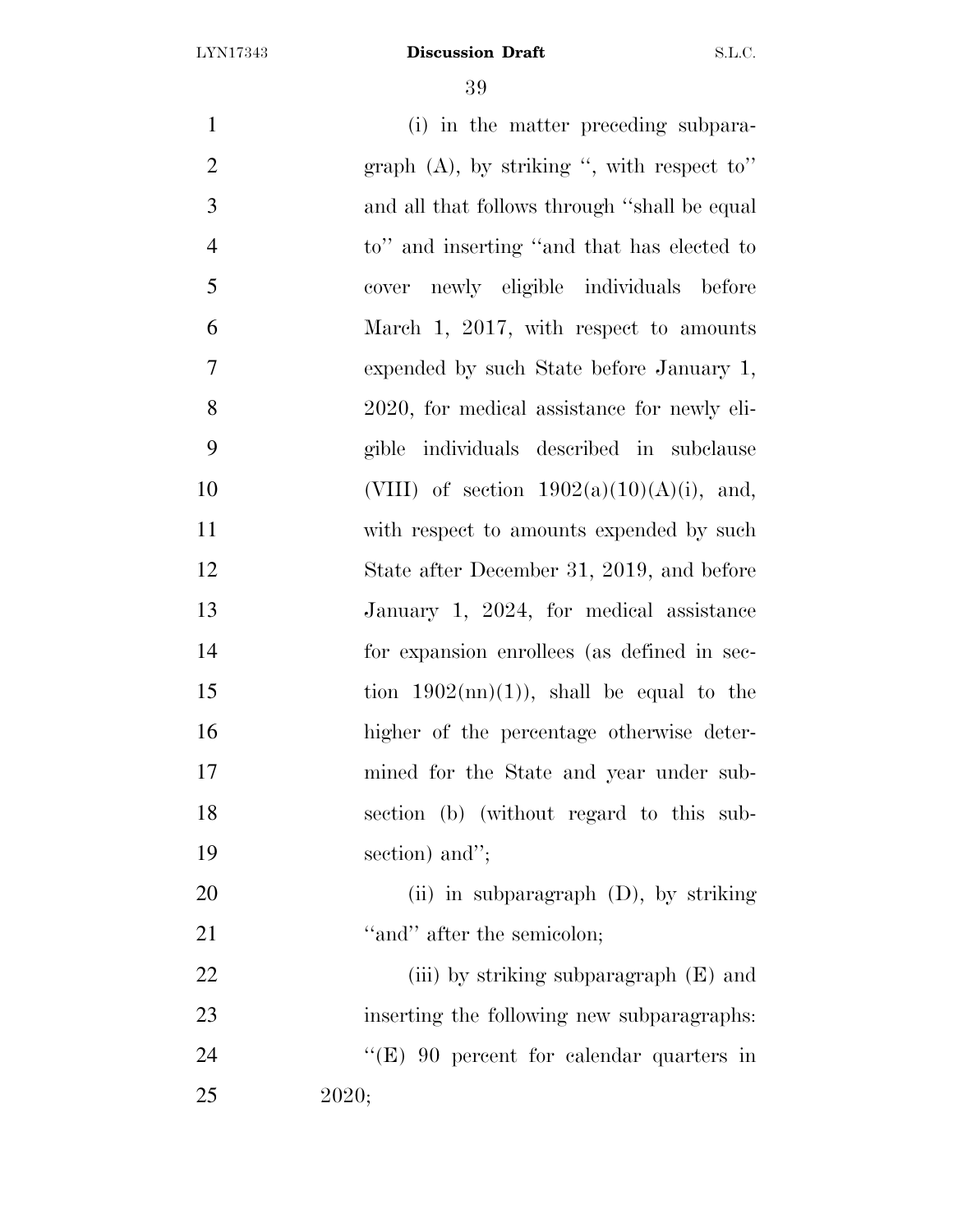| $\mathbf{1}$   | (i) in the matter preceding subpara-               |
|----------------|----------------------------------------------------|
| $\overline{2}$ | graph $(A)$ , by striking ", with respect to"      |
| 3              | and all that follows through "shall be equal       |
| $\overline{4}$ | to" and inserting "and that has elected to         |
| 5              | cover newly eligible individuals before            |
| 6              | March 1, 2017, with respect to amounts             |
| $\overline{7}$ | expended by such State before January 1,           |
| 8              | 2020, for medical assistance for newly eli-        |
| 9              | gible individuals described in subclause           |
| 10             | (VIII) of section $1902(a)(10)(A)(i)$ , and,       |
| 11             | with respect to amounts expended by such           |
| 12             | State after December 31, 2019, and before          |
| 13             | January 1, 2024, for medical assistance            |
| 14             | for expansion enrollees (as defined in sec-        |
| 15             | tion $1902 \text{(nn)}(1)$ , shall be equal to the |
| 16             | higher of the percentage otherwise deter-          |
| 17             | mined for the State and year under sub-            |
| 18             | section (b) (without regard to this sub-           |
| 19             | section) and";                                     |
| 20             | (ii) in subparagraph (D), by striking              |
| 21             | "and" after the semicolon;                         |
| 22             | (iii) by striking subparagraph $(E)$ and           |
| 23             | inserting the following new subparagraphs:         |
| 24             | "(E) 90 percent for calendar quarters in           |
| 25             | 2020;                                              |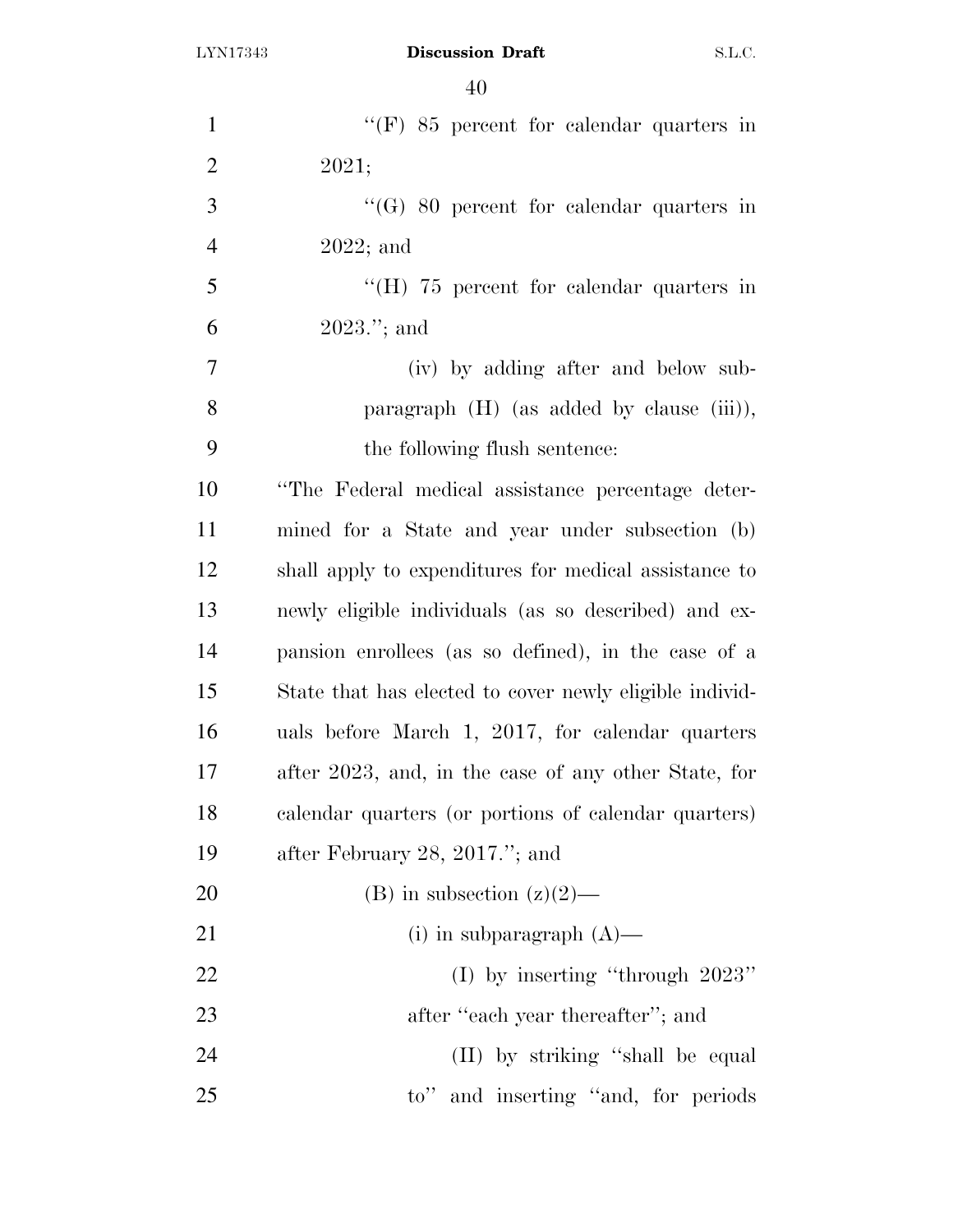| $\mathbf{1}$   | "(F) $85$ percent for calendar quarters in              |
|----------------|---------------------------------------------------------|
| $\overline{2}$ | 2021;                                                   |
| 3              | $\lq\lq (G)$ 80 percent for calendar quarters in        |
| $\overline{4}$ | $2022;$ and                                             |
| 5              | "(H) $75$ percent for calendar quarters in              |
| 6              | $2023$ ."; and                                          |
| $\overline{7}$ | (iv) by adding after and below sub-                     |
| 8              | paragraph $(H)$ (as added by clause $(iii)$ ),          |
| 9              | the following flush sentence:                           |
| 10             | "The Federal medical assistance percentage deter-       |
| 11             | mined for a State and year under subsection (b)         |
| 12             | shall apply to expenditures for medical assistance to   |
| 13             | newly eligible individuals (as so described) and ex-    |
| 14             | pansion enrollees (as so defined), in the case of a     |
| 15             | State that has elected to cover newly eligible individ- |
| 16             | uals before March 1, 2017, for calendar quarters        |
| 17             | after 2023, and, in the case of any other State, for    |
| 18             | calendar quarters (or portions of calendar quarters)    |
| 19             | after February 28, 2017."; and                          |
| 20             | (B) in subsection $(z)(2)$ —                            |
| 21             | (i) in subparagraph $(A)$ —                             |
| 22             | (I) by inserting "through $2023"$                       |
| 23             | after "each year thereafter"; and                       |
| 24             | (II) by striking "shall be equal                        |
| 25             | to" and inserting "and, for periods"                    |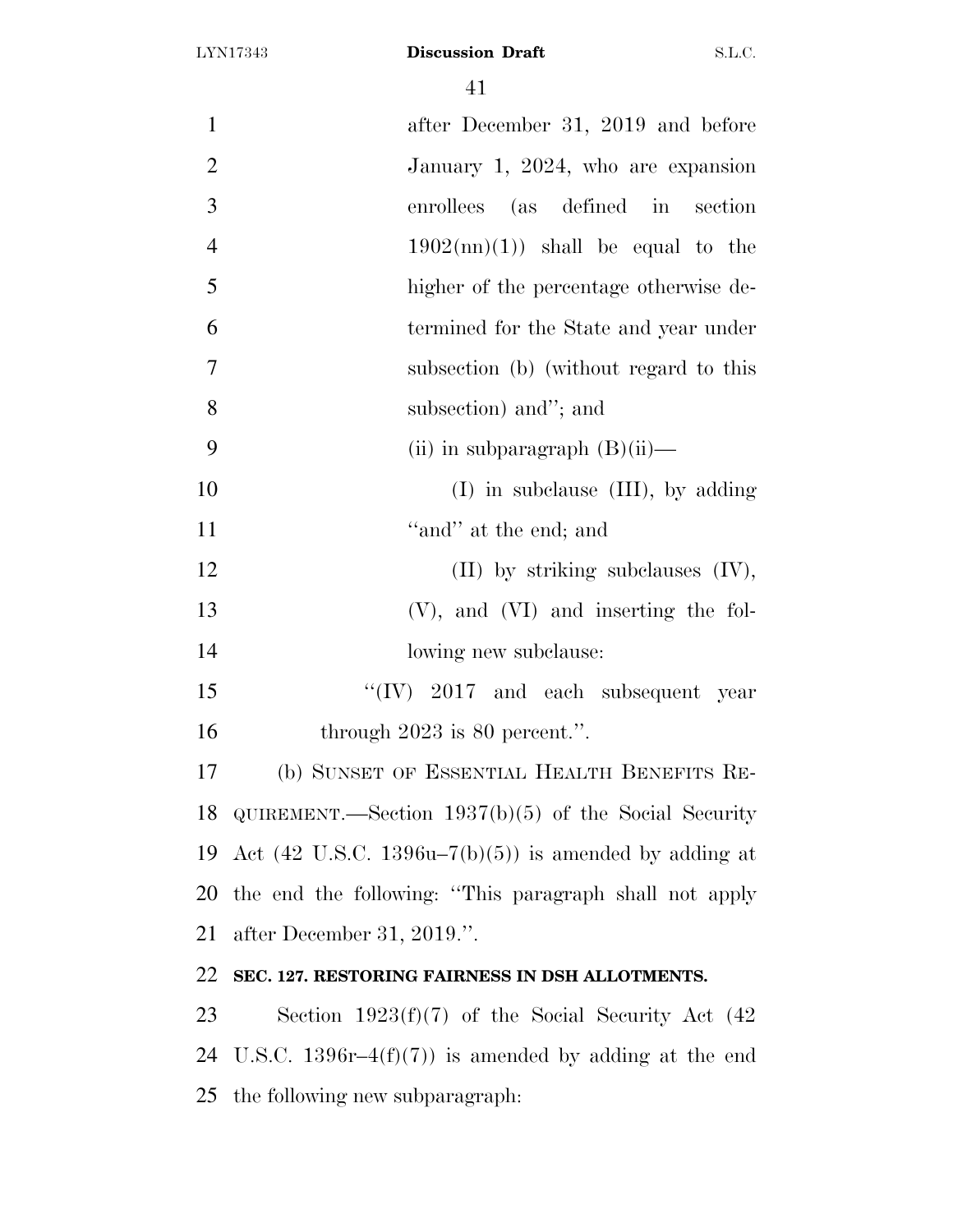| $\mathbf{1}$   | after December 31, 2019 and before                               |
|----------------|------------------------------------------------------------------|
| $\overline{2}$ | January 1, 2024, who are expansion                               |
| 3              | (as defined in section<br>enrollees                              |
| $\overline{4}$ | $1902(\text{nn})(1)$ shall be equal to the                       |
| 5              | higher of the percentage otherwise de-                           |
| 6              | termined for the State and year under                            |
| 7              | subsection (b) (without regard to this                           |
| 8              | subsection) and"; and                                            |
| 9              | (ii) in subparagraph $(B)(ii)$ —                                 |
| 10             | $(I)$ in subclause $(III)$ , by adding                           |
| 11             | "and" at the end; and                                            |
| 12             | $(II)$ by striking subclauses $(IV)$ ,                           |
| 13             | $(V)$ , and $(VI)$ and inserting the fol-                        |
| 14             | lowing new subclause:                                            |
| 15             | " $(IV)$ 2017 and each subsequent year                           |
| 16             | through $2023$ is 80 percent.".                                  |
| 17             | (b) SUNSET OF ESSENTIAL HEALTH BENEFITS RE-                      |
|                | 18 QUIREMENT.—Section $1937(b)(5)$ of the Social Security        |
| 19             | Act $(42 \text{ U.S.C. } 1396u-7(b)(5))$ is amended by adding at |
| 20             | the end the following: "This paragraph shall not apply           |
| 21             | after December 31, 2019.".                                       |
| 22             | SEC. 127. RESTORING FAIRNESS IN DSH ALLOTMENTS.                  |
| 23             | Section $1923(f)(7)$ of the Social Security Act (42)             |
| 24             | U.S.C. 1396r-4 $(f)(7)$ is amended by adding at the end          |
| 25             | the following new subparagraph.                                  |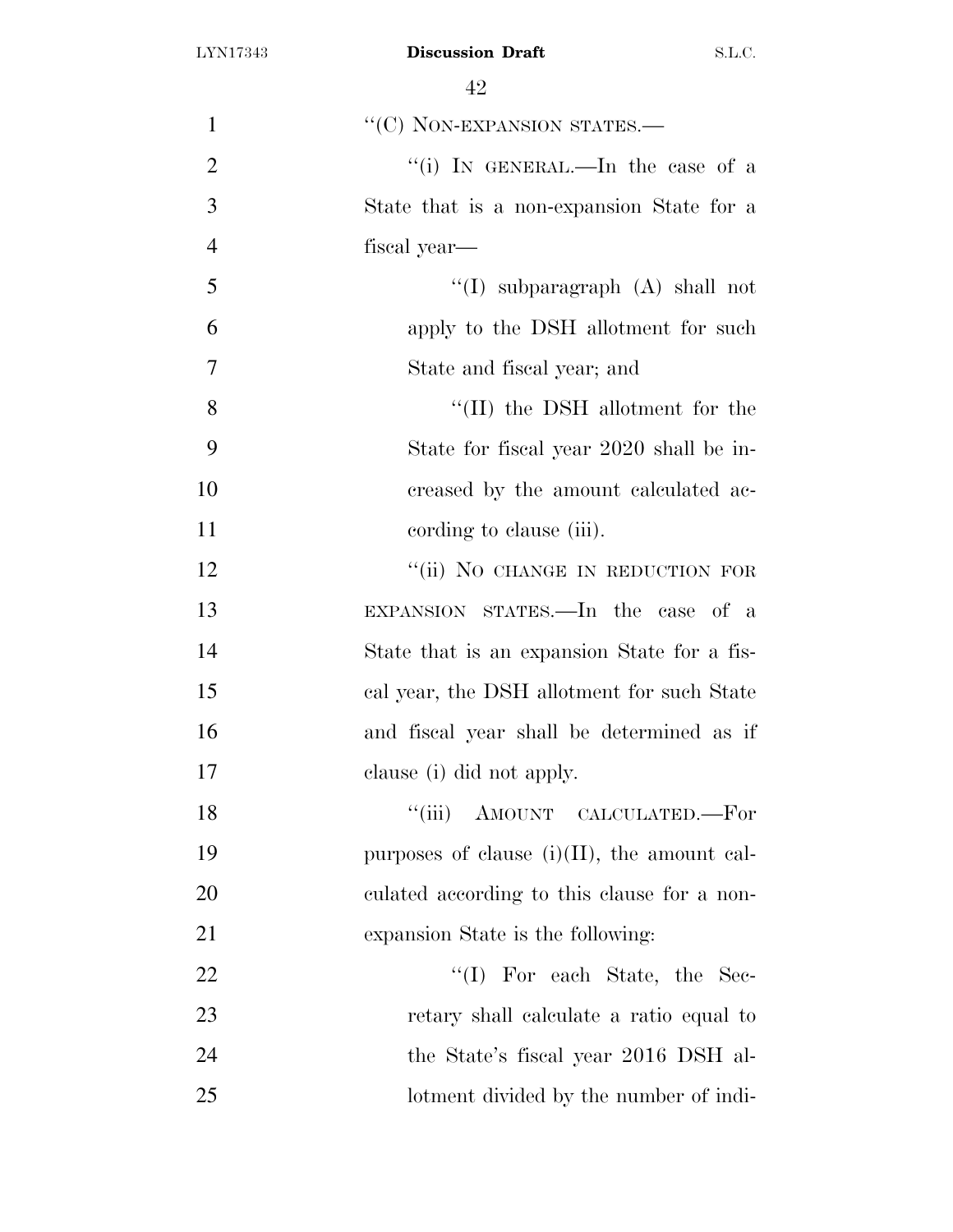| $\mathbf{1}$   | "(C) NON-EXPANSION STATES.-                    |
|----------------|------------------------------------------------|
| $\overline{2}$ | "(i) IN GENERAL.—In the case of a              |
| 3              | State that is a non-expansion State for a      |
| $\overline{4}$ | fiscal year—                                   |
| 5              | "(I) subparagraph $(A)$ shall not              |
| 6              | apply to the DSH allotment for such            |
| $\tau$         | State and fiscal year; and                     |
| 8              | "(II) the DSH allotment for the                |
| 9              | State for fiscal year 2020 shall be in-        |
| 10             | creased by the amount calculated ac-           |
| 11             | cording to clause (iii).                       |
| 12             | "(ii) NO CHANGE IN REDUCTION FOR               |
| 13             | EXPANSION STATES.—In the case of a             |
| 14             | State that is an expansion State for a fis-    |
| 15             | cal year, the DSH allotment for such State     |
| 16             | and fiscal year shall be determined as if      |
| 17             | clause (i) did not apply.                      |
| 18             | "(iii) AMOUNT CALCULATED.—For                  |
| 19             | purposes of clause $(i)(II)$ , the amount cal- |
| 20             | culated according to this clause for a non-    |
| 21             | expansion State is the following:              |
| 22             | $\lq\lq$ (I) For each State, the Sec-          |
| 23             | retary shall calculate a ratio equal to        |
| 24             | the State's fiscal year 2016 DSH al-           |
| 25             | lotment divided by the number of indi-         |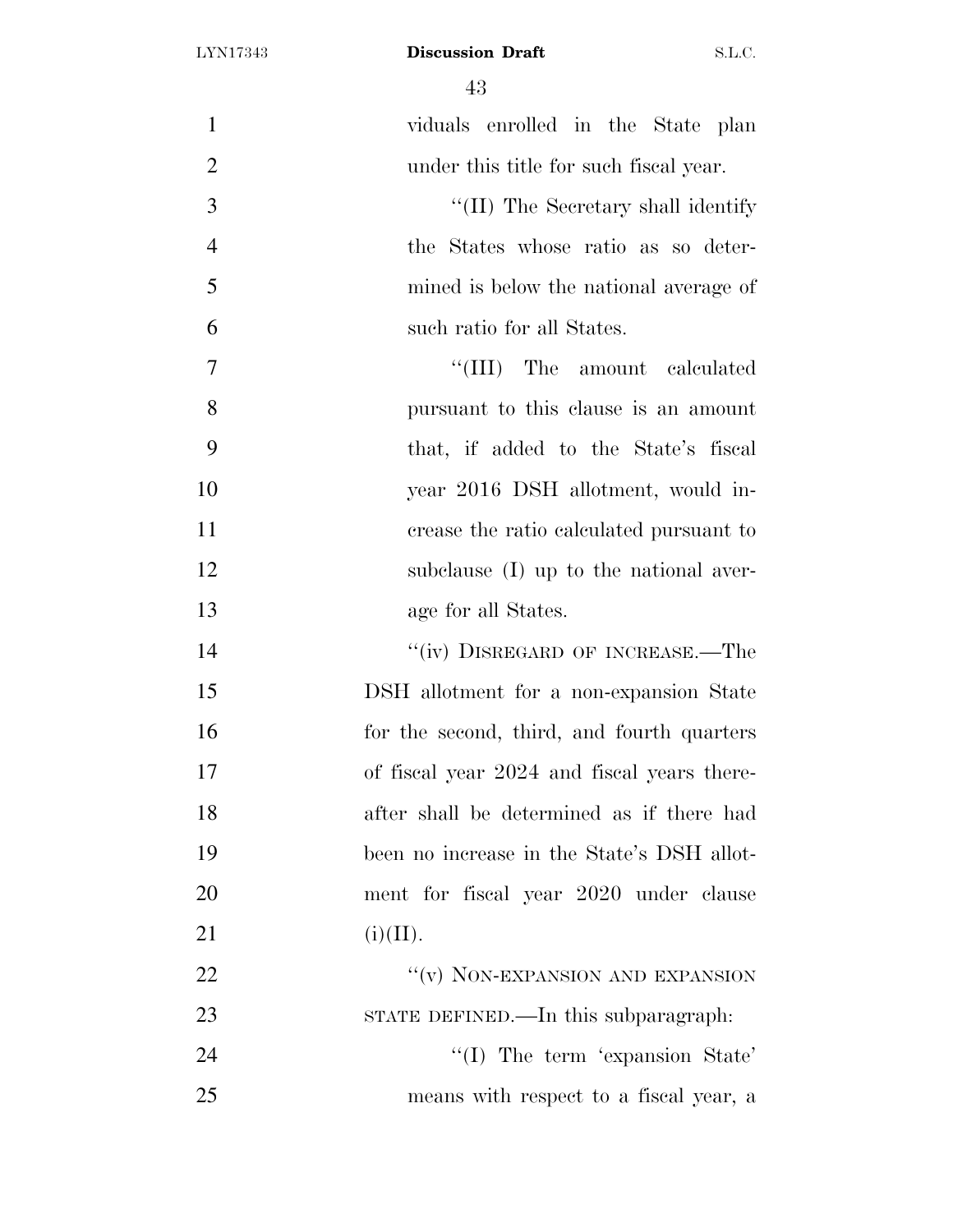| $\mathbf{1}$   | viduals enrolled in the State plan          |
|----------------|---------------------------------------------|
| $\overline{2}$ | under this title for such fiscal year.      |
| 3              | "(II) The Secretary shall identify          |
| $\overline{4}$ | the States whose ratio as so deter-         |
| 5              | mined is below the national average of      |
| 6              | such ratio for all States.                  |
| $\tau$         | "(III) The amount calculated                |
| 8              | pursuant to this clause is an amount        |
| 9              | that, if added to the State's fiscal        |
| 10             | year 2016 DSH allotment, would in-          |
| 11             | crease the ratio calculated pursuant to     |
| 12             | subclause (I) up to the national aver-      |
| 13             | age for all States.                         |
| 14             | "(iv) DISREGARD OF INCREASE.—The            |
| 15             | DSH allotment for a non-expansion State     |
| 16             | for the second, third, and fourth quarters  |
| 17             | of fiscal year 2024 and fiscal years there- |
| 18             | after shall be determined as if there had   |
| 19             | been no increase in the State's DSH allot-  |
| 20             | ment for fiscal year 2020 under clause      |
| 21             | (i)(II).                                    |
| 22             | "(v) NON-EXPANSION AND EXPANSION            |
| 23             | STATE DEFINED.—In this subparagraph:        |
| 24             | $\lq\lq$ (I) The term 'expansion State'     |
| 25             | means with respect to a fiscal year, a      |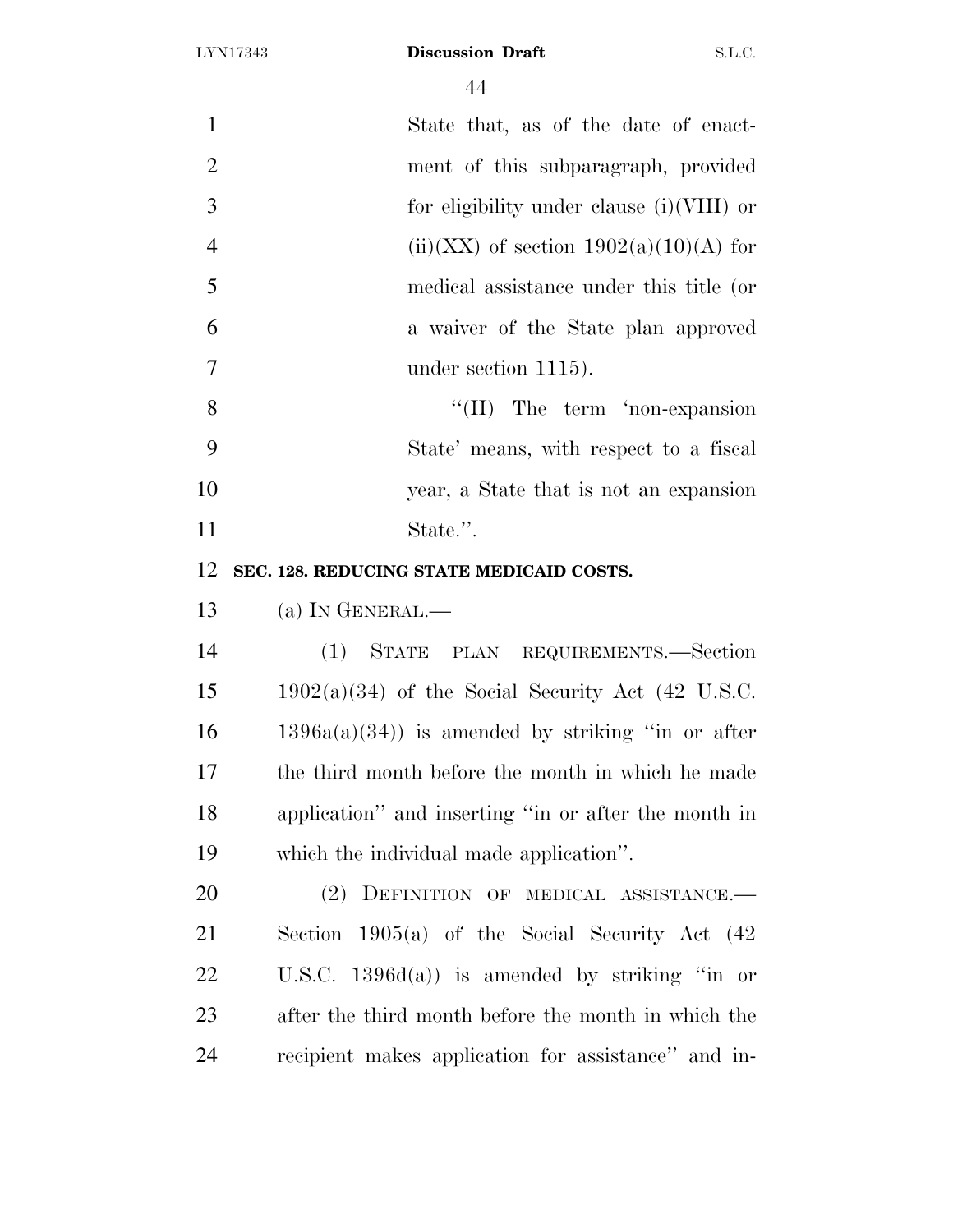| $\mathbf{1}$   | State that, as of the date of enact-                 |
|----------------|------------------------------------------------------|
| $\overline{2}$ | ment of this subparagraph, provided                  |
| 3              | for eligibility under clause $(i)(VIII)$ or          |
| $\overline{4}$ | $(ii)(XX)$ of section $1902(a)(10)(A)$ for           |
| 5              | medical assistance under this title (or              |
| 6              | a waiver of the State plan approved                  |
| 7              | under section $1115$ ).                              |
| 8              | $\lq\lq$ (II) The term 'non-expansion                |
| 9              | State' means, with respect to a fiscal               |
| 10             | year, a State that is not an expansion               |
| 11             | State.".                                             |
| 12             | SEC. 128. REDUCING STATE MEDICAID COSTS.             |
| 13             | (a) IN GENERAL.—                                     |
| 14             | (1) STATE PLAN REQUIREMENTS.—Section                 |
| 15             | $1902(a)(34)$ of the Social Security Act (42 U.S.C.  |
| 16             | $1396a(a)(34)$ is amended by striking "in or after   |
| 17             | the third month before the month in which he made    |
| 18             | application" and inserting "in or after the month in |
| 19             | which the individual made application".              |
| 20             | DEFINITION OF MEDICAL ASSISTANCE.-<br>(2)            |
| 21             | Section $1905(a)$ of the Social Security Act $(42)$  |
| 22             | U.S.C. $1396d(a)$ is amended by striking "in or      |
| 23             | after the third month before the month in which the  |
| 24             |                                                      |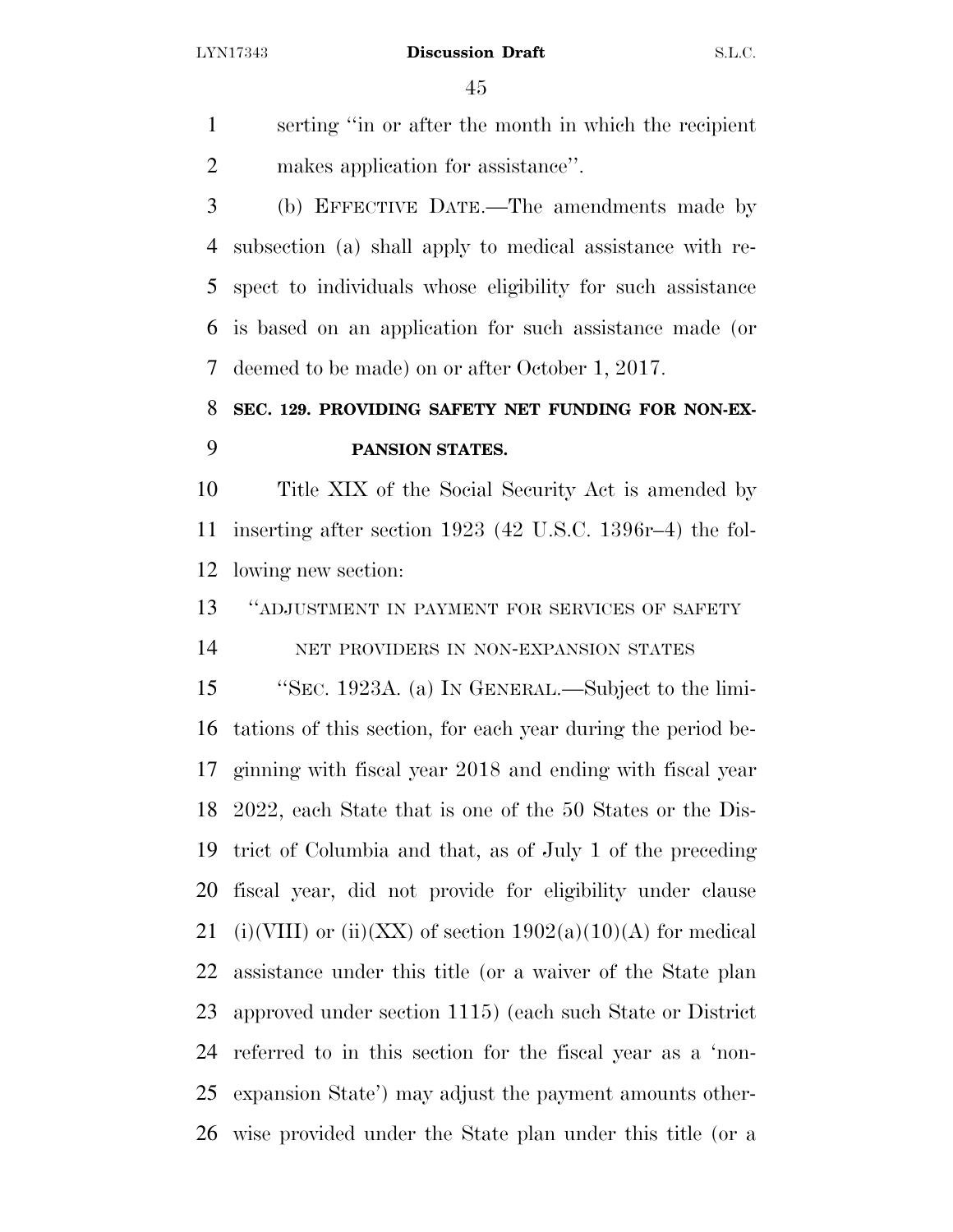serting ''in or after the month in which the recipient makes application for assistance''.

 (b) EFFECTIVE DATE.—The amendments made by subsection (a) shall apply to medical assistance with re- spect to individuals whose eligibility for such assistance is based on an application for such assistance made (or deemed to be made) on or after October 1, 2017.

## **SEC. 129. PROVIDING SAFETY NET FUNDING FOR NON-EX-PANSION STATES.**

 Title XIX of the Social Security Act is amended by inserting after section 1923 (42 U.S.C. 1396r–4) the fol-lowing new section:

''ADJUSTMENT IN PAYMENT FOR SERVICES OF SAFETY

NET PROVIDERS IN NON-EXPANSION STATES

 ''SEC. 1923A. (a) IN GENERAL.—Subject to the limi- tations of this section, for each year during the period be- ginning with fiscal year 2018 and ending with fiscal year 2022, each State that is one of the 50 States or the Dis- trict of Columbia and that, as of July 1 of the preceding fiscal year, did not provide for eligibility under clause 21 (i)(VIII) or (ii)(XX) of section  $1902(a)(10)(A)$  for medical assistance under this title (or a waiver of the State plan approved under section 1115) (each such State or District referred to in this section for the fiscal year as a 'non- expansion State') may adjust the payment amounts other-wise provided under the State plan under this title (or a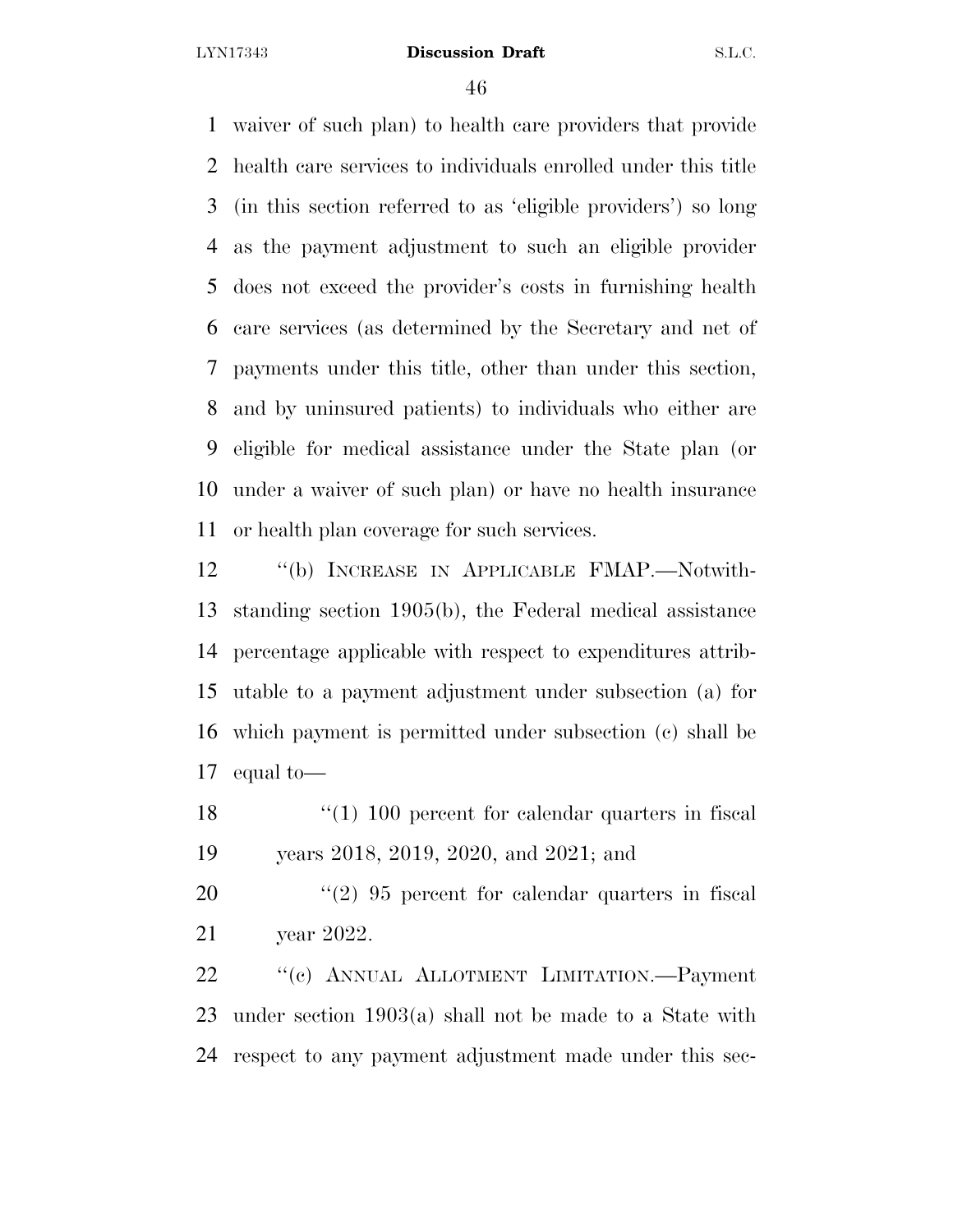waiver of such plan) to health care providers that provide health care services to individuals enrolled under this title (in this section referred to as 'eligible providers') so long as the payment adjustment to such an eligible provider does not exceed the provider's costs in furnishing health care services (as determined by the Secretary and net of payments under this title, other than under this section, and by uninsured patients) to individuals who either are eligible for medical assistance under the State plan (or under a waiver of such plan) or have no health insurance or health plan coverage for such services.

 ''(b) INCREASE IN APPLICABLE FMAP.—Notwith- standing section 1905(b), the Federal medical assistance percentage applicable with respect to expenditures attrib- utable to a payment adjustment under subsection (a) for which payment is permitted under subsection (c) shall be equal to—

18 ''(1) 100 percent for calendar quarters in fiscal years 2018, 2019, 2020, and 2021; and

20 ''(2) 95 percent for calendar quarters in fiscal year 2022.

 ''(c) ANNUAL ALLOTMENT LIMITATION.—Payment under section 1903(a) shall not be made to a State with respect to any payment adjustment made under this sec-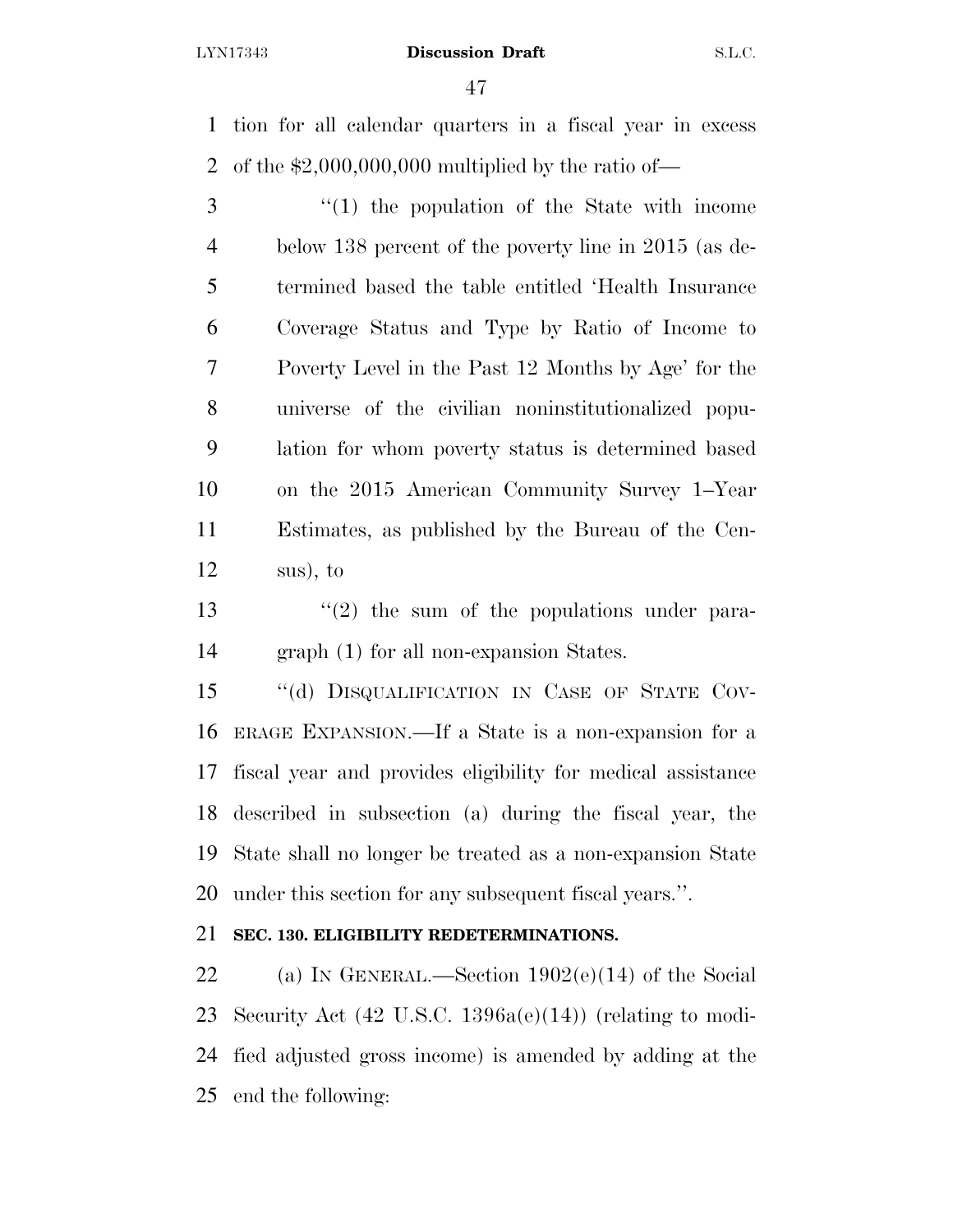tion for all calendar quarters in a fiscal year in excess of the \$2,000,000,000 multiplied by the ratio of—

 ''(1) the population of the State with income below 138 percent of the poverty line in 2015 (as de- termined based the table entitled 'Health Insurance Coverage Status and Type by Ratio of Income to Poverty Level in the Past 12 Months by Age' for the universe of the civilian noninstitutionalized popu- lation for whom poverty status is determined based on the 2015 American Community Survey 1–Year Estimates, as published by the Bureau of the Cen-sus), to

13  $\frac{13}{2}$  the sum of the populations under para-graph (1) for all non-expansion States.

15 "(d) DISQUALIFICATION IN CASE OF STATE COV- ERAGE EXPANSION.—If a State is a non-expansion for a fiscal year and provides eligibility for medical assistance described in subsection (a) during the fiscal year, the State shall no longer be treated as a non-expansion State under this section for any subsequent fiscal years.''.

## **SEC. 130. ELIGIBILITY REDETERMINATIONS.**

22 (a) IN GENERAL.—Section  $1902(e)(14)$  of the Social Security Act (42 U.S.C. 1396a(e)(14)) (relating to modi- fied adjusted gross income) is amended by adding at the end the following: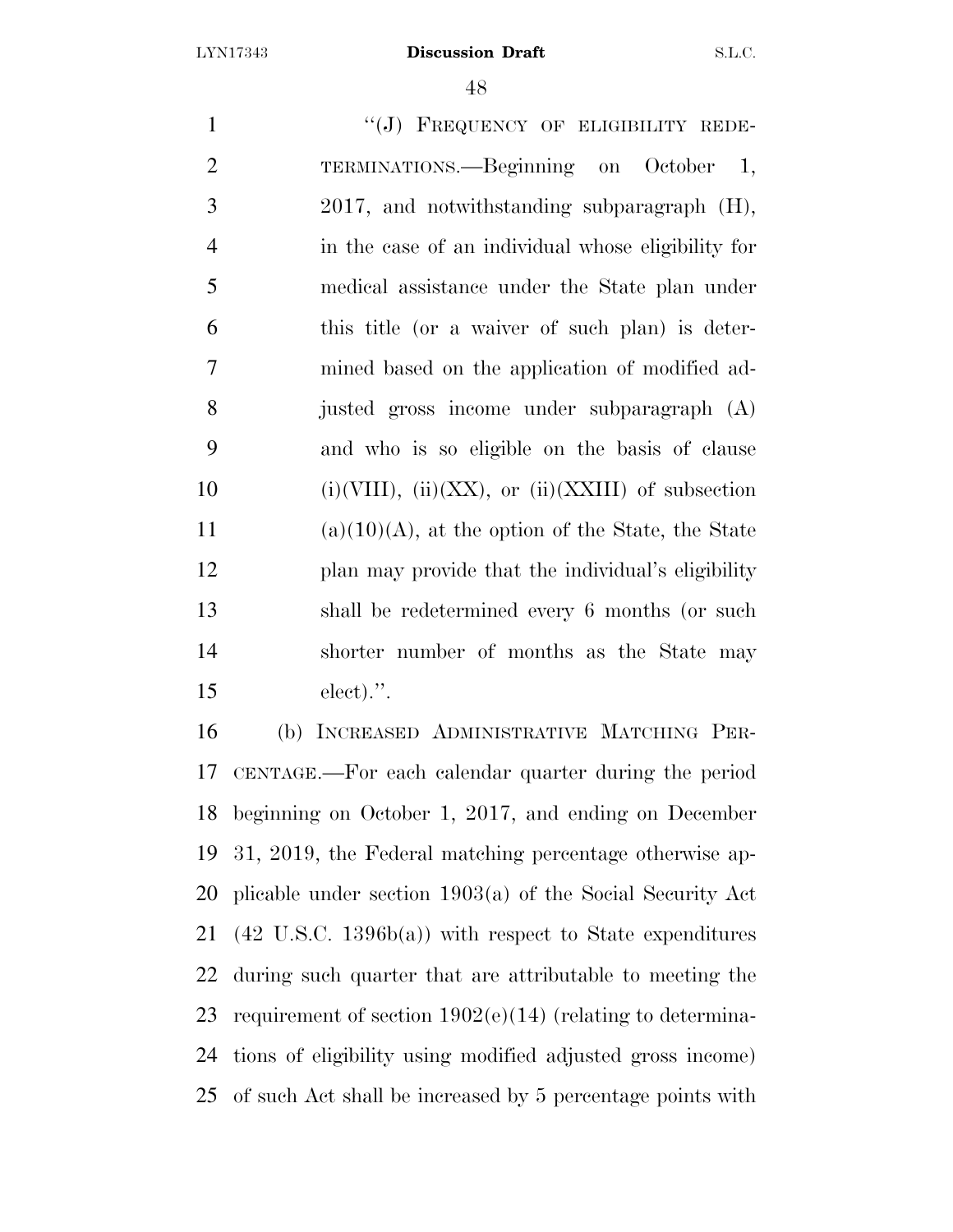1 "(J) FREQUENCY OF ELIGIBILITY REDE- TERMINATIONS.—Beginning on October 1, 2017, and notwithstanding subparagraph (H), in the case of an individual whose eligibility for medical assistance under the State plan under this title (or a waiver of such plan) is deter- mined based on the application of modified ad- justed gross income under subparagraph (A) and who is so eligible on the basis of clause 10 (i)(VIII), (ii)(XX), or (ii)(XXIII) of subsection 11 (a)(10)(A), at the option of the State, the State plan may provide that the individual's eligibility shall be redetermined every 6 months (or such shorter number of months as the State may elect).''. (b) INCREASED ADMINISTRATIVE MATCHING PER-

 CENTAGE.—For each calendar quarter during the period beginning on October 1, 2017, and ending on December 31, 2019, the Federal matching percentage otherwise ap- plicable under section 1903(a) of the Social Security Act (42 U.S.C. 1396b(a)) with respect to State expenditures during such quarter that are attributable to meeting the requirement of section 1902(e)(14) (relating to determina- tions of eligibility using modified adjusted gross income) of such Act shall be increased by 5 percentage points with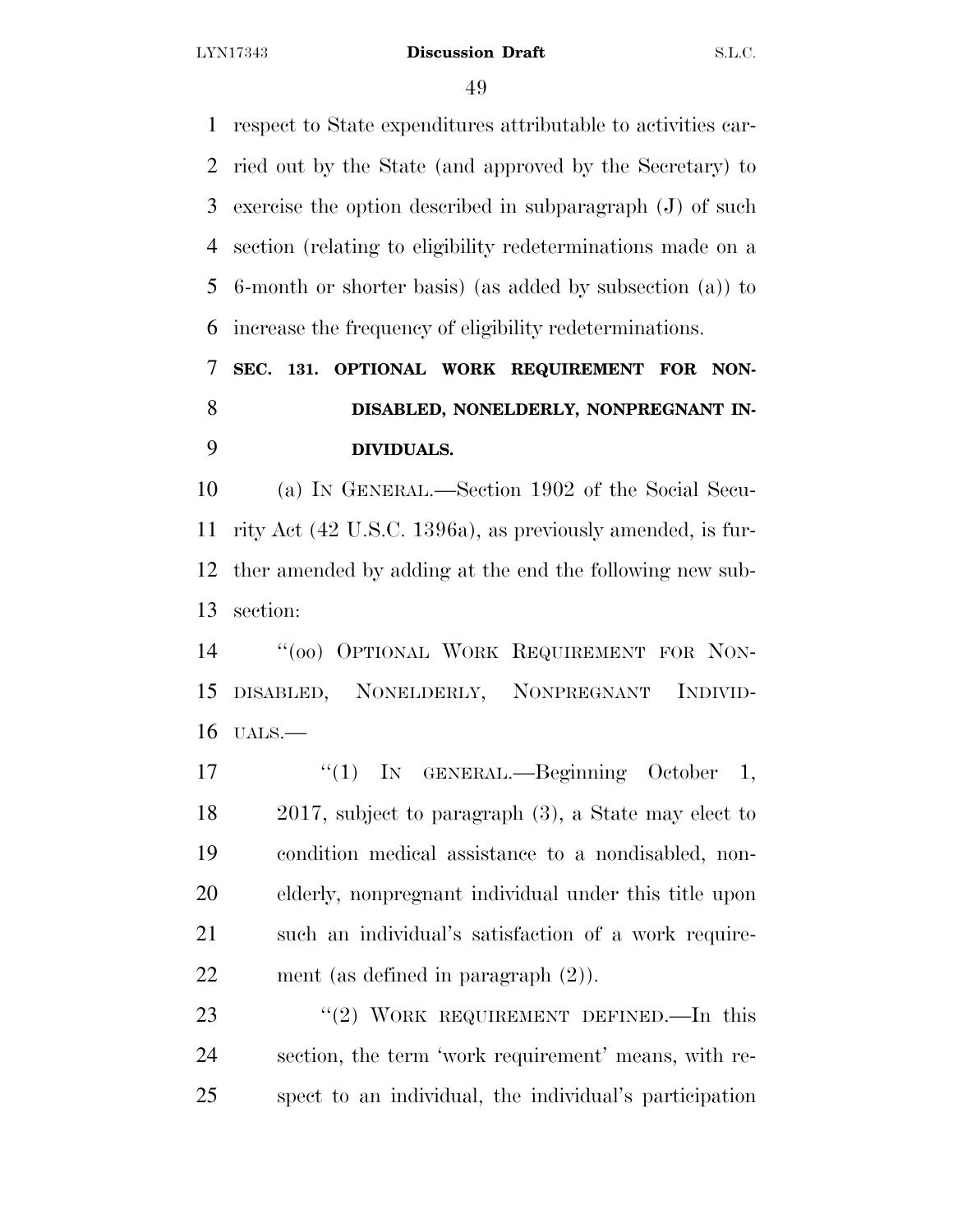respect to State expenditures attributable to activities car- ried out by the State (and approved by the Secretary) to exercise the option described in subparagraph (J) of such section (relating to eligibility redeterminations made on a 6-month or shorter basis) (as added by subsection (a)) to increase the frequency of eligibility redeterminations.

# **SEC. 131. OPTIONAL WORK REQUIREMENT FOR NON- DISABLED, NONELDERLY, NONPREGNANT IN-DIVIDUALS.**

 (a) IN GENERAL.—Section 1902 of the Social Secu- rity Act (42 U.S.C. 1396a), as previously amended, is fur- ther amended by adding at the end the following new sub-section:

 ''(oo) OPTIONAL WORK REQUIREMENT FOR NON- DISABLED, NONELDERLY, NONPREGNANT INDIVID-UALS.—

17 "(1) In GENERAL.—Beginning October 1, 2017, subject to paragraph (3), a State may elect to condition medical assistance to a nondisabled, non- elderly, nonpregnant individual under this title upon such an individual's satisfaction of a work require-ment (as defined in paragraph (2)).

23 "(2) WORK REQUIREMENT DEFINED. In this section, the term 'work requirement' means, with re-spect to an individual, the individual's participation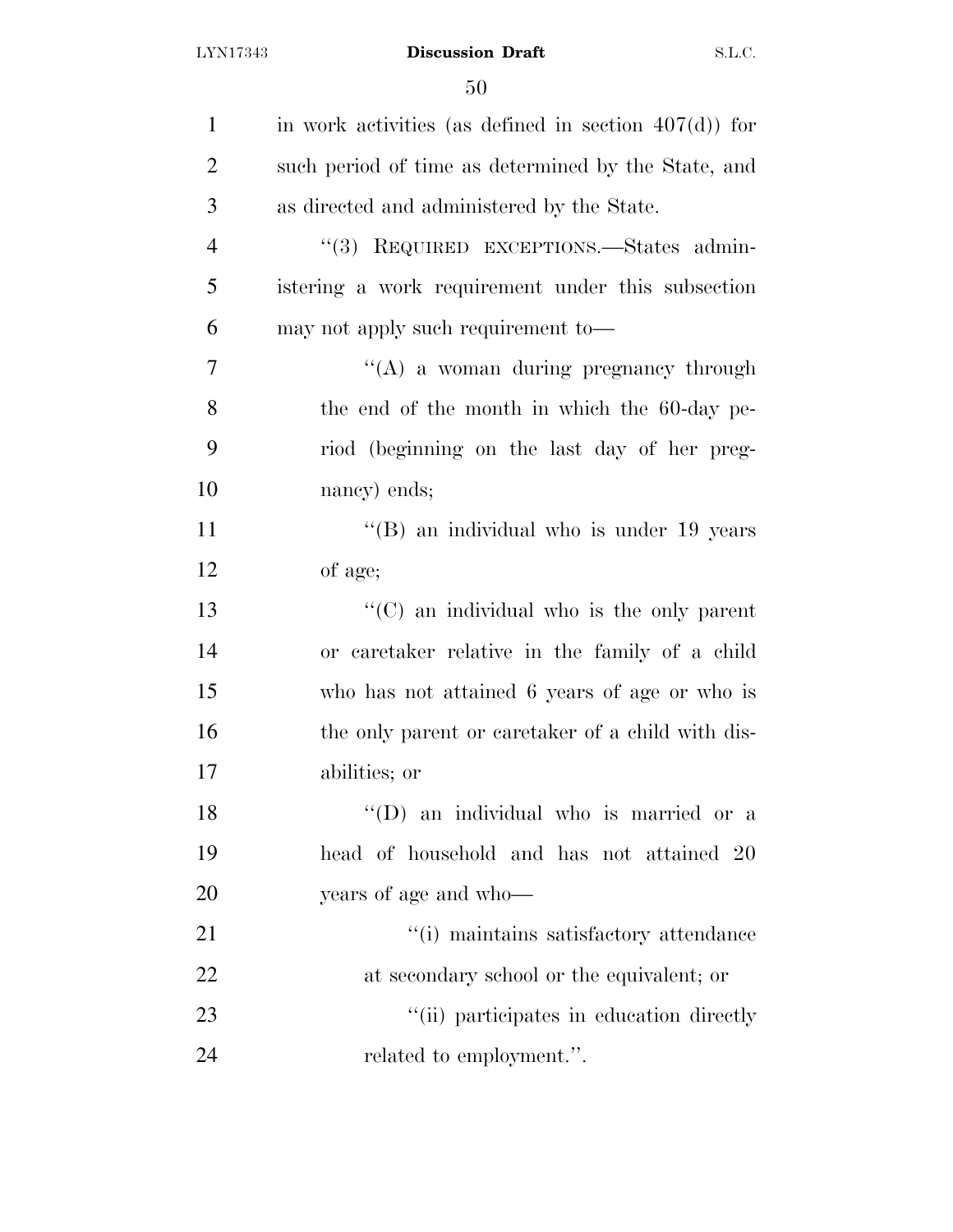| $\mathbf{1}$   | in work activities (as defined in section $407(d)$ ) for |
|----------------|----------------------------------------------------------|
| $\overline{2}$ | such period of time as determined by the State, and      |
| 3              | as directed and administered by the State.               |
| $\overline{4}$ | "(3) REQUIRED EXCEPTIONS.—States admin-                  |
| 5              | istering a work requirement under this subsection        |
| 6              | may not apply such requirement to—                       |
| $\overline{7}$ | $\lq\lq$ a woman during pregnancy through                |
| 8              | the end of the month in which the 60-day pe-             |
| 9              | riod (beginning on the last day of her preg-             |
| 10             | nancy) ends;                                             |
| 11             | "(B) an individual who is under 19 years                 |
| 12             | of age;                                                  |
| 13             | "(C) an individual who is the only parent                |
| 14             | or caretaker relative in the family of a child           |
| 15             | who has not attained 6 years of age or who is            |
| 16             | the only parent or caretaker of a child with dis-        |
| 17             | abilities; or                                            |
| 18             | "(D) an individual who is married or a                   |
| 19             | head of household and has not attained 20                |
| 20             | years of age and who—                                    |
| 21             | "(i) maintains satisfactory attendance                   |
| 22             | at secondary school or the equivalent; or                |
| 23             | "(ii) participates in education directly                 |
| 24             | related to employment.".                                 |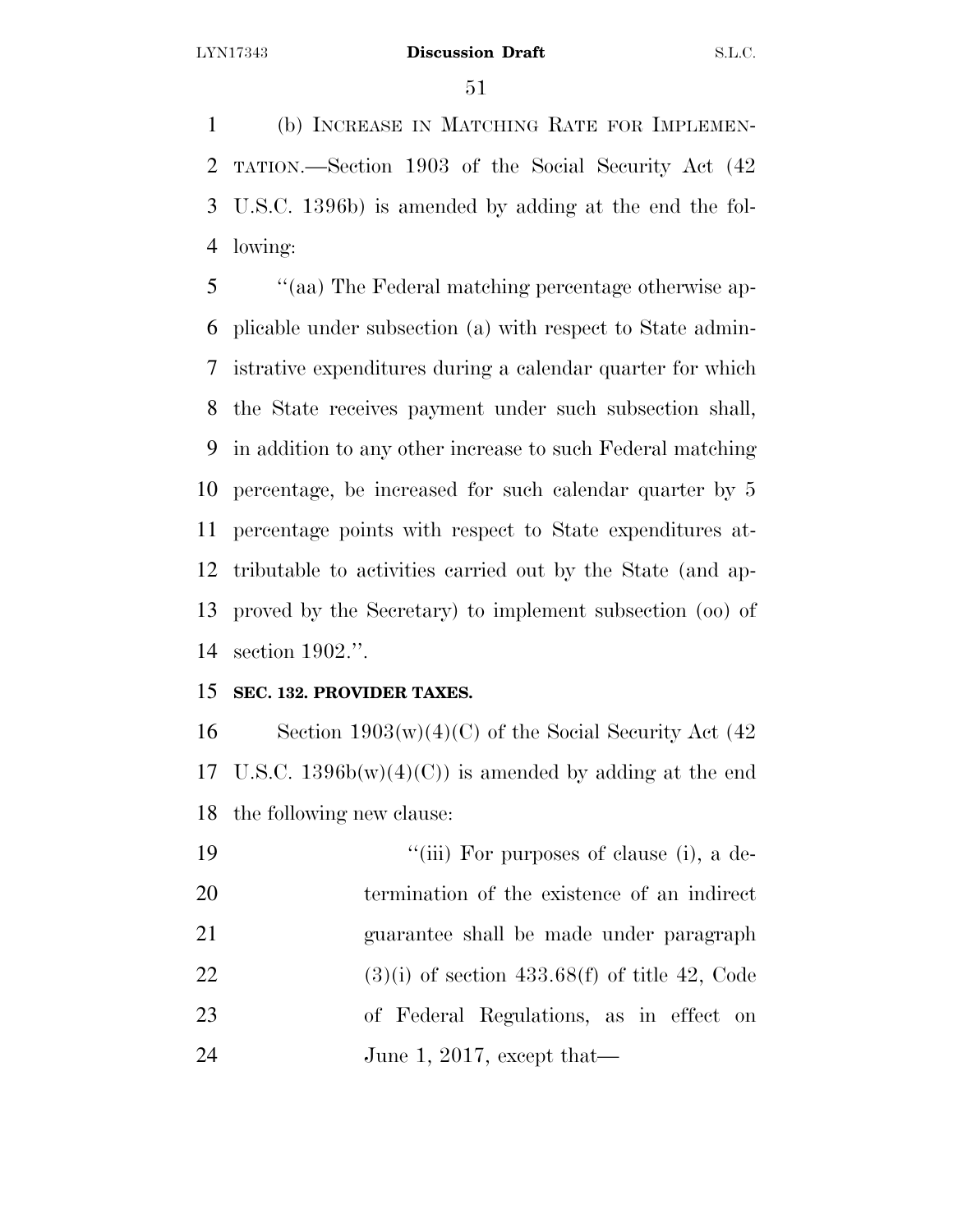(b) INCREASE IN MATCHING RATE FOR IMPLEMEN- TATION.—Section 1903 of the Social Security Act (42 U.S.C. 1396b) is amended by adding at the end the fol-lowing:

 ''(aa) The Federal matching percentage otherwise ap- plicable under subsection (a) with respect to State admin- istrative expenditures during a calendar quarter for which the State receives payment under such subsection shall, in addition to any other increase to such Federal matching percentage, be increased for such calendar quarter by 5 percentage points with respect to State expenditures at- tributable to activities carried out by the State (and ap- proved by the Secretary) to implement subsection (oo) of section 1902.''.

## **SEC. 132. PROVIDER TAXES.**

16 Section  $1903(w)(4)(C)$  of the Social Security Act (42 17 U.S.C.  $1396b(w)(4)(C)$  is amended by adding at the end the following new clause:

| 19 | "(iii) For purposes of clause (i), a de-        |
|----|-------------------------------------------------|
| 20 | termination of the existence of an indirect     |
| 21 | guarantee shall be made under paragraph         |
| 22 | $(3)(i)$ of section 433.68(f) of title 42, Code |
| 23 | of Federal Regulations, as in effect on         |
| 24 | June 1, 2017, except that—                      |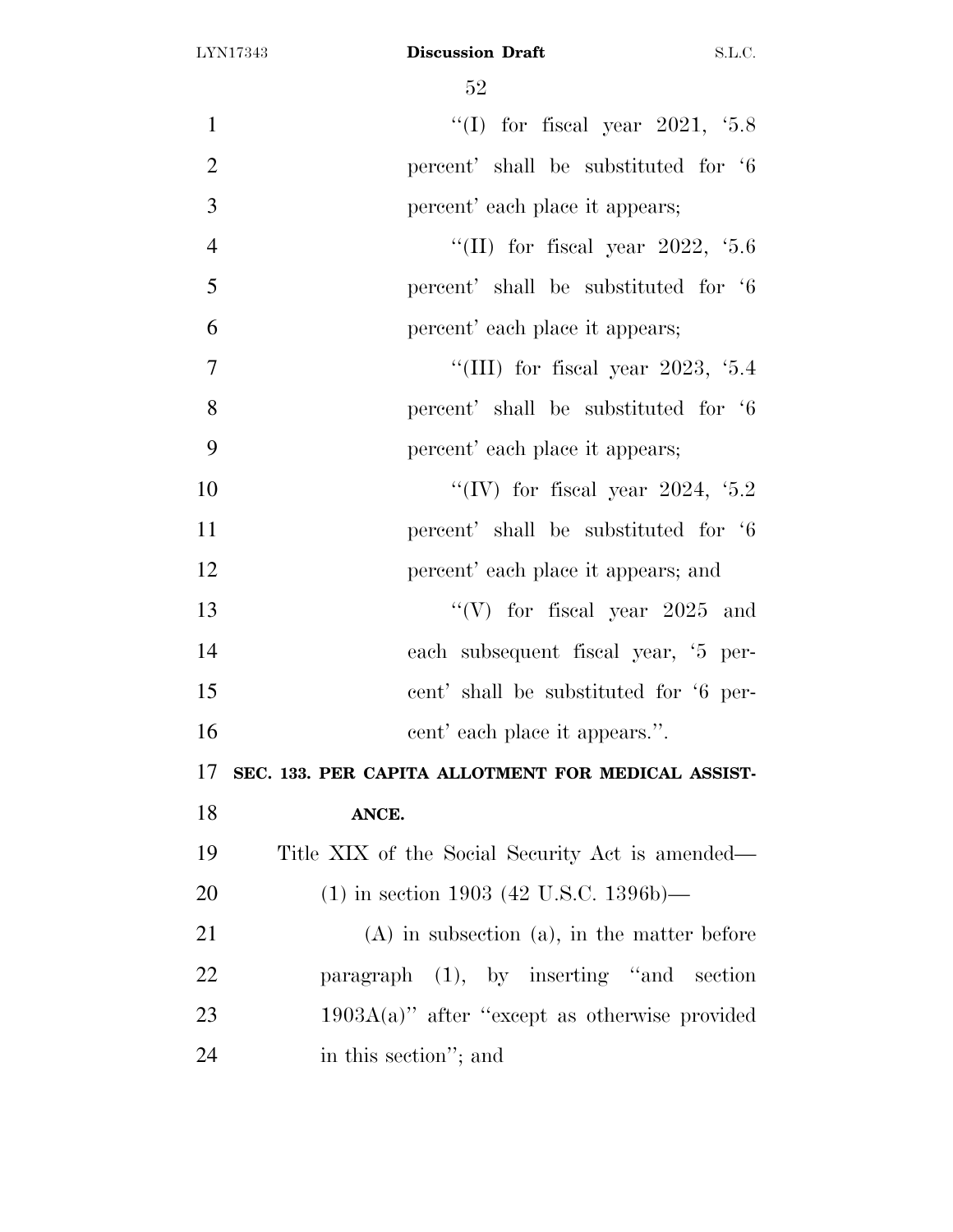| $\mathbf{1}$   | "(I) for fiscal year $2021, 5.8$                   |
|----------------|----------------------------------------------------|
| $\overline{2}$ | percent' shall be substituted for '6               |
| 3              | percent' each place it appears;                    |
| $\overline{4}$ | "(II) for fiscal year 2022, $5.6$                  |
| 5              | percent' shall be substituted for '6               |
| 6              | percent' each place it appears;                    |
| 7              | "(III) for fiscal year $2023, 5.4$                 |
| 8              | percent' shall be substituted for '6               |
| 9              | percent' each place it appears;                    |
| 10             | "(IV) for fiscal year 2024, $5.2$                  |
| 11             | percent' shall be substituted for '6               |
| 12             | percent' each place it appears; and                |
| 13             | "(V) for fiscal year $2025$ and                    |
| 14             | each subsequent fiscal year, '5 per-               |
| 15             | cent' shall be substituted for '6 per-             |
| 16             | cent' each place it appears.".                     |
| 17             | SEC. 133. PER CAPITA ALLOTMENT FOR MEDICAL ASSIST- |
| 18             | ANCE.                                              |
| 19             | Title XIX of the Social Security Act is amended—   |
| 20             | $(1)$ in section 1903 (42 U.S.C. 1396b)—           |
| 21             | $(A)$ in subsection $(a)$ , in the matter before   |
| <u>22</u>      | paragraph (1), by inserting "and section           |
| 23             | $1903A(a)$ " after "except as otherwise provided   |
| 24             | in this section"; and                              |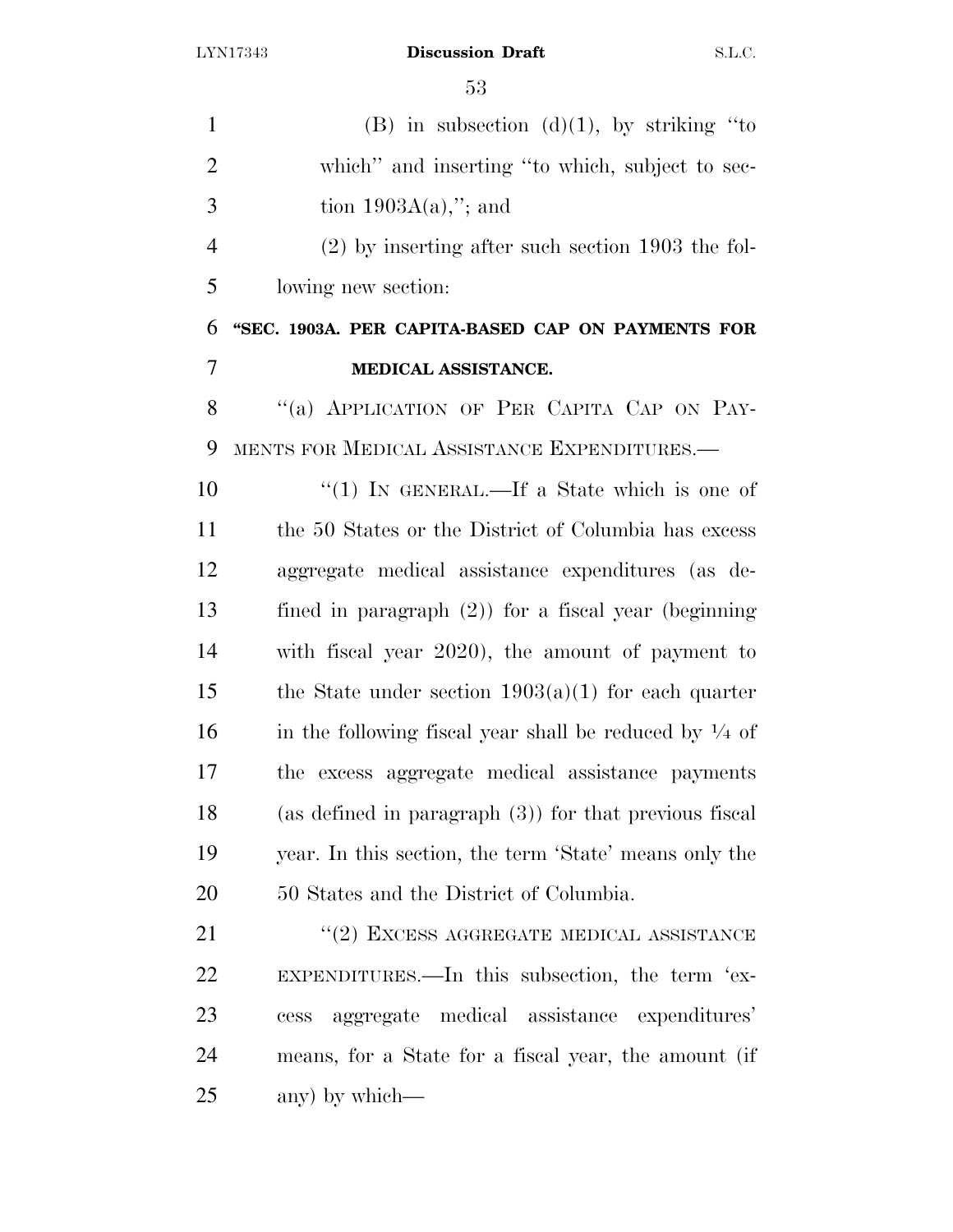| $\mathbf{1}$   | (B) in subsection (d)(1), by striking "to                         |
|----------------|-------------------------------------------------------------------|
| $\overline{2}$ | which" and inserting "to which, subject to sec-                   |
| 3              | tion $1903A(a)$ ,"; and                                           |
| $\overline{4}$ | $(2)$ by inserting after such section 1903 the fol-               |
| 5              | lowing new section:                                               |
| 6              | "SEC. 1903A. PER CAPITA-BASED CAP ON PAYMENTS FOR                 |
| 7              | MEDICAL ASSISTANCE.                                               |
| 8              | "(a) APPLICATION OF PER CAPITA CAP ON PAY-                        |
| 9              | MENTS FOR MEDICAL ASSISTANCE EXPENDITURES.—                       |
| 10             | "(1) IN GENERAL.—If a State which is one of                       |
| 11             | the 50 States or the District of Columbia has excess              |
| 12             | aggregate medical assistance expenditures (as de-                 |
| 13             | fined in paragraph $(2)$ ) for a fiscal year (beginning           |
| 14             | with fiscal year 2020), the amount of payment to                  |
| 15             | the State under section $1903(a)(1)$ for each quarter             |
| 16             | in the following fiscal year shall be reduced by $\frac{1}{4}$ of |
| 17             | the excess aggregate medical assistance payments                  |
| 18             | (as defined in paragraph $(3)$ ) for that previous fiscal         |
| 19             | year. In this section, the term 'State' means only the            |
| 20             | 50 States and the District of Columbia.                           |
| 21             | $``(2)$ EXCESS AGGREGATE MEDICAL ASSISTANCE                       |
| 22             | EXPENDITURES.—In this subsection, the term 'ex-                   |
| 23             | aggregate medical assistance expenditures'<br>cess                |
| 24             | means, for a State for a fiscal year, the amount (if              |
| 25             | any) by which—                                                    |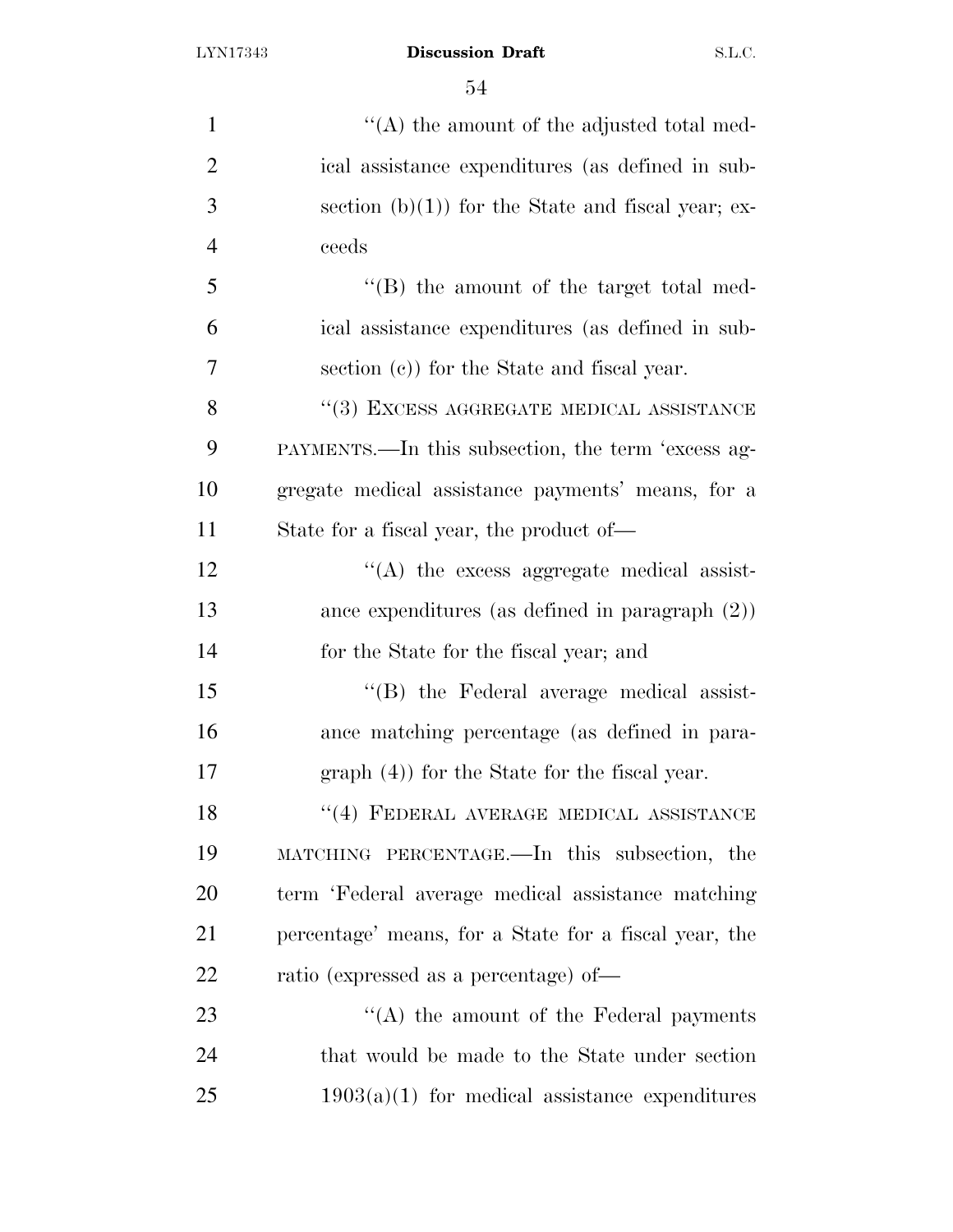| 1              | $\lq\lq$ the amount of the adjusted total med-        |
|----------------|-------------------------------------------------------|
| $\overline{2}$ | ical assistance expenditures (as defined in sub-      |
| 3              | section $(b)(1)$ for the State and fiscal year; ex-   |
| $\overline{4}$ | ceeds                                                 |
| 5              | $\lq\lq (B)$ the amount of the target total med-      |
| 6              | ical assistance expenditures (as defined in sub-      |
| 7              | section (c)) for the State and fiscal year.           |
| 8              | "(3) EXCESS AGGREGATE MEDICAL ASSISTANCE              |
| 9              | PAYMENTS.—In this subsection, the term 'excess ag-    |
| 10             | gregate medical assistance payments' means, for a     |
| 11             | State for a fiscal year, the product of-              |
| 12             | $\lq\lq$ the excess aggregate medical assist-         |
| 13             | ance expenditures (as defined in paragraph $(2)$ )    |
| 14             | for the State for the fiscal year; and                |
| 15             | "(B) the Federal average medical assist-              |
| 16             | ance matching percentage (as defined in para-         |
| 17             | $graph(4)$ for the State for the fiscal year.         |
| 18             | $``(4)$ FEDERAL AVERAGE MEDICAL ASSISTANCE            |
| 19             | MATCHING PERCENTAGE.—In this subsection, the          |
| 20             | term 'Federal average medical assistance matching     |
| 21             | percentage' means, for a State for a fiscal year, the |
| 22             | ratio (expressed as a percentage) of-                 |
| 23             | $\lq\lq$ the amount of the Federal payments           |
| 24             | that would be made to the State under section         |
| 25             | $1903(a)(1)$ for medical assistance expenditures      |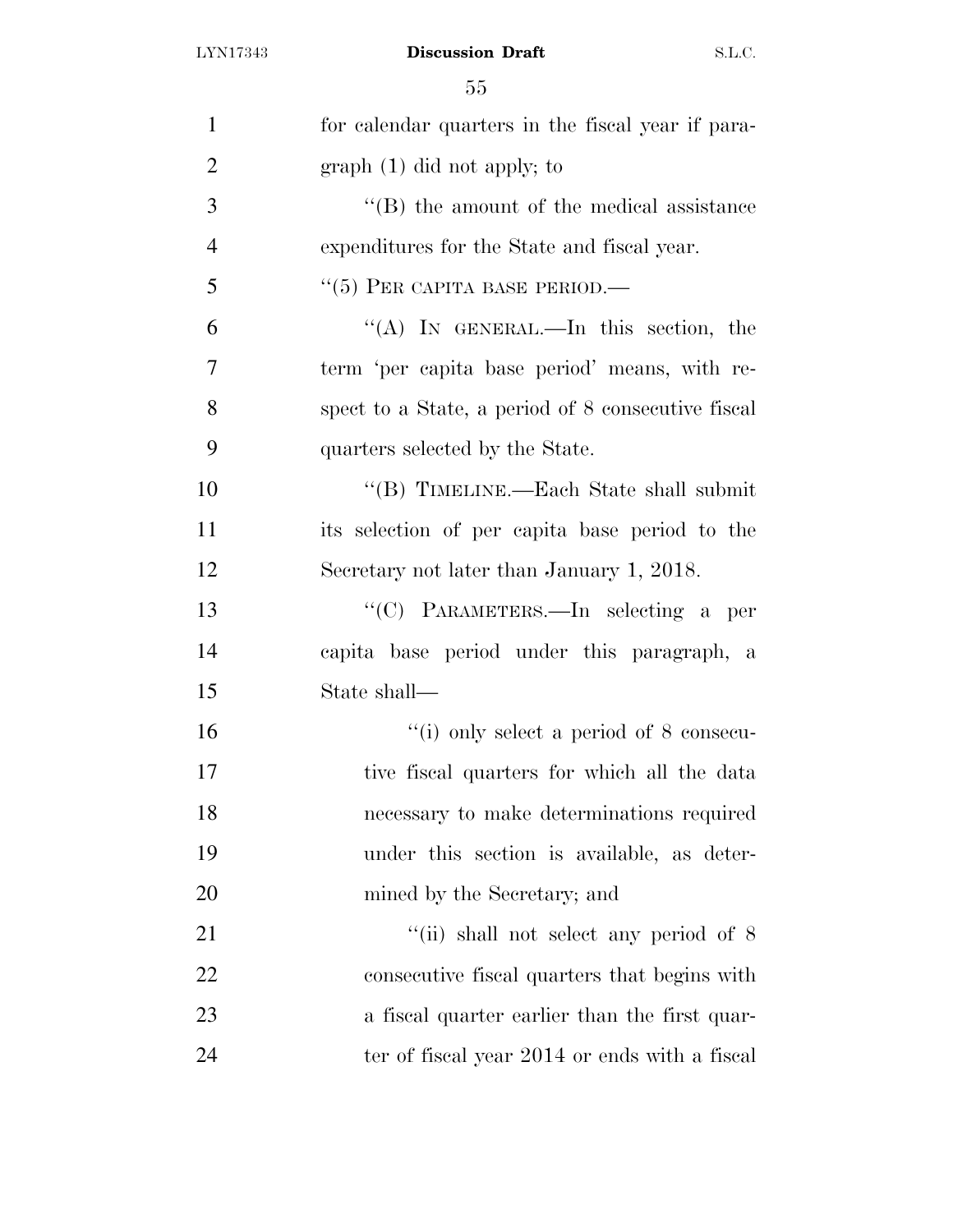| $\mathbf{1}$   | for calendar quarters in the fiscal year if para-  |
|----------------|----------------------------------------------------|
| $\overline{2}$ | $graph(1)$ did not apply; to                       |
| 3              | $\lq\lq$ (B) the amount of the medical assistance  |
| $\overline{4}$ | expenditures for the State and fiscal year.        |
| 5              | $``(5)$ PER CAPITA BASE PERIOD.—                   |
| 6              | "(A) IN GENERAL.—In this section, the              |
| 7              | term 'per capita base period' means, with re-      |
| 8              | spect to a State, a period of 8 consecutive fiscal |
| 9              | quarters selected by the State.                    |
| 10             | "(B) TIMELINE.—Each State shall submit             |
| 11             | its selection of per capita base period to the     |
| 12             | Secretary not later than January 1, 2018.          |
| 13             | "(C) PARAMETERS.—In selecting a per                |
| 14             | capita base period under this paragraph, a         |
| 15             | State shall-                                       |
| 16             | $``(i)$ only select a period of 8 consecu-         |
| 17             | tive fiscal quarters for which all the data        |
| 18             | necessary to make determinations required          |
| 19             | under this section is available, as deter-         |
| 20             | mined by the Secretary; and                        |
| 21             | "(ii) shall not select any period of $8$           |
| 22             | consecutive fiscal quarters that begins with       |
| 23             | a fiscal quarter earlier than the first quar-      |
| 24             | ter of fiscal year 2014 or ends with a fiscal      |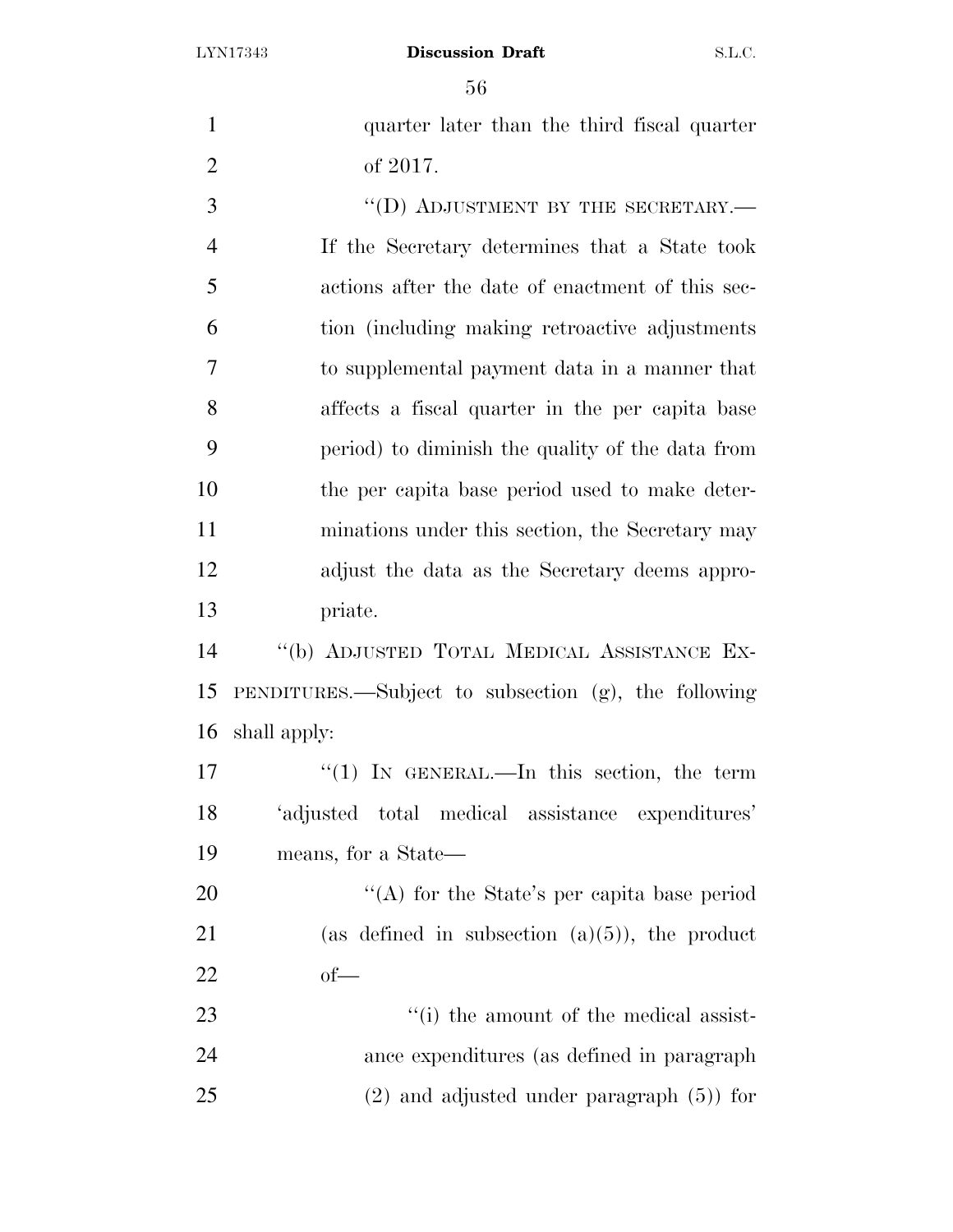| $\mathbf{1}$   | quarter later than the third fiscal quarter          |
|----------------|------------------------------------------------------|
| $\overline{2}$ | of 2017.                                             |
| 3              | "(D) ADJUSTMENT BY THE SECRETARY.—                   |
| $\overline{4}$ | If the Secretary determines that a State took        |
| 5              | actions after the date of enactment of this sec-     |
| 6              | tion (including making retroactive adjustments)      |
| 7              | to supplemental payment data in a manner that        |
| 8              | affects a fiscal quarter in the per capita base      |
| 9              | period) to diminish the quality of the data from     |
| 10             | the per capita base period used to make deter-       |
| 11             | minations under this section, the Secretary may      |
| 12             | adjust the data as the Secretary deems appro-        |
| 13             | priate.                                              |
| 14             | "(b) ADJUSTED TOTAL MEDICAL ASSISTANCE EX-           |
| 15             | PENDITURES.—Subject to subsection (g), the following |
| 16             | shall apply:                                         |
| 17             | " $(1)$ IN GENERAL.—In this section, the term        |
| 18             | 'adjusted total medical assistance expenditures'     |
| 19             | means, for a State—                                  |
| 20             | "(A) for the State's per capita base period          |
| 21             | (as defined in subsection $(a)(5)$ ), the product    |
| 22             | $of$ —                                               |
| 23             | "(i) the amount of the medical assist-               |
| 24             | ance expenditures (as defined in paragraph           |
| 25             | $(2)$ and adjusted under paragraph $(5)$ for         |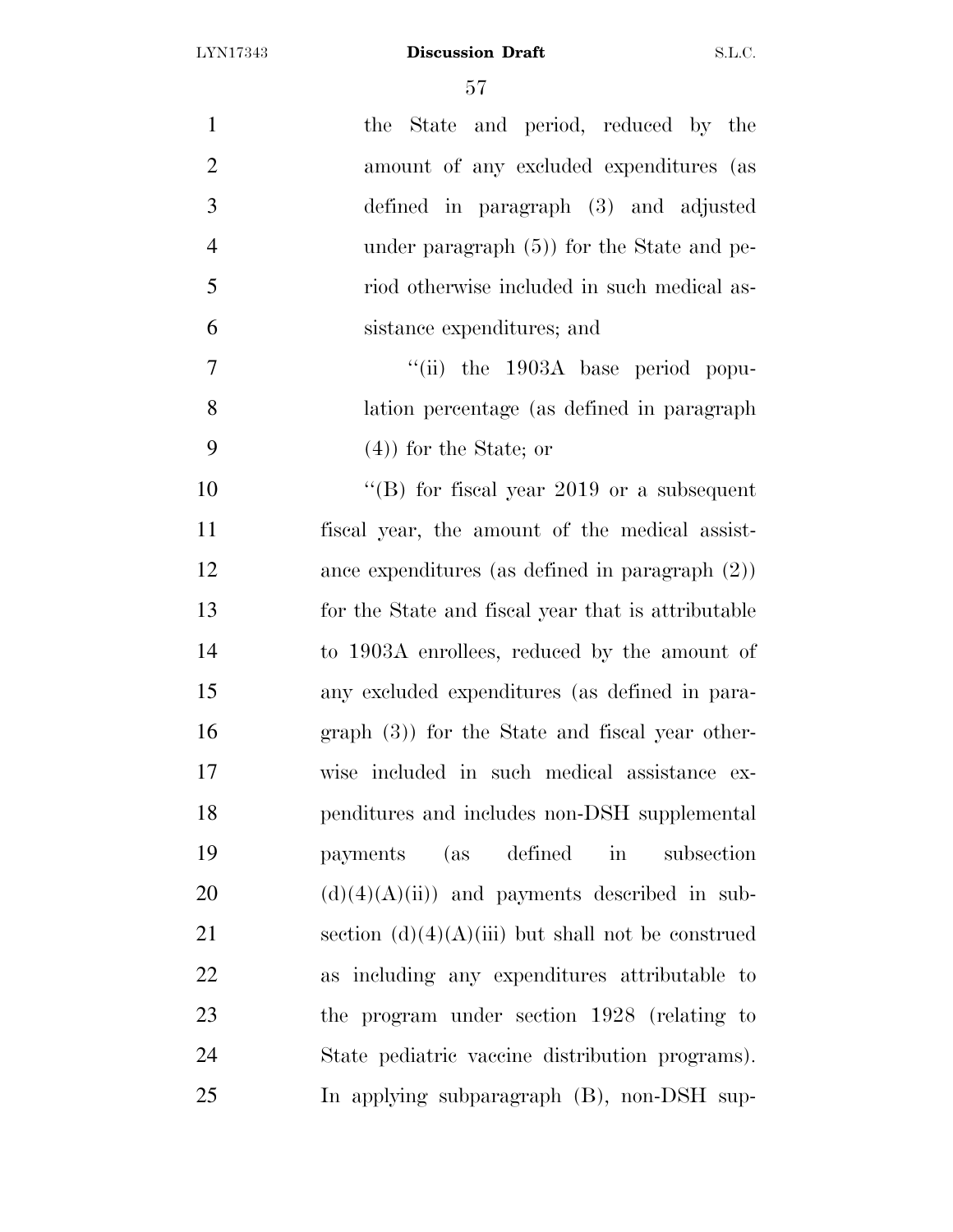| $\mathbf{1}$<br>the State and period, reduced by the            |
|-----------------------------------------------------------------|
| $\overline{2}$<br>amount of any excluded expenditures (as       |
| 3<br>defined in paragraph (3) and adjusted                      |
| $\overline{4}$<br>under paragraph $(5)$ ) for the State and pe- |
| 5<br>riod otherwise included in such medical as-                |
| 6<br>sistance expenditures; and                                 |
| $\overline{7}$<br>"(ii) the 1903A base period popu-             |
| 8<br>lation percentage (as defined in paragraph)                |
| 9<br>$(4)$ for the State; or                                    |
| 10<br>"(B) for fiscal year 2019 or a subsequent                 |
| 11<br>fiscal year, the amount of the medical assist-            |
| 12<br>ance expenditures (as defined in paragraph $(2)$ )        |
| 13<br>for the State and fiscal year that is attributable        |
| 14<br>to 1903A enrollees, reduced by the amount of              |
| 15<br>any excluded expenditures (as defined in para-            |
| 16<br>$graph(3)$ for the State and fiscal year other-           |
| 17<br>wise included in such medical assistance ex-              |
| 18<br>penditures and includes non-DSH supplemental              |
| 19<br>payments (as defined<br>$\operatorname{in}$<br>subsection |
| 20<br>$(d)(4)(A)(ii)$ and payments described in sub-            |
| 21<br>section $(d)(4)(A)(iii)$ but shall not be construed       |
| 22<br>as including any expenditures attributable to             |
| 23<br>the program under section 1928 (relating to               |
| 24<br>State pediatric vaccine distribution programs).           |
| 25<br>In applying subparagraph (B), non-DSH sup-                |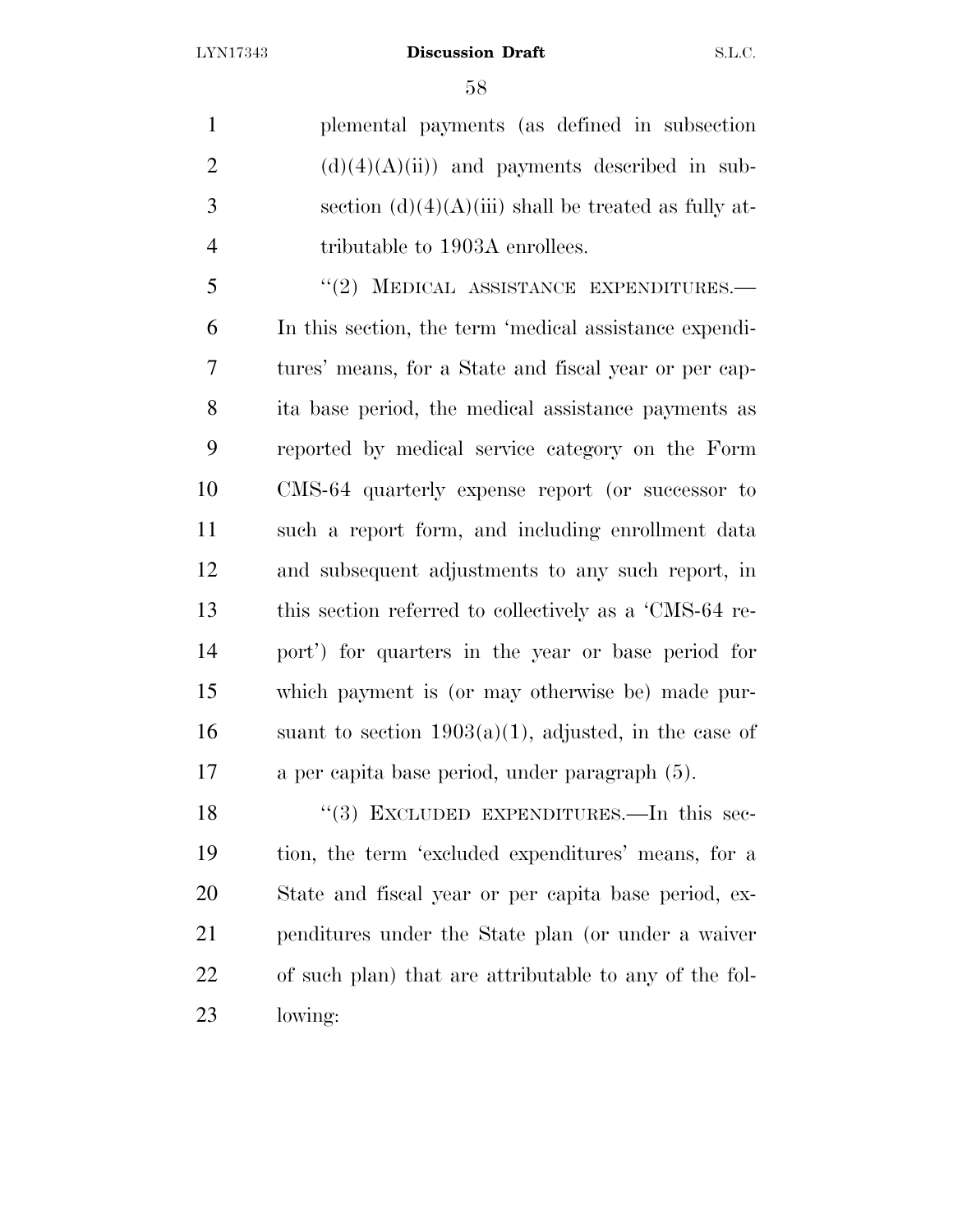plemental payments (as defined in subsection 2  $(d)(4)(A)(ii)$  and payments described in sub-3 section  $(d)(4)(A)(iii)$  shall be treated as fully at-4 tributable to 1903A enrollees.

5 "(2) MEDICAL ASSISTANCE EXPENDITURES.— In this section, the term 'medical assistance expendi- tures' means, for a State and fiscal year or per cap- ita base period, the medical assistance payments as reported by medical service category on the Form CMS-64 quarterly expense report (or successor to such a report form, and including enrollment data and subsequent adjustments to any such report, in this section referred to collectively as a 'CMS-64 re- port') for quarters in the year or base period for which payment is (or may otherwise be) made pur-16 suant to section  $1903(a)(1)$ , adjusted, in the case of a per capita base period, under paragraph (5).

18 "(3) EXCLUDED EXPENDITURES.—In this sec- tion, the term 'excluded expenditures' means, for a State and fiscal year or per capita base period, ex- penditures under the State plan (or under a waiver of such plan) that are attributable to any of the fol-lowing: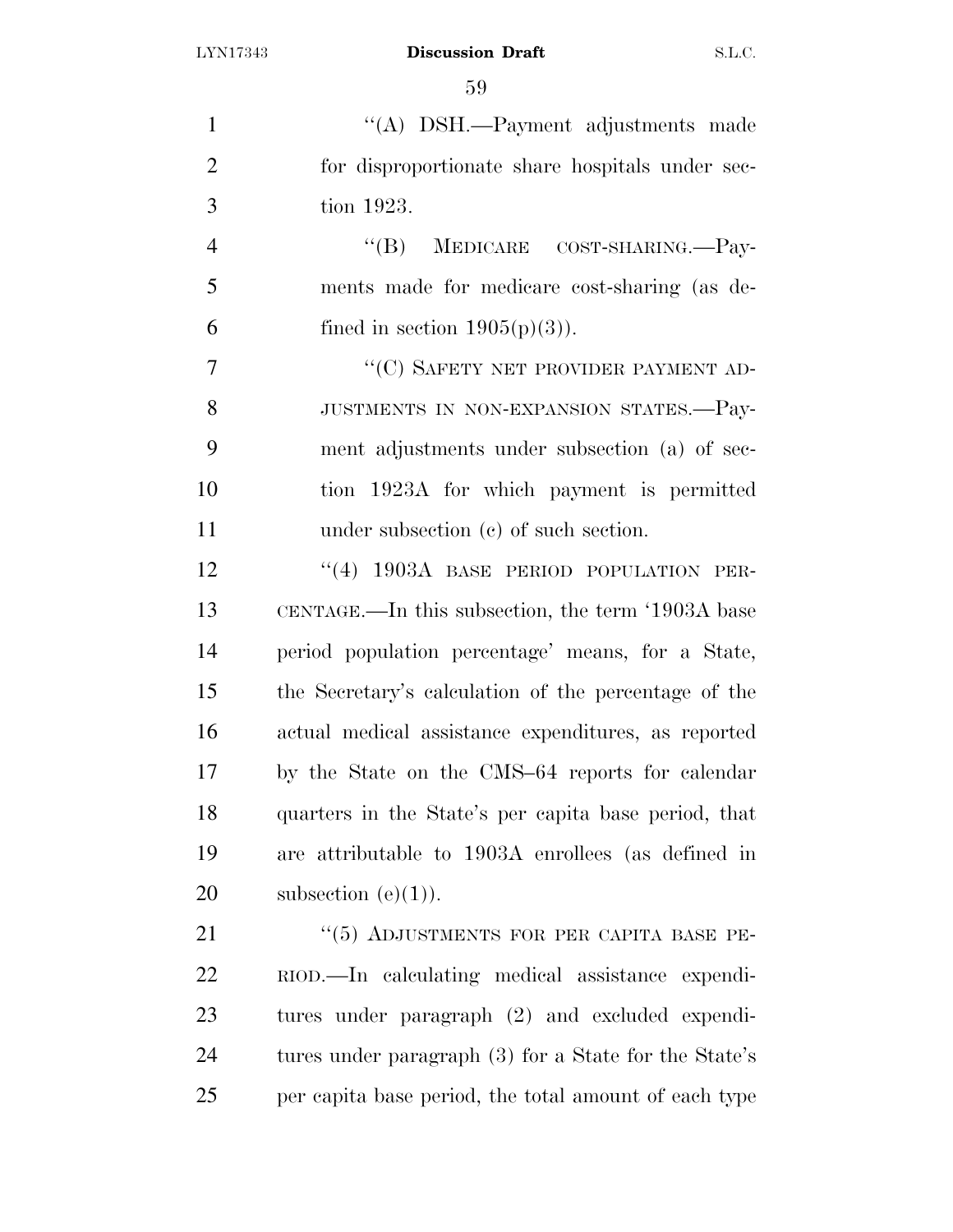| $\mathbf{1}$   | "(A) DSH.—Payment adjustments made                    |
|----------------|-------------------------------------------------------|
| $\overline{2}$ | for disproportionate share hospitals under sec-       |
| 3              | tion 1923.                                            |
| $\overline{4}$ | MEDICARE COST-SHARING.—Pay-<br>$\lq\lq (B)$           |
| 5              | ments made for medicare cost-sharing (as de-          |
| 6              | fined in section $1905(p)(3)$ ).                      |
| $\overline{7}$ | "(C) SAFETY NET PROVIDER PAYMENT AD-                  |
| 8              | JUSTMENTS IN NON-EXPANSION STATES.-Pay-               |
| 9              | ment adjustments under subsection (a) of sec-         |
| 10             | tion 1923A for which payment is permitted             |
| 11             | under subsection $(e)$ of such section.               |
| 12             | "(4) 1903A BASE PERIOD POPULATION PER-                |
| 13             | CENTAGE.—In this subsection, the term '1903A base     |
| 14             | period population percentage' means, for a State,     |
| 15             | the Secretary's calculation of the percentage of the  |
| 16             | actual medical assistance expenditures, as reported   |
| 17             | by the State on the CMS-64 reports for calendar       |
| 18             | quarters in the State's per capita base period, that  |
| 19             | are attributable to 1903A enrollees (as defined in    |
| 20             | subsection $(e)(1)$ .                                 |
| 21             | "(5) ADJUSTMENTS FOR PER CAPITA BASE PE-              |
| 22             | RIOD.—In calculating medical assistance expendi-      |
| 23             | tures under paragraph (2) and excluded expendi-       |
| 24             | tures under paragraph (3) for a State for the State's |
| 25             | per capita base period, the total amount of each type |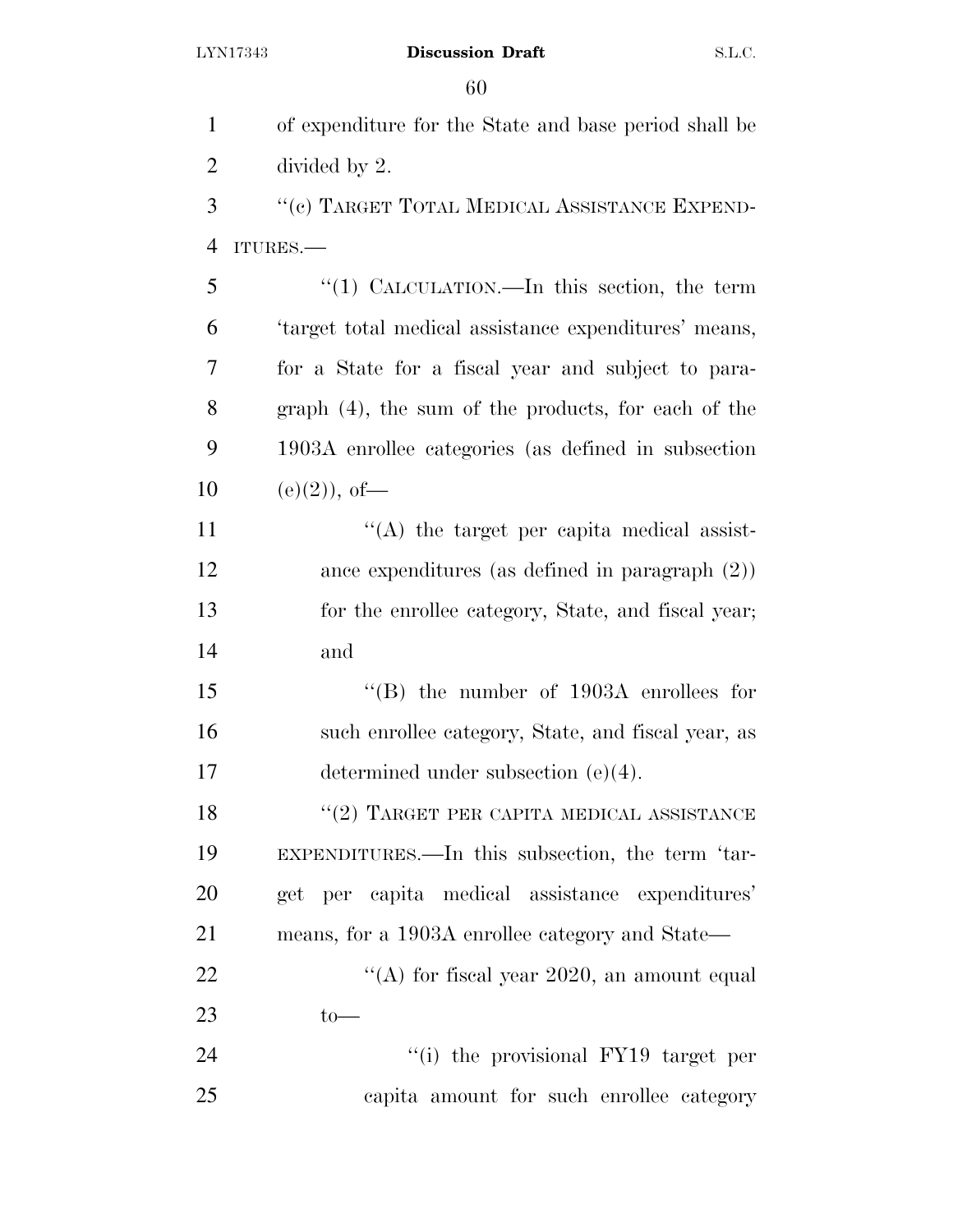| $\mathbf{1}$   | of expenditure for the State and base period shall be      |
|----------------|------------------------------------------------------------|
| $\overline{2}$ | divided by 2.                                              |
| 3              | "(c) TARGET TOTAL MEDICAL ASSISTANCE EXPEND-               |
| $\overline{4}$ | ITURES.-                                                   |
| 5              | "(1) CALCULATION.—In this section, the term                |
| 6              | 'target total medical assistance expenditures' means,      |
| 7              | for a State for a fiscal year and subject to para-         |
| 8              | graph (4), the sum of the products, for each of the        |
| 9              | 1903A enrollee categories (as defined in subsection        |
| 10             | $(e)(2)$ , of-                                             |
| 11             | $\lq\lq$ the target per capita medical assist-             |
| 12             | ance expenditures (as defined in paragraph $(2)$ )         |
| 13             | for the enrollee category, State, and fiscal year;         |
| 14             | and                                                        |
| 15             | $\cdot$ <sup>"</sup> (B) the number of 1903A enrollees for |
| 16             | such enrollee category, State, and fiscal year, as         |
| 17             | determined under subsection $(e)(4)$ .                     |
| 18             | $``(2)$ TARGET PER CAPITA MEDICAL ASSISTANCE               |
| 19             | EXPENDITURES.—In this subsection, the term 'tar-           |
| 20             | get per capita medical assistance expenditures'            |
| 21             | means, for a 1903A enrollee category and State—            |
| 22             | "(A) for fiscal year 2020, an amount equal                 |
| 23             | $to-$                                                      |
| 24             | "(i) the provisional FY19 target per                       |
| 25             | capita amount for such enrollee category                   |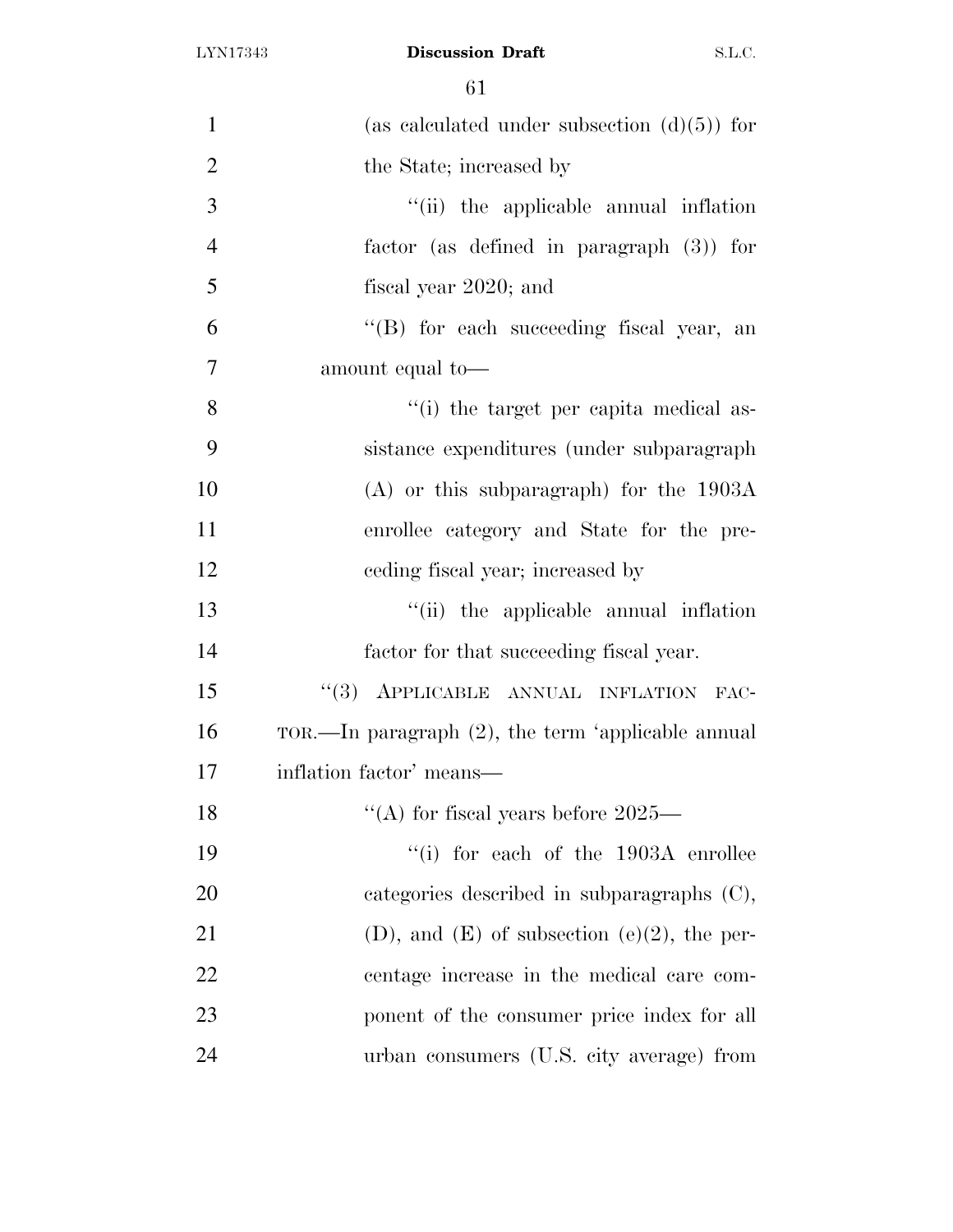| $\mathbf{1}$   | (as calculated under subsection $(d)(5)$ ) for        |
|----------------|-------------------------------------------------------|
| $\overline{2}$ | the State; increased by                               |
| 3              | "(ii) the applicable annual inflation                 |
| $\overline{4}$ | factor (as defined in paragraph $(3)$ ) for           |
| 5              | fiscal year 2020; and                                 |
| 6              | "(B) for each succeeding fiscal year, an              |
| $\overline{7}$ | amount equal to-                                      |
| 8              | "(i) the target per capita medical as-                |
| 9              | sistance expenditures (under subparagraph)            |
| 10             | $(A)$ or this subparagraph) for the 1903A             |
| 11             | enrollee category and State for the pre-              |
| 12             | eeding fiscal year; increased by                      |
| 13             | "(ii) the applicable annual inflation                 |
| 14             | factor for that succeeding fiscal year.               |
| 15             | "(3) APPLICABLE ANNUAL INFLATION FAC-                 |
| 16             | TOR.—In paragraph $(2)$ , the term 'applicable annual |
| 17             | inflation factor' means—                              |
| 18             | "(A) for fiscal years before $2025-$                  |
| 19             | $\lq\lq$ (i) for each of the 1903A enrollee           |
| 20             | categories described in subparagraphs $(C)$ ,         |
| 21             | $(D)$ , and $(E)$ of subsection $(e)(2)$ , the per-   |
| 22             | centage increase in the medical care com-             |
| 23             | ponent of the consumer price index for all            |
| 24             | urban consumers (U.S. city average) from              |
|                |                                                       |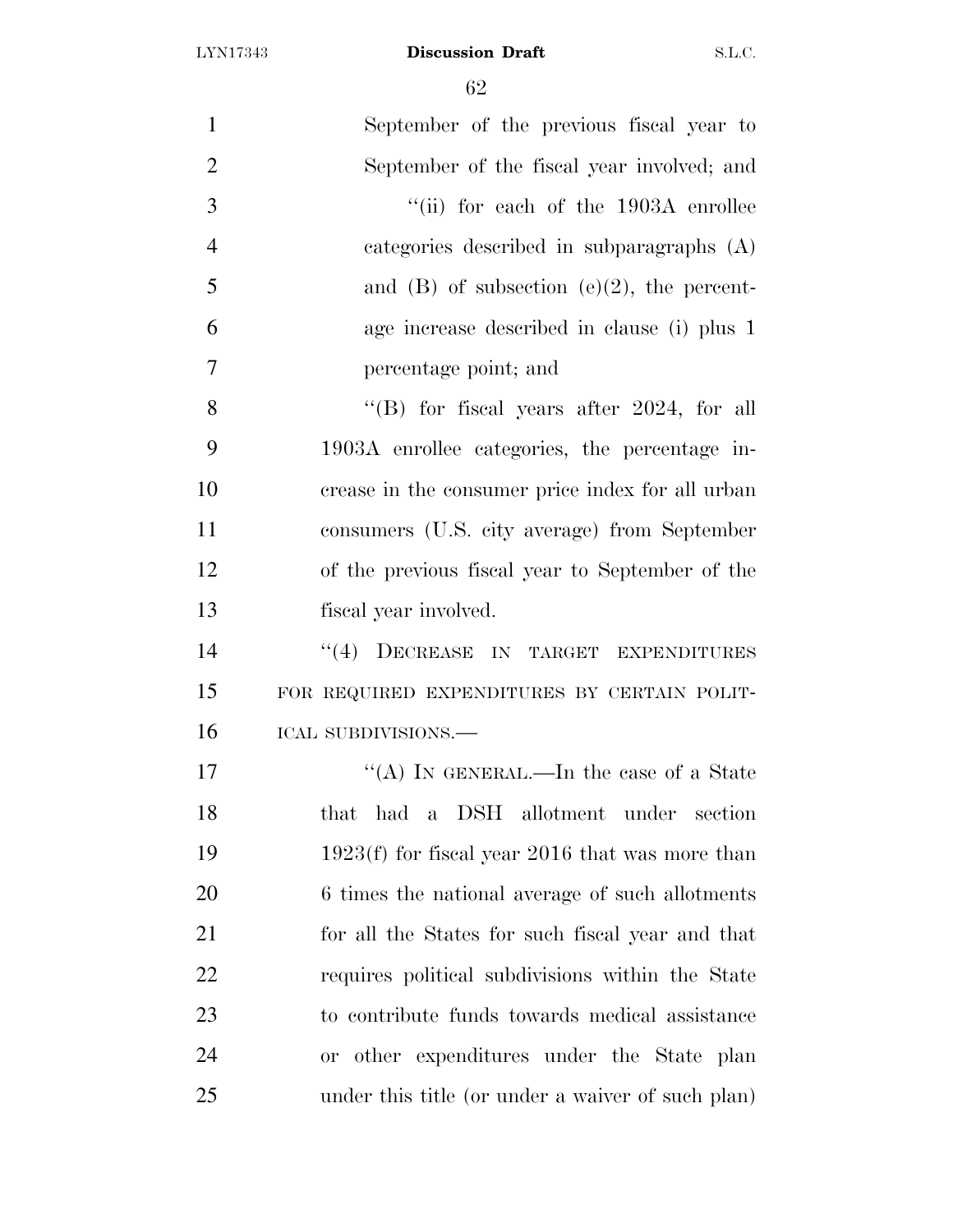| $\mathbf{1}$   | September of the previous fiscal year to          |
|----------------|---------------------------------------------------|
|                |                                                   |
| $\overline{2}$ | September of the fiscal year involved; and        |
| 3              | "(ii) for each of the $1903A$ enrollee            |
| $\overline{4}$ | categories described in subparagraphs (A)         |
| 5              | and $(B)$ of subsection $(e)(2)$ , the percent-   |
| 6              | age increase described in clause (i) plus 1       |
| 7              | percentage point; and                             |
| 8              | "(B) for fiscal years after $2024$ , for all      |
| 9              | 1903A enrollee categories, the percentage in-     |
| 10             | crease in the consumer price index for all urban  |
| 11             | consumers (U.S. city average) from September      |
| 12             | of the previous fiscal year to September of the   |
| 13             | fiscal year involved.                             |
| 14             | "(4) DECREASE IN TARGET EXPENDITURES              |
| 15             | FOR REQUIRED EXPENDITURES BY CERTAIN POLIT-       |
| 16             | ICAL SUBDIVISIONS.-                               |
| 17             | "(A) IN GENERAL.—In the case of a State           |
| 18             | had a DSH allotment under section<br>that         |
| 19             | $1923(f)$ for fiscal year 2016 that was more than |
| 20             | 6 times the national average of such allotments   |
| 21             | for all the States for such fiscal year and that  |
| 22             | requires political subdivisions within the State  |
| 23             | to contribute funds towards medical assistance    |
| 24             | or other expenditures under the State plan        |
| 25             | under this title (or under a waiver of such plan) |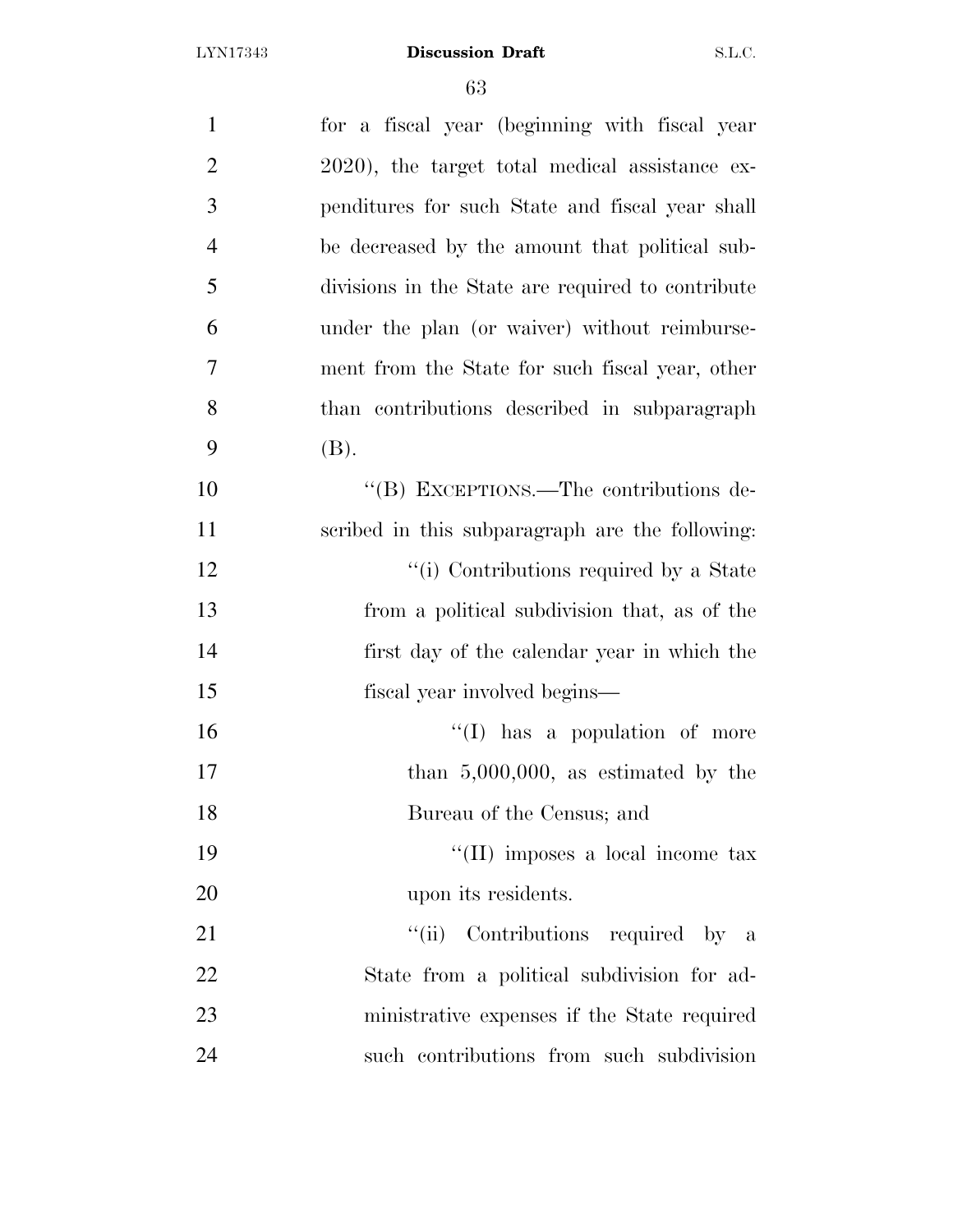| $\mathbf{1}$   | for a fiscal year (beginning with fiscal year     |
|----------------|---------------------------------------------------|
| $\overline{2}$ | 2020), the target total medical assistance ex-    |
| 3              | penditures for such State and fiscal year shall   |
| $\overline{4}$ | be decreased by the amount that political sub-    |
| 5              | divisions in the State are required to contribute |
| 6              | under the plan (or waiver) without reimburse-     |
| 7              | ment from the State for such fiscal year, other   |
| 8              | than contributions described in subparagraph      |
| 9              | (B).                                              |
| 10             | "(B) EXCEPTIONS.—The contributions de-            |
| 11             | scribed in this subparagraph are the following:   |
| 12             | "(i) Contributions required by a State            |
| 13             | from a political subdivision that, as of the      |
| 14             | first day of the calendar year in which the       |
| 15             | fiscal year involved begins—                      |
| 16             | $\lq\lq$ (I) has a population of more             |
| 17             | than $5,000,000$ , as estimated by the            |
| 18             | Bureau of the Census; and                         |
| 19             | "(II) imposes a local income tax                  |
| 20             | upon its residents.                               |
| 21             | Contributions required by a<br>``(ii)             |
| 22             | State from a political subdivision for ad-        |
| 23             | ministrative expenses if the State required       |
| 24             | such contributions from such subdivision          |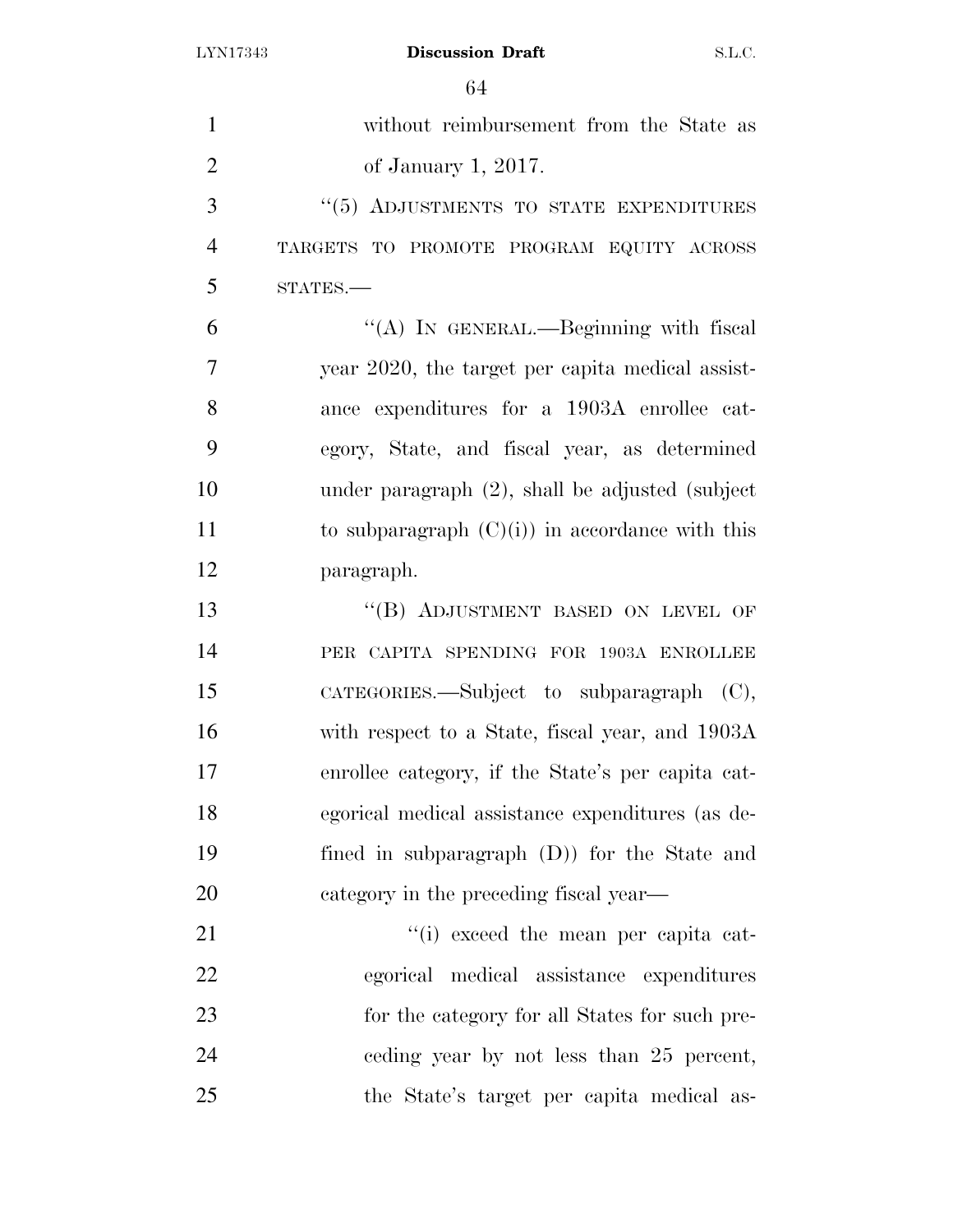| $\mathbf{1}$   | without reimbursement from the State as            |
|----------------|----------------------------------------------------|
| $\overline{2}$ | of January 1, 2017.                                |
| 3              | "(5) ADJUSTMENTS TO STATE EXPENDITURES             |
| $\overline{4}$ | TARGETS TO PROMOTE PROGRAM EQUITY ACROSS           |
| 5              | $STATES$ .                                         |
| 6              | "(A) IN GENERAL.—Beginning with fiscal             |
| 7              | year 2020, the target per capita medical assist-   |
| 8              | ance expenditures for a 1903A enrollee cat-        |
| 9              | egory, State, and fiscal year, as determined       |
| 10             | under paragraph $(2)$ , shall be adjusted (subject |
| 11             | to subparagraph $(C)(i)$ in accordance with this   |
| 12             | paragraph.                                         |
| 13             | "(B) ADJUSTMENT BASED ON LEVEL OF                  |
| 14             | PER CAPITA SPENDING FOR 1903A ENROLLEE             |
| 15             | CATEGORIES.—Subject to subparagraph (C),           |
| 16             | with respect to a State, fiscal year, and 1903A    |
| 17             | enrollee category, if the State's per capita cat-  |
| 18             | egorical medical assistance expenditures (as de-   |
| 19             | fined in subparagraph $(D)$ for the State and      |
| 20             | category in the preceding fiscal year—             |
| 21             | "(i) exceed the mean per capita cat-               |
| 22             | egorical medical assistance expenditures           |
| 23             | for the category for all States for such pre-      |
| 24             | ceding year by not less than 25 percent,           |
| 25             | the State's target per capita medical as-          |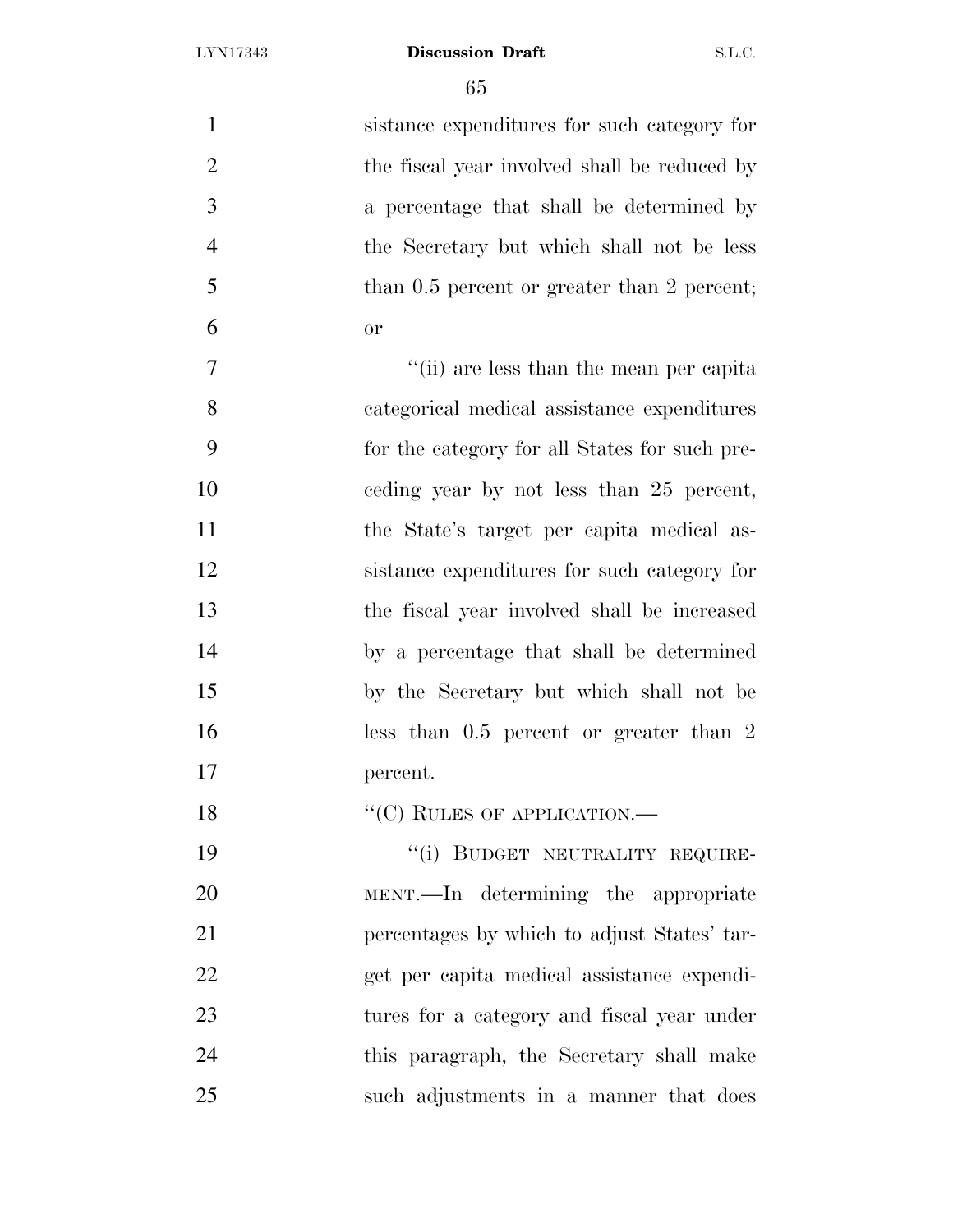| $\mathbf{1}$   | sistance expenditures for such category for   |
|----------------|-----------------------------------------------|
| $\overline{2}$ | the fiscal year involved shall be reduced by  |
| 3              | a percentage that shall be determined by      |
| $\overline{4}$ | the Secretary but which shall not be less     |
| 5              | than 0.5 percent or greater than 2 percent;   |
| 6              | <b>or</b>                                     |
| 7              | "(ii) are less than the mean per capita       |
| 8              | categorical medical assistance expenditures   |
| 9              | for the category for all States for such pre- |
| 10             | eeding year by not less than 25 percent,      |
| 11             | the State's target per capita medical as-     |
| 12             | sistance expenditures for such category for   |
| 13             | the fiscal year involved shall be increased   |
| 14             | by a percentage that shall be determined      |
| 15             | by the Secretary but which shall not be       |
| 16             | less than $0.5$ percent or greater than 2     |
| 17             | percent.                                      |
| 18             | $``(C)$ RULES OF APPLICATION.—                |
| 19             | "(i) BUDGET NEUTRALITY REQUIRE-               |
| 20             | MENT.—In determining the appropriate          |
| 21             | percentages by which to adjust States' tar-   |
| 22             | get per capita medical assistance expendi-    |
| 23             | tures for a category and fiscal year under    |
| 24             | this paragraph, the Secretary shall make      |
| 25             | such adjustments in a manner that does        |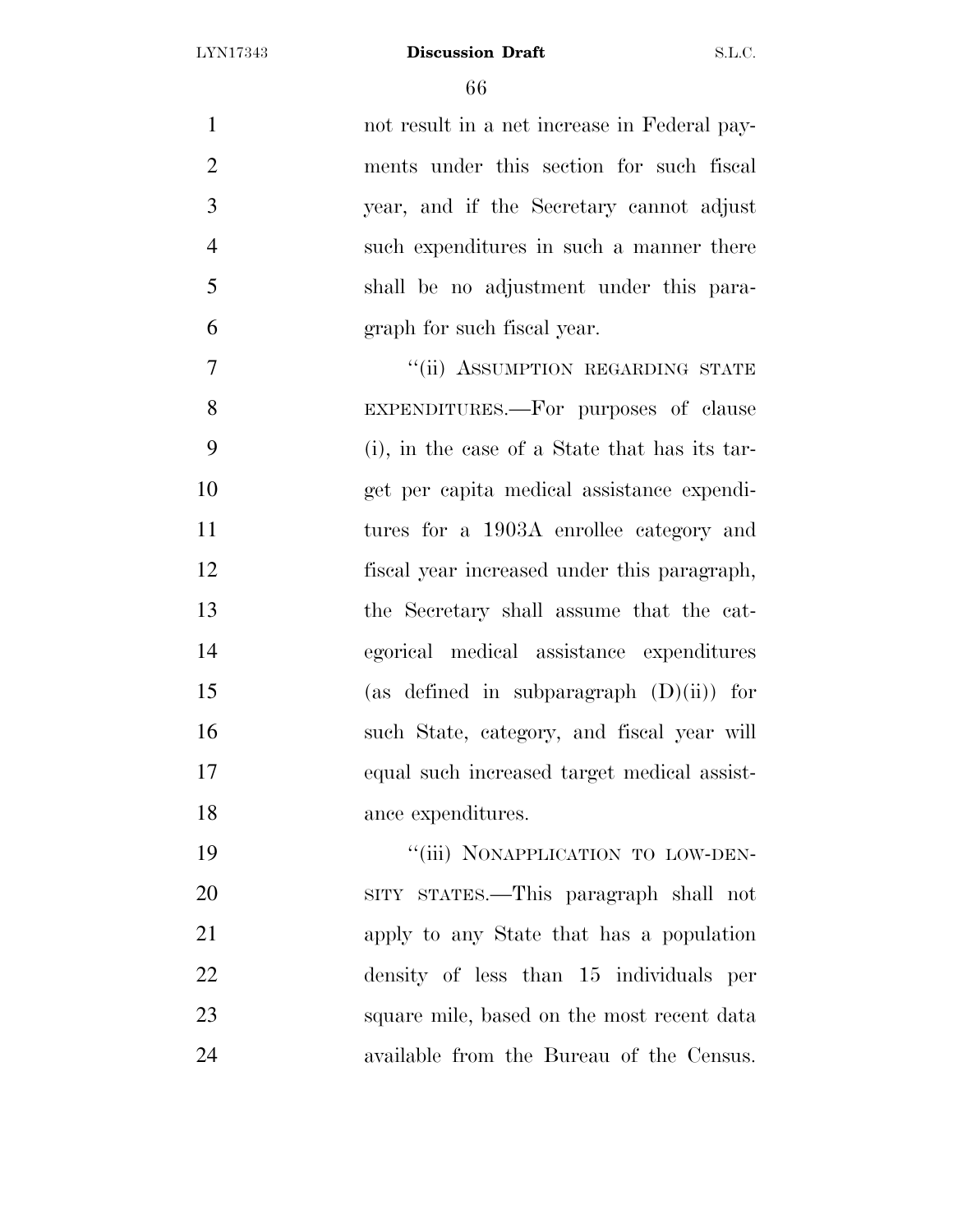not result in a net increase in Federal pay- ments under this section for such fiscal year, and if the Secretary cannot adjust such expenditures in such a manner there shall be no adjustment under this para- graph for such fiscal year. 7 "(ii) ASSUMPTION REGARDING STATE

 EXPENDITURES.—For purposes of clause (i), in the case of a State that has its tar- get per capita medical assistance expendi- tures for a 1903A enrollee category and fiscal year increased under this paragraph, the Secretary shall assume that the cat- egorical medical assistance expenditures (as defined in subparagraph (D)(ii)) for such State, category, and fiscal year will equal such increased target medical assist-ance expenditures.

19 "'(iii) NONAPPLICATION TO LOW-DEN- SITY STATES.—This paragraph shall not apply to any State that has a population density of less than 15 individuals per square mile, based on the most recent data available from the Bureau of the Census.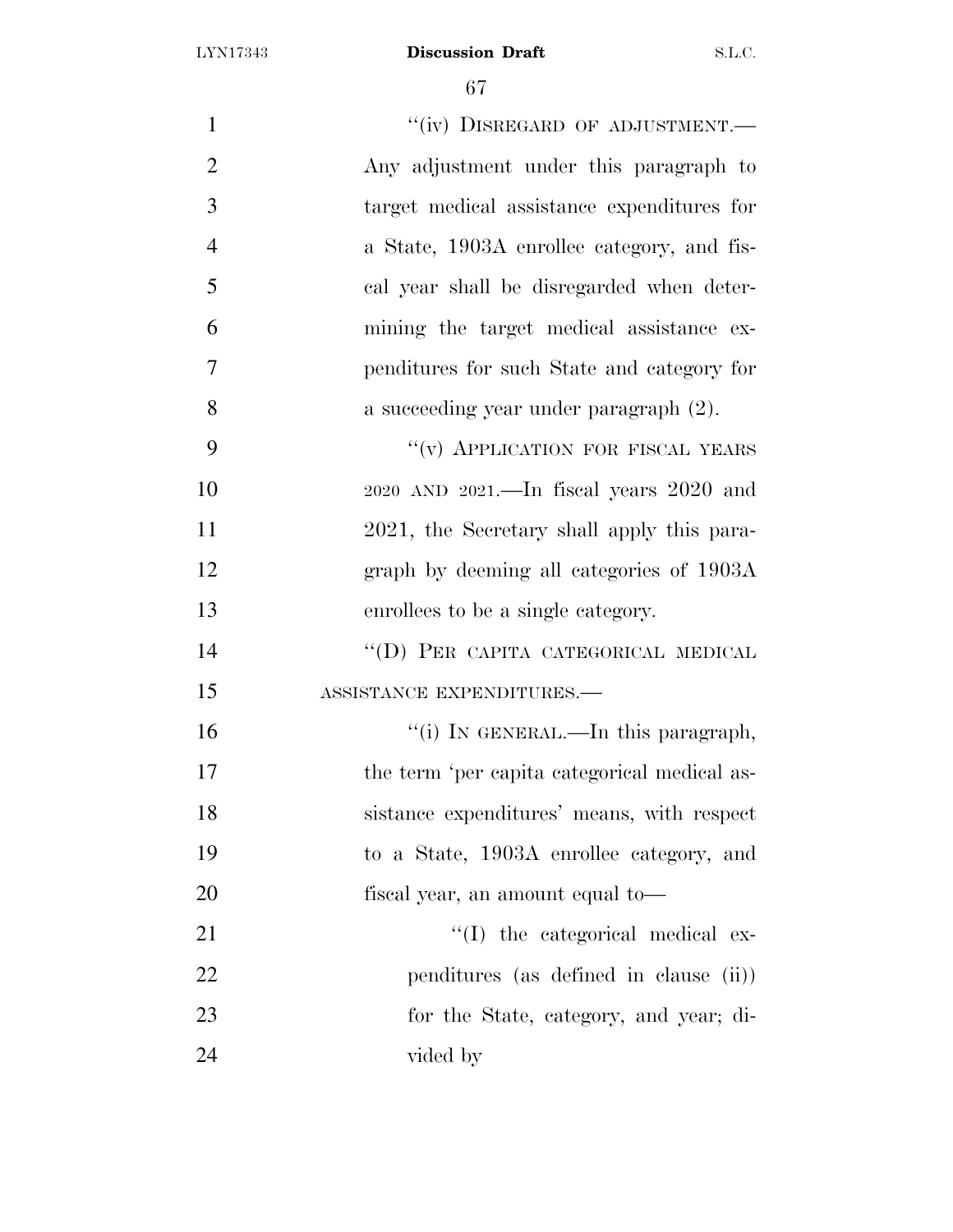| $\mathbf{1}$   | "(iv) DISREGARD OF ADJUSTMENT.—                |
|----------------|------------------------------------------------|
| $\overline{2}$ | Any adjustment under this paragraph to         |
| 3              | target medical assistance expenditures for     |
| $\overline{4}$ | a State, 1903A enrollee category, and fis-     |
| 5              | cal year shall be disregarded when deter-      |
| 6              | mining the target medical assistance ex-       |
| 7              | penditures for such State and category for     |
| 8              | a succeeding year under paragraph (2).         |
| 9              | "(v) APPLICATION FOR FISCAL YEARS              |
| 10             | $2020$ AND $2021$ .—In fiscal years $2020$ and |
| 11             | 2021, the Secretary shall apply this para-     |
| 12             | graph by deeming all categories of 1903A       |
| 13             | enrollees to be a single category.             |
| 14             | "(D) PER CAPITA CATEGORICAL MEDICAL            |
| 15             | ASSISTANCE EXPENDITURES.-                      |
| 16             | "(i) IN GENERAL.—In this paragraph,            |
| 17             | the term 'per capita categorical medical as-   |
| 18             | sistance expenditures' means, with respect     |
| 19             | to a State, 1903A enrollee category, and       |
| 20             | fiscal year, an amount equal to—               |
| 21             | "(I) the categorical medical ex-               |
| 22             | penditures (as defined in clause (ii))         |
| 23             | for the State, category, and year; di-         |
| 24             | vided by                                       |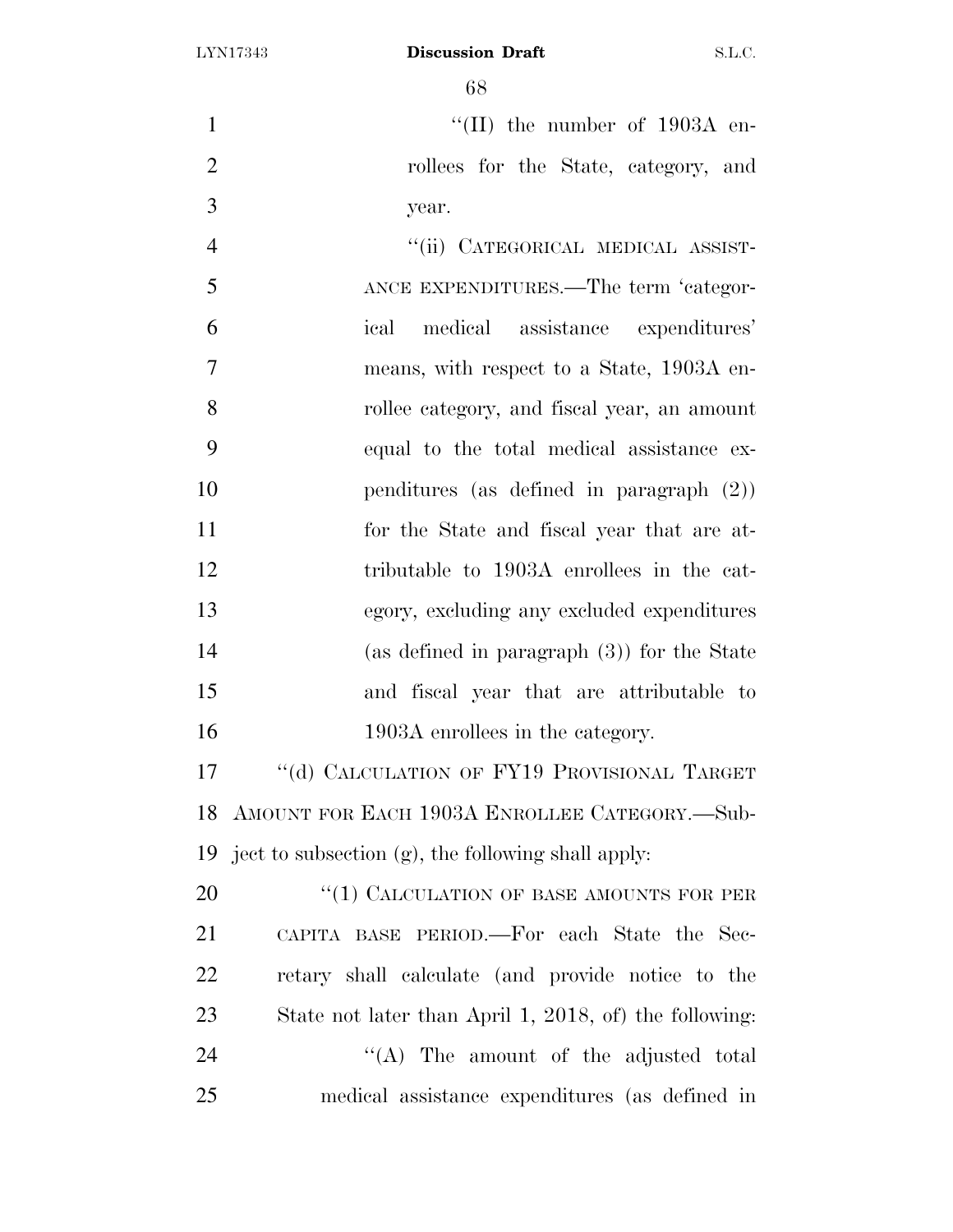1  $\text{``(II)}$  the number of 1903A en- rollees for the State, category, and year.

4 "(ii) CATEGORICAL MEDICAL ASSIST- ANCE EXPENDITURES.—The term 'categor- ical medical assistance expenditures' means, with respect to a State, 1903A en- rollee category, and fiscal year, an amount equal to the total medical assistance ex- penditures (as defined in paragraph (2)) for the State and fiscal year that are at- tributable to 1903A enrollees in the cat- egory, excluding any excluded expenditures (as defined in paragraph (3)) for the State and fiscal year that are attributable to 16 1903A enrollees in the category.

17 "(d) CALCULATION OF FY19 PROVISIONAL TARGET AMOUNT FOR EACH 1903A ENROLLEE CATEGORY.—Sub-ject to subsection (g), the following shall apply:

20 "(1) CALCULATION OF BASE AMOUNTS FOR PER CAPITA BASE PERIOD.—For each State the Sec- retary shall calculate (and provide notice to the State not later than April 1, 2018, of) the following: 24 "'(A) The amount of the adjusted total medical assistance expenditures (as defined in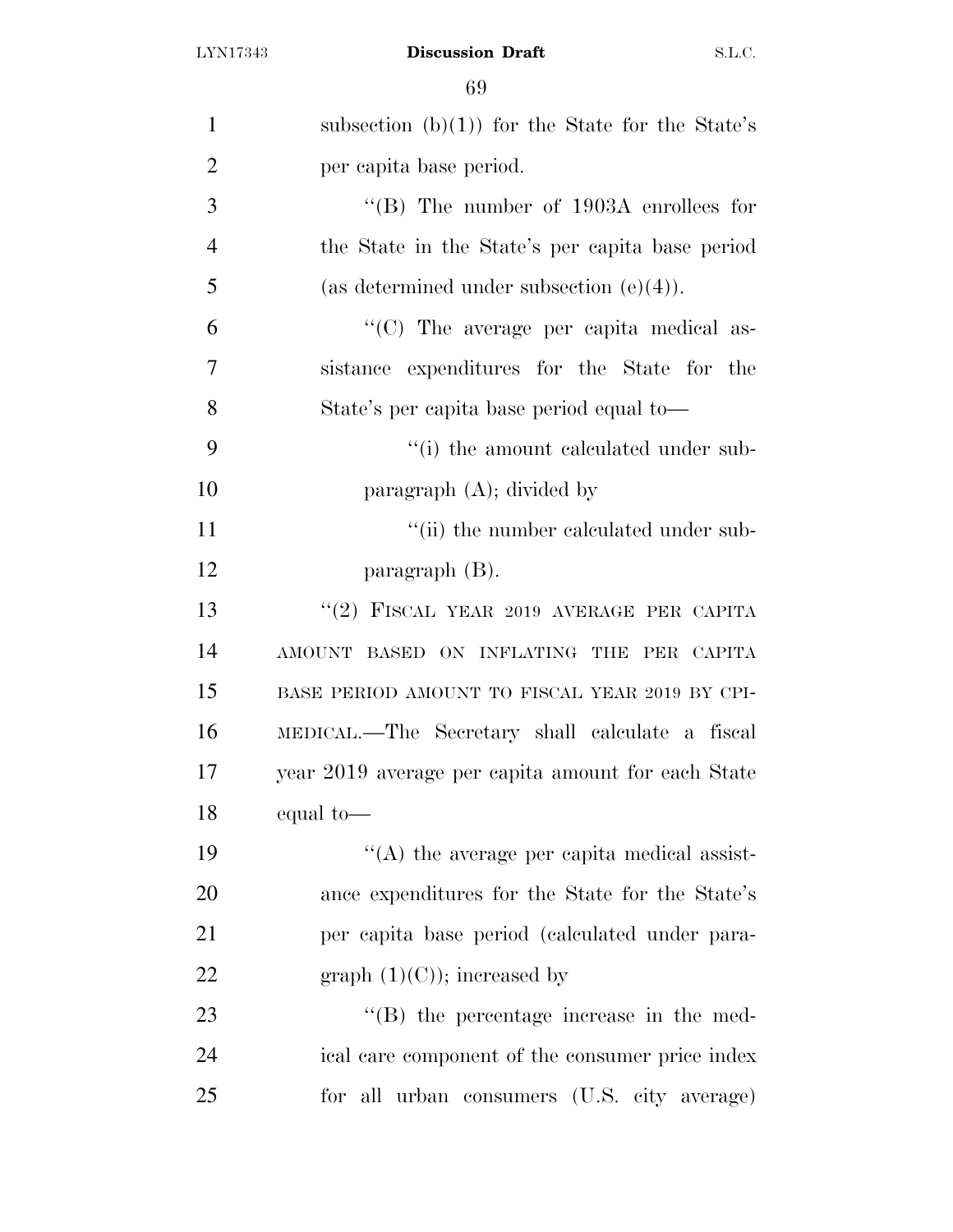| $\mathbf{1}$   | subsection (b)(1)) for the State for the State's   |
|----------------|----------------------------------------------------|
| $\overline{2}$ | per capita base period.                            |
| 3              | "(B) The number of $1903A$ enrollees for           |
| $\overline{4}$ | the State in the State's per capita base period    |
| 5              | (as determined under subsection $(e)(4)$ ).        |
| 6              | "(C) The average per capita medical as-            |
| $\overline{7}$ | sistance expenditures for the State for the        |
| 8              | State's per capita base period equal to—           |
| 9              | "(i) the amount calculated under sub-              |
| 10             | paragraph $(A)$ ; divided by                       |
| 11             | "(ii) the number calculated under sub-             |
| 12             | paragraph $(B)$ .                                  |
| 13             | "(2) FISCAL YEAR 2019 AVERAGE PER CAPITA           |
| 14             | AMOUNT BASED ON INFLATING THE PER CAPITA           |
| 15             | BASE PERIOD AMOUNT TO FISCAL YEAR 2019 BY CPI-     |
| 16             | MEDICAL.—The Secretary shall calculate a fiscal    |
| 17             | year 2019 average per capita amount for each State |
| 18             | equal to-                                          |
| 19             | $\lq\lq$ the average per capita medical assist-    |
| 20             | ance expenditures for the State for the State's    |
| 21             | per capita base period (calculated under para-     |
| 22             | graph $(1)(C)$ ; increased by                      |
| 23             | $\lq\lq (B)$ the percentage increase in the med-   |
| 24             | ical care component of the consumer price index    |
| 25             | for all urban consumers (U.S. city average)        |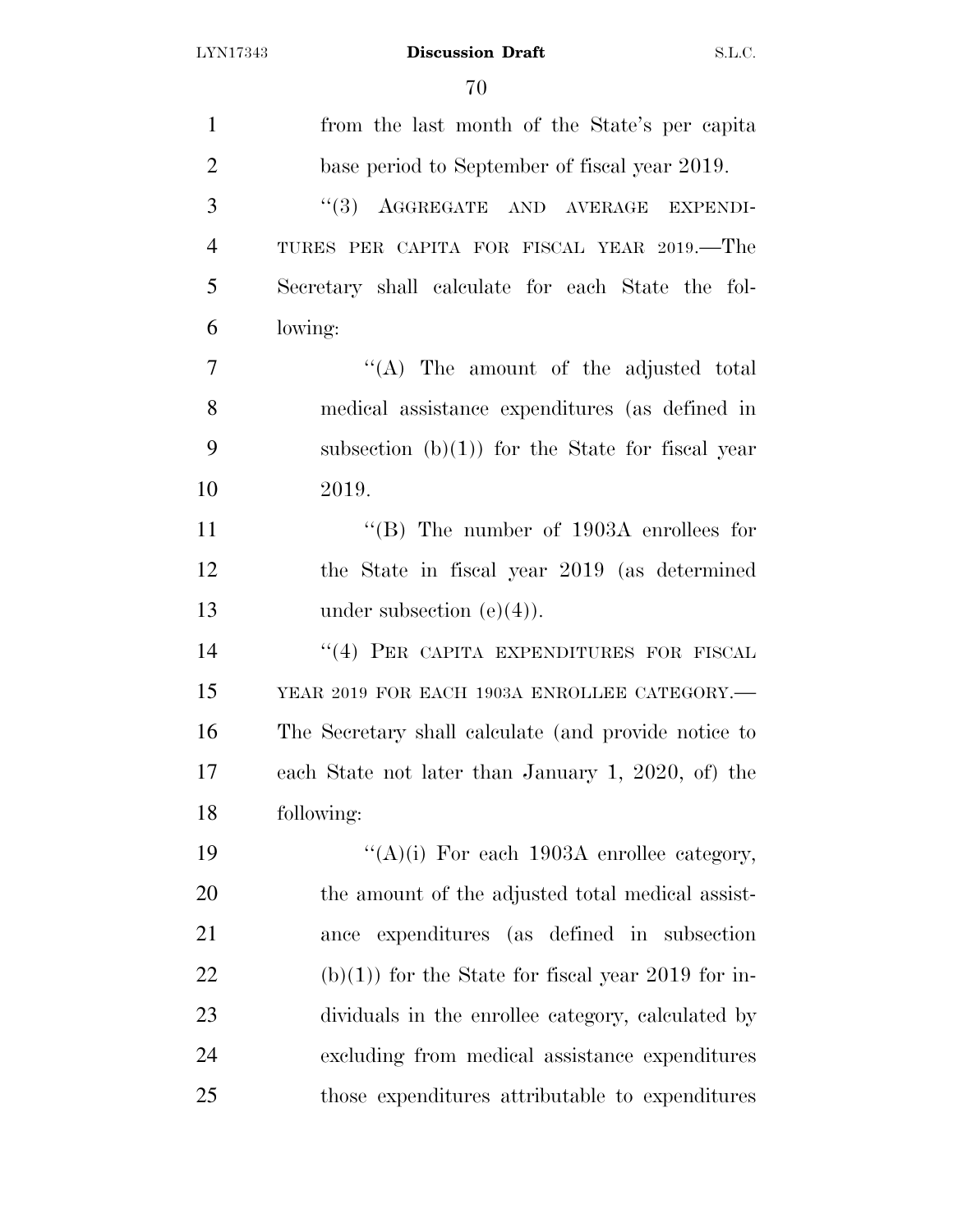| $\mathbf{1}$   | from the last month of the State's per capita        |
|----------------|------------------------------------------------------|
| $\overline{2}$ | base period to September of fiscal year 2019.        |
| 3              | (3)<br>AGGREGATE AND AVERAGE EXPENDI-                |
| $\overline{4}$ | TURES PER CAPITA FOR FISCAL YEAR 2019.—The           |
| 5              | Secretary shall calculate for each State the fol-    |
| 6              | lowing:                                              |
| 7              | "(A) The amount of the adjusted total                |
| 8              | medical assistance expenditures (as defined in       |
| 9              | subsection $(b)(1)$ for the State for fiscal year    |
| 10             | 2019.                                                |
| 11             | "(B) The number of $1903A$ enrollees for             |
| 12             | the State in fiscal year 2019 (as determined         |
| 13             | under subsection $(e)(4)$ ).                         |
| 14             | "(4) PER CAPITA EXPENDITURES FOR FISCAL              |
| 15             | YEAR 2019 FOR EACH 1903A ENROLLEE CATEGORY.-         |
| 16             | The Secretary shall calculate (and provide notice to |
| 17             | each State not later than January 1, 2020, of) the   |
| 18             | following:                                           |
| 19             | "(A)(i) For each 1903A enrollee category,            |
| 20             | the amount of the adjusted total medical assist-     |
| 21             | expenditures (as defined in subsection<br>ance       |
| 22             | $(b)(1)$ for the State for fiscal year 2019 for in-  |
| 23             | dividuals in the enrollee category, calculated by    |
| 24             | excluding from medical assistance expenditures       |
| 25             | those expenditures attributable to expenditures      |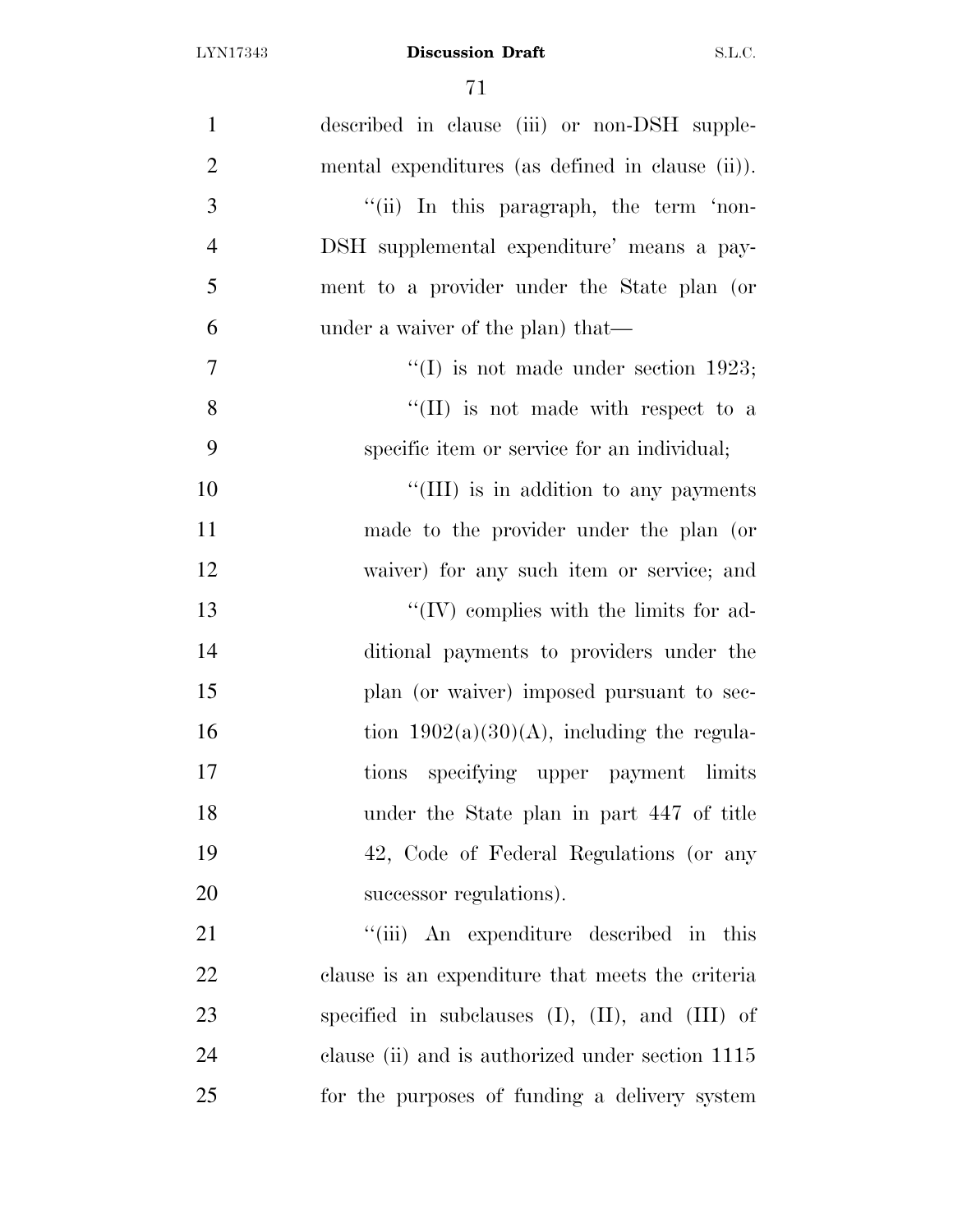| $\mathbf{1}$   | described in clause (iii) or non-DSH supple-            |
|----------------|---------------------------------------------------------|
| $\overline{2}$ | mental expenditures (as defined in clause (ii)).        |
| 3              | "(ii) In this paragraph, the term 'non-                 |
| $\overline{4}$ | DSH supplemental expenditure' means a pay-              |
| 5              | ment to a provider under the State plan (or             |
| 6              | under a waiver of the plan) that—                       |
| $\overline{7}$ | "(I) is not made under section 1923;                    |
| 8              | $\lq\lq$ (II) is not made with respect to a             |
| 9              | specific item or service for an individual;             |
| 10             | "(III) is in addition to any payments                   |
| 11             | made to the provider under the plan (or                 |
| 12             | waiver) for any such item or service; and               |
| 13             | $\lq\lq$ (IV) complies with the limits for ad-          |
| 14             | ditional payments to providers under the                |
| 15             | plan (or waiver) imposed pursuant to sec-               |
| 16             | tion $1902(a)(30)(A)$ , including the regula-           |
| 17             | tions specifying upper payment limits                   |
| 18             | under the State plan in part 447 of title               |
| 19             | 42, Code of Federal Regulations (or any                 |
| 20             | successor regulations).                                 |
| 21             | "(iii) An expenditure described in this                 |
| 22             | clause is an expenditure that meets the criteria        |
| 23             | specified in subclauses $(I)$ , $(II)$ , and $(III)$ of |
| 24             | clause (ii) and is authorized under section 1115        |
| 25             | for the purposes of funding a delivery system           |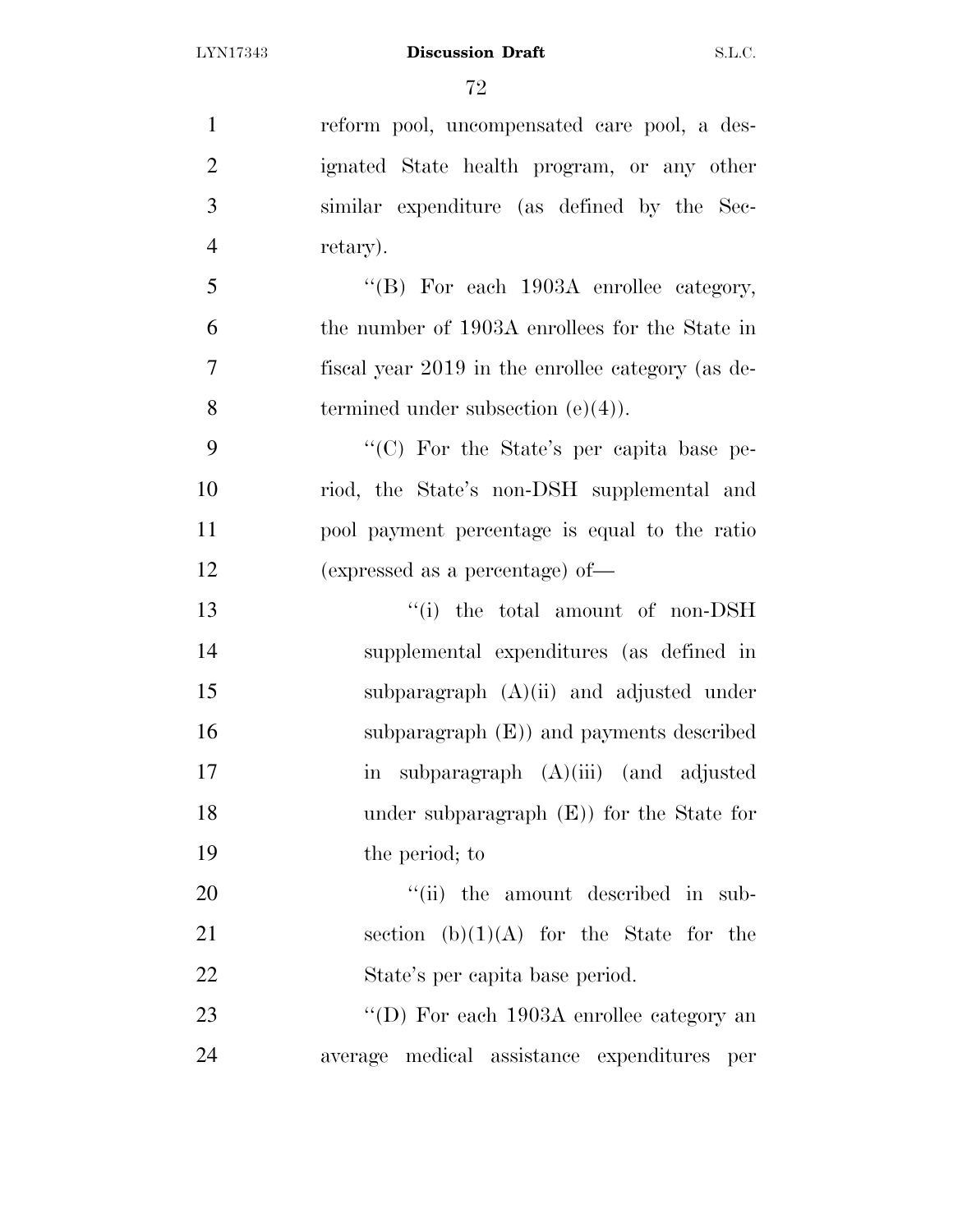| $\mathbf{1}$   | reform pool, uncompensated care pool, a des-                    |
|----------------|-----------------------------------------------------------------|
| $\overline{2}$ | ignated State health program, or any other                      |
| 3              | similar expenditure (as defined by the Sec-                     |
| $\overline{4}$ | retary).                                                        |
| 5              | "(B) For each 1903A enrollee category,                          |
| 6              | the number of 1903A enrollees for the State in                  |
| $\tau$         | fiscal year 2019 in the enrollee category (as de-               |
| 8              | termined under subsection $(e)(4)$ ).                           |
| 9              | "(C) For the State's per capita base pe-                        |
| 10             | riod, the State's non-DSH supplemental and                      |
| 11             | pool payment percentage is equal to the ratio                   |
| 12             | (expressed as a percentage) of-                                 |
| 13             | "(i) the total amount of non-DSH                                |
| 14             | supplemental expenditures (as defined in                        |
| 15             | subparagraph $(A)(ii)$ and adjusted under                       |
| 16             | subparagraph $(E)$ and payments described                       |
| 17             | subparagraph $(A)(iii)$ (and adjusted<br>$\overline{\text{in}}$ |
| 18             | under subparagraph $(E)$ for the State for                      |
| 19             | the period; to                                                  |
| 20             | "(ii) the amount described in sub-                              |
| 21             | section $(b)(1)(A)$ for the State for the                       |
| 22             | State's per capita base period.                                 |
| 23             | "(D) For each 1903A enrollee category an                        |
| 24             | average medical assistance expenditures per                     |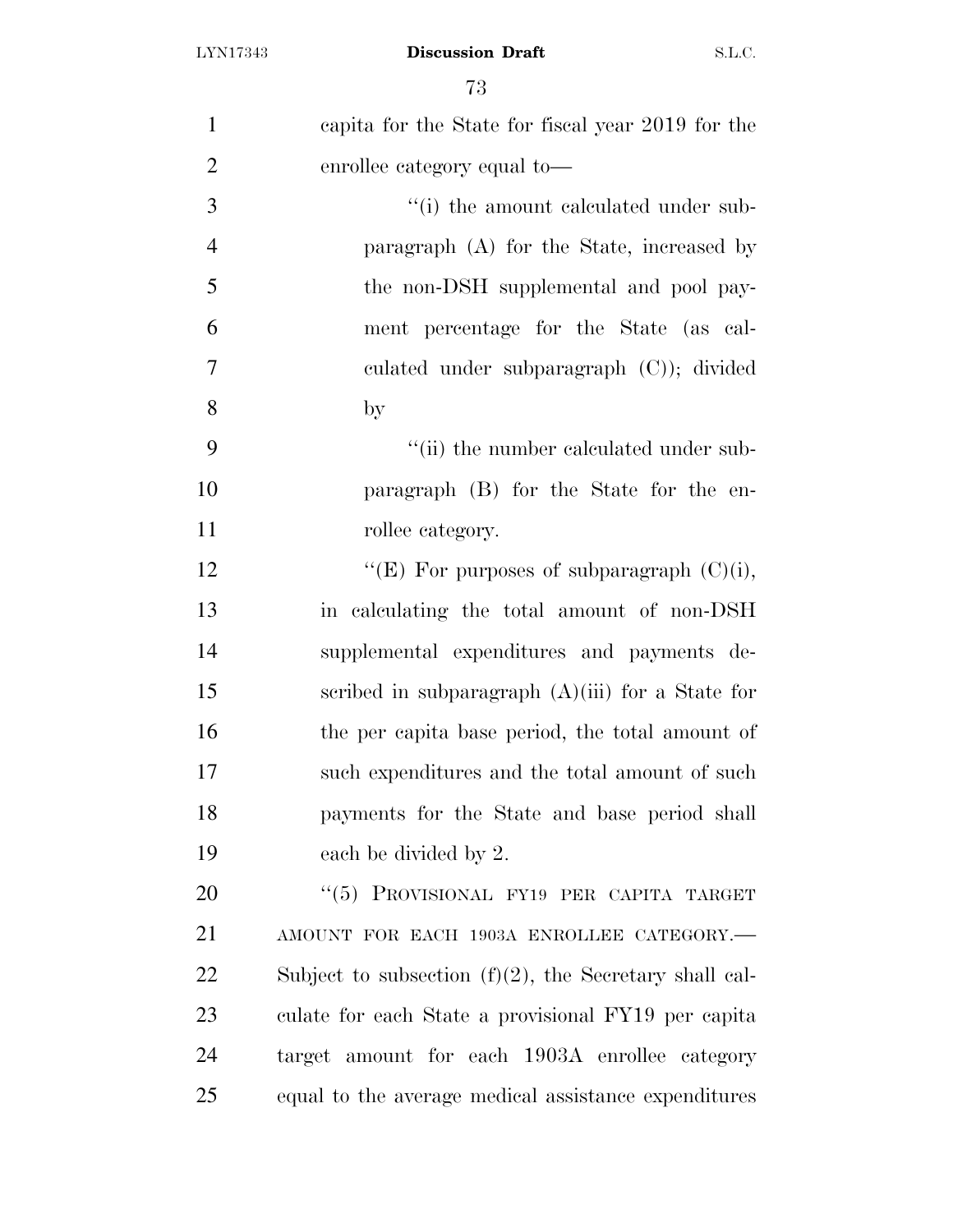| $\mathbf{1}$   | capita for the State for fiscal year 2019 for the         |
|----------------|-----------------------------------------------------------|
| $\overline{2}$ | enrollee category equal to—                               |
| 3              | "(i) the amount calculated under sub-                     |
| $\overline{4}$ | paragraph $(A)$ for the State, increased by               |
| 5              | the non-DSH supplemental and pool pay-                    |
| 6              | ment percentage for the State (as cal-                    |
| 7              | culated under subparagraph $(C)$ ; divided                |
| 8              | $_{\rm by}$                                               |
| 9              | "(ii) the number calculated under sub-                    |
| 10             | paragraph (B) for the State for the en-                   |
| 11             | rollee category.                                          |
| 12             | "(E) For purposes of subparagraph $(C)(i)$ ,              |
| 13             | in calculating the total amount of non-DSH                |
| 14             | supplemental expenditures and payments de-                |
| 15             | scribed in subparagraph $(A)(iii)$ for a State for        |
| 16             | the per capita base period, the total amount of           |
| 17             | such expenditures and the total amount of such            |
| 18             | payments for the State and base period shall              |
| 19             | each be divided by 2.                                     |
| 20             | "(5) PROVISIONAL FY19 PER CAPITA TARGET                   |
| 21             | AMOUNT FOR EACH 1903A ENROLLEE CATEGORY.-                 |
| 22             | Subject to subsection $(f)(2)$ , the Secretary shall cal- |
| 23             | culate for each State a provisional FY19 per capita       |
| 24             | target amount for each 1903A enrollee category            |
| 25             | equal to the average medical assistance expenditures      |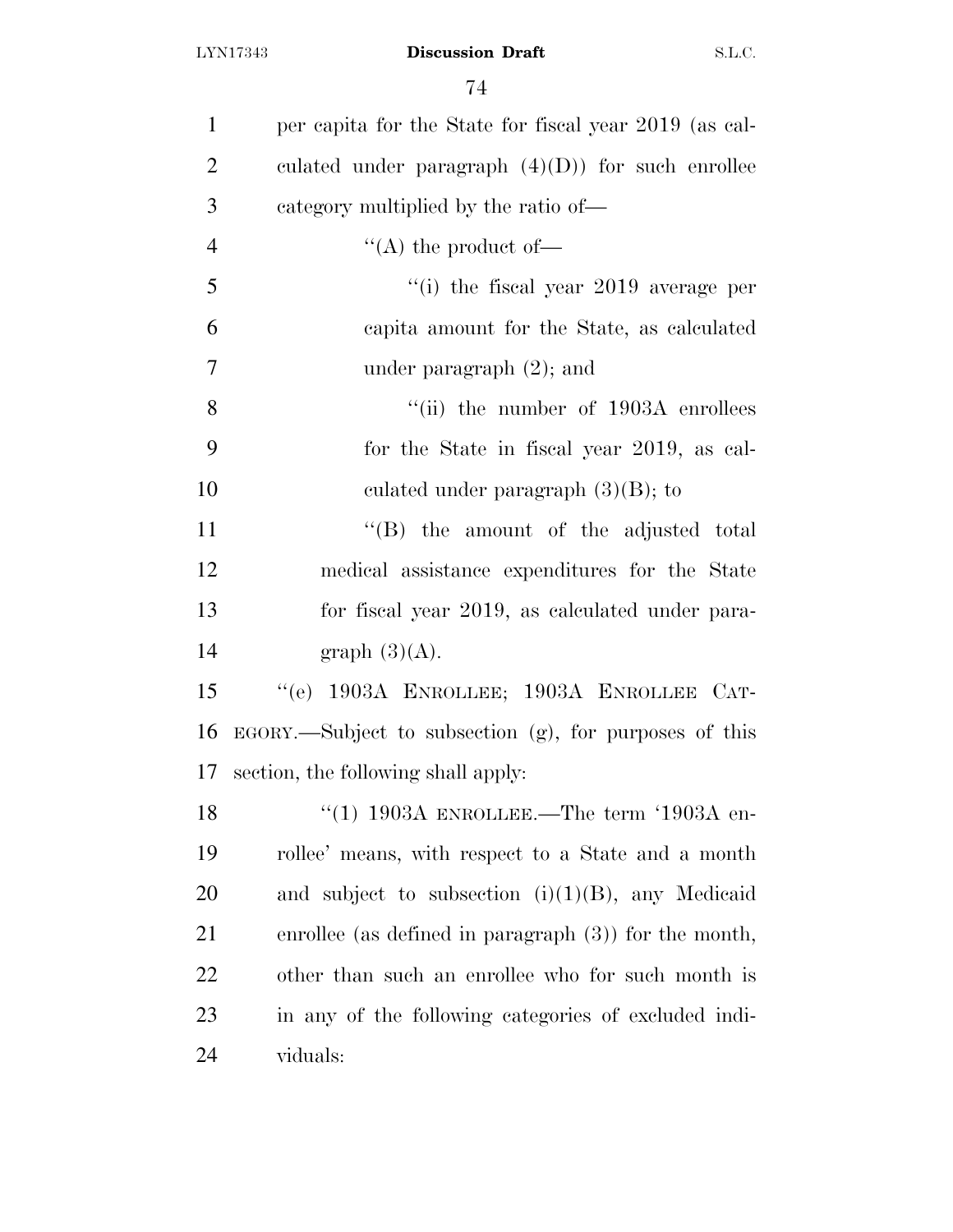| $\mathbf{1}$   | per capita for the State for fiscal year 2019 (as cal-    |
|----------------|-----------------------------------------------------------|
| $\overline{2}$ | culated under paragraph $(4)(D)$ for such enrollee        |
| 3              | category multiplied by the ratio of—                      |
| $\overline{4}$ | "(A) the product of-                                      |
| 5              | "(i) the fiscal year $2019$ average per                   |
| 6              | capita amount for the State, as calculated                |
| $\overline{7}$ | under paragraph $(2)$ ; and                               |
| 8              | "(ii) the number of $1903A$ enrollees                     |
| 9              | for the State in fiscal year 2019, as cal-                |
| 10             | culated under paragraph $(3)(B)$ ; to                     |
| 11             | "(B) the amount of the adjusted total                     |
| 12             | medical assistance expenditures for the State             |
| 13             | for fiscal year 2019, as calculated under para-           |
| 14             | graph $(3)(A)$ .                                          |
| 15             | "(e) 1903A ENROLLEE; 1903A ENROLLEE CAT-                  |
| 16             | $EGORY$ . Subject to subsection (g), for purposes of this |
| 17             | section, the following shall apply:                       |
| 18             | "(1) 1903A ENROLLEE.—The term '1903A en-                  |
| 19             | rollee' means, with respect to a State and a month        |
| 20             | and subject to subsection $(i)(1)(B)$ , any Medicaid      |
| 21             | enrollee (as defined in paragraph $(3)$ ) for the month,  |
| 22             | other than such an enrollee who for such month is         |
| 23             | in any of the following categories of excluded indi-      |
| 24             | viduals:                                                  |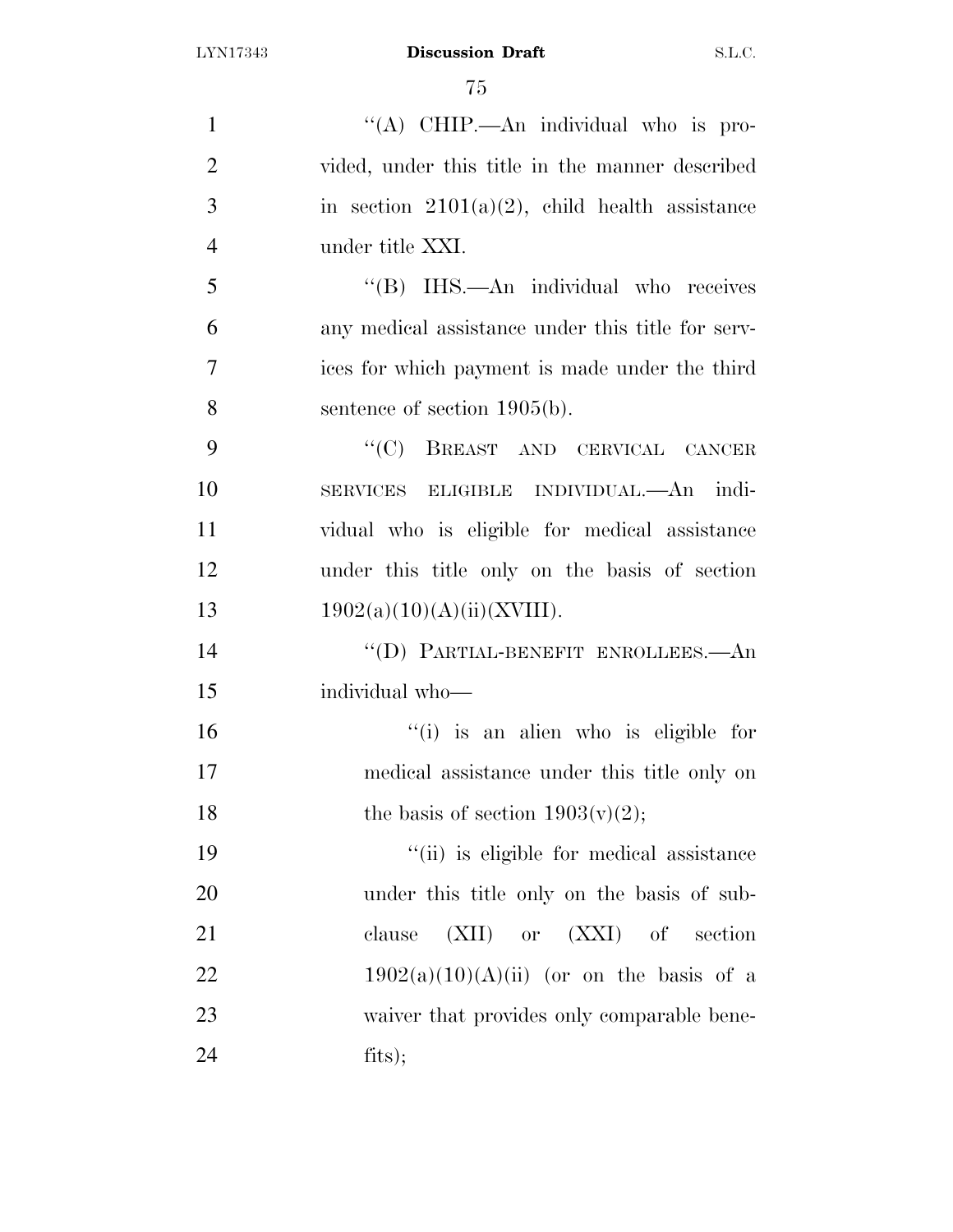$\frac{1}{(A)}$  CHIP.—An individual who is pro- vided, under this title in the manner described 3 in section  $2101(a)(2)$ , child health assistance under title XXI. ''(B) IHS.—An individual who receives any medical assistance under this title for serv- ices for which payment is made under the third sentence of section 1905(b). ''(C) BREAST AND CERVICAL CANCER SERVICES ELIGIBLE INDIVIDUAL.—An indi- vidual who is eligible for medical assistance under this title only on the basis of section  $1902(a)(10)(A)(ii)(XVIII)$ . ''(D) PARTIAL-BENEFIT ENROLLEES.—An individual who— ''(i) is an alien who is eligible for medical assistance under this title only on 18 the basis of section  $1903(v)(2)$ ; 19 ''(ii) is eligible for medical assistance under this title only on the basis of sub-21 clause (XII) or (XXI) of section  $1902(a)(10)(A)(ii)$  (or on the basis of a 23 waiver that provides only comparable bene-fits);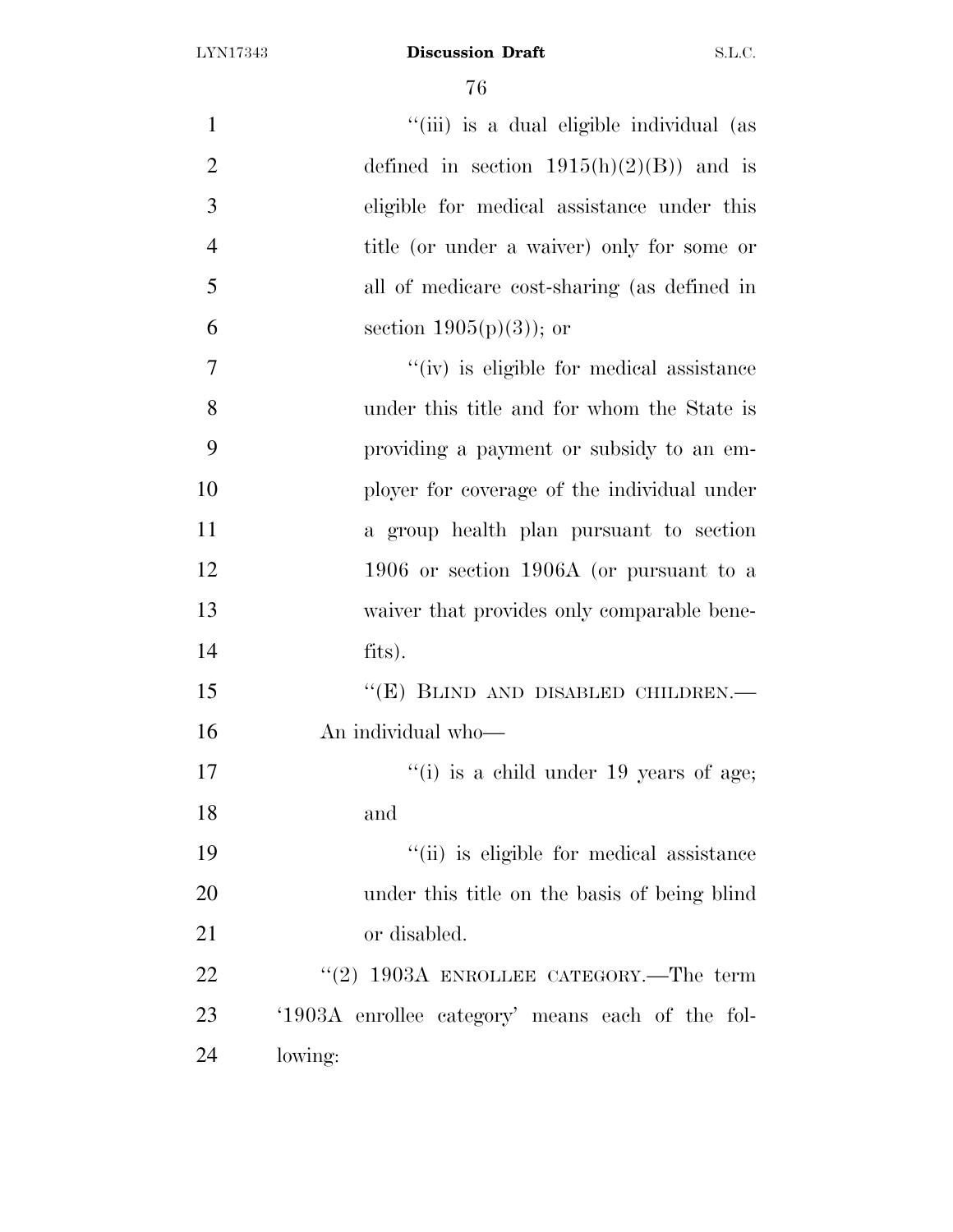| $\mathbf{1}$   | "(iii) is a dual eligible individual (as         |
|----------------|--------------------------------------------------|
| $\overline{2}$ | defined in section $1915(h)(2)(B)$ and is        |
| 3              | eligible for medical assistance under this       |
| $\overline{4}$ | title (or under a waiver) only for some or       |
| 5              | all of medicare cost-sharing (as defined in      |
| 6              | section $1905(p)(3)$ ; or                        |
| $\overline{7}$ | "(iv) is eligible for medical assistance         |
| 8              | under this title and for whom the State is       |
| 9              | providing a payment or subsidy to an em-         |
| 10             | ployer for coverage of the individual under      |
| 11             | a group health plan pursuant to section          |
| 12             | 1906 or section 1906A (or pursuant to a          |
| 13             | waiver that provides only comparable bene-       |
| 14             | fits).                                           |
| 15             | "(E) BLIND AND DISABLED CHILDREN.-               |
| 16             | An individual who-                               |
| 17             | "(i) is a child under $19$ years of age;         |
| 18             | and                                              |
| 19             | "(ii) is eligible for medical assistance         |
| 20             | under this title on the basis of being blind     |
| 21             | or disabled.                                     |
| 22             | "(2) 1903A ENROLLEE CATEGORY.—The term           |
| 23             | '1903A enrollee category' means each of the fol- |
| 24             | lowing:                                          |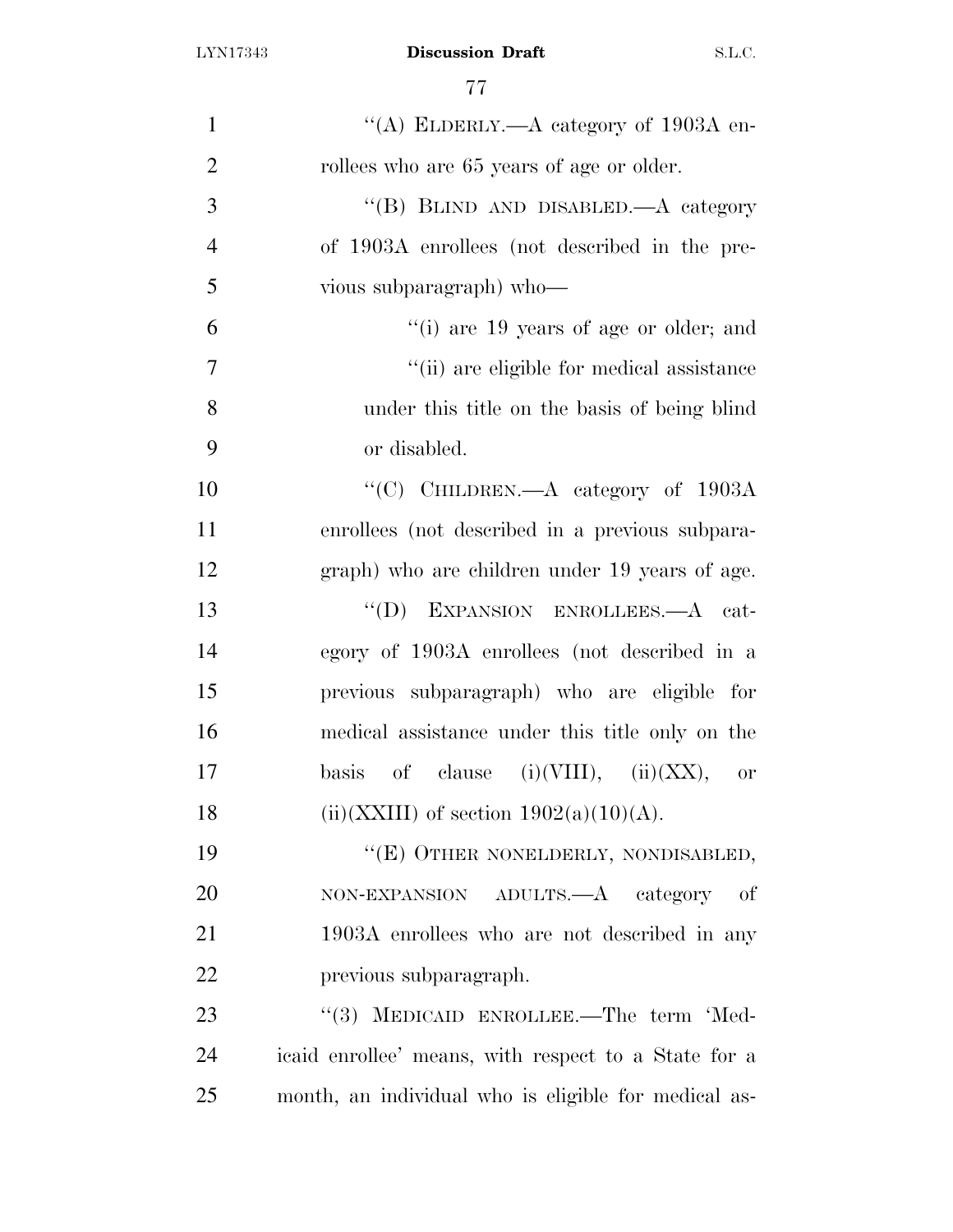| $\mathbf{1}$   | "(A) ELDERLY.—A category of $1903A$ en-              |
|----------------|------------------------------------------------------|
| $\overline{2}$ | rollees who are 65 years of age or older.            |
| 3              | "(B) BLIND AND DISABLED.—A category                  |
| $\overline{4}$ | of 1903A enrollees (not described in the pre-        |
| 5              | vious subparagraph) who-                             |
| 6              | "(i) are $19$ years of age or older; and             |
| 7              | "(ii) are eligible for medical assistance            |
| 8              | under this title on the basis of being blind         |
| 9              | or disabled.                                         |
| 10             | "(C) CHILDREN.—A category of 1903A                   |
| 11             | enrollees (not described in a previous subpara-      |
| 12             | graph) who are children under 19 years of age.       |
| 13             | "(D) EXPANSION ENROLLEES.—A cat-                     |
| 14             | egory of 1903A enrollees (not described in a         |
| 15             | previous subparagraph) who are eligible for          |
| 16             | medical assistance under this title only on the      |
| 17             | of clause (i)(VIII), (ii)(XX), or<br>basis           |
| 18             | (ii)(XXIII) of section $1902(a)(10)(A)$ .            |
| 19             | "(E) OTHER NONELDERLY, NONDISABLED,                  |
| 20             | ADULTS.—A category<br>NON-EXPANSION<br>οf            |
| 21             | 1903A enrollees who are not described in any         |
| 22             | previous subparagraph.                               |
| 23             | "(3) MEDICAID ENROLLEE.—The term 'Med-               |
| 24             | icaid enrollee' means, with respect to a State for a |
| 25             | month, an individual who is eligible for medical as- |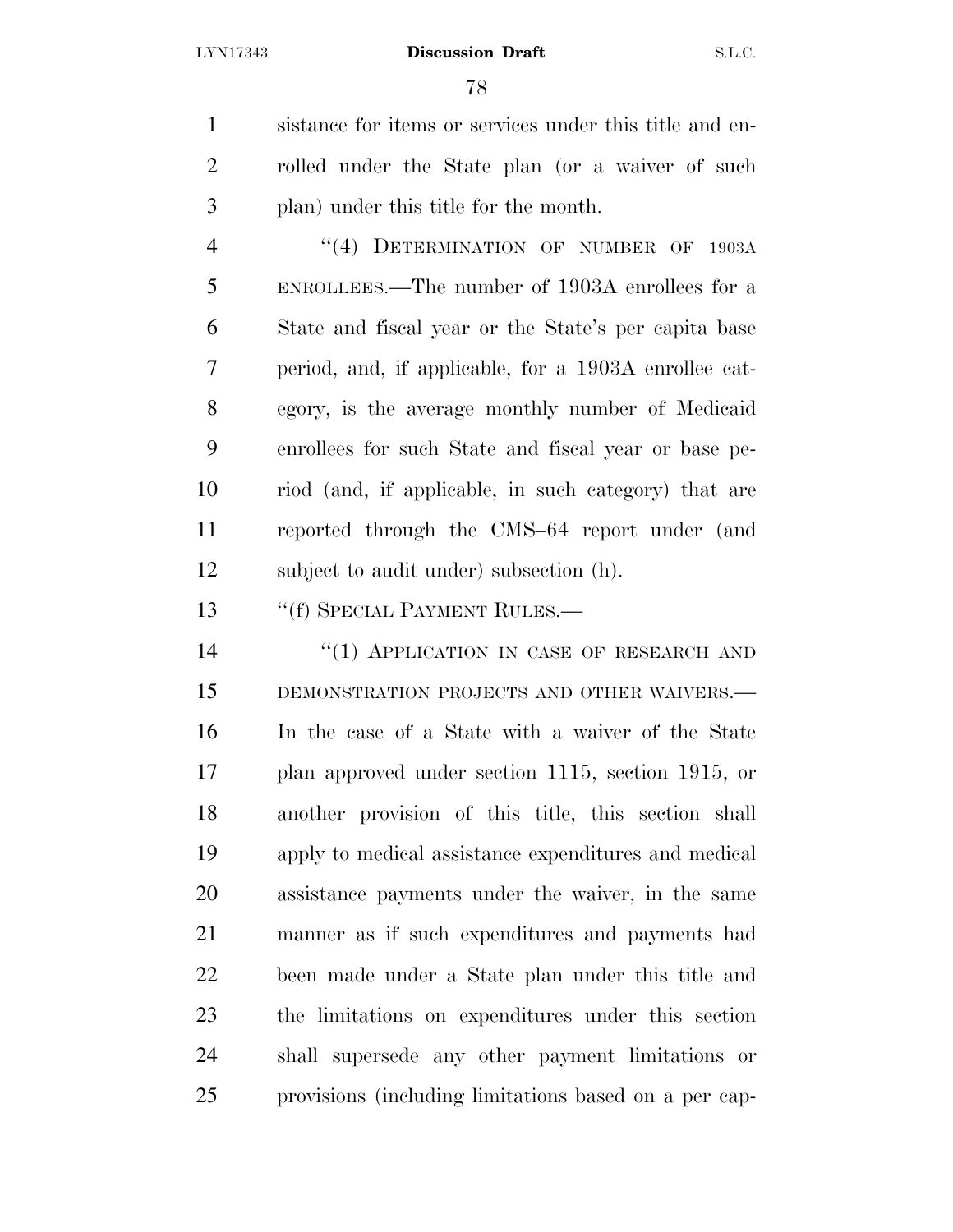sistance for items or services under this title and en- rolled under the State plan (or a waiver of such plan) under this title for the month.

4 "(4) DETERMINATION OF NUMBER OF 1903A ENROLLEES.—The number of 1903A enrollees for a State and fiscal year or the State's per capita base period, and, if applicable, for a 1903A enrollee cat- egory, is the average monthly number of Medicaid enrollees for such State and fiscal year or base pe- riod (and, if applicable, in such category) that are reported through the CMS–64 report under (and subject to audit under) subsection (h).

13 "(f) SPECIAL PAYMENT RULES.—

14 "(1) APPLICATION IN CASE OF RESEARCH AND DEMONSTRATION PROJECTS AND OTHER WAIVERS.— In the case of a State with a waiver of the State plan approved under section 1115, section 1915, or another provision of this title, this section shall apply to medical assistance expenditures and medical assistance payments under the waiver, in the same manner as if such expenditures and payments had been made under a State plan under this title and the limitations on expenditures under this section shall supersede any other payment limitations or provisions (including limitations based on a per cap-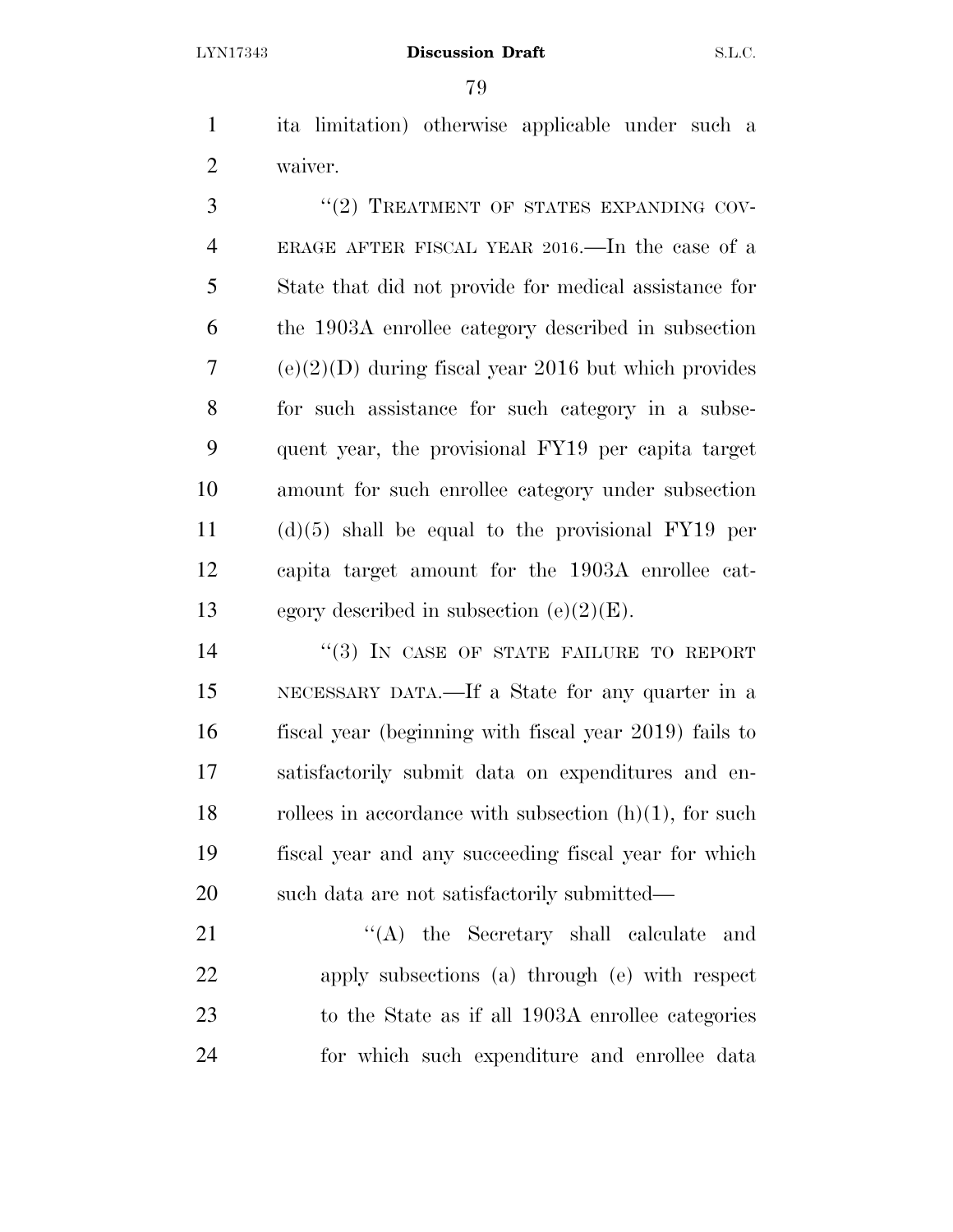ita limitation) otherwise applicable under such a waiver.

3 "(2) TREATMENT OF STATES EXPANDING COV- ERAGE AFTER FISCAL YEAR 2016.—In the case of a State that did not provide for medical assistance for the 1903A enrollee category described in subsection (e)(2)(D) during fiscal year 2016 but which provides for such assistance for such category in a subse- quent year, the provisional FY19 per capita target amount for such enrollee category under subsection (d)(5) shall be equal to the provisional FY19 per capita target amount for the 1903A enrollee cat-13 egory described in subsection  $(e)(2)(E)$ .

 $(3)$  In CASE OF STATE FAILURE TO REPORT NECESSARY DATA.—If a State for any quarter in a fiscal year (beginning with fiscal year 2019) fails to satisfactorily submit data on expenditures and en-18 rolles in accordance with subsection  $(h)(1)$ , for such fiscal year and any succeeding fiscal year for which such data are not satisfactorily submitted—

21 ''(A) the Secretary shall calculate and apply subsections (a) through (e) with respect to the State as if all 1903A enrollee categories for which such expenditure and enrollee data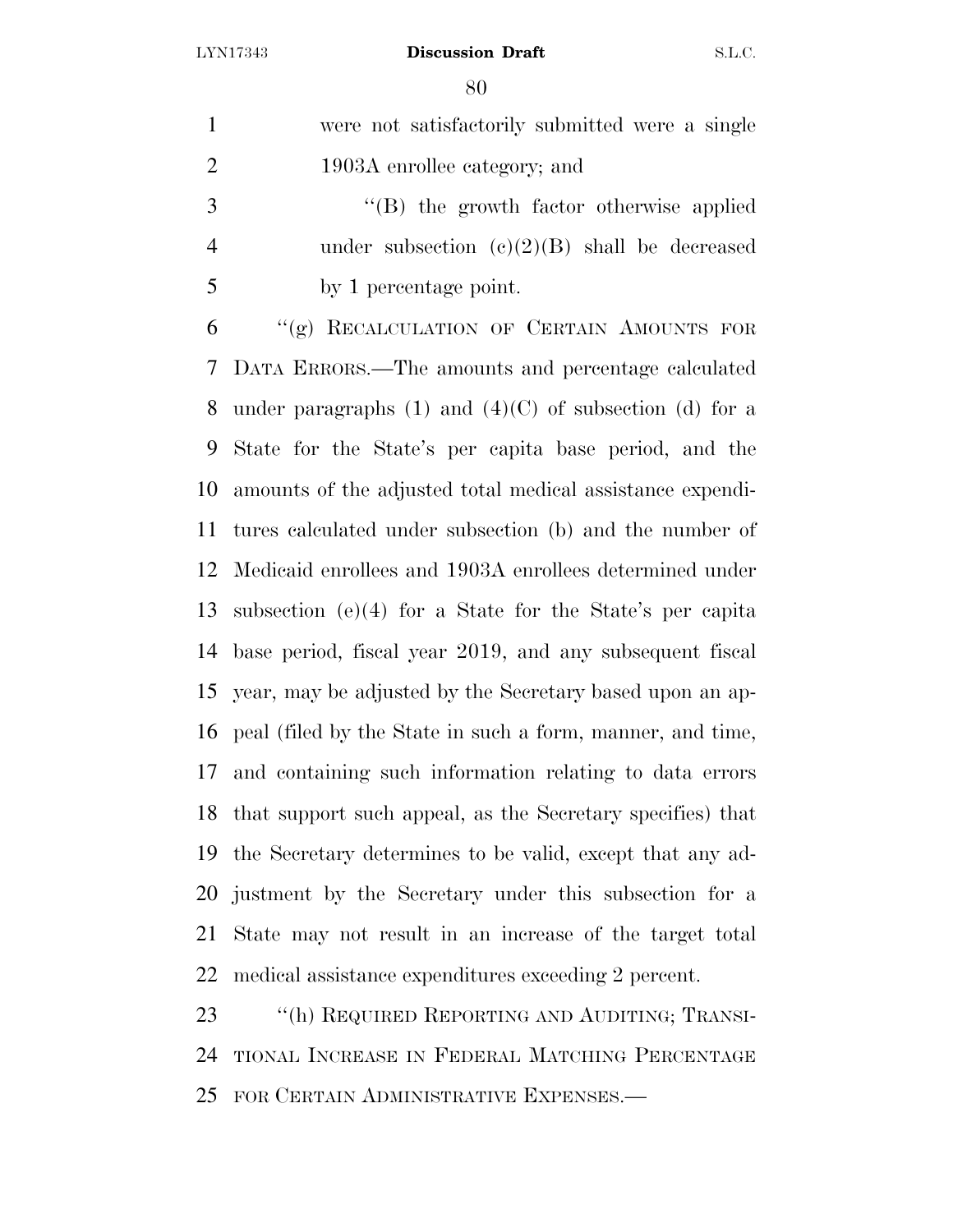were not satisfactorily submitted were a single 1903A enrollee category; and

 ''(B) the growth factor otherwise applied under subsection (c)(2)(B) shall be decreased by 1 percentage point.

 ''(g) RECALCULATION OF CERTAIN AMOUNTS FOR DATA ERRORS.—The amounts and percentage calculated 8 under paragraphs  $(1)$  and  $(4)(C)$  of subsection  $(d)$  for a State for the State's per capita base period, and the amounts of the adjusted total medical assistance expendi- tures calculated under subsection (b) and the number of Medicaid enrollees and 1903A enrollees determined under subsection (e)(4) for a State for the State's per capita base period, fiscal year 2019, and any subsequent fiscal year, may be adjusted by the Secretary based upon an ap- peal (filed by the State in such a form, manner, and time, and containing such information relating to data errors that support such appeal, as the Secretary specifies) that the Secretary determines to be valid, except that any ad- justment by the Secretary under this subsection for a State may not result in an increase of the target total medical assistance expenditures exceeding 2 percent.

23 "(h) REQUIRED REPORTING AND AUDITING; TRANSI- TIONAL INCREASE IN FEDERAL MATCHING PERCENTAGE FOR CERTAIN ADMINISTRATIVE EXPENSES.—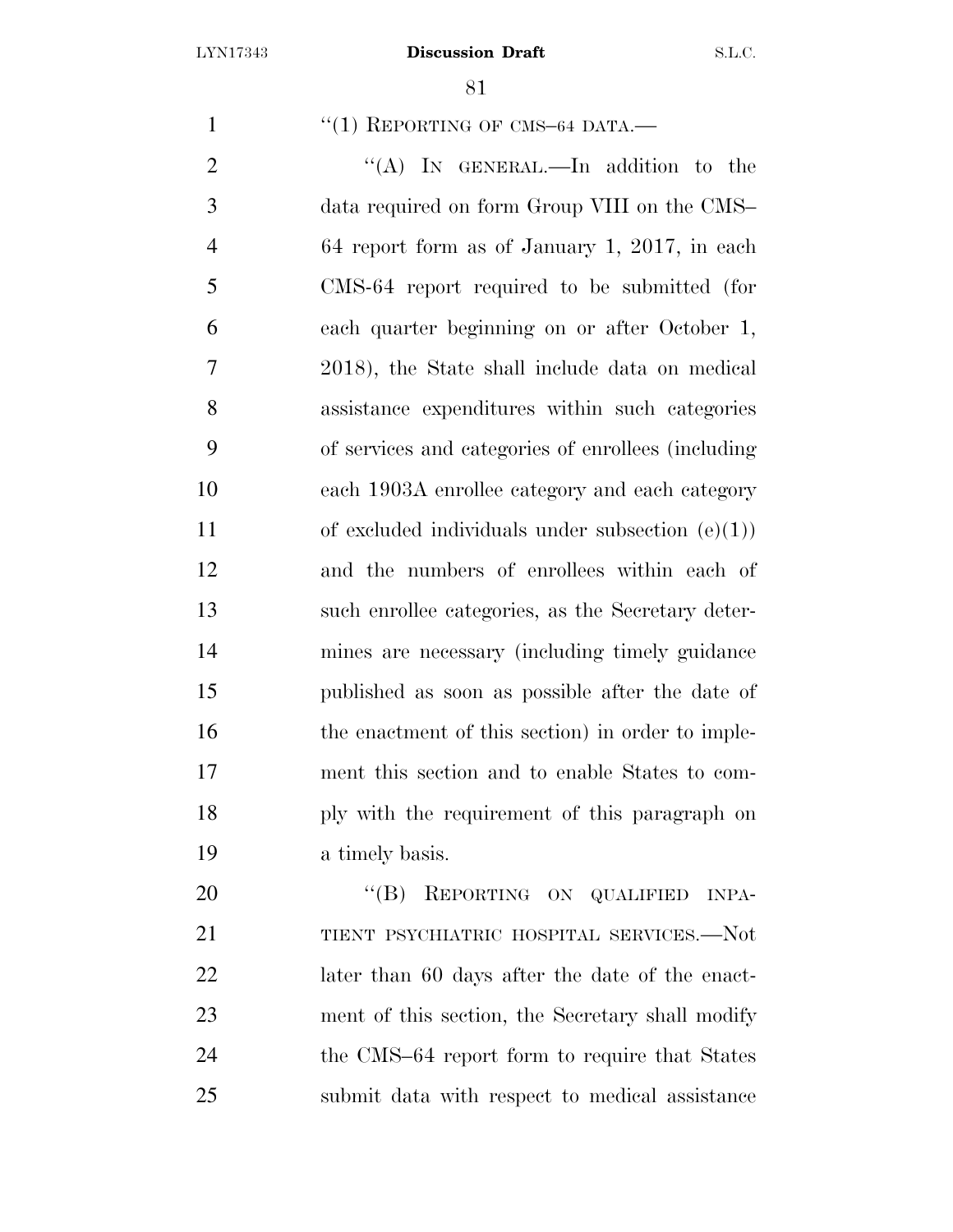$\frac{1}{1}$   $\frac{1}{1}$  REPORTING OF CMS-64 DATA.

2 "(A) IN GENERAL.—In addition to the data required on form Group VIII on the CMS– 64 report form as of January 1, 2017, in each CMS-64 report required to be submitted (for each quarter beginning on or after October 1, 2018), the State shall include data on medical assistance expenditures within such categories of services and categories of enrollees (including each 1903A enrollee category and each category 11 of excluded individuals under subsection  $(e)(1)$  and the numbers of enrollees within each of such enrollee categories, as the Secretary deter- mines are necessary (including timely guidance published as soon as possible after the date of 16 the enactment of this section) in order to imple- ment this section and to enable States to com- ply with the requirement of this paragraph on a timely basis.

20 "(B) REPORTING ON QUALIFIED INPA- TIENT PSYCHIATRIC HOSPITAL SERVICES.—Not 22 later than 60 days after the date of the enact- ment of this section, the Secretary shall modify 24 the CMS–64 report form to require that States submit data with respect to medical assistance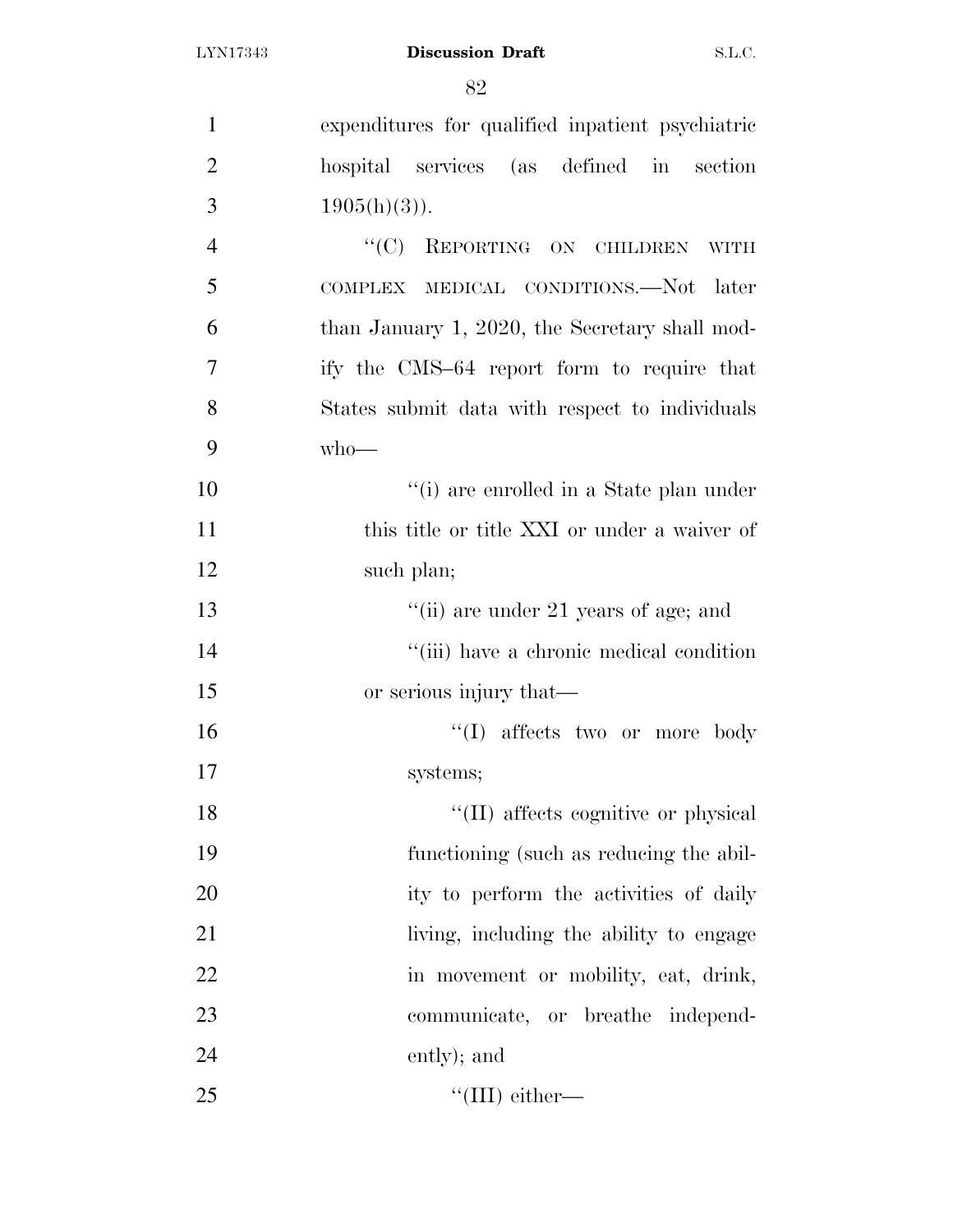| $\mathbf{1}$   | expenditures for qualified inpatient psychiatric |
|----------------|--------------------------------------------------|
| $\overline{2}$ | hospital services (as defined in section         |
| 3              | $1905(h)(3)$ ).                                  |
| $\overline{4}$ | "(C) REPORTING ON CHILDREN WITH                  |
| 5              | COMPLEX MEDICAL CONDITIONS.—Not later            |
| 6              | than January 1, 2020, the Secretary shall mod-   |
| 7              | ify the CMS-64 report form to require that       |
| 8              | States submit data with respect to individuals   |
| 9              | $who$ —                                          |
| 10             | "(i) are enrolled in a State plan under          |
| 11             | this title or title XXI or under a waiver of     |
| 12             | such plan;                                       |
| 13             | "(ii) are under 21 years of age; and             |
| 14             | "(iii) have a chronic medical condition          |
| 15             | or serious injury that—                          |
| 16             | $\lq\lq$ affects two or more body                |
| 17             | systems;                                         |
| 18             | "(II) affects cognitive or physical              |
| 19             | functioning (such as reducing the abil-          |
| 20             | ity to perform the activities of daily           |
| 21             | living, including the ability to engage          |
| 22             | in movement or mobility, eat, drink,             |
| 23             | communicate, or breathe independ-                |
| 24             | ently); and                                      |
| 25             | "(III) either—                                   |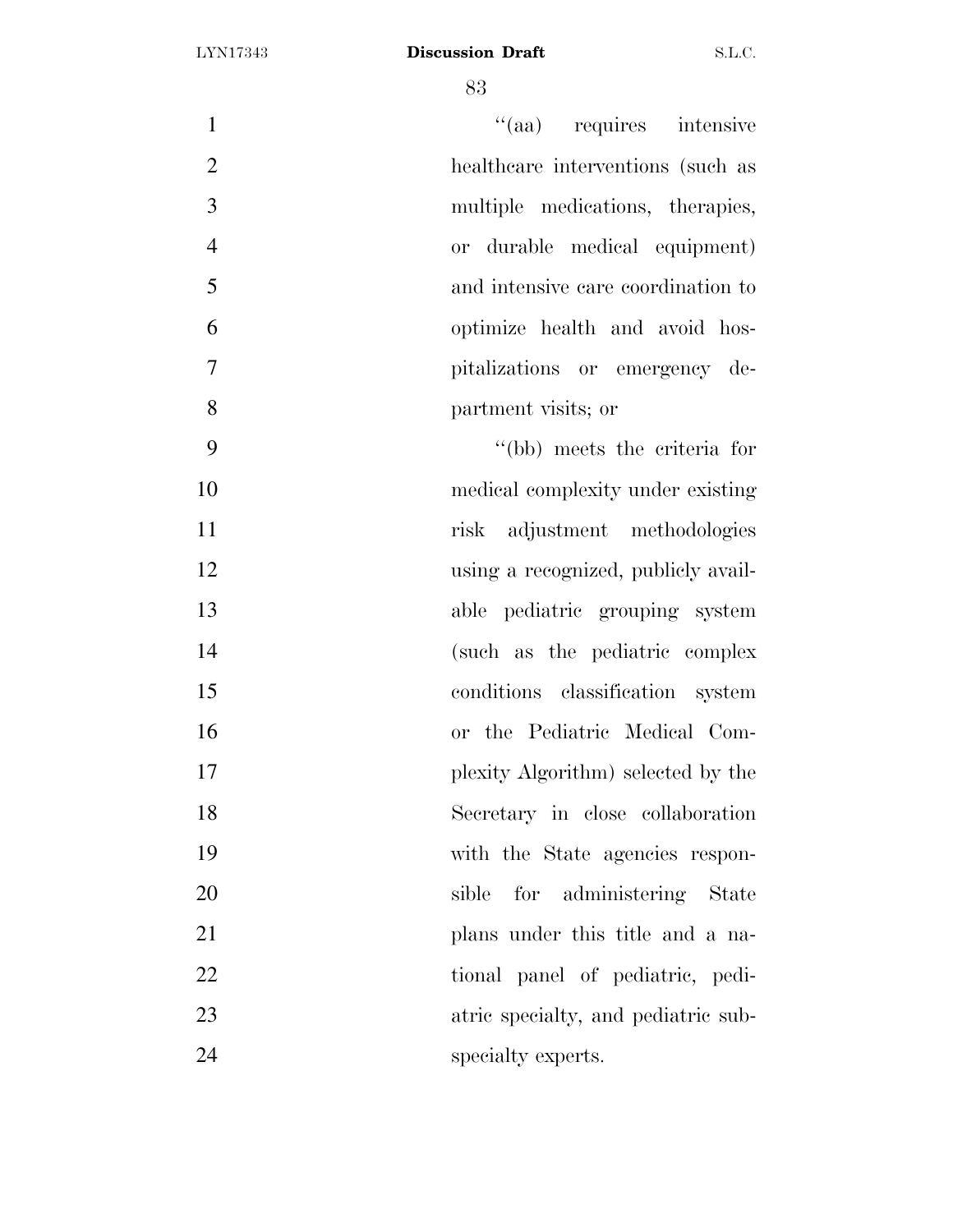| $\mathbf{1}$   | "(aa) requires intensive            |
|----------------|-------------------------------------|
| $\overline{2}$ | healthcare interventions (such as   |
| 3              | multiple medications, therapies,    |
| $\overline{4}$ | or durable medical equipment)       |
| 5              | and intensive care coordination to  |
| 6              | optimize health and avoid hos-      |
| $\overline{7}$ | pitalizations or emergency de-      |
| 8              | partment visits; or                 |
| 9              | "(bb) meets the criteria for        |
| 10             | medical complexity under existing   |
| 11             | risk adjustment methodologies       |
| 12             | using a recognized, publicly avail- |
| 13             | able pediatric grouping system      |
| 14             | (such as the pediatric complex      |
| 15             | conditions classification system    |
| 16             | or the Pediatric Medical Com-       |
| 17             | plexity Algorithm) selected by the  |
| 18             | Secretary in close collaboration    |
| 19             | with the State agencies respon-     |
| 20             | for administering State<br>sible    |
| 21             | plans under this title and a na-    |
| 22             | tional panel of pediatric, pedi-    |
| 23             | atric specialty, and pediatric sub- |
| 24             | specialty experts.                  |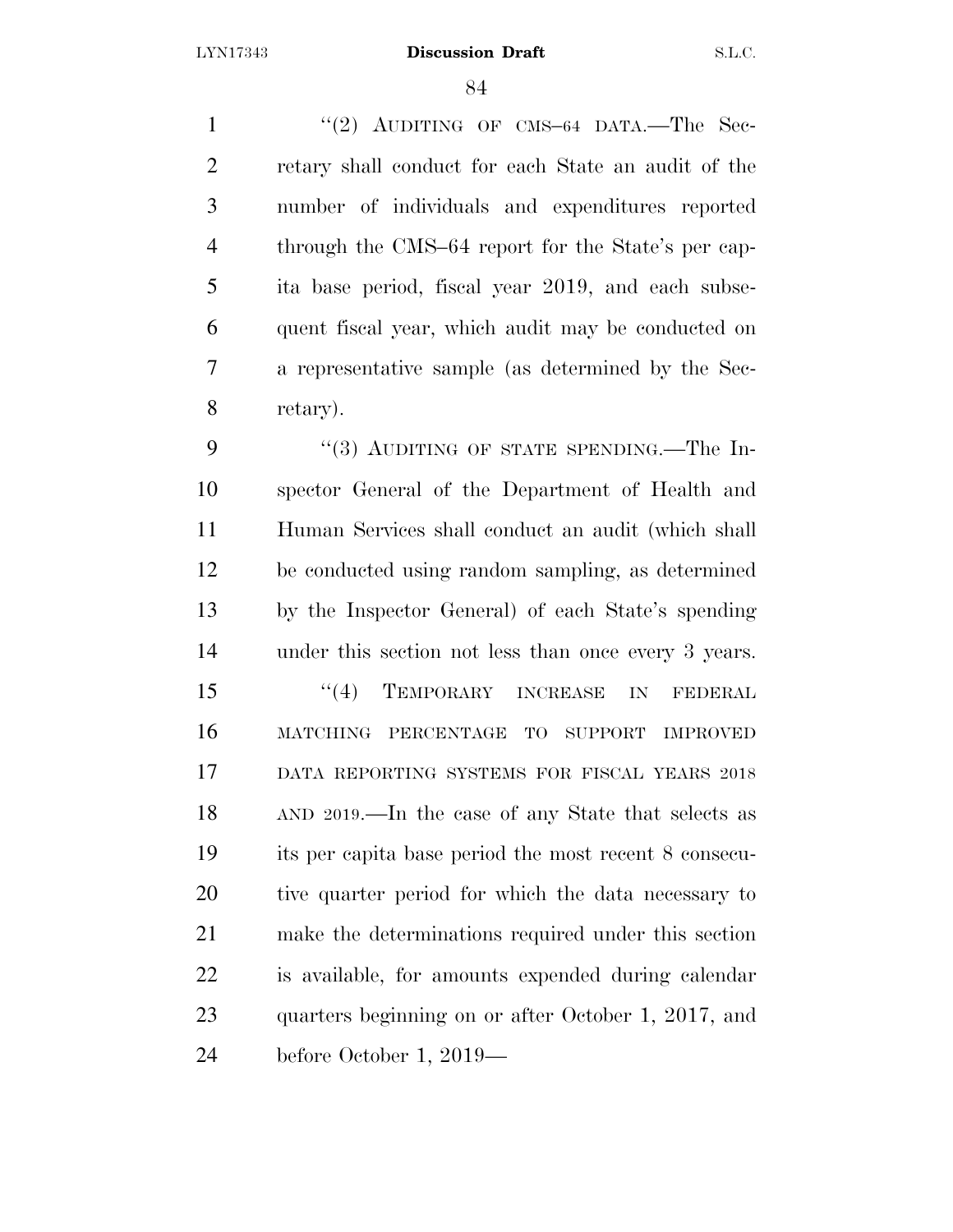1 "(2) AUDITING OF CMS-64 DATA.—The Sec- retary shall conduct for each State an audit of the number of individuals and expenditures reported through the CMS–64 report for the State's per cap- ita base period, fiscal year 2019, and each subse- quent fiscal year, which audit may be conducted on a representative sample (as determined by the Sec-retary).

9 "(3) AUDITING OF STATE SPENDING.—The In- spector General of the Department of Health and Human Services shall conduct an audit (which shall be conducted using random sampling, as determined by the Inspector General) of each State's spending under this section not less than once every 3 years. 15 "(4) TEMPORARY INCREASE IN FEDERAL MATCHING PERCENTAGE TO SUPPORT IMPROVED DATA REPORTING SYSTEMS FOR FISCAL YEARS 2018 AND 2019.—In the case of any State that selects as its per capita base period the most recent 8 consecu- tive quarter period for which the data necessary to make the determinations required under this section is available, for amounts expended during calendar quarters beginning on or after October 1, 2017, and before October 1, 2019—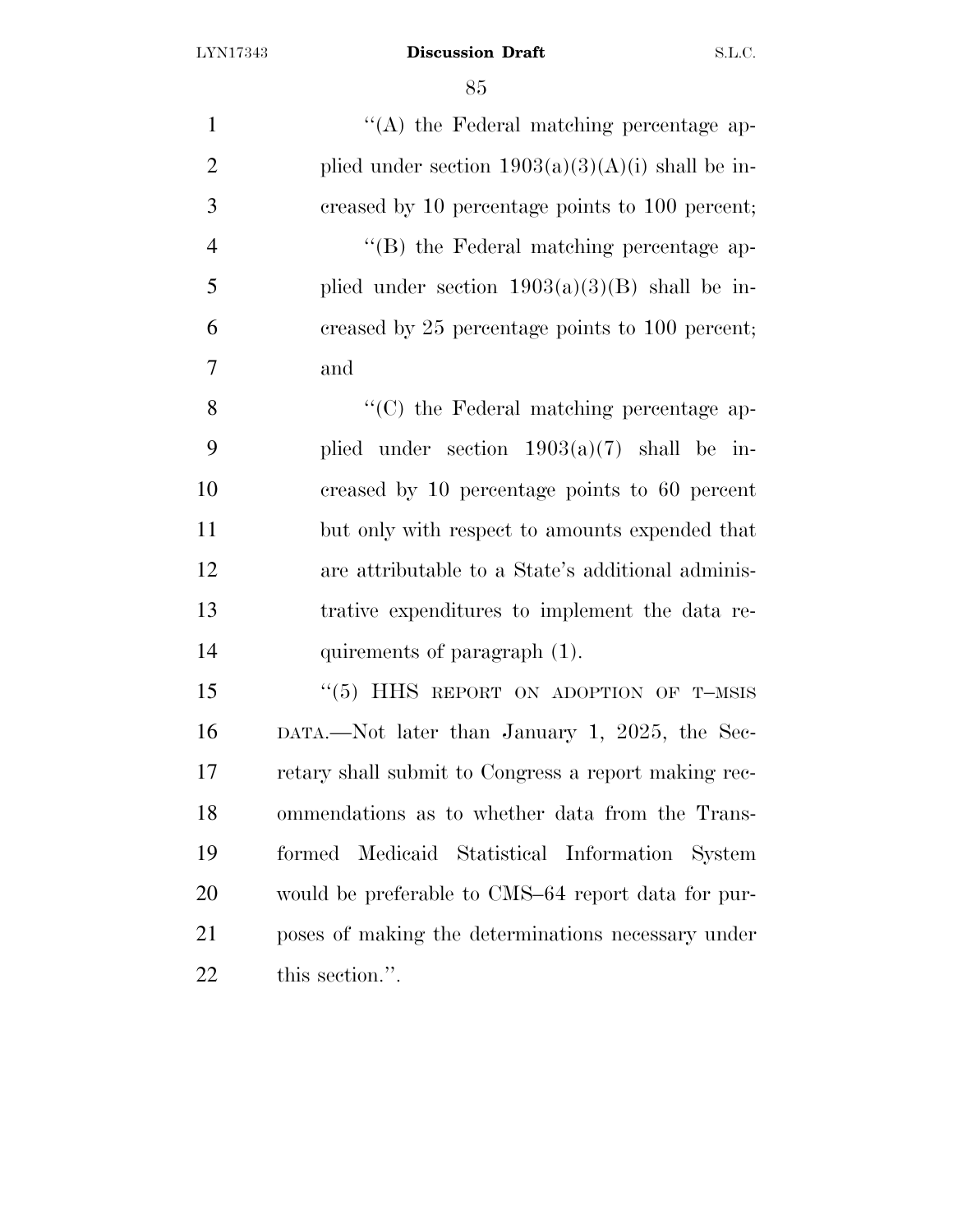$\langle (A) \rangle$  the Federal matching percentage ap-2 plied under section  $1903(a)(3)(A)(i)$  shall be in- creased by 10 percentage points to 100 percent;  $"$ (B) the Federal matching percentage ap-5 plied under section  $1903(a)(3)(B)$  shall be in- creased by 25 percentage points to 100 percent; and 8 ''(C) the Federal matching percentage ap- plied under section 1903(a)(7) shall be in- creased by 10 percentage points to 60 percent but only with respect to amounts expended that are attributable to a State's additional adminis- trative expenditures to implement the data re- quirements of paragraph (1). 15 "(5) HHS REPORT ON ADOPTION OF T-MSIS DATA.—Not later than January 1, 2025, the Sec- retary shall submit to Congress a report making rec- ommendations as to whether data from the Trans- formed Medicaid Statistical Information System would be preferable to CMS–64 report data for pur- poses of making the determinations necessary under this section.''.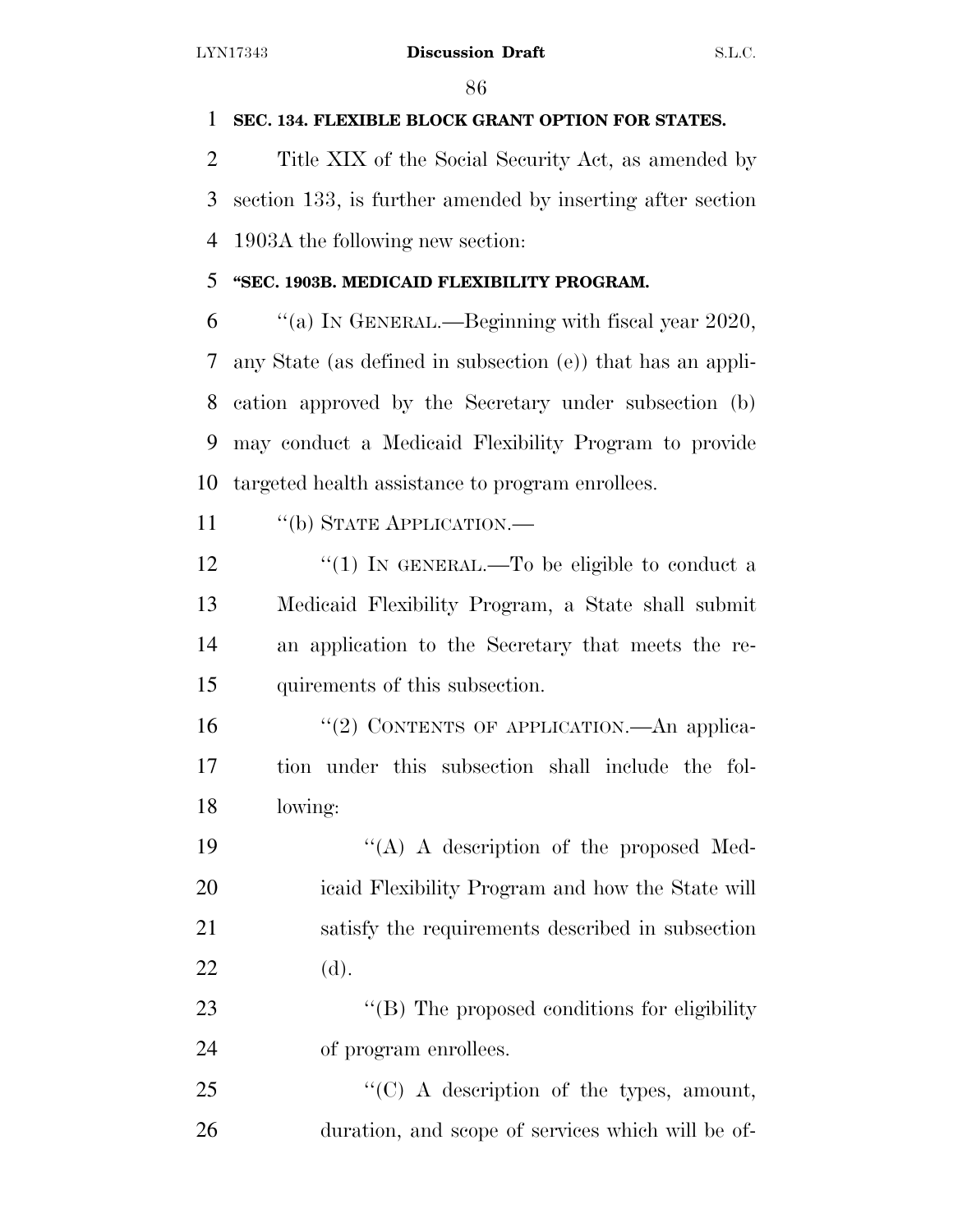# **SEC. 134. FLEXIBLE BLOCK GRANT OPTION FOR STATES.**

 Title XIX of the Social Security Act, as amended by section 133, is further amended by inserting after section 1903A the following new section:

# **''SEC. 1903B. MEDICAID FLEXIBILITY PROGRAM.**

 $\%$  (a) In GENERAL.—Beginning with fiscal year 2020, any State (as defined in subsection (e)) that has an appli- cation approved by the Secretary under subsection (b) may conduct a Medicaid Flexibility Program to provide targeted health assistance to program enrollees.

11 "(b) STATE APPLICATION.—

 $\frac{1}{2}$   $\frac{1}{2}$  IN GENERAL.—To be eligible to conduct a Medicaid Flexibility Program, a State shall submit an application to the Secretary that meets the re-quirements of this subsection.

16 "(2) CONTENTS OF APPLICATION.—An applica- tion under this subsection shall include the fol-lowing:

 $((A)$  A description of the proposed Med- icaid Flexibility Program and how the State will satisfy the requirements described in subsection (d).

23 "(B) The proposed conditions for eligibility of program enrollees.

25 "'(C) A description of the types, amount, duration, and scope of services which will be of-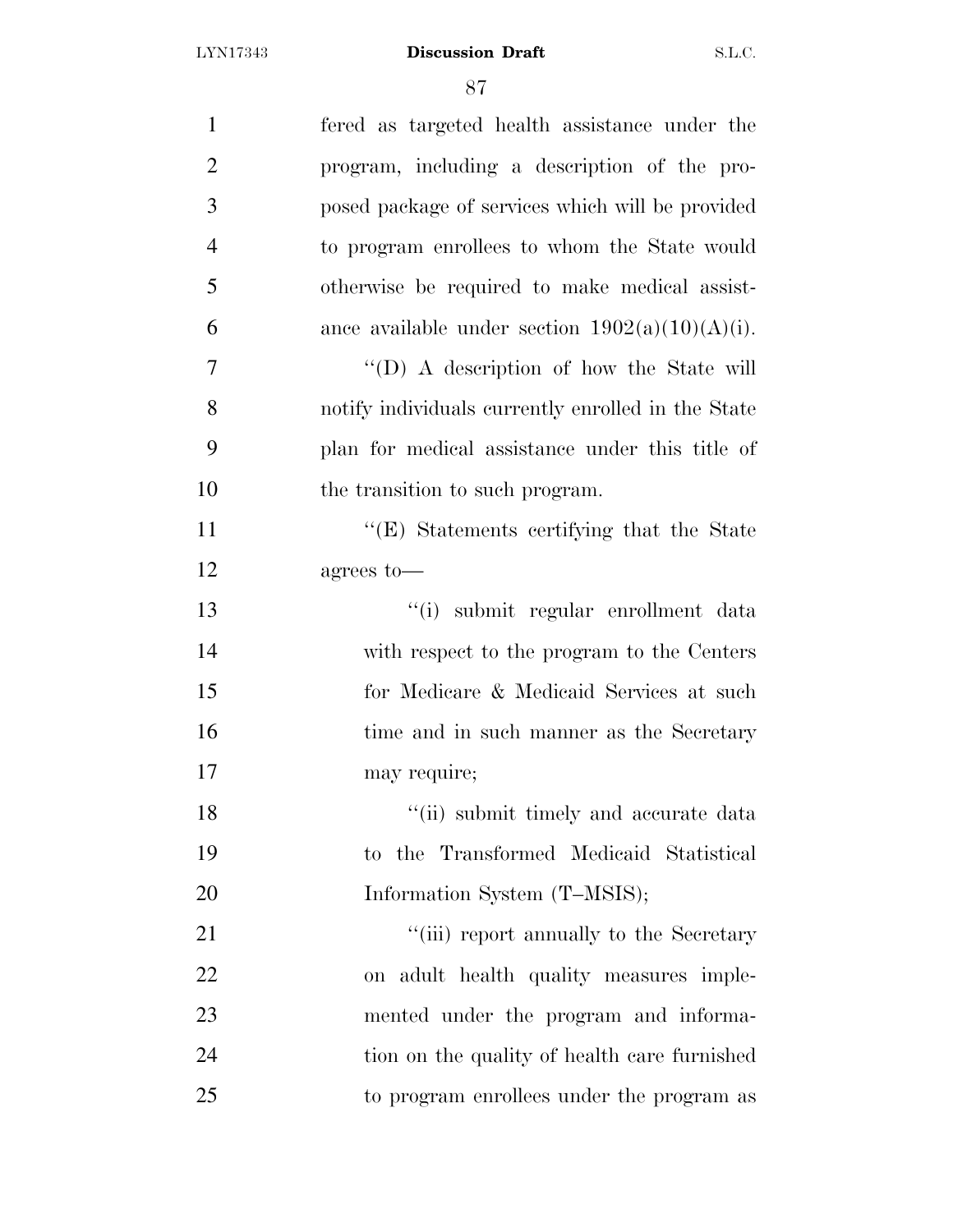| $\mathbf{1}$   | fered as targeted health assistance under the      |
|----------------|----------------------------------------------------|
| $\overline{2}$ | program, including a description of the pro-       |
| 3              | posed package of services which will be provided   |
| $\overline{4}$ | to program enrollees to whom the State would       |
| 5              | otherwise be required to make medical assist-      |
| 6              | ance available under section $1902(a)(10)(A)(i)$ . |
| 7              | "(D) A description of how the State will           |
| 8              | notify individuals currently enrolled in the State |
| 9              | plan for medical assistance under this title of    |
| 10             | the transition to such program.                    |
| 11             | "(E) Statements certifying that the State          |
| 12             | agrees to-                                         |
| 13             | "(i) submit regular enrollment data                |
| 14             | with respect to the program to the Centers         |
| 15             | for Medicare & Medicaid Services at such           |
| 16             | time and in such manner as the Secretary           |
| 17             | may require;                                       |
| 18             | "(ii) submit timely and accurate data              |
| 19             | to the Transformed Medicaid Statistical            |
| 20             | Information System (T-MSIS);                       |
| 21             | "(iii) report annually to the Secretary            |
| 22             | on adult health quality measures imple-            |
| 23             | mented under the program and informa-              |
| 24             | tion on the quality of health care furnished       |
| 25             | to program enrollees under the program as          |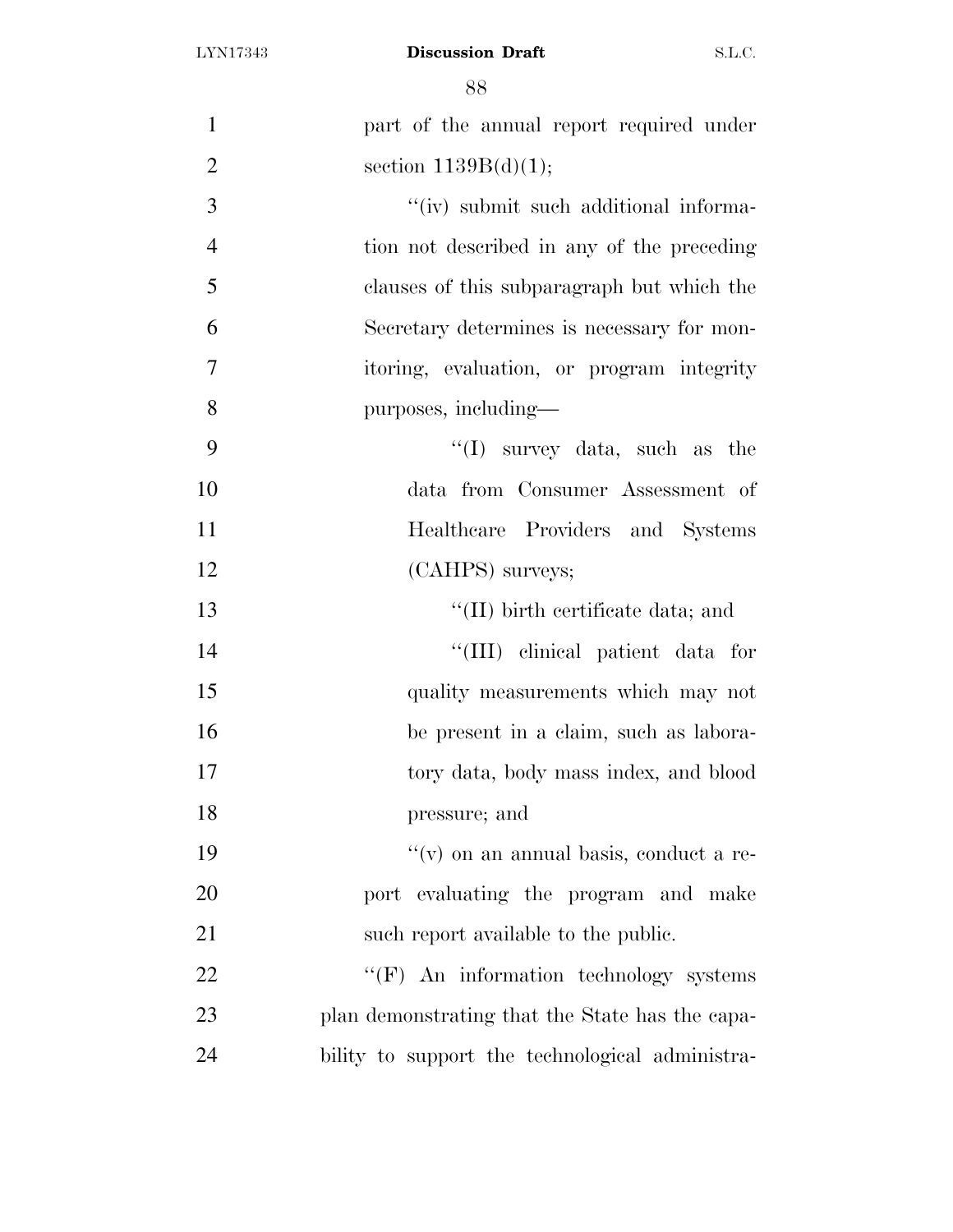| $\mathbf{1}$   | part of the annual report required under        |
|----------------|-------------------------------------------------|
| $\overline{2}$ | section $1139B(d)(1);$                          |
| 3              | "(iv) submit such additional informa-           |
| $\overline{4}$ | tion not described in any of the preceding      |
| 5              | clauses of this subparagraph but which the      |
| 6              | Secretary determines is necessary for mon-      |
| $\overline{7}$ | itoring, evaluation, or program integrity       |
| 8              | purposes, including—                            |
| 9              | $\lq\lq$ survey data, such as the               |
| 10             | data from Consumer Assessment of                |
| 11             | Healthcare Providers and Systems                |
| 12             | (CAHPS) surveys;                                |
| 13             | $\lq$ (II) birth certificate data; and          |
| 14             | "(III) clinical patient data for                |
| 15             | quality measurements which may not              |
| 16             | be present in a claim, such as labora-          |
| 17             | tory data, body mass index, and blood           |
| 18             | pressure; and                                   |
| 19             | $f'(v)$ on an annual basis, conduct a re-       |
| 20             | port evaluating the program and make            |
| 21             | such report available to the public.            |
| 22             | "(F) An information technology systems          |
| 23             | plan demonstrating that the State has the capa- |
| 24             | bility to support the technological administra- |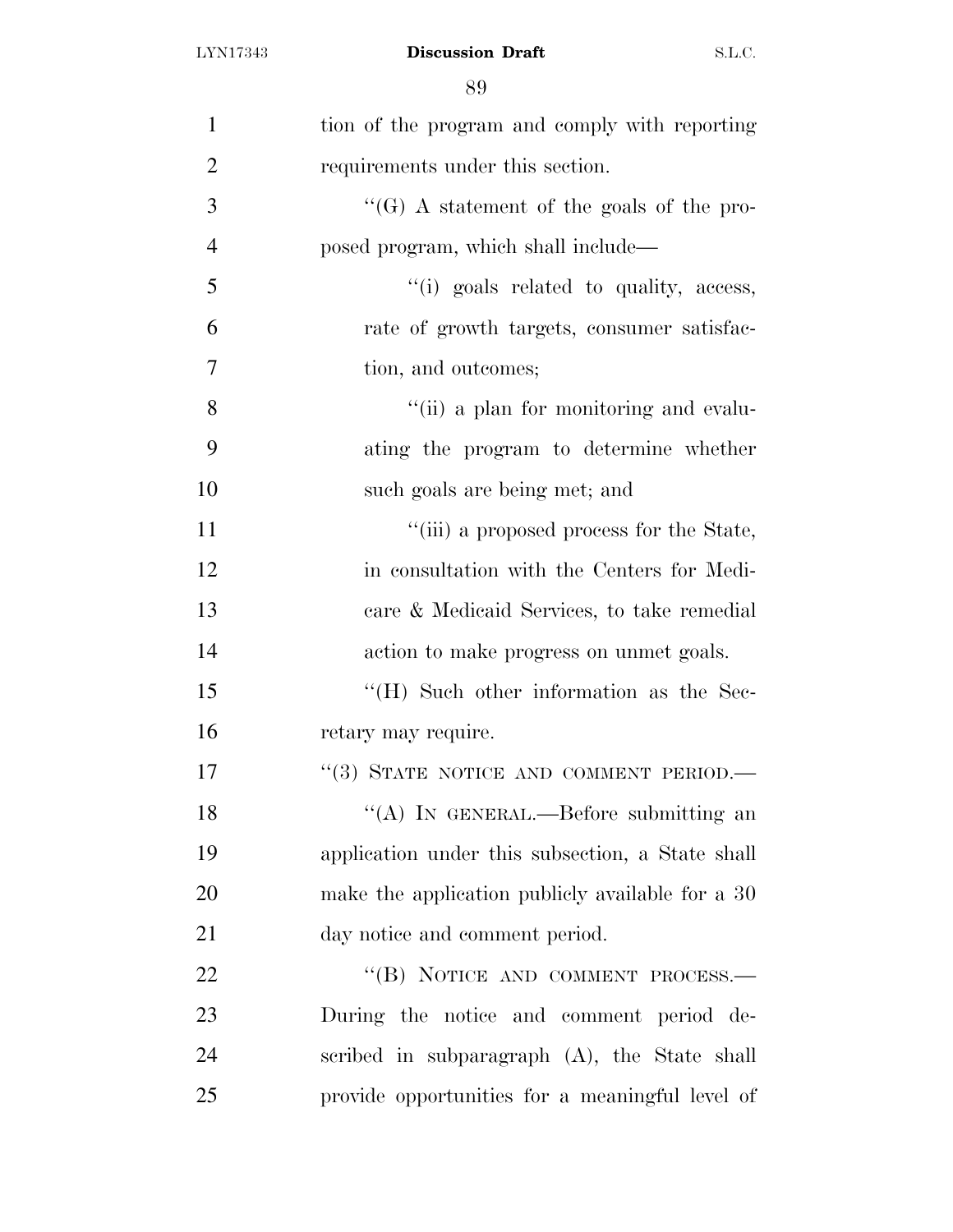| $\mathbf{1}$   | tion of the program and comply with reporting    |
|----------------|--------------------------------------------------|
| $\overline{2}$ | requirements under this section.                 |
| 3              | "(G) A statement of the goals of the pro-        |
| $\overline{4}$ | posed program, which shall include—              |
| 5              | "(i) goals related to quality, access,           |
| 6              | rate of growth targets, consumer satisfac-       |
| 7              | tion, and outcomes;                              |
| 8              | "(ii) a plan for monitoring and evalu-           |
| 9              | ating the program to determine whether           |
| 10             | such goals are being met; and                    |
| 11             | "(iii) a proposed process for the State,         |
| 12             | in consultation with the Centers for Medi-       |
| 13             | care & Medicaid Services, to take remedial       |
| 14             | action to make progress on unmet goals.          |
| 15             | $\rm{``(H)}$ Such other information as the Sec-  |
| 16             | retary may require.                              |
| 17             | "(3) STATE NOTICE AND COMMENT PERIOD.-           |
| 18             | "(A) IN GENERAL.—Before submitting an            |
| 19             | application under this subsection, a State shall |
| 20             | make the application publicly available for a 30 |
| 21             | day notice and comment period.                   |
| 22             | "(B) NOTICE AND COMMENT PROCESS.-                |
| 23             | During the notice and comment period de-         |
| 24             | scribed in subparagraph (A), the State shall     |
| 25             | provide opportunities for a meaningful level of  |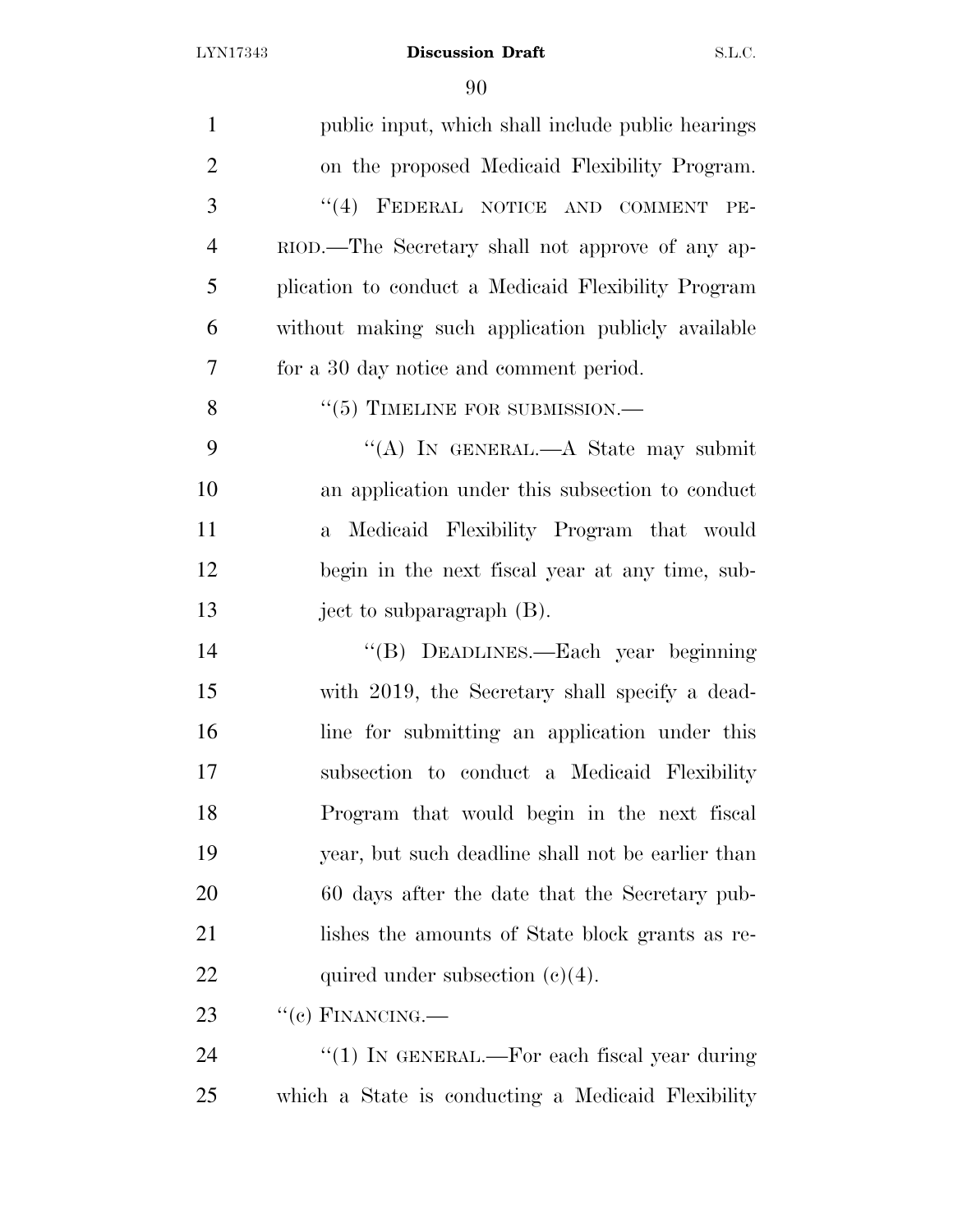| $\mathbf{1}$   | public input, which shall include public hearings       |
|----------------|---------------------------------------------------------|
| $\overline{2}$ | on the proposed Medicaid Flexibility Program.           |
| 3              | "(4) FEDERAL NOTICE AND COMMENT<br>PE-                  |
| $\overline{4}$ | RIOD.—The Secretary shall not approve of any ap-        |
| 5              | plication to conduct a Medicaid Flexibility Program     |
| 6              | without making such application publicly available      |
| $\overline{7}$ | for a 30 day notice and comment period.                 |
| 8              | $``(5)$ TIMELINE FOR SUBMISSION.—                       |
| 9              | "(A) IN GENERAL.—A State may submit                     |
| 10             | an application under this subsection to conduct         |
| 11             | Medicaid Flexibility Program that would<br>$\mathbf{a}$ |
| 12             | begin in the next fiscal year at any time, sub-         |
| 13             | ject to subparagraph $(B)$ .                            |
| 14             | "(B) DEADLINES.—Each year beginning                     |
| 15             | with 2019, the Secretary shall specify a dead-          |
| 16             | line for submitting an application under this           |
| 17             | subsection to conduct a Medicaid Flexibility            |
| 18             | Program that would begin in the next fiscal             |
| 19             | year, but such deadline shall not be earlier than       |
| 20             | 60 days after the date that the Secretary pub-          |
| 21             | lishes the amounts of State block grants as re-         |
| 22             | quired under subsection $(c)(4)$ .                      |
| 23             | $``(e)$ FINANCING.—                                     |
| 24             | "(1) IN GENERAL.—For each fiscal year during            |
| 25             | which a State is conducting a Medicaid Flexibility      |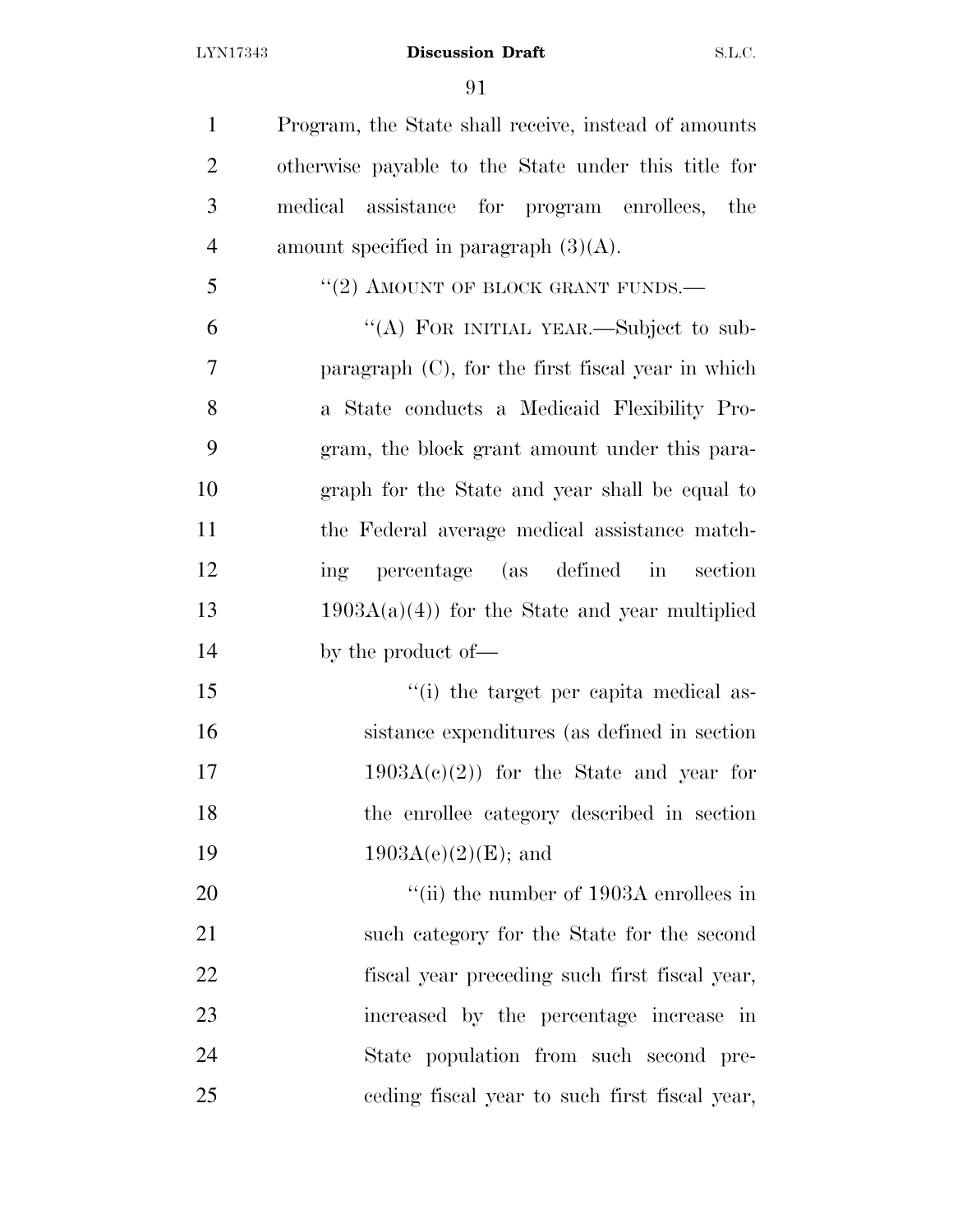Program, the State shall receive, instead of amounts otherwise payable to the State under this title for medical assistance for program enrollees, the 4 amount specified in paragraph  $(3)(A)$ .

"(2) AMOUNT OF BLOCK GRANT FUNDS.—

 ''(A) FOR INITIAL YEAR.—Subject to sub- paragraph (C), for the first fiscal year in which a State conducts a Medicaid Flexibility Pro- gram, the block grant amount under this para- graph for the State and year shall be equal to the Federal average medical assistance match- ing percentage (as defined in section 13 1903A(a)(4)) for the State and year multiplied by the product of—

 ''(i) the target per capita medical as- sistance expenditures (as defined in section 17 1903 $A(c)(2)$  for the State and year for the enrollee category described in section 1903A(e)(2)(E); and

 $\frac{1}{20}$  (ii) the number of 1903A enrollees in such category for the State for the second fiscal year preceding such first fiscal year, increased by the percentage increase in State population from such second pre-ceding fiscal year to such first fiscal year,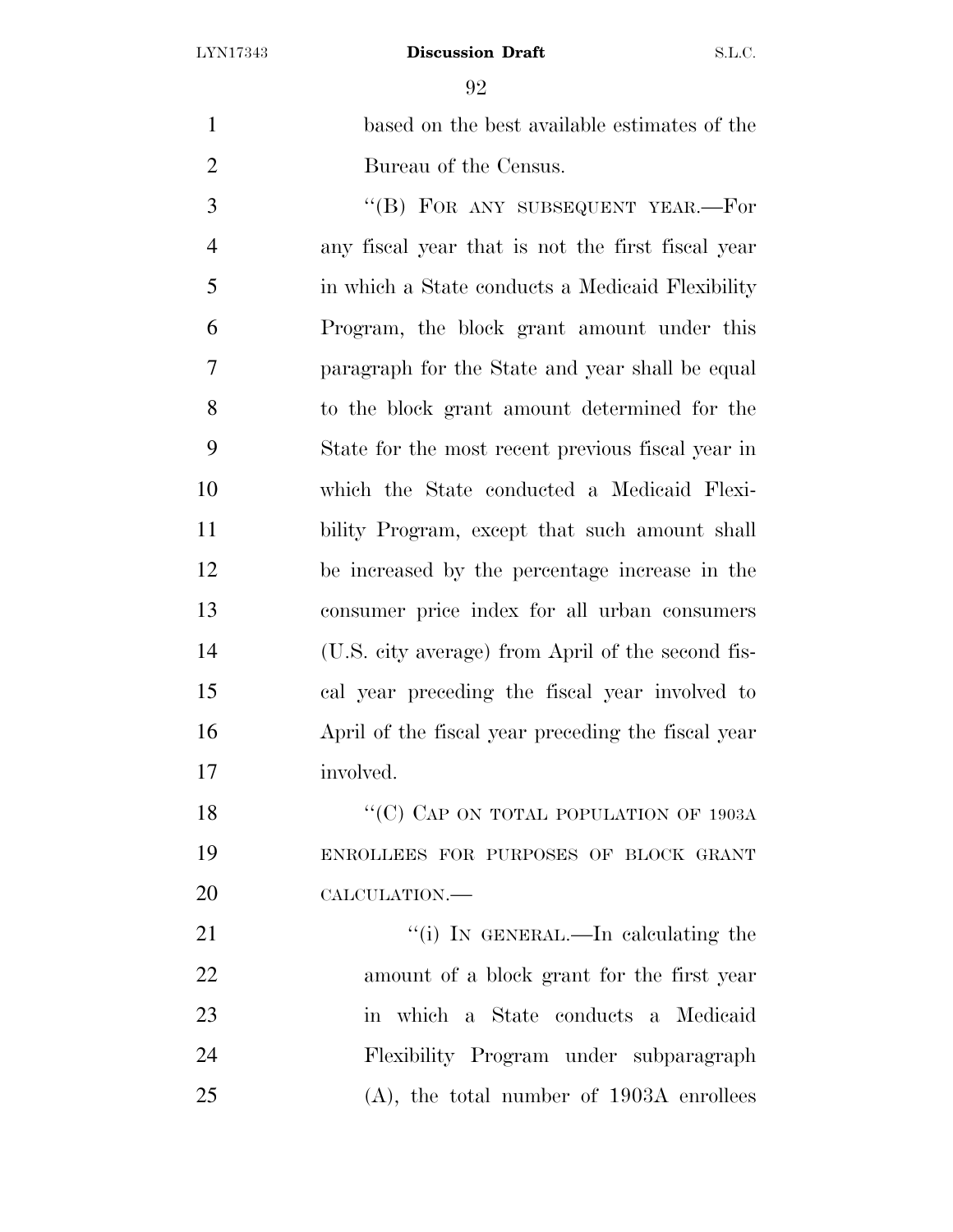| $\mathbf{1}$   | based on the best available estimates of the       |
|----------------|----------------------------------------------------|
| $\overline{2}$ | Bureau of the Census.                              |
| 3              | "(B) FOR ANY SUBSEQUENT YEAR.—For                  |
| $\overline{4}$ | any fiscal year that is not the first fiscal year  |
| 5              | in which a State conducts a Medicaid Flexibility   |
| 6              | Program, the block grant amount under this         |
| 7              | paragraph for the State and year shall be equal    |
| 8              | to the block grant amount determined for the       |
| 9              | State for the most recent previous fiscal year in  |
| 10             | which the State conducted a Medicaid Flexi-        |
| 11             | bility Program, except that such amount shall      |
| 12             | be increased by the percentage increase in the     |
| 13             | consumer price index for all urban consumers       |
| 14             | (U.S. city average) from April of the second fis-  |
| 15             | cal year preceding the fiscal year involved to     |
| 16             | April of the fiscal year preceding the fiscal year |
| 17             | involved.                                          |
| 18             | "(C) CAP ON TOTAL POPULATION OF 1903A              |
| 19             | ENROLLEES FOR PURPOSES OF BLOCK GRANT              |
| 20             | CALCULATION.-                                      |
| 21             | "(i) IN GENERAL.—In calculating the                |
| 22             | amount of a block grant for the first year         |
| 23             | in which a State conducts a Medicaid               |
| 24             | Flexibility Program under subparagraph             |
| 25             | $(A)$ , the total number of 1903A enrollees        |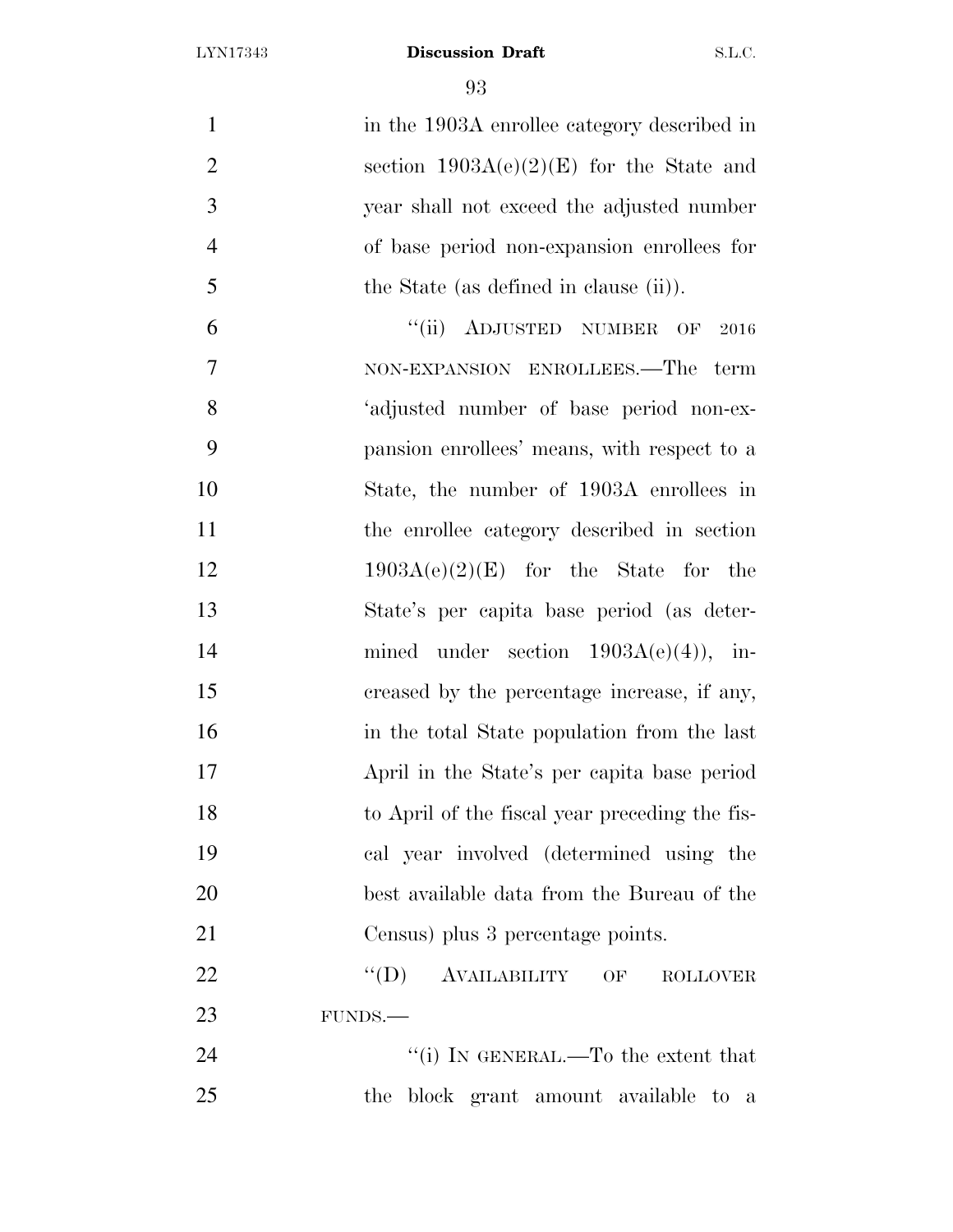| $\mathbf{1}$   | in the 1903A enrollee category described in    |
|----------------|------------------------------------------------|
| $\overline{2}$ | section $1903A(e)(2)(E)$ for the State and     |
| 3              | year shall not exceed the adjusted number      |
| $\overline{4}$ | of base period non-expansion enrollees for     |
| 5              | the State (as defined in clause (ii)).         |
| 6              | "(ii) ADJUSTED NUMBER OF<br>2016               |
| 7              | NON-EXPANSION ENROLLEES.—The term              |
| 8              | 'adjusted number of base period non-ex-        |
| 9              | pansion enrollees' means, with respect to a    |
| 10             | State, the number of 1903A enrollees in        |
| 11             | the enrollee category described in section     |
| 12             | $1903A(e)(2)(E)$ for the State for the         |
| 13             | State's per capita base period (as deter-      |
| 14             | mined under section $1903A(e)(4)$ , in-        |
| 15             | creased by the percentage increase, if any,    |
| 16             | in the total State population from the last    |
| 17             | April in the State's per capita base period    |
| 18             | to April of the fiscal year preceding the fis- |
| 19             | cal year involved (determined using the        |
| 20             | best available data from the Bureau of the     |
| 21             | Census) plus 3 percentage points.              |
| 22             | ``(D)<br>AVAILABILITY OF<br><b>ROLLOVER</b>    |
| 23             | FUNDS.                                         |
| 24             | "(i) IN GENERAL.—To the extent that            |
| 25             | the block grant amount available to a          |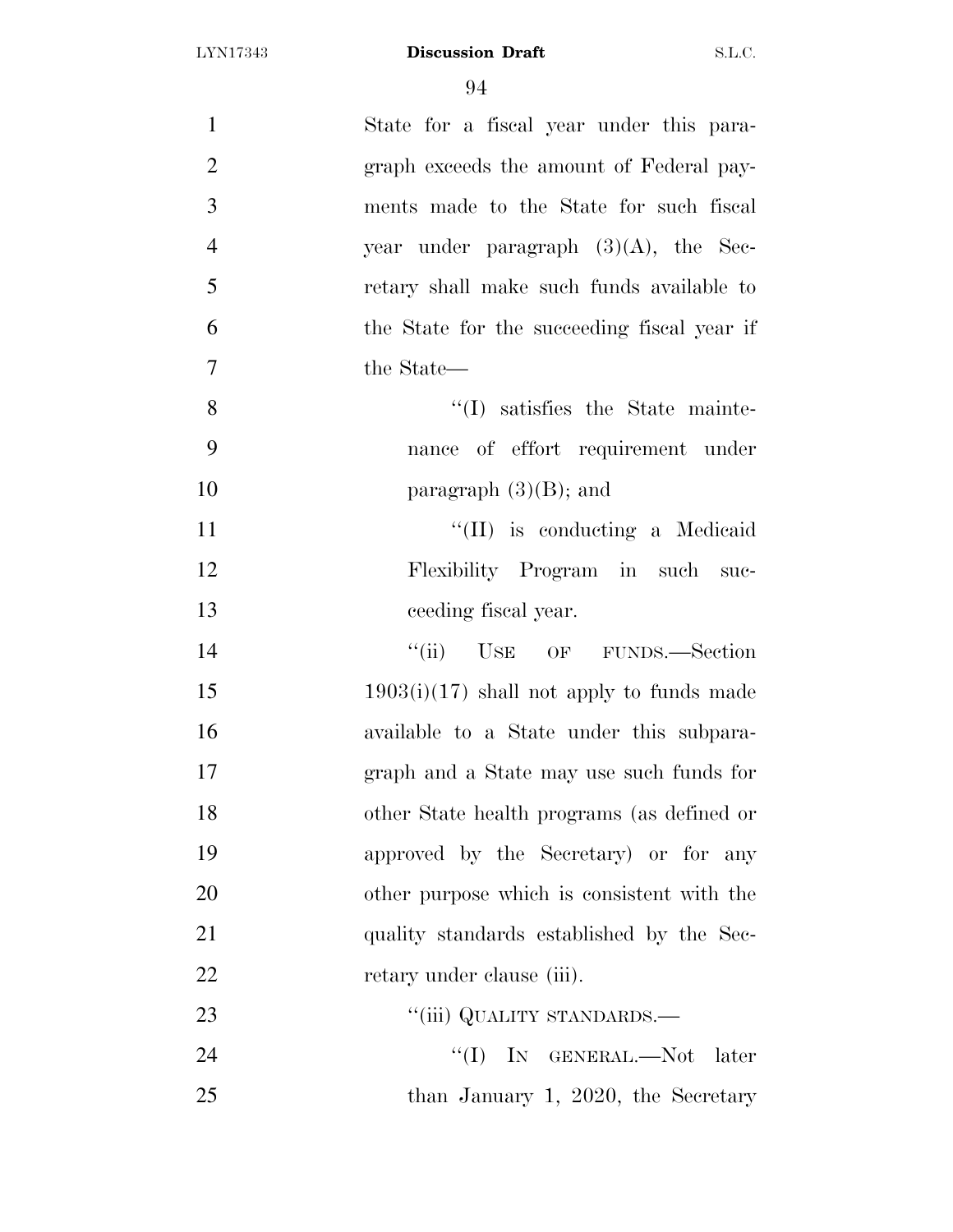| $\mathbf{1}$   | State for a fiscal year under this para-    |
|----------------|---------------------------------------------|
| $\overline{2}$ | graph exceeds the amount of Federal pay-    |
| 3              | ments made to the State for such fiscal     |
| $\overline{4}$ | year under paragraph $(3)(A)$ , the Sec-    |
| 5              | retary shall make such funds available to   |
| 6              | the State for the succeeding fiscal year if |
| $\overline{7}$ | the State—                                  |
| 8              | $\lq(1)$ satisfies the State mainte-        |
| 9              | nance of effort requirement under           |
| 10             | paragraph $(3)(B)$ ; and                    |
| 11             | "(II) is conducting a Medicaid              |
| 12             | Flexibility Program in such suc-            |
| 13             | ceeding fiscal year.                        |
| 14             | ``(ii)<br>USE OF FUNDS.—Section             |
| 15             | $1903(i)(17)$ shall not apply to funds made |
| 16             | available to a State under this subpara-    |
| 17             | graph and a State may use such funds for    |
| 18             | other State health programs (as defined or  |
| 19             | approved by the Secretary) or for any       |
| 20             | other purpose which is consistent with the  |
| 21             | quality standards established by the Sec-   |
| 22             | retary under clause (iii).                  |
| 23             | "(iii) QUALITY STANDARDS.—                  |
| 24             | "(I) IN GENERAL.—Not later                  |
| 25             | than January 1, 2020, the Secretary         |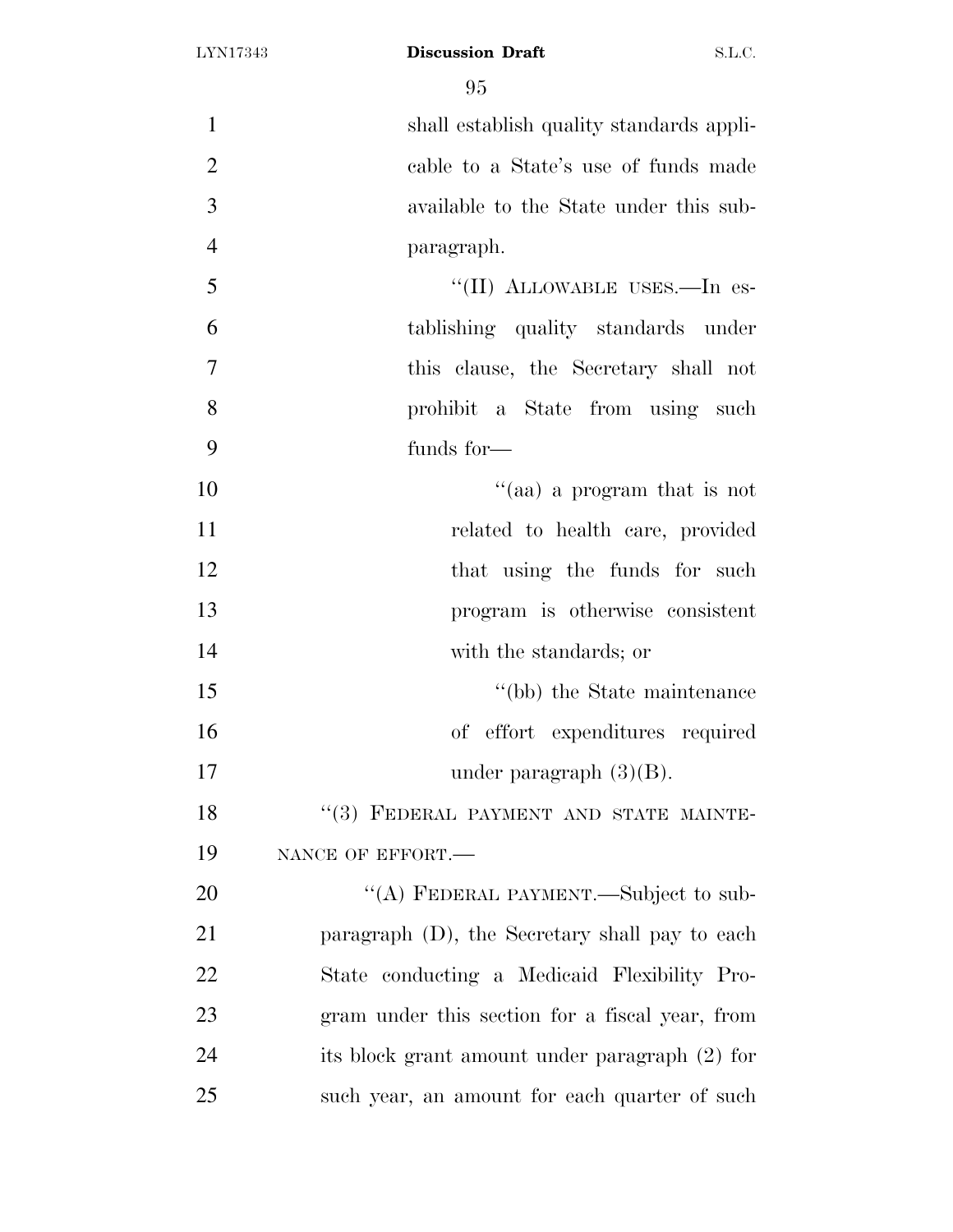shall establish quality standards appli- cable to a State's use of funds made available to the State under this sub-paragraph.

5 "(II) ALLOWABLE USES.—In es- tablishing quality standards under this clause, the Secretary shall not prohibit a State from using such funds for—

 $\frac{1}{2}$  a program that is not 11 related to health care, provided 12 that using the funds for such program is otherwise consistent with the standards; or  $\degree$  (bb) the State maintenance of effort expenditures required

17 under paragraph  $(3)(B)$ .

18 "(3) FEDERAL PAYMENT AND STATE MAINTE-19 NANCE OF EFFORT.

20 "(A) FEDERAL PAYMENT.—Subject to sub- paragraph (D), the Secretary shall pay to each State conducting a Medicaid Flexibility Pro- gram under this section for a fiscal year, from its block grant amount under paragraph (2) for such year, an amount for each quarter of such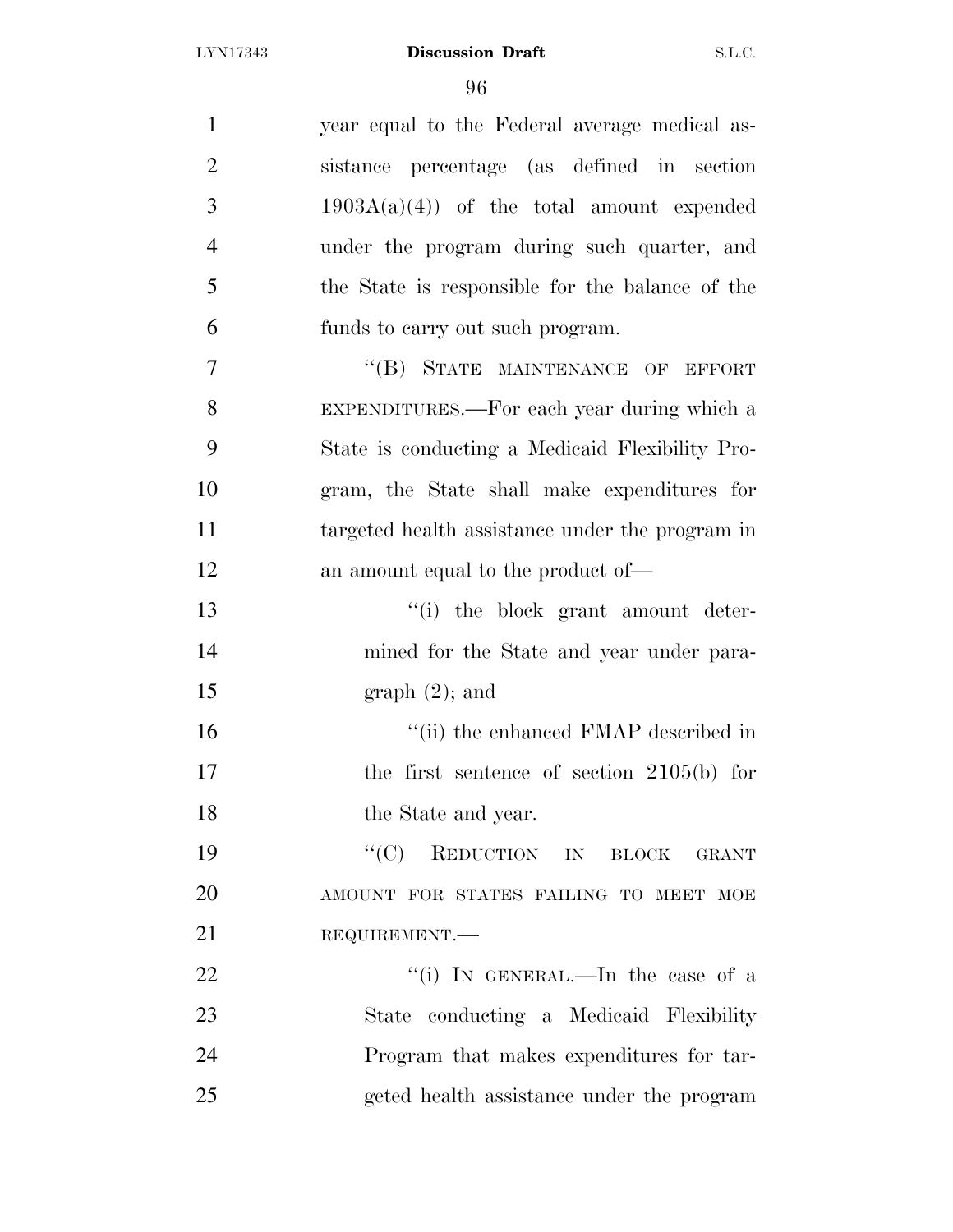| $\mathbf{1}$   | year equal to the Federal average medical as-   |
|----------------|-------------------------------------------------|
| $\overline{2}$ | sistance percentage (as defined in section      |
| 3              | $1903A(a)(4)$ of the total amount expended      |
| $\overline{4}$ | under the program during such quarter, and      |
| 5              | the State is responsible for the balance of the |
| 6              | funds to carry out such program.                |
| 7              | "(B) STATE MAINTENANCE OF EFFORT                |
| 8              | EXPENDITURES.—For each year during which a      |
| 9              | State is conducting a Medicaid Flexibility Pro- |
| 10             | gram, the State shall make expenditures for     |
| 11             | targeted health assistance under the program in |
| 12             | an amount equal to the product of—              |
| 13             | "(i) the block grant amount deter-              |
| 14             | mined for the State and year under para-        |
| 15             | graph(2); and                                   |
| 16             | "(ii) the enhanced FMAP described in            |
| 17             | the first sentence of section $2105(b)$ for     |
| 18             | the State and year.                             |
| 19             | REDUCTION IN BLOCK GRANT<br>``(C)               |
| 20             | AMOUNT FOR STATES FAILING TO MEET MOE           |
| 21             | REQUIREMENT.                                    |
| 22             | "(i) IN GENERAL.—In the case of a               |
| 23             | State conducting a Medicaid Flexibility         |
| 24             | Program that makes expenditures for tar-        |
| 25             | geted health assistance under the program       |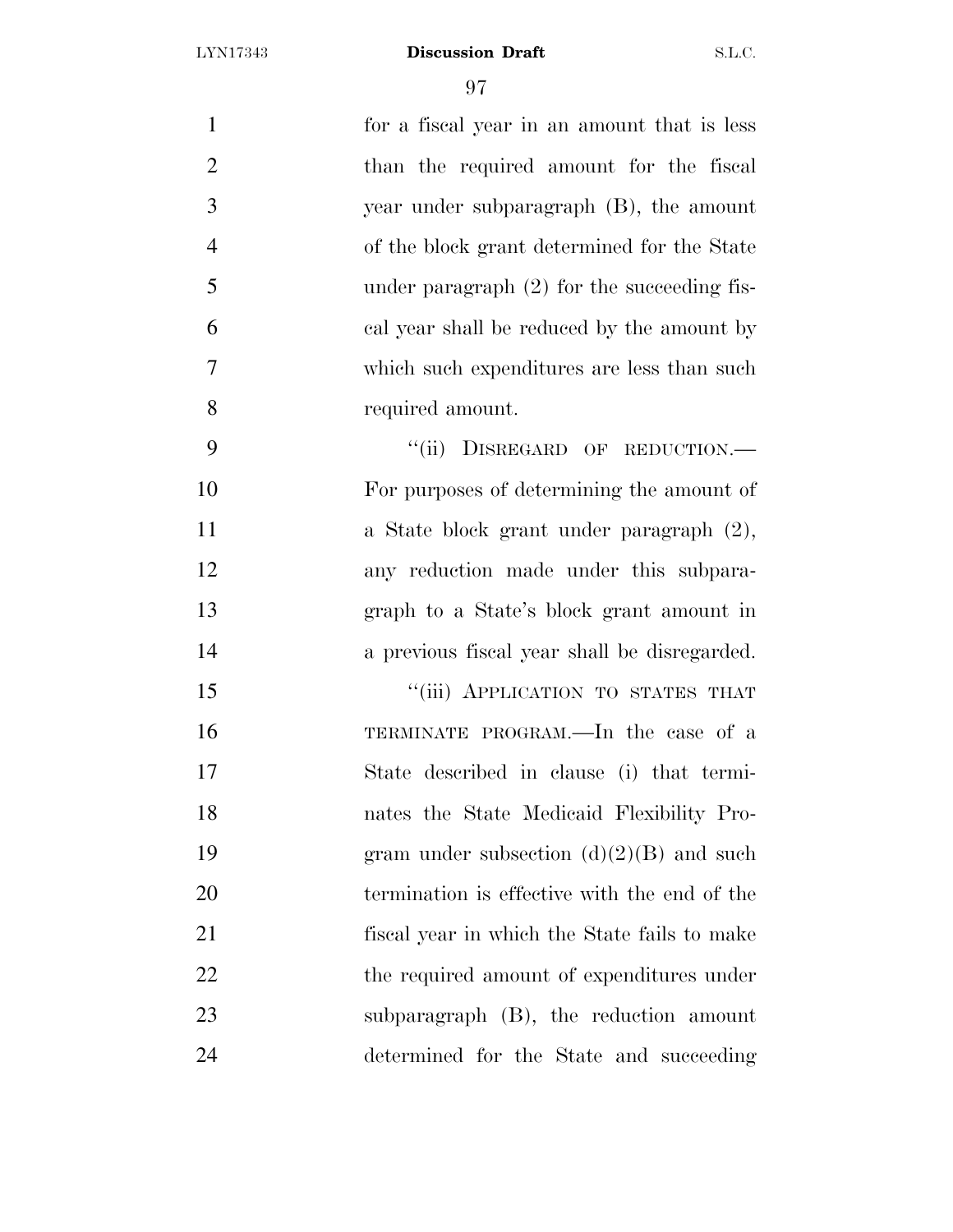| $\mathbf{1}$   | for a fiscal year in an amount that is less   |
|----------------|-----------------------------------------------|
| $\overline{2}$ | than the required amount for the fiscal       |
| 3              | year under subparagraph (B), the amount       |
| $\overline{4}$ | of the block grant determined for the State   |
| 5              | under paragraph $(2)$ for the succeeding fis- |
| 6              | cal year shall be reduced by the amount by    |
| $\overline{7}$ | which such expenditures are less than such    |
| 8              | required amount.                              |
| 9              | DISREGARD OF REDUCTION.-<br>``(ii)            |
| 10             | For purposes of determining the amount of     |
| 11             | a State block grant under paragraph (2),      |
| 12             | any reduction made under this subpara-        |
| 13             | graph to a State's block grant amount in      |
| 14             | a previous fiscal year shall be disregarded.  |
| 15             | "(iii) APPLICATION TO STATES THAT             |
| 16             | TERMINATE PROGRAM.—In the case of a           |
| 17             | State described in clause (i) that termi-     |
| 18             | nates the State Medicaid Flexibility Pro-     |
| 19             | gram under subsection $(d)(2)(B)$ and such    |
| 20             | termination is effective with the end of the  |
| 21             | fiscal year in which the State fails to make  |
| 22             | the required amount of expenditures under     |
| 23             | subparagraph (B), the reduction amount        |
| 24             | determined for the State and succeeding       |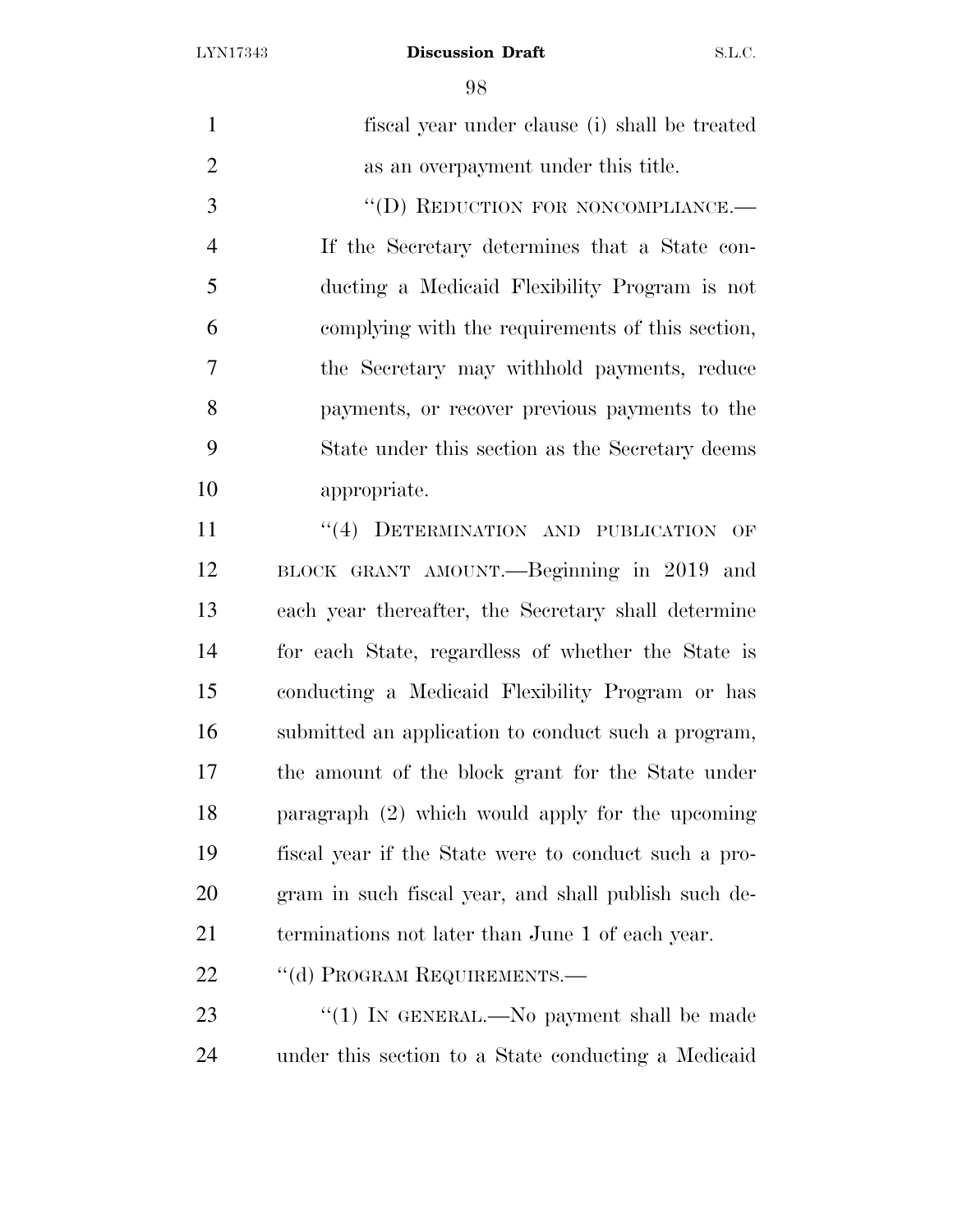| $\mathbf{1}$   | fiscal year under clause (i) shall be treated        |
|----------------|------------------------------------------------------|
| $\overline{2}$ | as an overpayment under this title.                  |
| 3              | "(D) REDUCTION FOR NONCOMPLIANCE.-                   |
| $\overline{4}$ | If the Secretary determines that a State con-        |
| 5              | ducting a Medicaid Flexibility Program is not        |
| 6              | complying with the requirements of this section,     |
| 7              | the Secretary may withhold payments, reduce          |
| 8              | payments, or recover previous payments to the        |
| 9              | State under this section as the Secretary deems      |
| 10             | appropriate.                                         |
| 11             | "(4) DETERMINATION AND PUBLICATION<br>OF             |
| 12             | BLOCK GRANT AMOUNT. - Beginning in 2019 and          |
| 13             | each year thereafter, the Secretary shall determine  |
| 14             | for each State, regardless of whether the State is   |
| 15             | conducting a Medicaid Flexibility Program or has     |
| 16             | submitted an application to conduct such a program,  |
| 17             | the amount of the block grant for the State under    |
| 18             | paragraph $(2)$ which would apply for the upcoming   |
| 19             | fiscal year if the State were to conduct such a pro- |
| 20             | gram in such fiscal year, and shall publish such de- |
| 21             | terminations not later than June 1 of each year.     |
| 22             | "(d) PROGRAM REQUIREMENTS.-                          |
| 23             | "(1) In GENERAL.—No payment shall be made            |
| 24             | under this section to a State conducting a Medicaid  |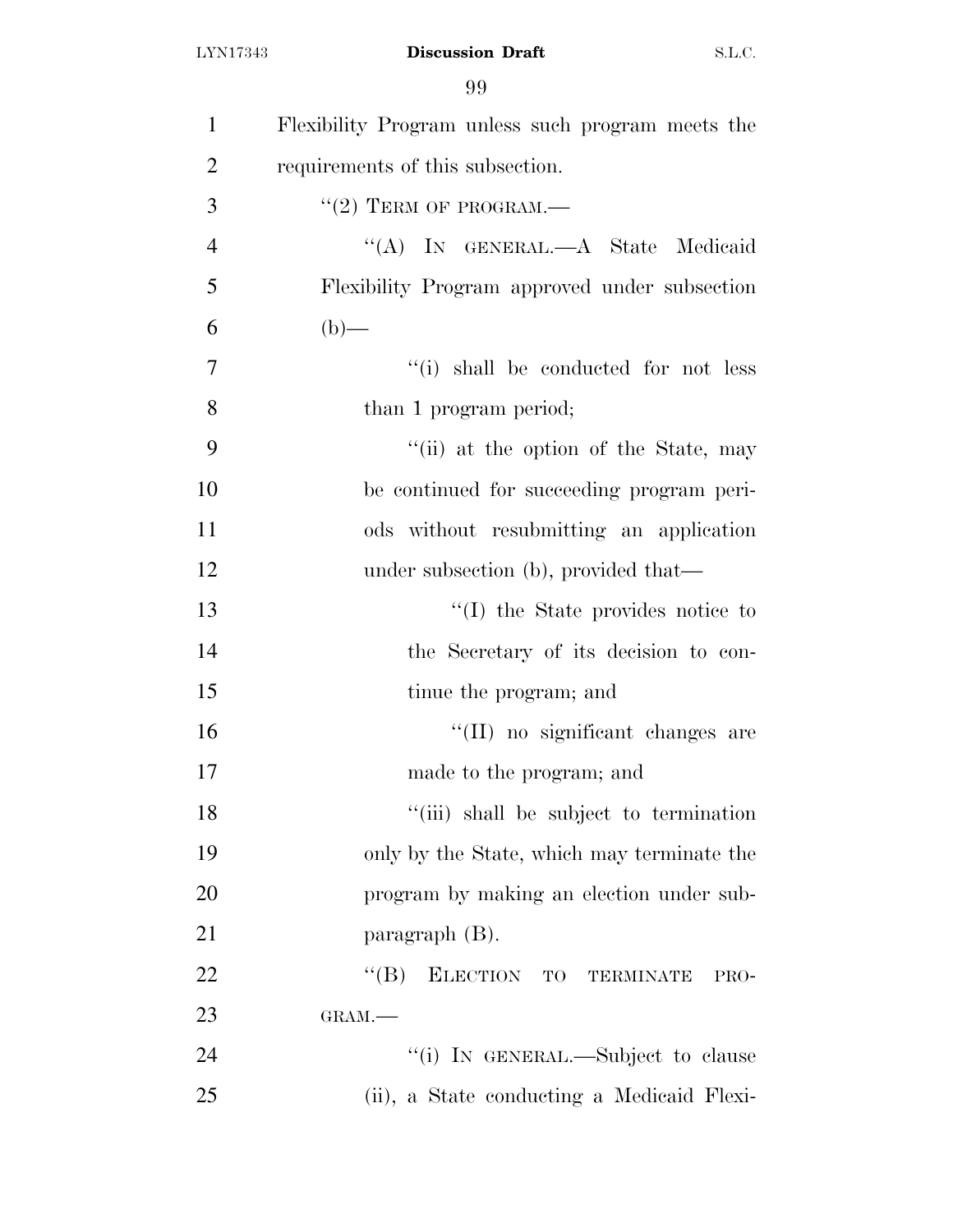| $\mathbf{1}$   | Flexibility Program unless such program meets the |
|----------------|---------------------------------------------------|
| $\overline{2}$ | requirements of this subsection.                  |
| 3              | $``(2)$ TERM OF PROGRAM.—                         |
| $\overline{4}$ | "(A) IN GENERAL.—A State Medicaid                 |
| 5              | Flexibility Program approved under subsection     |
| 6              | $(b)$ —                                           |
| 7              | "(i) shall be conducted for not less              |
| 8              | than 1 program period;                            |
| 9              | "(ii) at the option of the State, may             |
| 10             | be continued for succeeding program peri-         |
| 11             | ods without resubmitting an application           |
| 12             | under subsection (b), provided that—              |
| 13             | "(I) the State provides notice to                 |
| 14             | the Secretary of its decision to con-             |
| 15             | tinue the program; and                            |
| 16             | "(II) no significant changes are                  |
| 17             | made to the program; and                          |
| 18             | "(iii) shall be subject to termination            |
| 19             | only by the State, which may terminate the        |
| 20             | program by making an election under sub-          |
| 21             | paragraph $(B)$ .                                 |
| 22             | $\lq\lq (B)$<br>ELECTION TO TERMINATE<br>PRO-     |
| 23             | GRAM.                                             |
| 24             | "(i) IN GENERAL.—Subject to clause                |
| 25             | (ii), a State conducting a Medicaid Flexi-        |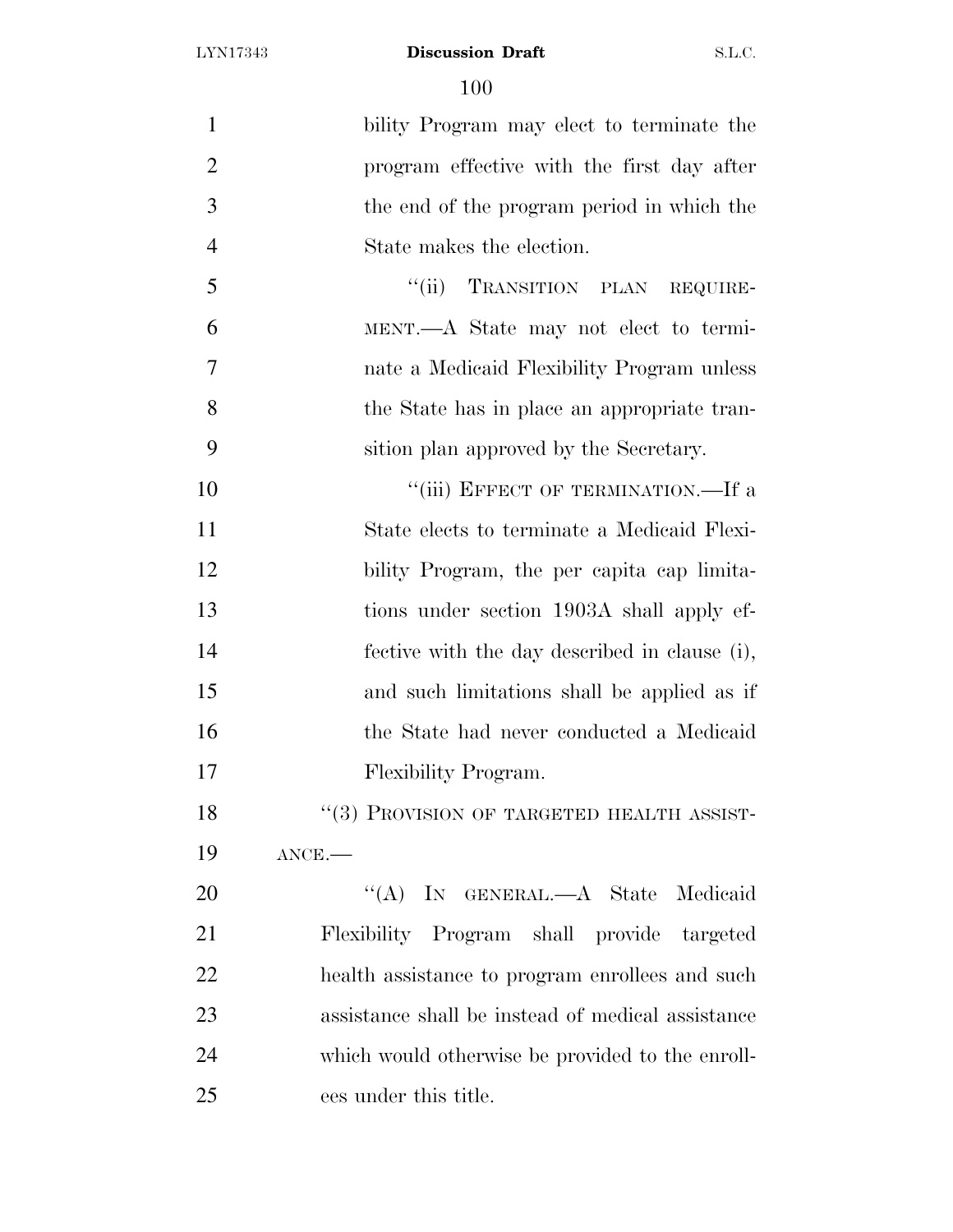| $\mathbf{1}$   | bility Program may elect to terminate the         |
|----------------|---------------------------------------------------|
| $\overline{2}$ | program effective with the first day after        |
| 3              | the end of the program period in which the        |
| $\overline{4}$ | State makes the election.                         |
| 5              | "(ii) TRANSITION PLAN REQUIRE-                    |
| 6              | MENT.—A State may not elect to termi-             |
| 7              | nate a Medicaid Flexibility Program unless        |
| 8              | the State has in place an appropriate tran-       |
| 9              | sition plan approved by the Secretary.            |
| 10             | "(iii) EFFECT OF TERMINATION.—If a                |
| 11             | State elects to terminate a Medicaid Flexi-       |
| 12             | bility Program, the per capita cap limita-        |
| 13             | tions under section 1903A shall apply ef-         |
| 14             | fective with the day described in clause (i),     |
| 15             | and such limitations shall be applied as if       |
| 16             | the State had never conducted a Medicaid          |
| 17             | Flexibility Program.                              |
| 18             | "(3) PROVISION OF TARGETED HEALTH ASSIST-         |
| 19             | $ANCE$ .                                          |
| 20             | "(A) IN GENERAL.—A State Medicaid                 |
| 21             | Flexibility Program shall provide targeted        |
| 22             | health assistance to program enrollees and such   |
| 23             | assistance shall be instead of medical assistance |
| 24             | which would otherwise be provided to the enroll-  |
| 25             | ees under this title.                             |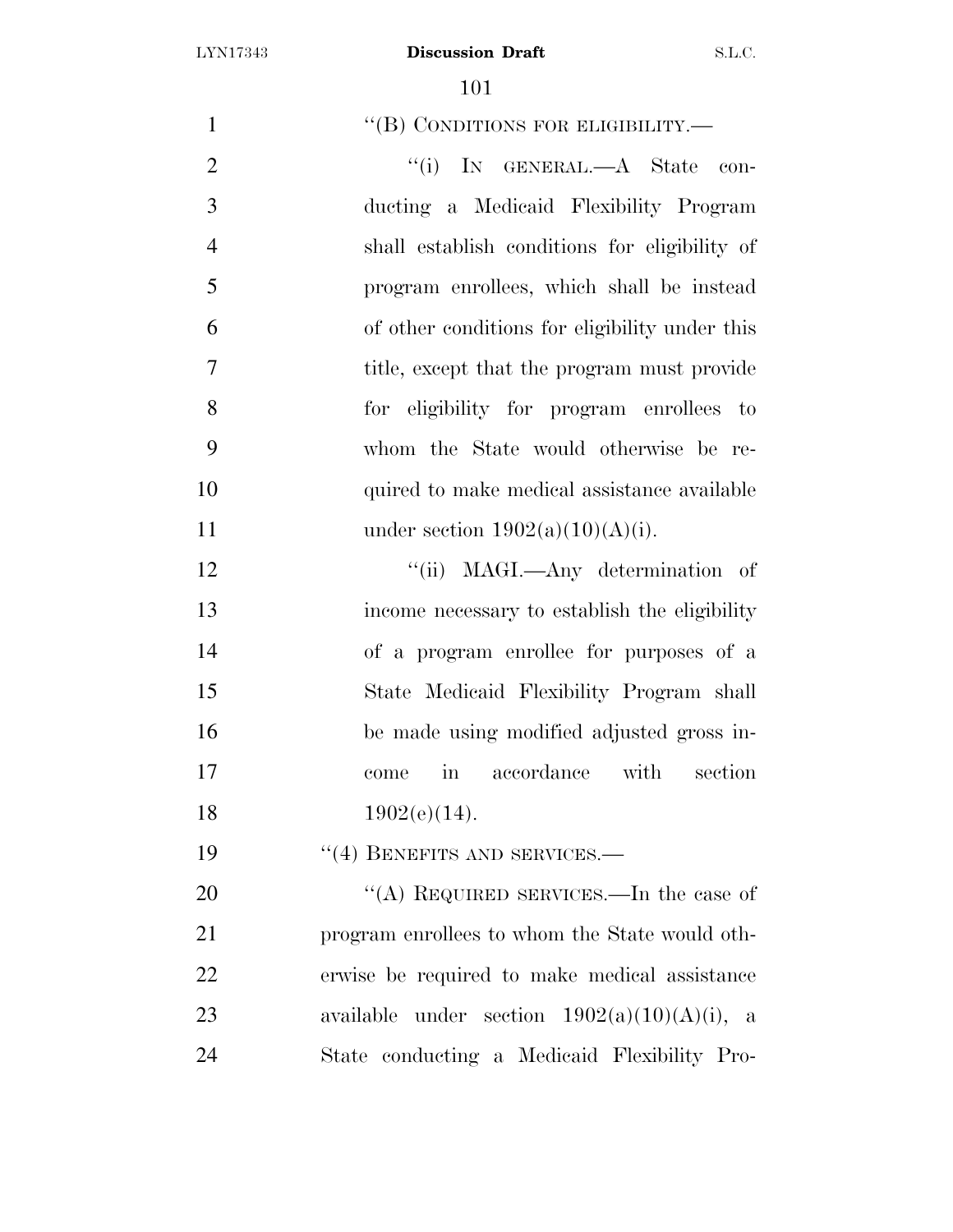| $\mathbf{1}$   | "(B) CONDITIONS FOR ELIGIBILITY.-                            |
|----------------|--------------------------------------------------------------|
| $\overline{2}$ | "(i) IN GENERAL.—A State<br>con-                             |
| 3              | ducting a Medicaid Flexibility Program                       |
| $\overline{4}$ | shall establish conditions for eligibility of                |
| 5              | program enrollees, which shall be instead                    |
| 6              | of other conditions for eligibility under this               |
| $\overline{7}$ | title, except that the program must provide                  |
| 8              | for eligibility for program enrollees to                     |
| 9              | whom the State would otherwise be re-                        |
| 10             | quired to make medical assistance available                  |
| 11             | under section $1902(a)(10)(A)(i)$ .                          |
| 12             | "(ii) MAGI.—Any determination of                             |
| 13             | income necessary to establish the eligibility                |
| 14             | of a program enrollee for purposes of a                      |
| 15             | State Medicaid Flexibility Program shall                     |
| 16             | be made using modified adjusted gross in-                    |
| 17             | accordance<br>with<br>section<br>$\operatorname{in}$<br>come |
| 18             | $1902(e)(14)$ .                                              |
| 19             | $``(4)$ BENEFITS AND SERVICES.—                              |
| 20             | "(A) REQUIRED SERVICES.—In the case of                       |
| 21             | program enrollees to whom the State would oth-               |
| 22             | erwise be required to make medical assistance                |
| 23             | under section $1902(a)(10)(A)(i)$ , a<br>available           |
| 24             | State conducting a Medicaid Flexibility Pro-                 |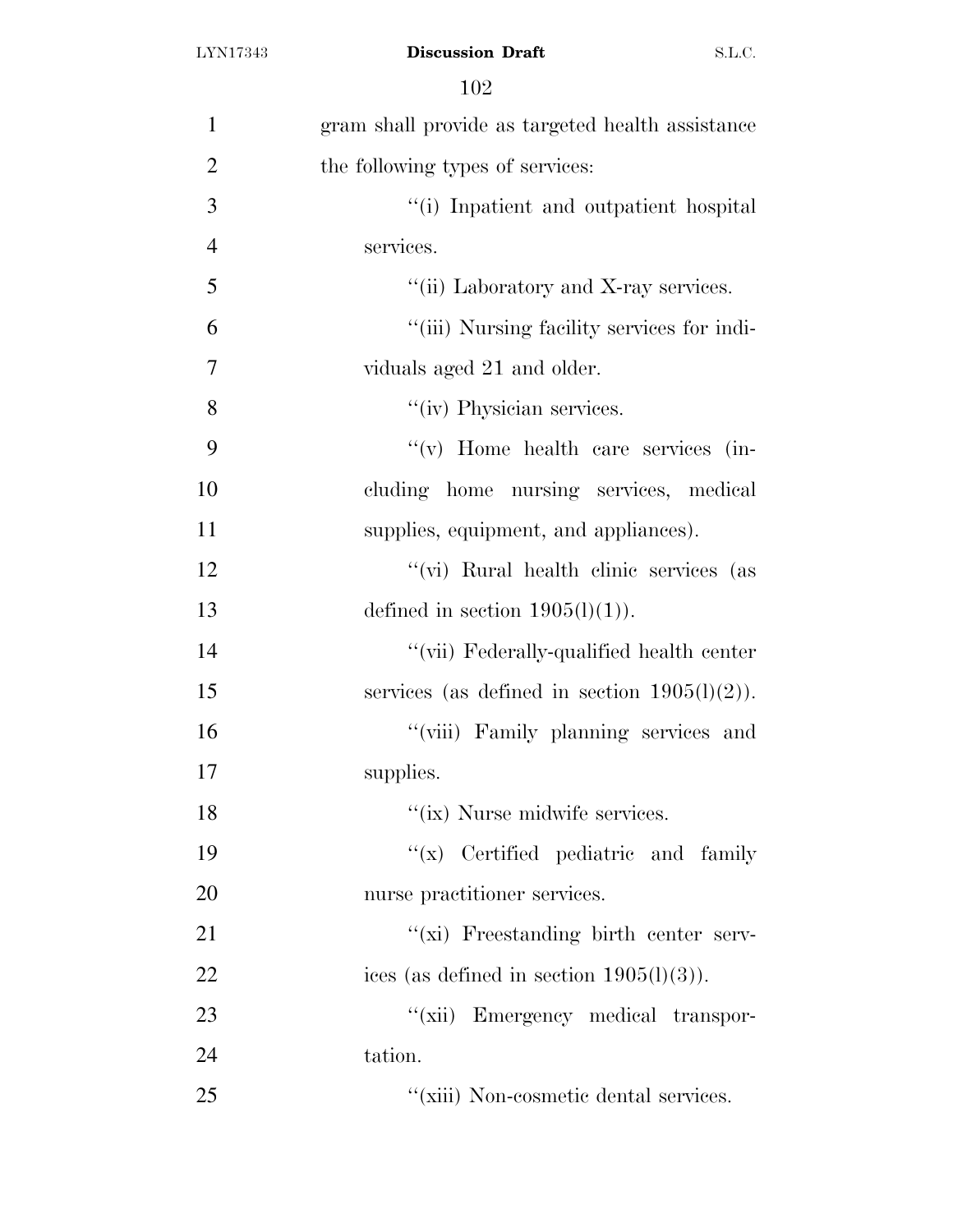| $\mathbf{1}$   | gram shall provide as targeted health assistance |
|----------------|--------------------------------------------------|
| $\overline{2}$ | the following types of services:                 |
| 3              | "(i) Inpatient and outpatient hospital           |
| $\overline{4}$ | services.                                        |
| 5              | "(ii) Laboratory and X-ray services.             |
| 6              | "(iii) Nursing facility services for indi-       |
| 7              | viduals aged 21 and older.                       |
| 8              | "(iv) Physician services.                        |
| 9              | "(v) Home health care services (in-              |
| 10             | cluding home nursing services, medical           |
| 11             | supplies, equipment, and appliances).            |
| 12             | "(vi) Rural health clinic services (as           |
| 13             | defined in section $1905(l)(1)$ .                |
| 14             | "(vii) Federally-qualified health center         |
| 15             | services (as defined in section $1905(l)(2)$ ).  |
| 16             | "(viii) Family planning services and             |
| 17             | supplies.                                        |
| 18             | "(ix) Nurse midwife services.                    |
| 19             | $f(x)$ Certified pediatric and family            |
| 20             | nurse practitioner services.                     |
| 21             | "(xi) Freestanding birth center serv-            |
| 22             | ices (as defined in section $1905(l)(3)$ ).      |
| 23             | "(xii) Emergency medical transpor-               |
| 24             | tation.                                          |
| 25             | "(xiii) Non-cosmetic dental services.            |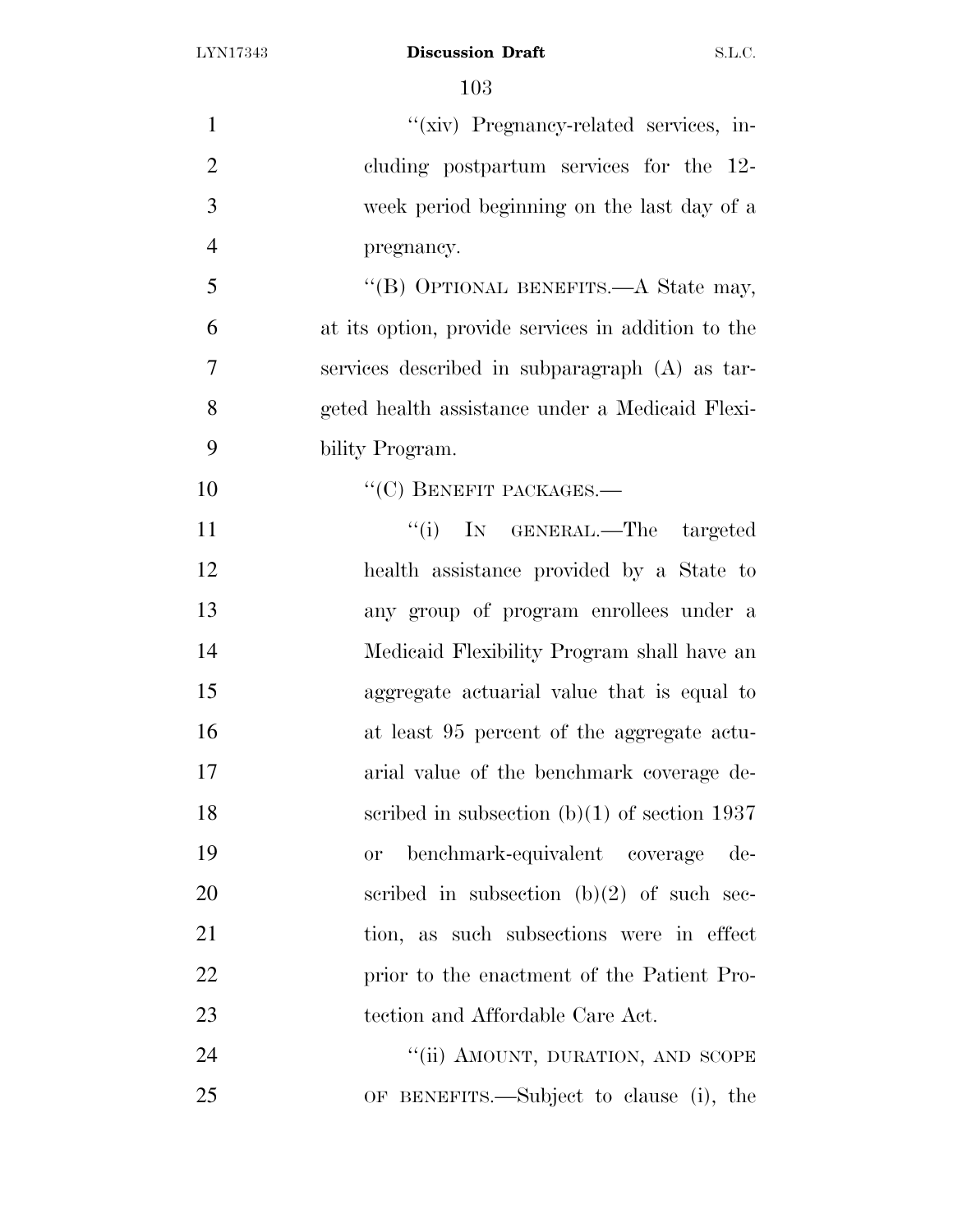| $\mathbf{1}$   | "(xiv) Pregnancy-related services, in-             |
|----------------|----------------------------------------------------|
| $\overline{2}$ | cluding postpartum services for the 12-            |
| 3              | week period beginning on the last day of a         |
| $\overline{4}$ | pregnancy.                                         |
| 5              | "(B) OPTIONAL BENEFITS.—A State may,               |
| 6              | at its option, provide services in addition to the |
| 7              | services described in subparagraph (A) as tar-     |
| 8              | geted health assistance under a Medicaid Flexi-    |
| 9              | bility Program.                                    |
| 10             | $``(C)$ BENEFIT PACKAGES.—                         |
| 11             | "(i) IN GENERAL.—The targeted                      |
| 12             | health assistance provided by a State to           |
| 13             | any group of program enrollees under a             |
| 14             | Medicaid Flexibility Program shall have an         |
| 15             | aggregate actuarial value that is equal to         |
| 16             | at least 95 percent of the aggregate actu-         |
| 17             | arial value of the benchmark coverage de-          |
| 18             | scribed in subsection $(b)(1)$ of section 1937     |
| 19             | benchmark-equivalent coverage<br>de-<br><b>or</b>  |
| 20             | scribed in subsection $(b)(2)$ of such sec-        |
| 21             | tion, as such subsections were in effect           |
| 22             | prior to the enactment of the Patient Pro-         |
| 23             | tection and Affordable Care Act.                   |
| 24             | "(ii) AMOUNT, DURATION, AND SCOPE                  |
| 25             | OF BENEFITS.—Subject to clause (i), the            |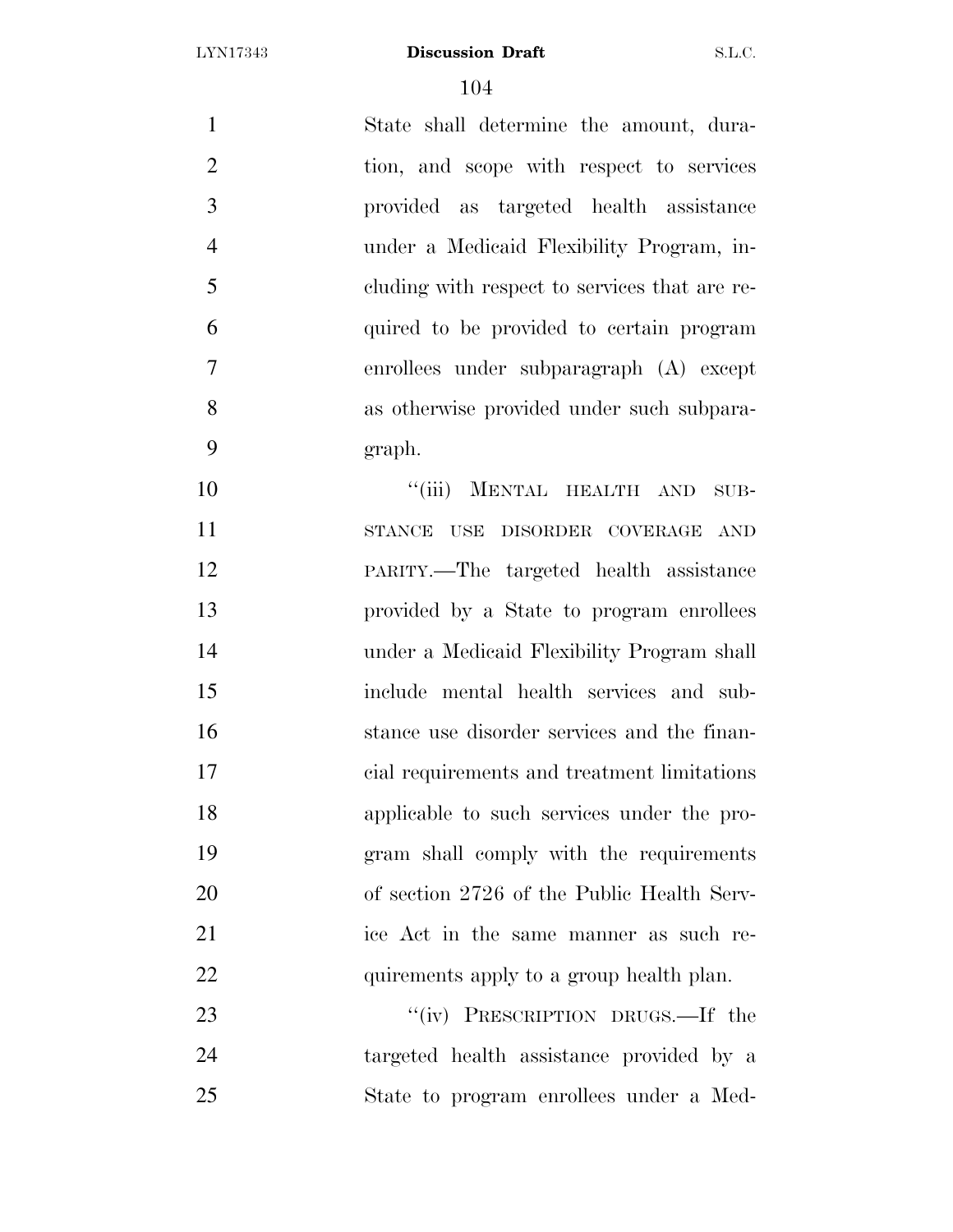State shall determine the amount, dura- tion, and scope with respect to services provided as targeted health assistance under a Medicaid Flexibility Program, in- cluding with respect to services that are re- quired to be provided to certain program enrollees under subparagraph (A) except as otherwise provided under such subpara-graph.

10 "(iii) MENTAL HEALTH AND SUB- STANCE USE DISORDER COVERAGE AND PARITY.—The targeted health assistance provided by a State to program enrollees under a Medicaid Flexibility Program shall include mental health services and sub- stance use disorder services and the finan- cial requirements and treatment limitations applicable to such services under the pro- gram shall comply with the requirements of section 2726 of the Public Health Serv- ice Act in the same manner as such re-22 quirements apply to a group health plan.

23 "(iv) PRESCRIPTION DRUGS.—If the targeted health assistance provided by a State to program enrollees under a Med-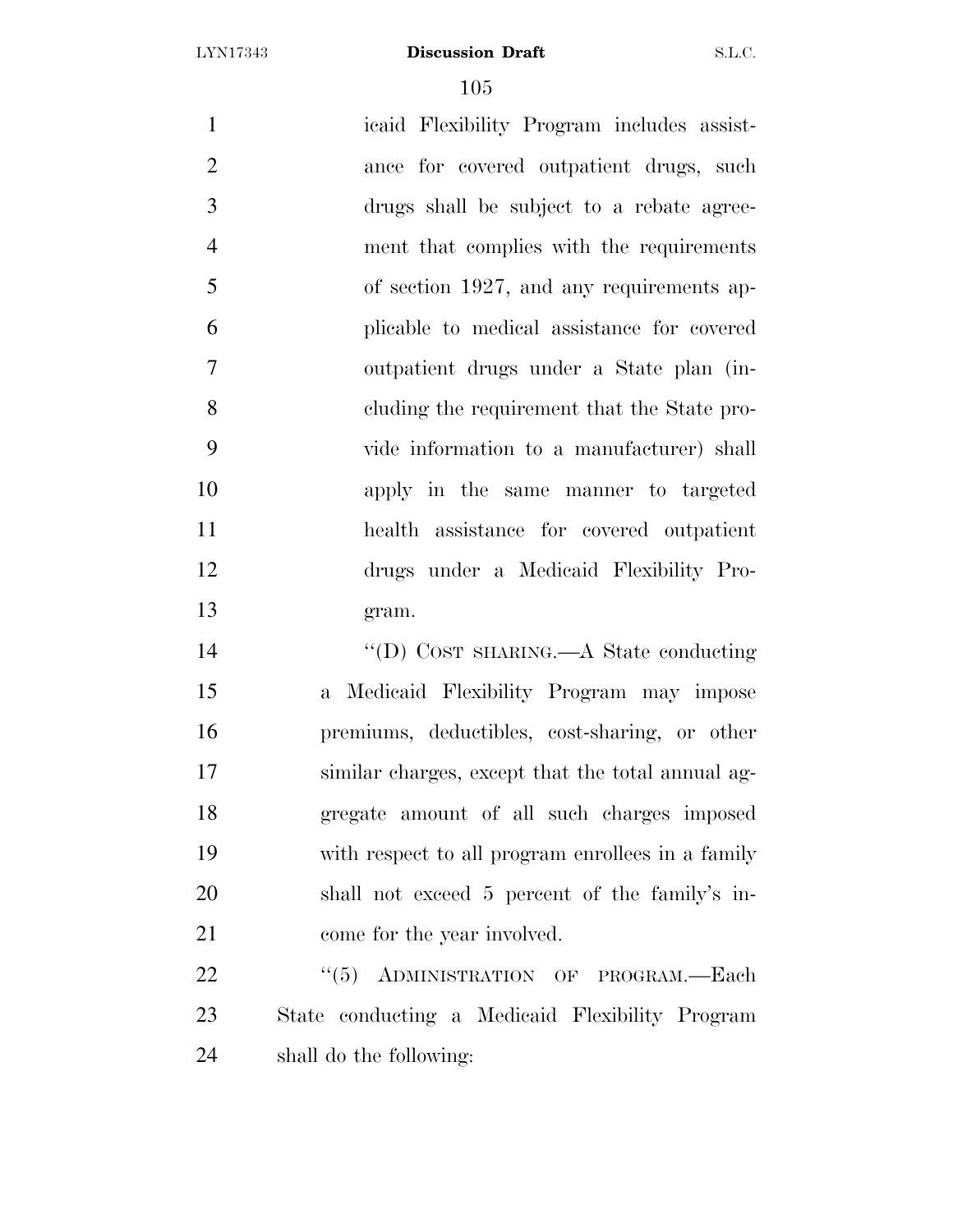icaid Flexibility Program includes assist- ance for covered outpatient drugs, such drugs shall be subject to a rebate agree- ment that complies with the requirements of section 1927, and any requirements ap- plicable to medical assistance for covered outpatient drugs under a State plan (in- cluding the requirement that the State pro- vide information to a manufacturer) shall apply in the same manner to targeted health assistance for covered outpatient drugs under a Medicaid Flexibility Pro- gram. ''(D) COST SHARING.—A State conducting

 a Medicaid Flexibility Program may impose premiums, deductibles, cost-sharing, or other similar charges, except that the total annual ag- gregate amount of all such charges imposed with respect to all program enrollees in a family shall not exceed 5 percent of the family's in-21 come for the year involved.

22 "(5) ADMINISTRATION OF PROGRAM.—Each State conducting a Medicaid Flexibility Program shall do the following: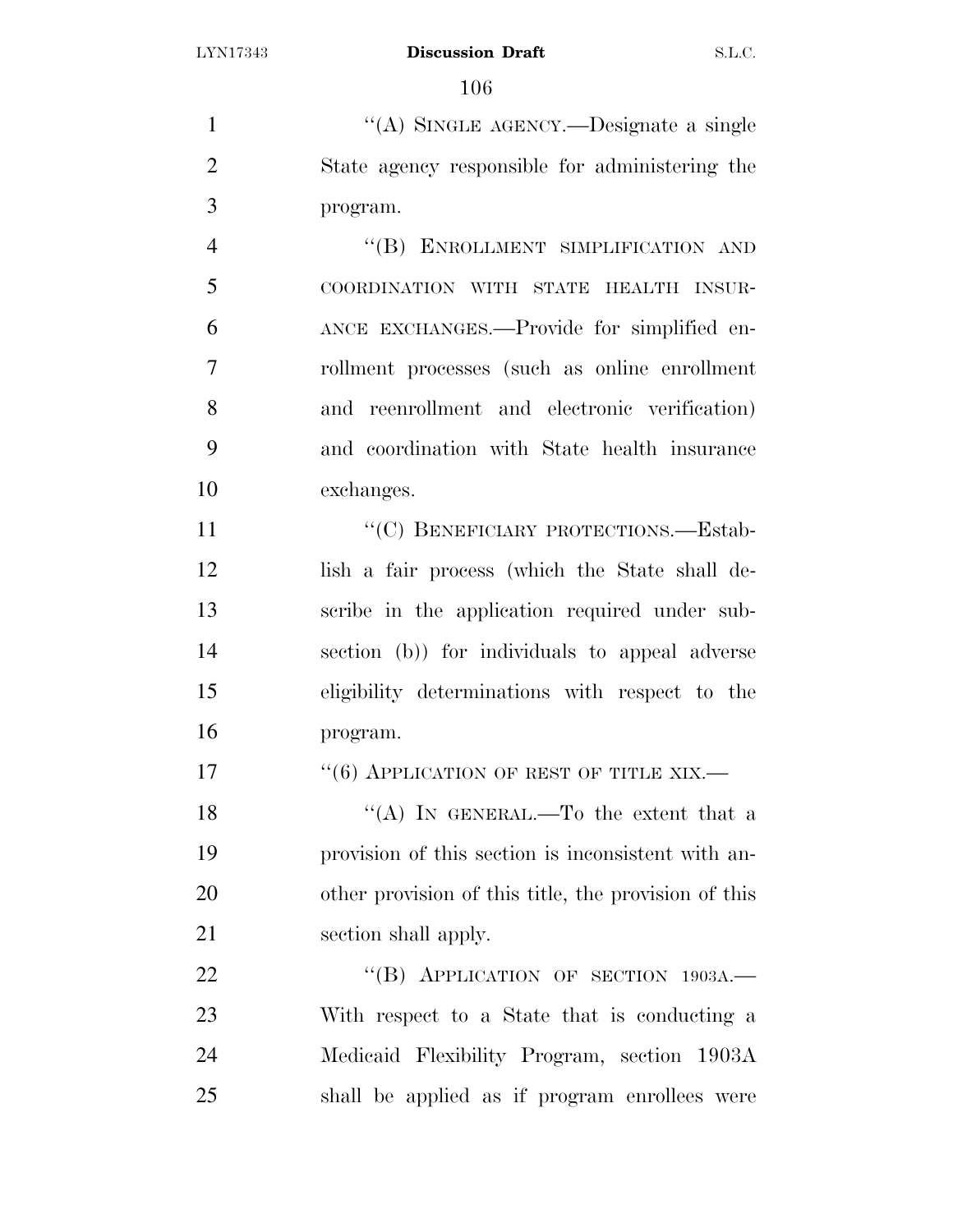1  $((A)$  SINGLE AGENCY.—Designate a single State agency responsible for administering the program.

4 "(B) ENROLLMENT SIMPLIFICATION AND COORDINATION WITH STATE HEALTH INSUR- ANCE EXCHANGES.—Provide for simplified en- rollment processes (such as online enrollment and reenrollment and electronic verification) and coordination with State health insurance exchanges.

11 "
(C) BENEFICIARY PROTECTIONS.—Estab- lish a fair process (which the State shall de- scribe in the application required under sub- section (b)) for individuals to appeal adverse eligibility determinations with respect to the program.

**''(6) APPLICATION OF REST OF TITLE XIX.** 

 $((A)$  In GENERAL.—To the extent that a provision of this section is inconsistent with an- other provision of this title, the provision of this 21 section shall apply.

22 "(B) APPLICATION OF SECTION 1903A. With respect to a State that is conducting a Medicaid Flexibility Program, section 1903A shall be applied as if program enrollees were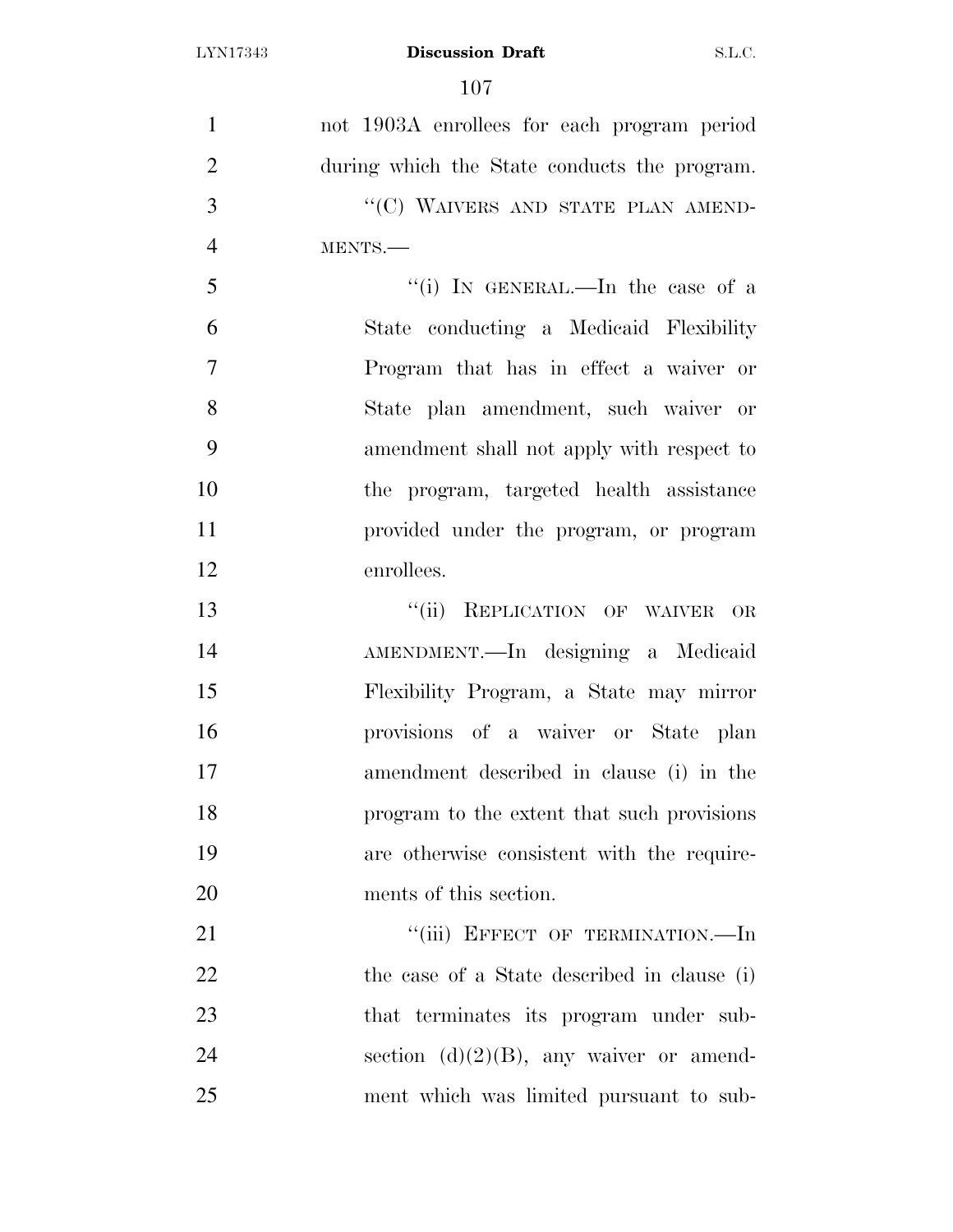| $\mathbf{1}$   | not 1903A enrollees for each program period  |
|----------------|----------------------------------------------|
| $\overline{2}$ | during which the State conducts the program. |
| 3              | "(C) WAIVERS AND STATE PLAN AMEND-           |
| $\overline{4}$ | MENTS.-                                      |
| 5              | "(i) IN GENERAL.—In the case of a            |
| 6              | State conducting a Medicaid Flexibility      |
| $\overline{7}$ | Program that has in effect a waiver or       |
| 8              | State plan amendment, such waiver or         |
| 9              | amendment shall not apply with respect to    |
| 10             | the program, targeted health assistance      |
| 11             | provided under the program, or program       |
| 12             | enrollees.                                   |
| 13             | "(ii) REPLICATION OF WAIVER OR               |
| 14             | AMENDMENT.—In designing a Medicaid           |
| 15             | Flexibility Program, a State may mirror      |
| 16             | provisions of a waiver or State plan         |
| 17             | amendment described in clause (i) in the     |
| 18             | program to the extent that such provisions   |
| 19             | are otherwise consistent with the require-   |
| 20             | ments of this section.                       |
| 21             | "(iii) EFFECT OF TERMINATION.-In             |
| 22             | the case of a State described in clause (i)  |
| 23             | that terminates its program under sub-       |
| 24             | section $(d)(2)(B)$ , any waiver or amend-   |
| 25             | ment which was limited pursuant to sub-      |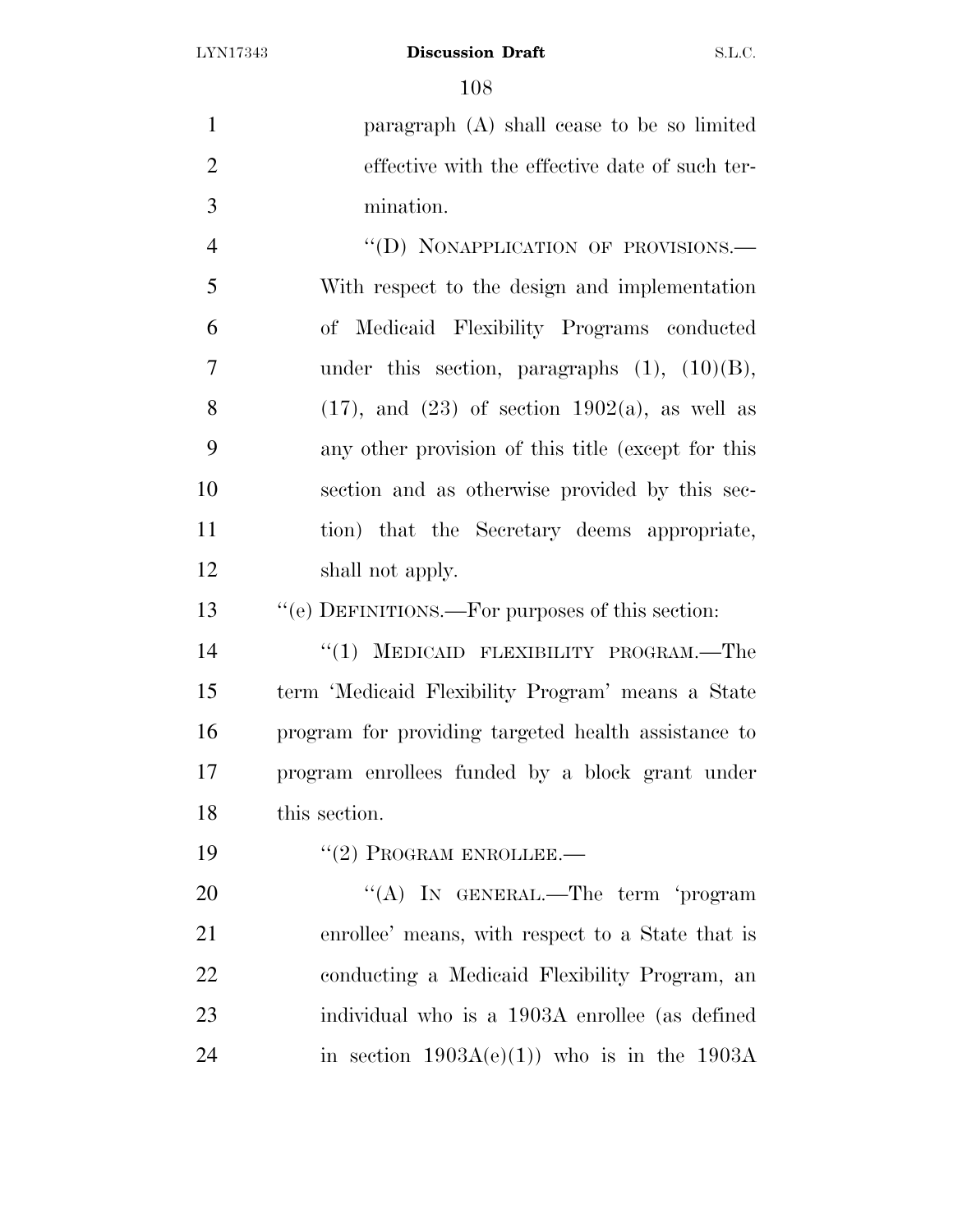paragraph (A) shall cease to be so limited effective with the effective date of such ter- mination. 4 "(D) NONAPPLICATION OF PROVISIONS.

 With respect to the design and implementation of Medicaid Flexibility Programs conducted under this section, paragraphs (1), (10)(B), 8 (17), and (23) of section 1902(a), as well as any other provision of this title (except for this section and as otherwise provided by this sec- tion) that the Secretary deems appropriate, shall not apply.

''(e) DEFINITIONS.—For purposes of this section:

14 "(1) MEDICAID FLEXIBILITY PROGRAM.—The term 'Medicaid Flexibility Program' means a State program for providing targeted health assistance to program enrollees funded by a block grant under this section.

19 "(2) PROGRAM ENROLLEE.

20 "(A) In GENERAL.—The term 'program enrollee' means, with respect to a State that is conducting a Medicaid Flexibility Program, an individual who is a 1903A enrollee (as defined 24 in section  $1903A(e)(1)$  who is in the  $1903A$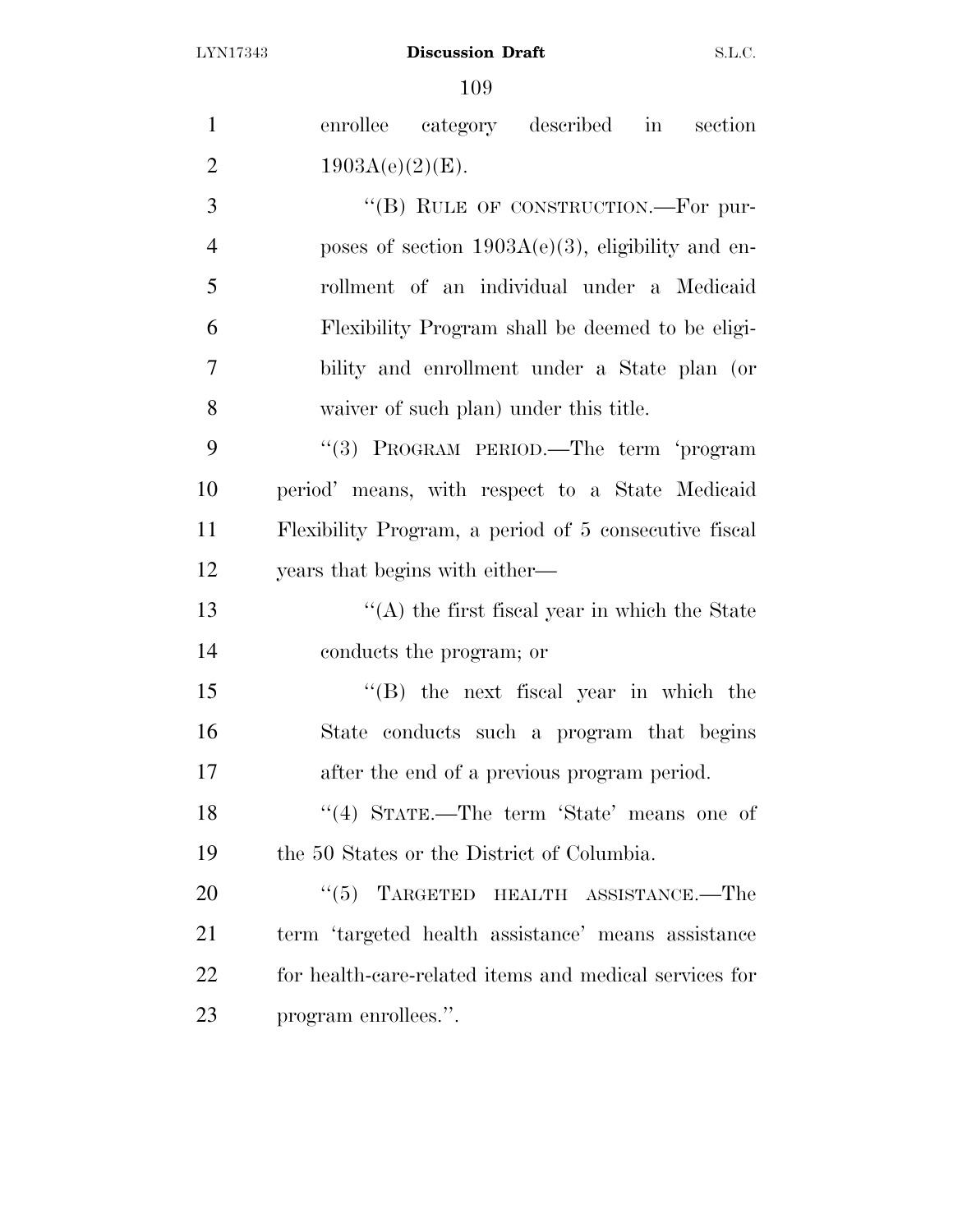| $\mathbf{1}$   | enrollee category described in<br>section              |
|----------------|--------------------------------------------------------|
| $\overline{2}$ | $1903A(e)(2)(E)$ .                                     |
| 3              | "(B) RULE OF CONSTRUCTION.—For pur-                    |
| $\overline{4}$ | poses of section $1903A(e)(3)$ , eligibility and en-   |
| 5              | rollment of an individual under a Medicaid             |
| 6              | Flexibility Program shall be deemed to be eligi-       |
| 7              | bility and enrollment under a State plan (or           |
| 8              | waiver of such plan) under this title.                 |
| 9              | "(3) PROGRAM PERIOD.—The term 'program                 |
| 10             | period' means, with respect to a State Medicaid        |
| 11             | Flexibility Program, a period of 5 consecutive fiscal  |
| 12             | years that begins with either—                         |
| 13             | $\lq\lq$ the first fiscal year in which the State      |
| 14             | conducts the program; or                               |
| 15             | $\lq\lq$ (B) the next fiscal year in which the         |
| 16             | State conducts such a program that begins              |
| 17             | after the end of a previous program period.            |
| 18             | "(4) STATE.—The term 'State' means one of              |
| 19             | the 50 States or the District of Columbia.             |
| 20             | $\cdot\cdot$ (5) TARGETED HEALTH ASSISTANCE.—The       |
| 21             | term 'targeted health assistance' means assistance     |
| 22             | for health-care-related items and medical services for |
| 23             | program enrollees.".                                   |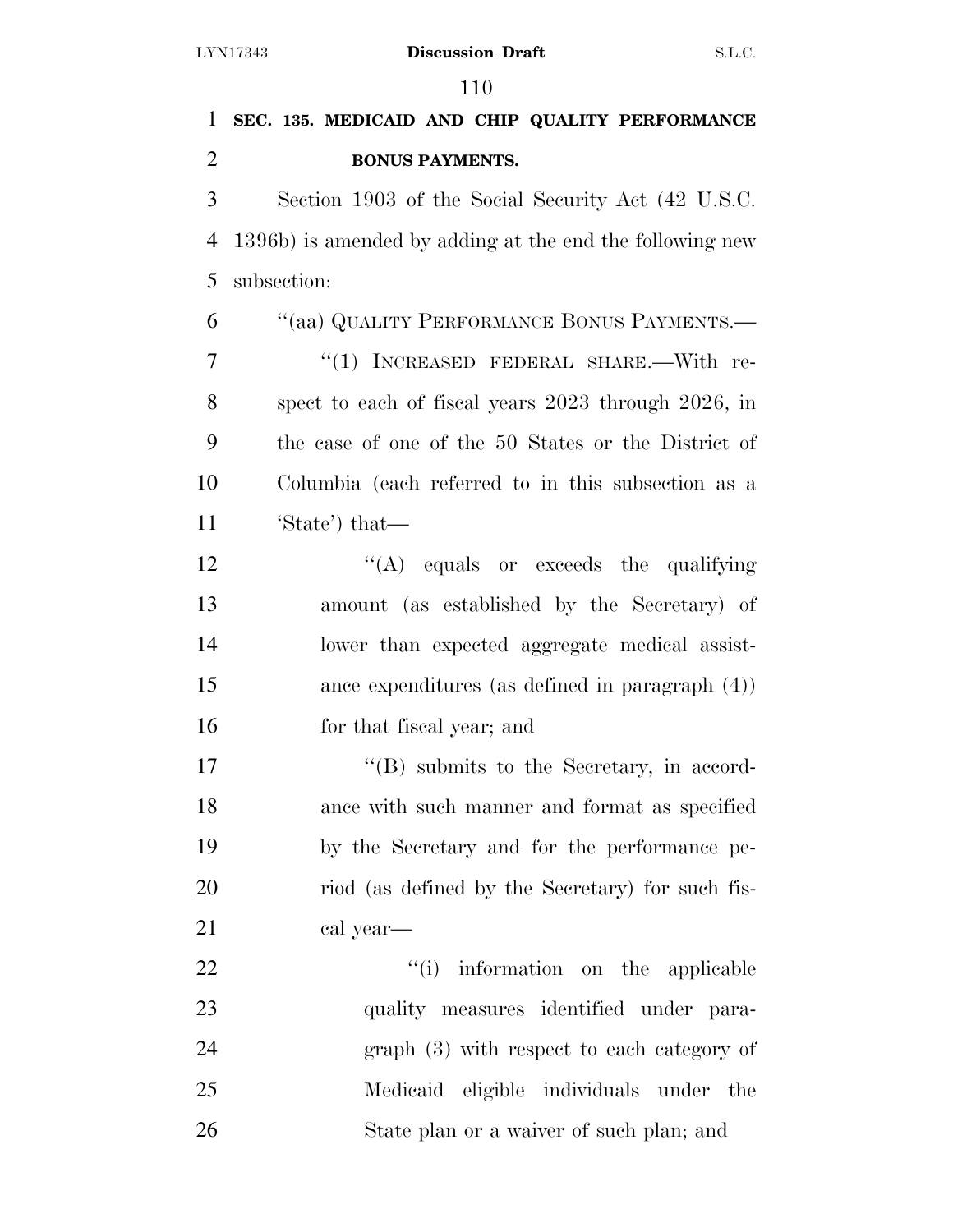| $\mathbf{1}$   | SEC. 135. MEDICAID AND CHIP QUALITY PERFORMANCE          |
|----------------|----------------------------------------------------------|
| $\overline{2}$ | <b>BONUS PAYMENTS.</b>                                   |
| 3              | Section 1903 of the Social Security Act (42 U.S.C.)      |
| $\overline{4}$ | 1396b) is amended by adding at the end the following new |
| 5              | subsection:                                              |
| 6              | "(aa) QUALITY PERFORMANCE BONUS PAYMENTS.—               |
| 7              | "(1) INCREASED FEDERAL SHARE.—With re-                   |
| 8              | spect to each of fiscal years 2023 through 2026, in      |
| 9              | the case of one of the 50 States or the District of      |
| 10             | Columbia (each referred to in this subsection as a       |
| 11             | 'State') that—                                           |
| 12             | $\lq\lq$ (A) equals or exceeds the qualifying            |
| 13             | amount (as established by the Secretary) of              |
| 14             | lower than expected aggregate medical assist-            |
| 15             | ance expenditures (as defined in paragraph $(4)$ )       |
| 16             | for that fiscal year; and                                |
| 17             | "(B) submits to the Secretary, in accord-                |
| 18             | ance with such manner and format as specified            |
| 19             | by the Secretary and for the performance pe-             |
| 20             | riod (as defined by the Secretary) for such fis-         |
| 21             | cal year—                                                |
| 22             | "(i) information on the applicable                       |
| 23             | quality measures identified under para-                  |
| 24             | $graph(3)$ with respect to each category of              |
| 25             | Medicaid eligible individuals under the                  |
| 26             | State plan or a waiver of such plan; and                 |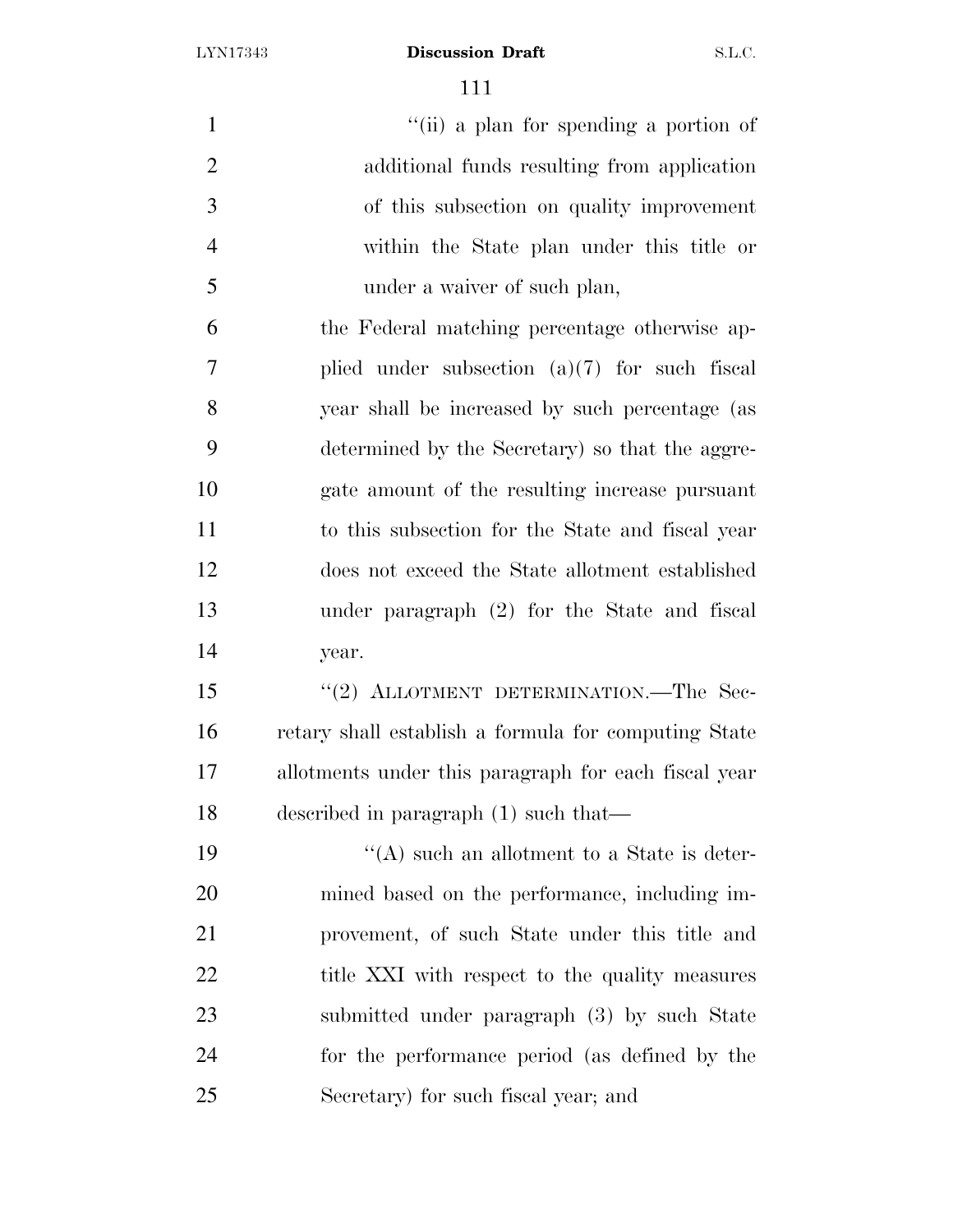1 ''(ii) a plan for spending a portion of additional funds resulting from application of this subsection on quality improvement within the State plan under this title or under a waiver of such plan, the Federal matching percentage otherwise ap- plied under subsection (a)(7) for such fiscal year shall be increased by such percentage (as determined by the Secretary) so that the aggre- gate amount of the resulting increase pursuant to this subsection for the State and fiscal year does not exceed the State allotment established under paragraph (2) for the State and fiscal year. 15 "(2) ALLOTMENT DETERMINATION.—The Sec- retary shall establish a formula for computing State allotments under this paragraph for each fiscal year described in paragraph (1) such that— 19 ''(A) such an allotment to a State is deter-

 mined based on the performance, including im- provement, of such State under this title and 22 title XXI with respect to the quality measures submitted under paragraph (3) by such State for the performance period (as defined by the Secretary) for such fiscal year; and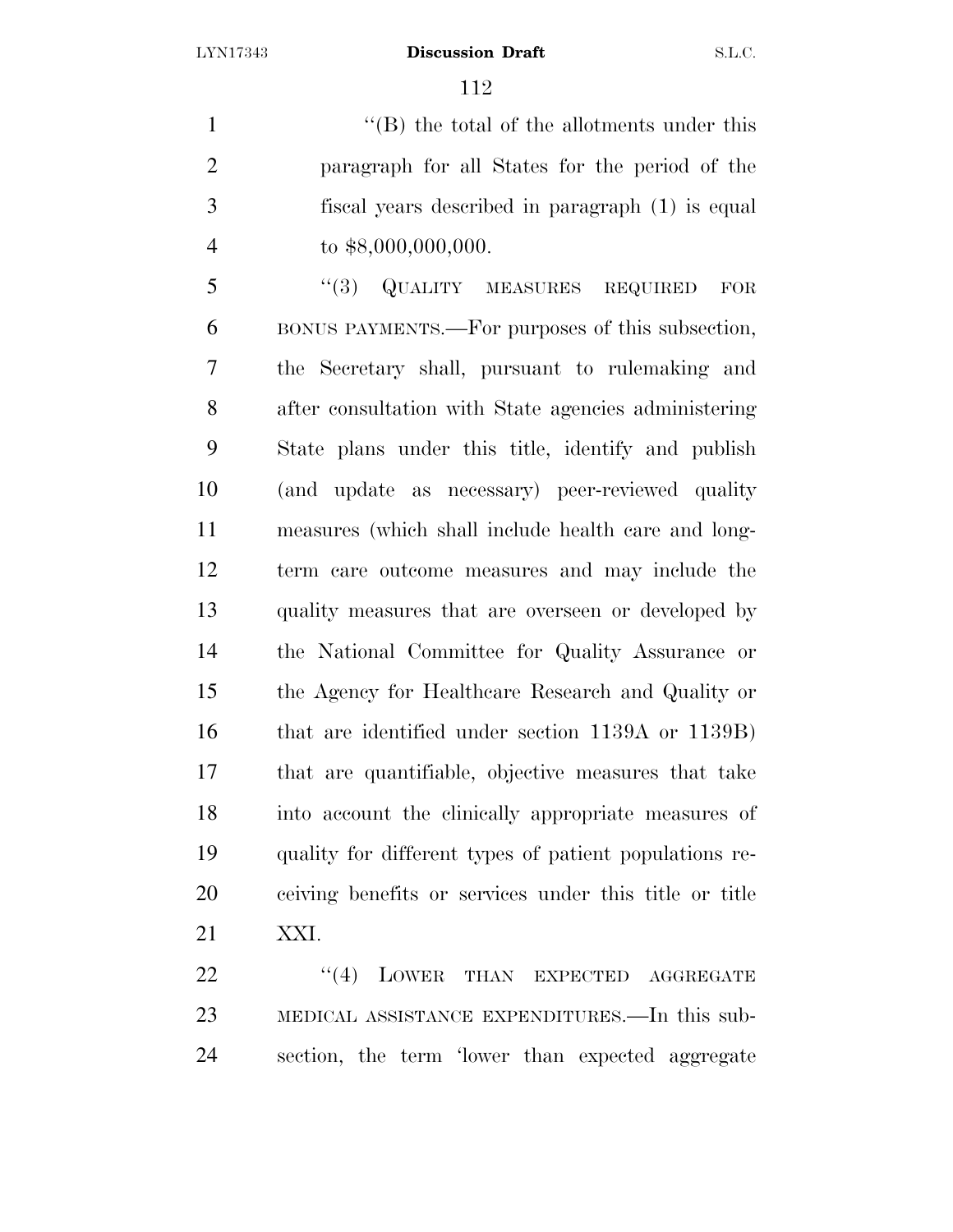''(B) the total of the allotments under this paragraph for all States for the period of the fiscal years described in paragraph (1) is equal to \$8,000,000,000.

5 "(3) QUALITY MEASURES REQUIRED FOR BONUS PAYMENTS.—For purposes of this subsection, the Secretary shall, pursuant to rulemaking and after consultation with State agencies administering State plans under this title, identify and publish (and update as necessary) peer-reviewed quality measures (which shall include health care and long- term care outcome measures and may include the quality measures that are overseen or developed by the National Committee for Quality Assurance or the Agency for Healthcare Research and Quality or that are identified under section 1139A or 1139B) that are quantifiable, objective measures that take into account the clinically appropriate measures of quality for different types of patient populations re- ceiving benefits or services under this title or title XXI.

22 "(4) LOWER THAN EXPECTED AGGREGATE MEDICAL ASSISTANCE EXPENDITURES.—In this sub-section, the term 'lower than expected aggregate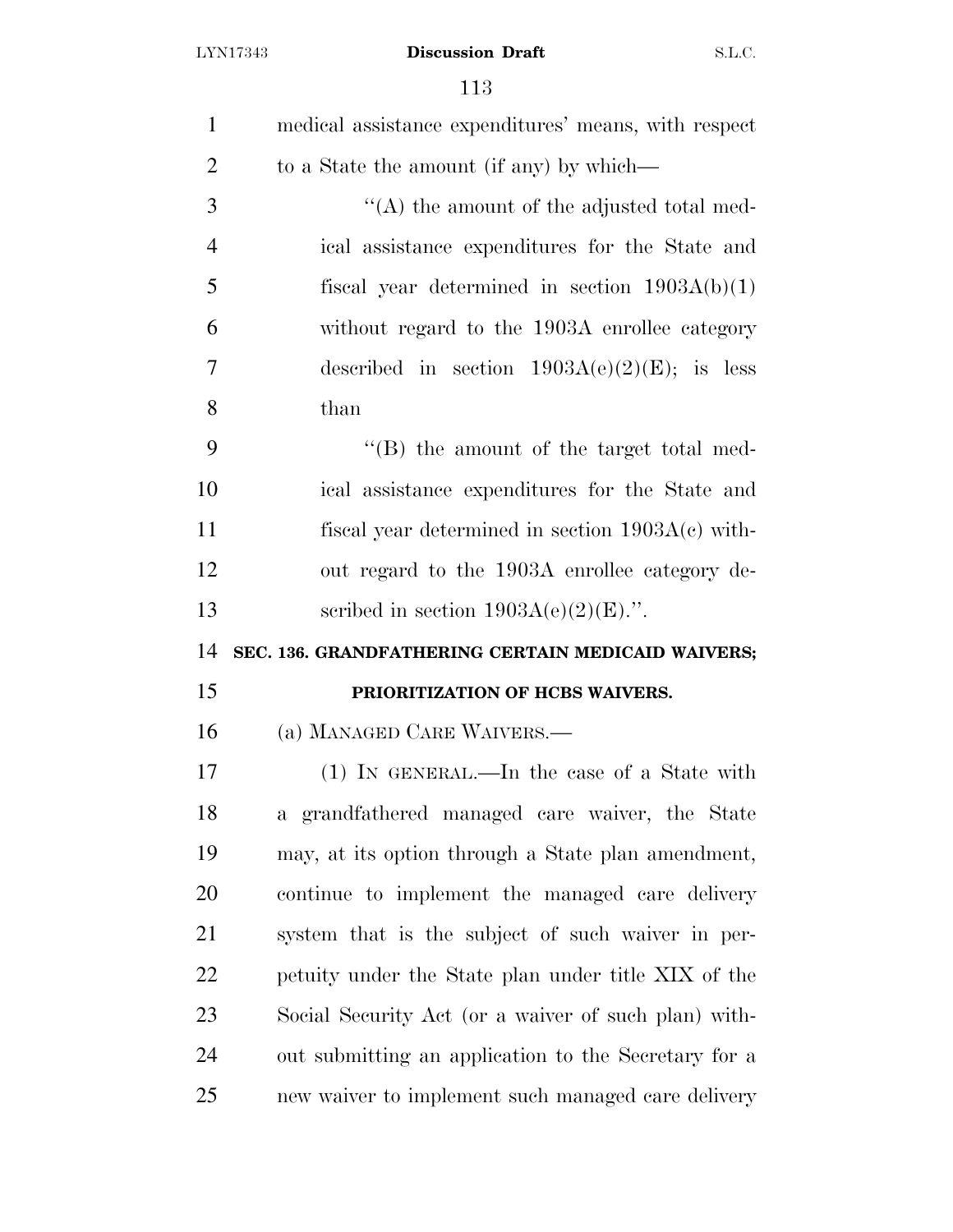| $\mathbf{1}$   | medical assistance expenditures' means, with respect |
|----------------|------------------------------------------------------|
| $\overline{2}$ | to a State the amount (if any) by which—             |
| 3              | $\lq\lq$ the amount of the adjusted total med-       |
| $\overline{4}$ | ical assistance expenditures for the State and       |
| 5              | fiscal year determined in section $1903A(b)(1)$      |
| 6              | without regard to the 1903A enrollee category        |
| $\overline{7}$ | described in section $1903A(e)(2)(E)$ ; is less      |
| 8              | than                                                 |
| 9              | $\lq\lq$ the amount of the target total med-         |
| 10             | ical assistance expenditures for the State and       |
| 11             | fiscal year determined in section $1903A(c)$ with-   |
| 12             | out regard to the 1903A enrollee category de-        |
| 13             | scribed in section $1903A(e)(2)(E)$ .".              |
|                |                                                      |
| 14             | SEC. 136. GRANDFATHERING CERTAIN MEDICAID WAIVERS;   |
| 15             | PRIORITIZATION OF HCBS WAIVERS.                      |
| 16             | (a) MANAGED CARE WAIVERS.—                           |
| 17             | (1) IN GENERAL.—In the case of a State with          |
| 18             | a grandfathered managed care waiver, the State       |
| 19             | may, at its option through a State plan amendment,   |
| <b>20</b>      | continue to implement the managed care delivery      |
| 21             | system that is the subject of such waiver in per-    |
| 22             | petuity under the State plan under title XIX of the  |
| 23             | Social Security Act (or a waiver of such plan) with- |
| 24             | out submitting an application to the Secretary for a |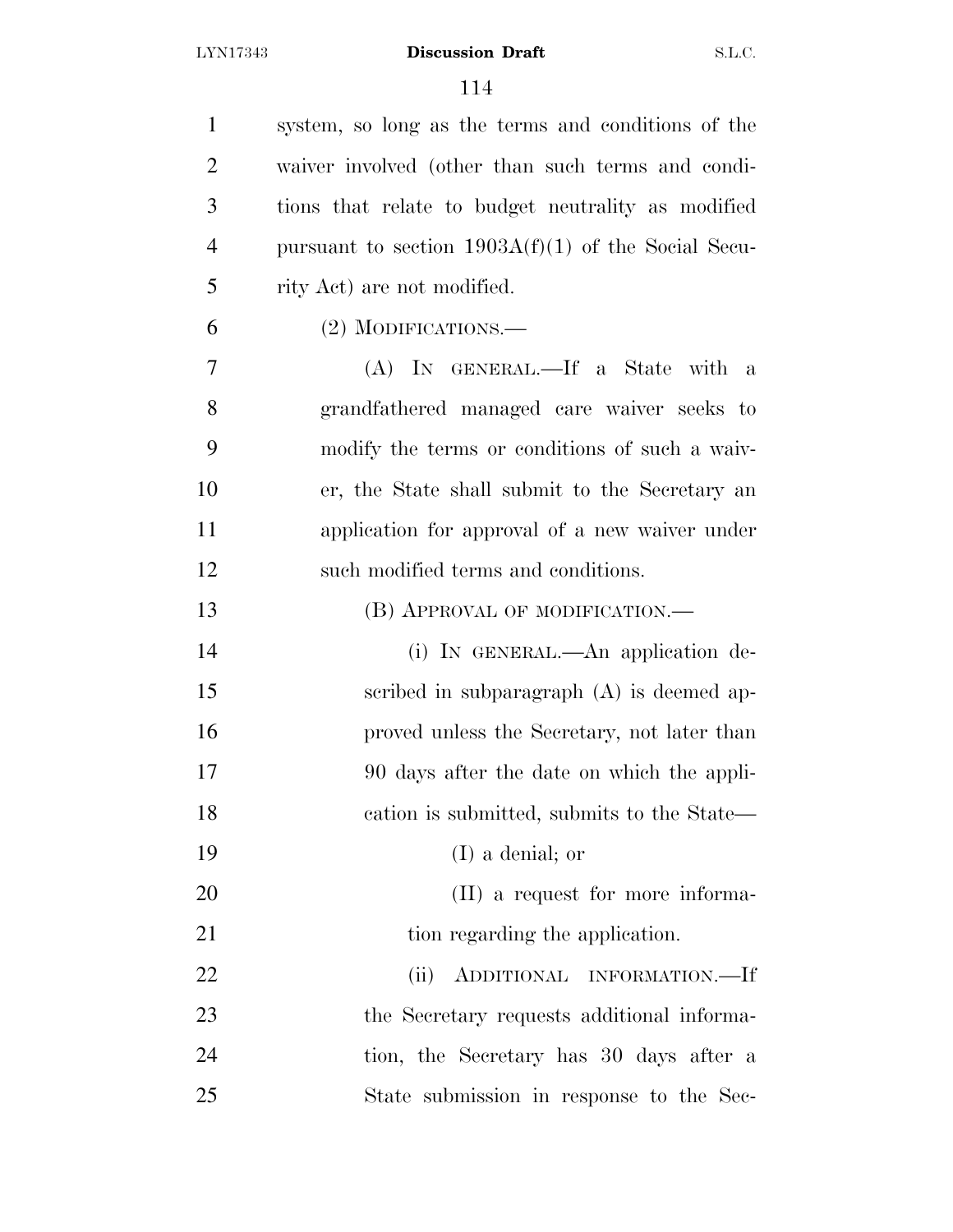| $\mathbf{1}$   | system, so long as the terms and conditions of the    |
|----------------|-------------------------------------------------------|
| $\overline{2}$ | waiver involved (other than such terms and condi-     |
| 3              | tions that relate to budget neutrality as modified    |
| $\overline{4}$ | pursuant to section $1903A(f)(1)$ of the Social Secu- |
| 5              | rity Act) are not modified.                           |
| 6              | (2) MODIFICATIONS.—                                   |
| 7              | (A) IN GENERAL.—If a State with a                     |
| 8              | grandfathered managed care waiver seeks to            |
| 9              | modify the terms or conditions of such a waiv-        |
| 10             | er, the State shall submit to the Secretary an        |
| 11             | application for approval of a new waiver under        |
| 12             | such modified terms and conditions.                   |
| 13             | (B) APPROVAL OF MODIFICATION.—                        |
| 14             | (i) IN GENERAL.—An application de-                    |
| 15             | scribed in subparagraph $(A)$ is deemed ap-           |
| 16             | proved unless the Secretary, not later than           |
| 17             | 90 days after the date on which the appli-            |
| 18             | cation is submitted, submits to the State—            |
| 19             | $(I)$ a denial; or                                    |
| 20             | (II) a request for more informa-                      |
| 21             | tion regarding the application.                       |
| 22             | ADDITIONAL INFORMATION.-If<br>(ii)                    |
| 23             | the Secretary requests additional informa-            |
| 24             | tion, the Secretary has 30 days after a               |
| 25             | State submission in response to the Sec-              |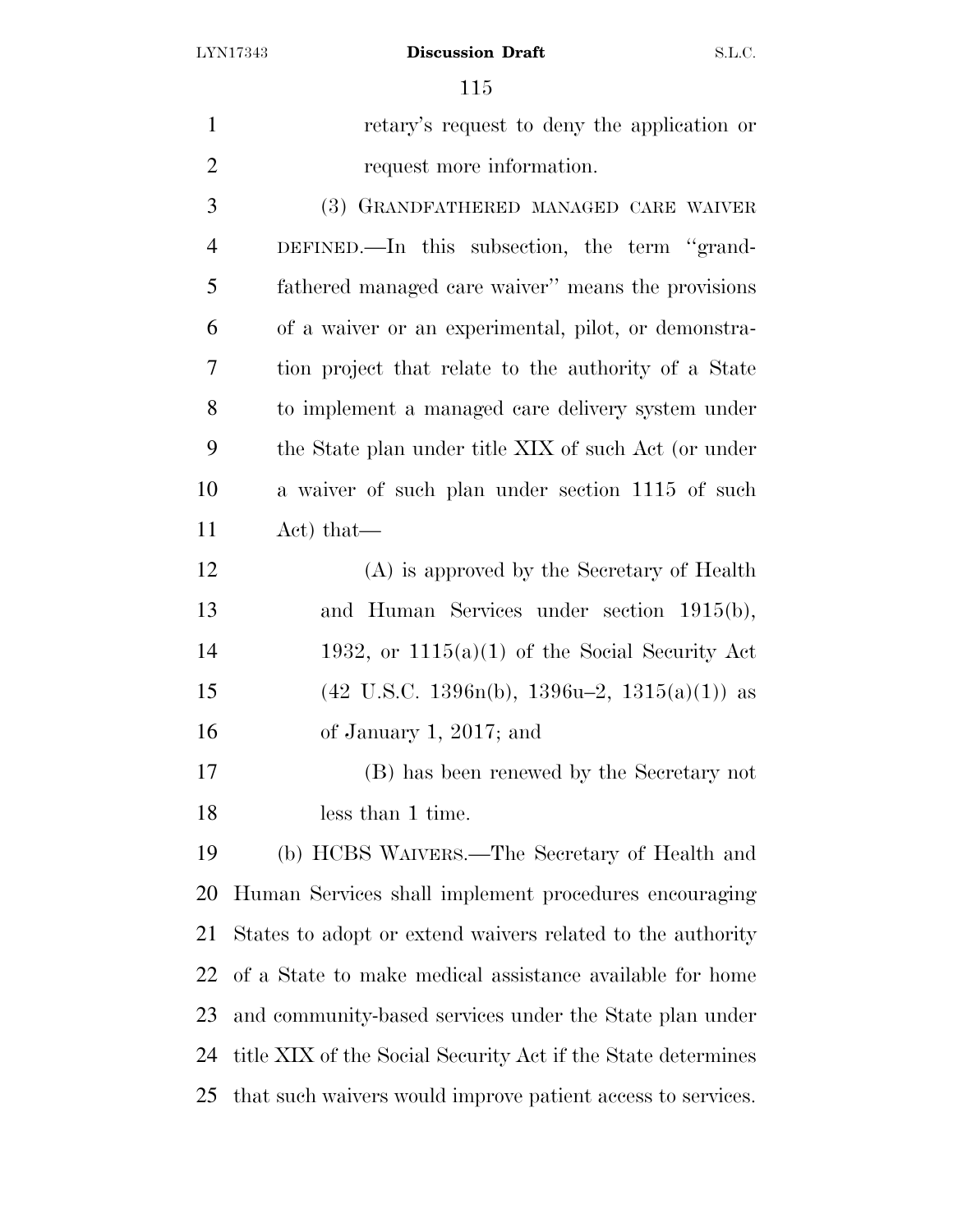retary's request to deny the application or request more information. (3) GRANDFATHERED MANAGED CARE WAIVER DEFINED.—In this subsection, the term ''grand- fathered managed care waiver'' means the provisions of a waiver or an experimental, pilot, or demonstra-

 tion project that relate to the authority of a State to implement a managed care delivery system under the State plan under title XIX of such Act (or under a waiver of such plan under section 1115 of such Act) that—

 (A) is approved by the Secretary of Health and Human Services under section 1915(b), 14 1932, or  $1115(a)(1)$  of the Social Security Act 15 (42 U.S.C. 1396n(b), 1396u–2, 1315(a)(1)) as of January 1, 2017; and

 (B) has been renewed by the Secretary not less than 1 time.

 (b) HCBS WAIVERS.—The Secretary of Health and Human Services shall implement procedures encouraging States to adopt or extend waivers related to the authority of a State to make medical assistance available for home and community-based services under the State plan under title XIX of the Social Security Act if the State determines that such waivers would improve patient access to services.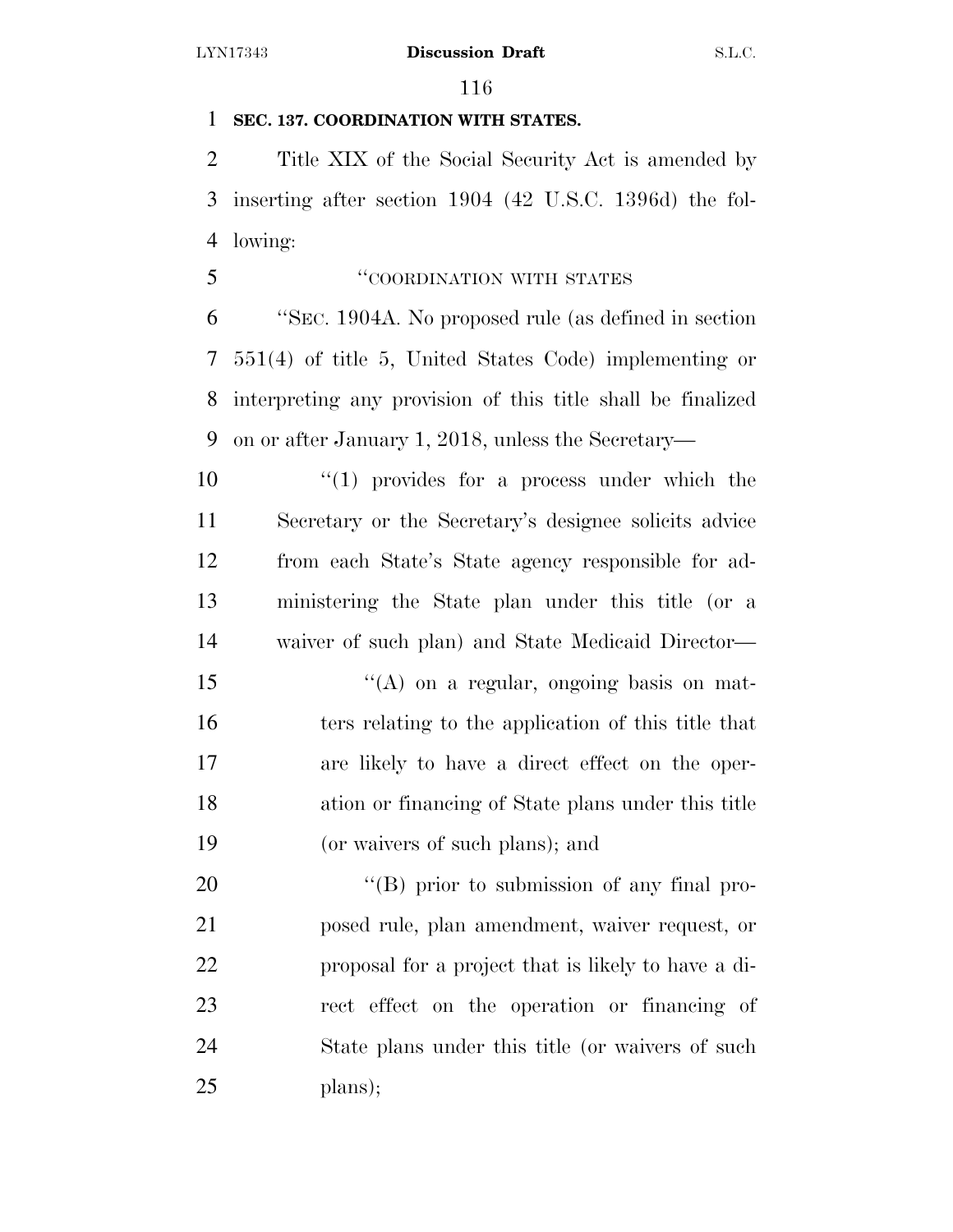# **SEC. 137. COORDINATION WITH STATES.**

 Title XIX of the Social Security Act is amended by inserting after section 1904 (42 U.S.C. 1396d) the fol-lowing:

''COORDINATION WITH STATES

 ''SEC. 1904A. No proposed rule (as defined in section 551(4) of title 5, United States Code) implementing or interpreting any provision of this title shall be finalized on or after January 1, 2018, unless the Secretary—

 $\frac{1}{10}$   $\frac{1}{10}$  provides for a process under which the Secretary or the Secretary's designee solicits advice from each State's State agency responsible for ad- ministering the State plan under this title (or a waiver of such plan) and State Medicaid Director—

 $\langle (A)$  on a regular, ongoing basis on mat- ters relating to the application of this title that are likely to have a direct effect on the oper- ation or financing of State plans under this title (or waivers of such plans); and

 $\langle (B)$  prior to submission of any final pro- posed rule, plan amendment, waiver request, or proposal for a project that is likely to have a di- rect effect on the operation or financing of State plans under this title (or waivers of such plans);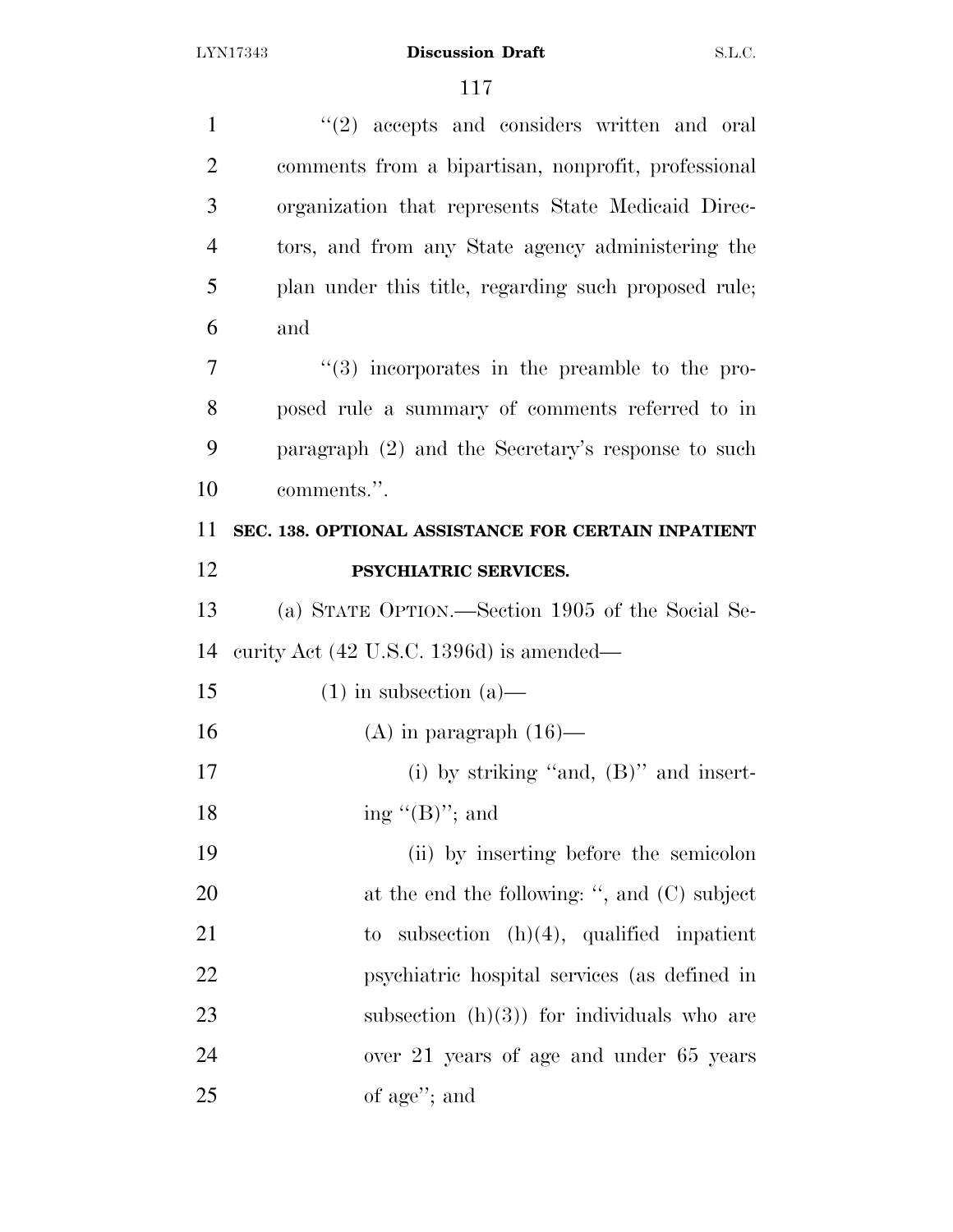| 1              | $\lq(2)$ accepts and considers written and oral      |
|----------------|------------------------------------------------------|
| $\overline{2}$ | comments from a bipartisan, nonprofit, professional  |
| 3              | organization that represents State Medicaid Direc-   |
| $\overline{4}$ | tors, and from any State agency administering the    |
| 5              | plan under this title, regarding such proposed rule; |
| 6              | and                                                  |
| 7              | $(3)$ incorporates in the preamble to the pro-       |
| 8              | posed rule a summary of comments referred to in      |
| 9              | paragraph $(2)$ and the Secretary's response to such |
| 10             | comments.".                                          |
| 11             | SEC. 138. OPTIONAL ASSISTANCE FOR CERTAIN INPATIENT  |
| 12             | PSYCHIATRIC SERVICES.                                |
| 13             | (a) STATE OPTION.—Section 1905 of the Social Se-     |
| 14             | curity Act (42 U.S.C. 1396d) is amended—             |
| 15             | $(1)$ in subsection $(a)$ —                          |
| 16             | $(A)$ in paragraph $(16)$ —                          |
| 17             | (i) by striking "and, $(B)$ " and insert-            |
| 18             | ing " $(B)$ "; and                                   |
| 19             | (ii) by inserting before the semicolon               |
| 20             | at the end the following: ", and $(C)$ subject       |
| 21             | subsection $(h)(4)$ , qualified inpatient<br>to      |
| 22             | psychiatric hospital services (as defined in         |
| 23             | subsection $(h)(3)$ for individuals who are          |
| 24             | over 21 years of age and under 65 years              |
| 25             | of age"; and                                         |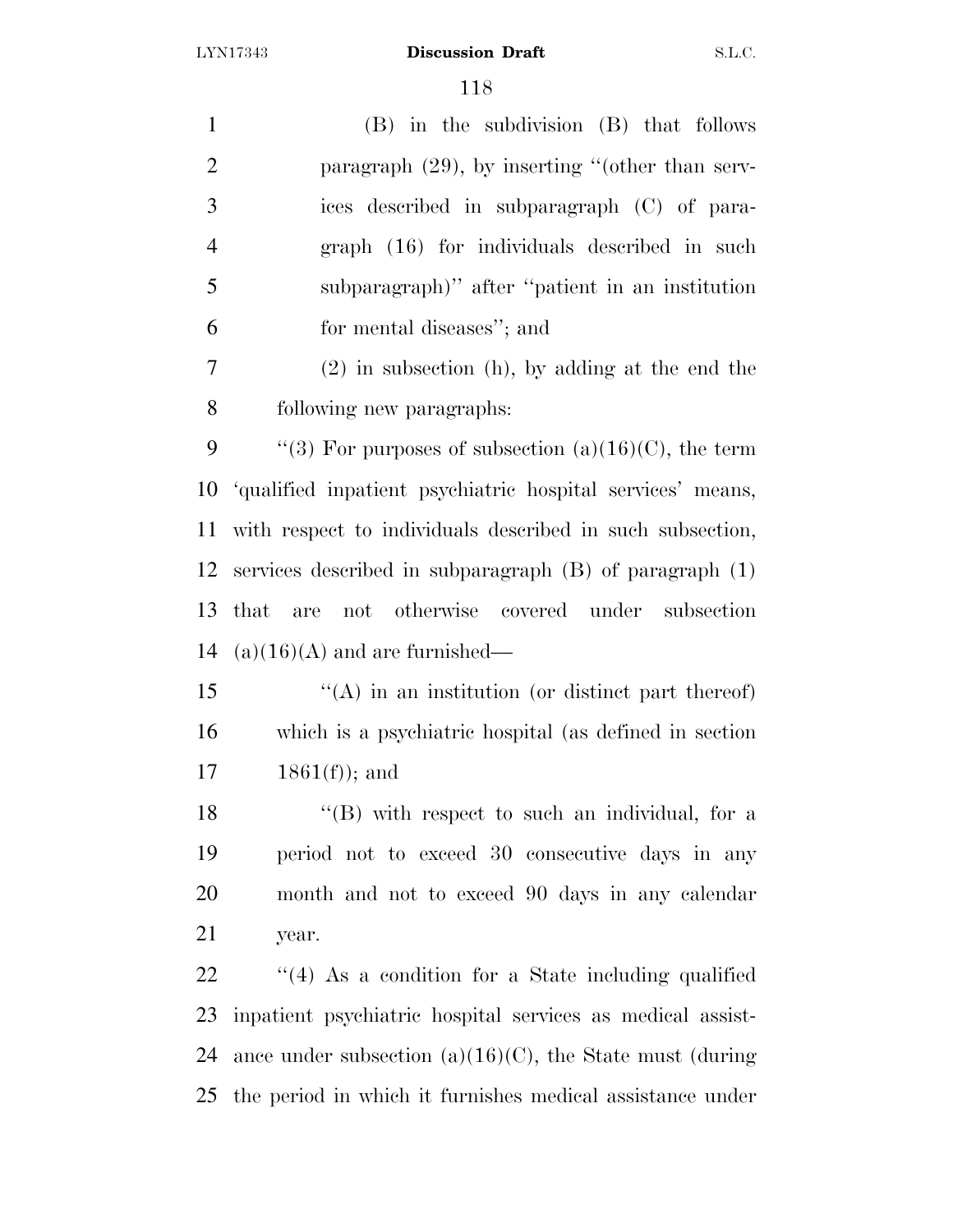| $\mathbf{1}$   | (B) in the subdivision (B) that follows                     |
|----------------|-------------------------------------------------------------|
| $\overline{2}$ | paragraph $(29)$ , by inserting "(other than serv-          |
| 3              | ices described in subparagraph (C) of para-                 |
| $\overline{4}$ | graph (16) for individuals described in such                |
| 5              | subparagraph)" after "patient in an institution             |
| 6              | for mental diseases"; and                                   |
| 7              | $(2)$ in subsection (h), by adding at the end the           |
| 8              | following new paragraphs:                                   |
| 9              | "(3) For purposes of subsection $(a)(16)(C)$ , the term     |
| 10             | 'qualified inpatient psychiatric hospital services' means,  |
| 11             | with respect to individuals described in such subsection,   |
| 12             | services described in subparagraph $(B)$ of paragraph $(1)$ |
| 13             | not otherwise covered under subsection<br>that<br>are       |
| 14             | $(a)(16)(A)$ and are furnished—                             |
| 15             | $\lq\lq$ in an institution (or distinct part thereof)       |
| 16             | which is a psychiatric hospital (as defined in section      |
| 17             | $1861(f)$ ; and                                             |
| 18             | $\lq$ (B) with respect to such an individual, for a         |
| 19             | period not to exceed 30 consecutive days in any             |
| 20             | month and not to exceed 90 days in any calendar             |
| 21             | year.                                                       |
| 22             | $\cdot$ (4) As a condition for a State including qualified  |
| 23             | inpatient psychiatric hospital services as medical assist-  |
| 24             | ance under subsection $(a)(16)(C)$ , the State must (during |
| 25             | the period in which it furnishes medical assistance under   |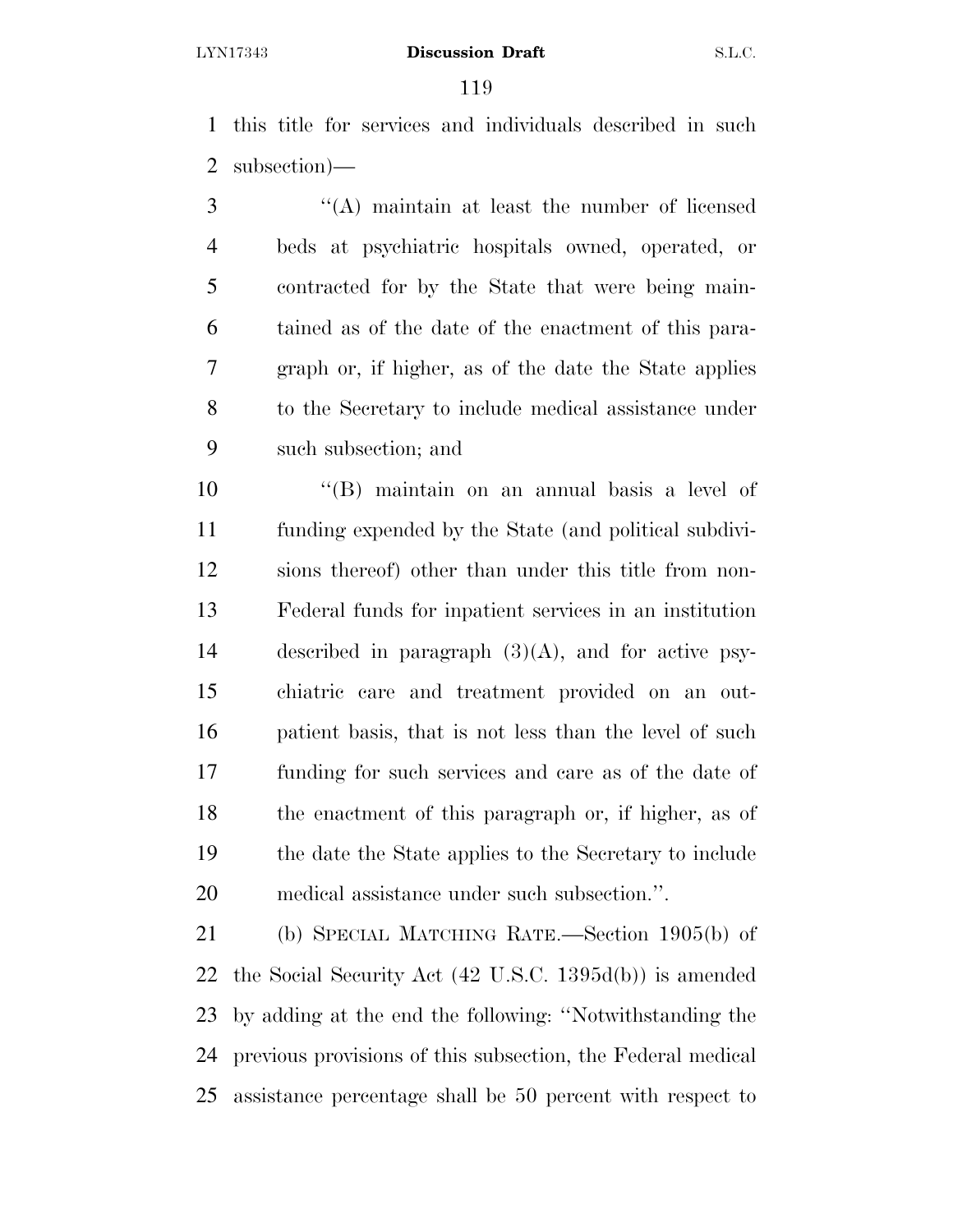this title for services and individuals described in such subsection)—

 ''(A) maintain at least the number of licensed beds at psychiatric hospitals owned, operated, or contracted for by the State that were being main- tained as of the date of the enactment of this para- graph or, if higher, as of the date the State applies to the Secretary to include medical assistance under such subsection; and

 ''(B) maintain on an annual basis a level of funding expended by the State (and political subdivi- sions thereof) other than under this title from non- Federal funds for inpatient services in an institution described in paragraph (3)(A), and for active psy- chiatric care and treatment provided on an out- patient basis, that is not less than the level of such funding for such services and care as of the date of the enactment of this paragraph or, if higher, as of the date the State applies to the Secretary to include medical assistance under such subsection.''.

 (b) SPECIAL MATCHING RATE.—Section 1905(b) of the Social Security Act (42 U.S.C. 1395d(b)) is amended by adding at the end the following: ''Notwithstanding the previous provisions of this subsection, the Federal medical assistance percentage shall be 50 percent with respect to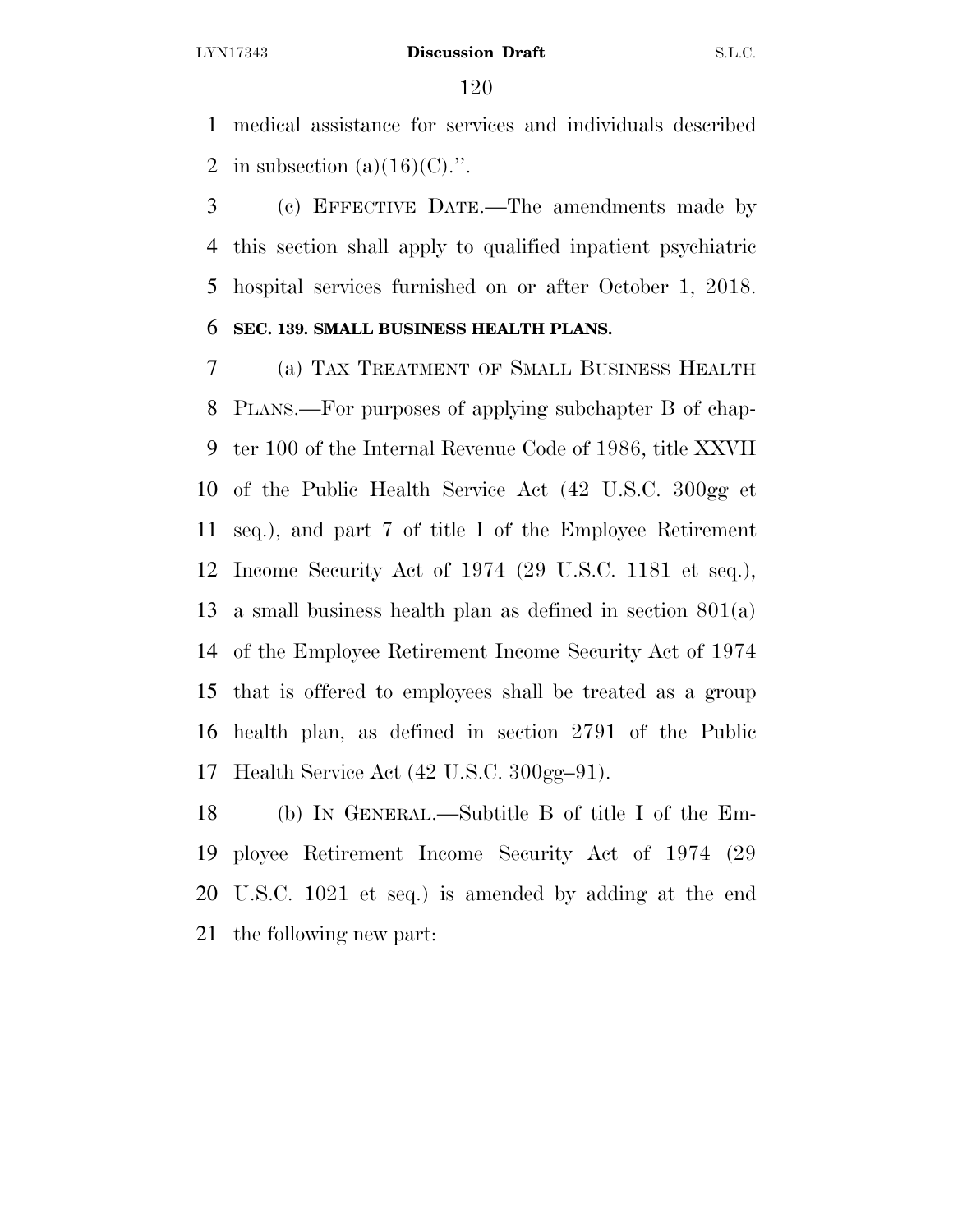medical assistance for services and individuals described 2 in subsection  $(a)(16)(C)$ .".

 (c) EFFECTIVE DATE.—The amendments made by this section shall apply to qualified inpatient psychiatric hospital services furnished on or after October 1, 2018.

### **SEC. 139. SMALL BUSINESS HEALTH PLANS.**

 (a) TAX TREATMENT OF SMALL BUSINESS HEALTH PLANS.—For purposes of applying subchapter B of chap- ter 100 of the Internal Revenue Code of 1986, title XXVII of the Public Health Service Act (42 U.S.C. 300gg et seq.), and part 7 of title I of the Employee Retirement Income Security Act of 1974 (29 U.S.C. 1181 et seq.), a small business health plan as defined in section 801(a) of the Employee Retirement Income Security Act of 1974 that is offered to employees shall be treated as a group health plan, as defined in section 2791 of the Public Health Service Act (42 U.S.C. 300gg–91).

 (b) IN GENERAL.—Subtitle B of title I of the Em- ployee Retirement Income Security Act of 1974 (29 U.S.C. 1021 et seq.) is amended by adding at the end the following new part: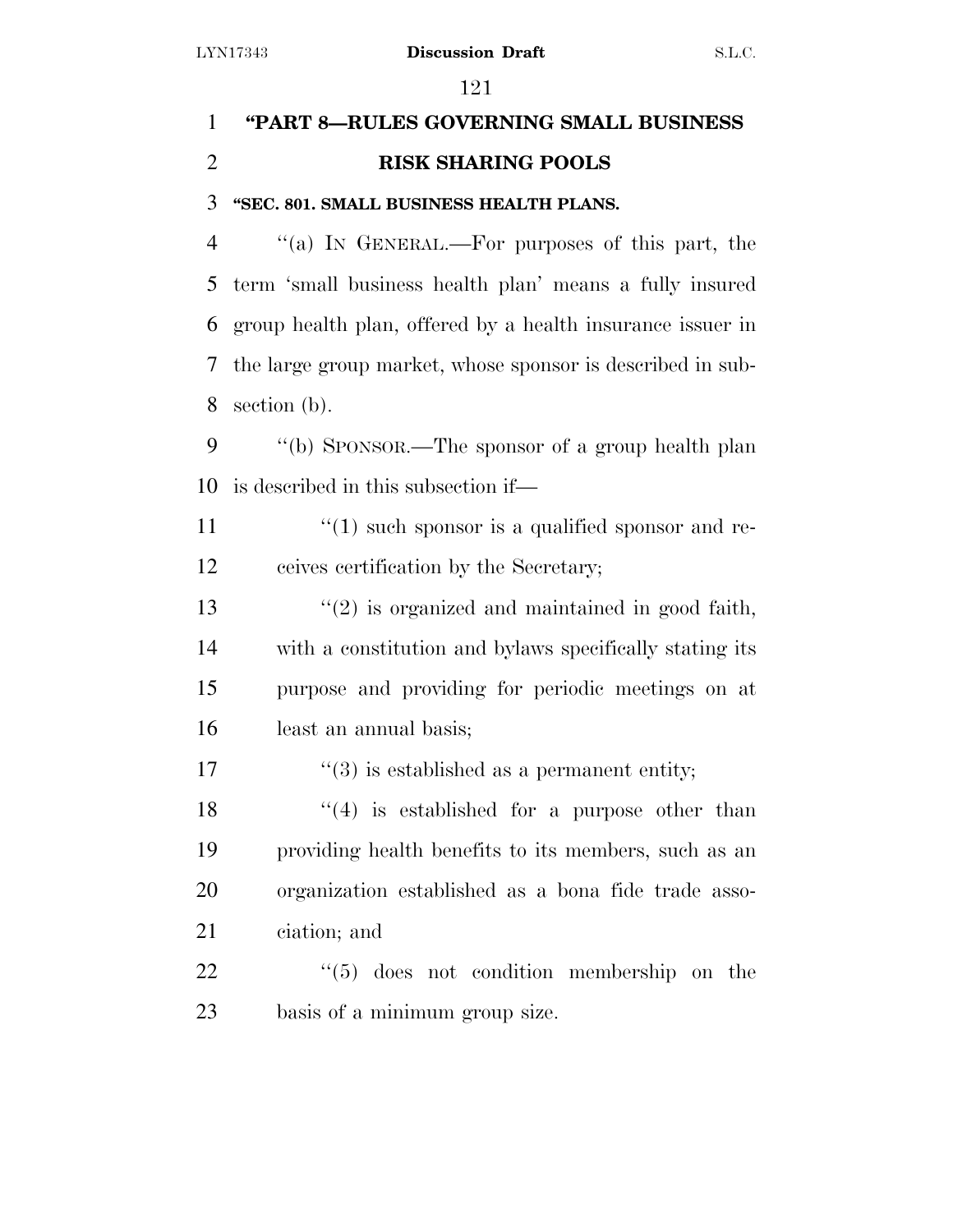# **''PART 8—RULES GOVERNING SMALL BUSINESS RISK SHARING POOLS**

# **''SEC. 801. SMALL BUSINESS HEALTH PLANS.**

 ''(a) IN GENERAL.—For purposes of this part, the term 'small business health plan' means a fully insured group health plan, offered by a health insurance issuer in the large group market, whose sponsor is described in sub-section (b).

 ''(b) SPONSOR.—The sponsor of a group health plan is described in this subsection if—

 $\binom{11}{1}$  such sponsor is a qualified sponsor and re-ceives certification by the Secretary;

 $\frac{13}{2}$  is organized and maintained in good faith, with a constitution and bylaws specifically stating its purpose and providing for periodic meetings on at least an annual basis;

17  $(3)$  is established as a permanent entity;

 $\frac{1}{2}$  (4) is established for a purpose other than providing health benefits to its members, such as an organization established as a bona fide trade asso-ciation; and

22 ''(5) does not condition membership on the basis of a minimum group size.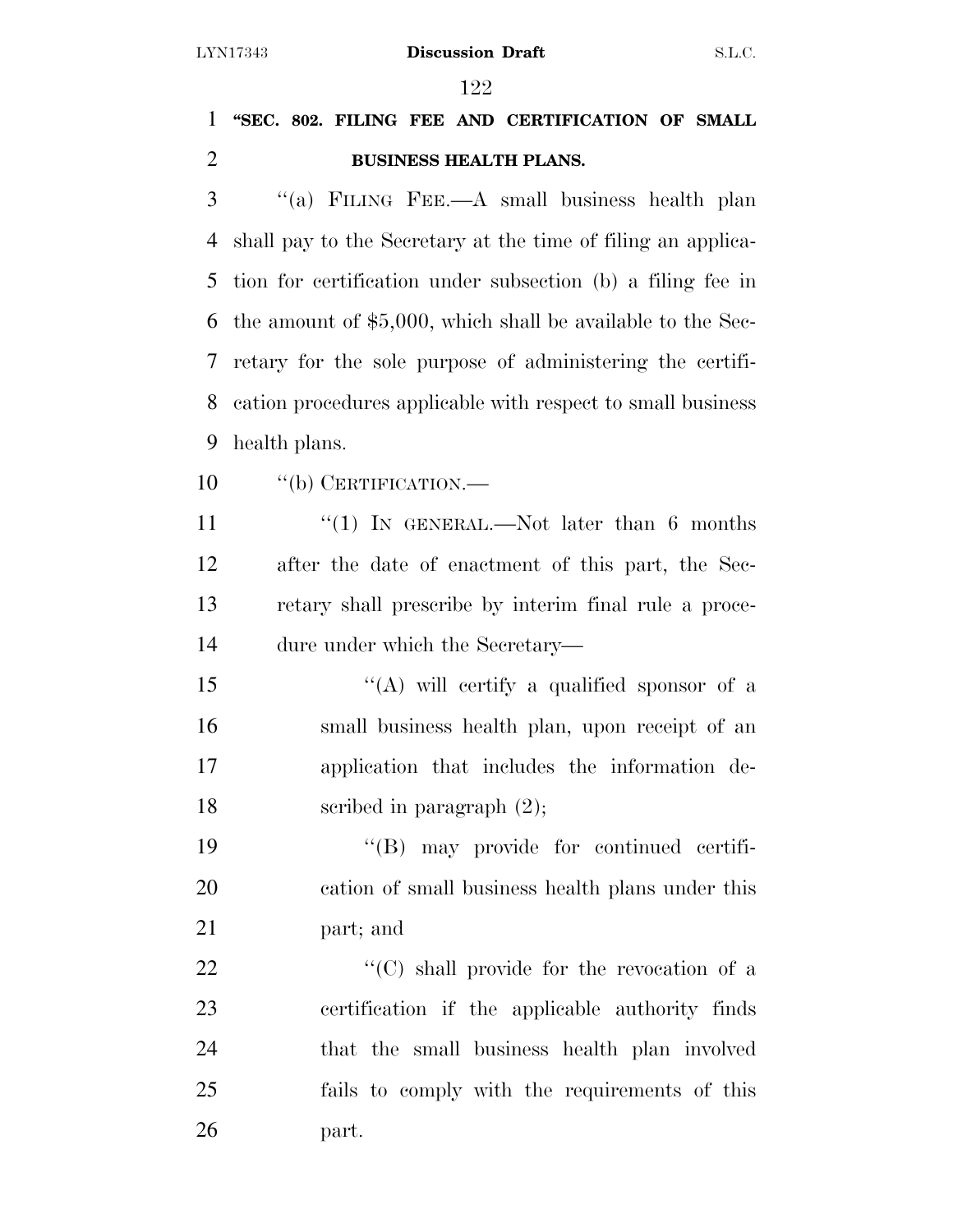# **''SEC. 802. FILING FEE AND CERTIFICATION OF SMALL BUSINESS HEALTH PLANS.**

 ''(a) FILING FEE.—A small business health plan shall pay to the Secretary at the time of filing an applica- tion for certification under subsection (b) a filing fee in the amount of \$5,000, which shall be available to the Sec- retary for the sole purpose of administering the certifi- cation procedures applicable with respect to small business health plans.

10 "(b) CERTIFICATION.—

11 ''(1) In GENERAL.—Not later than 6 months after the date of enactment of this part, the Sec- retary shall prescribe by interim final rule a proce-dure under which the Secretary—

 ''(A) will certify a qualified sponsor of a small business health plan, upon receipt of an application that includes the information de-18 scribed in paragraph  $(2)$ ;

 ''(B) may provide for continued certifi- cation of small business health plans under this part; and

 $\cdot$  (C) shall provide for the revocation of a certification if the applicable authority finds that the small business health plan involved fails to comply with the requirements of this part.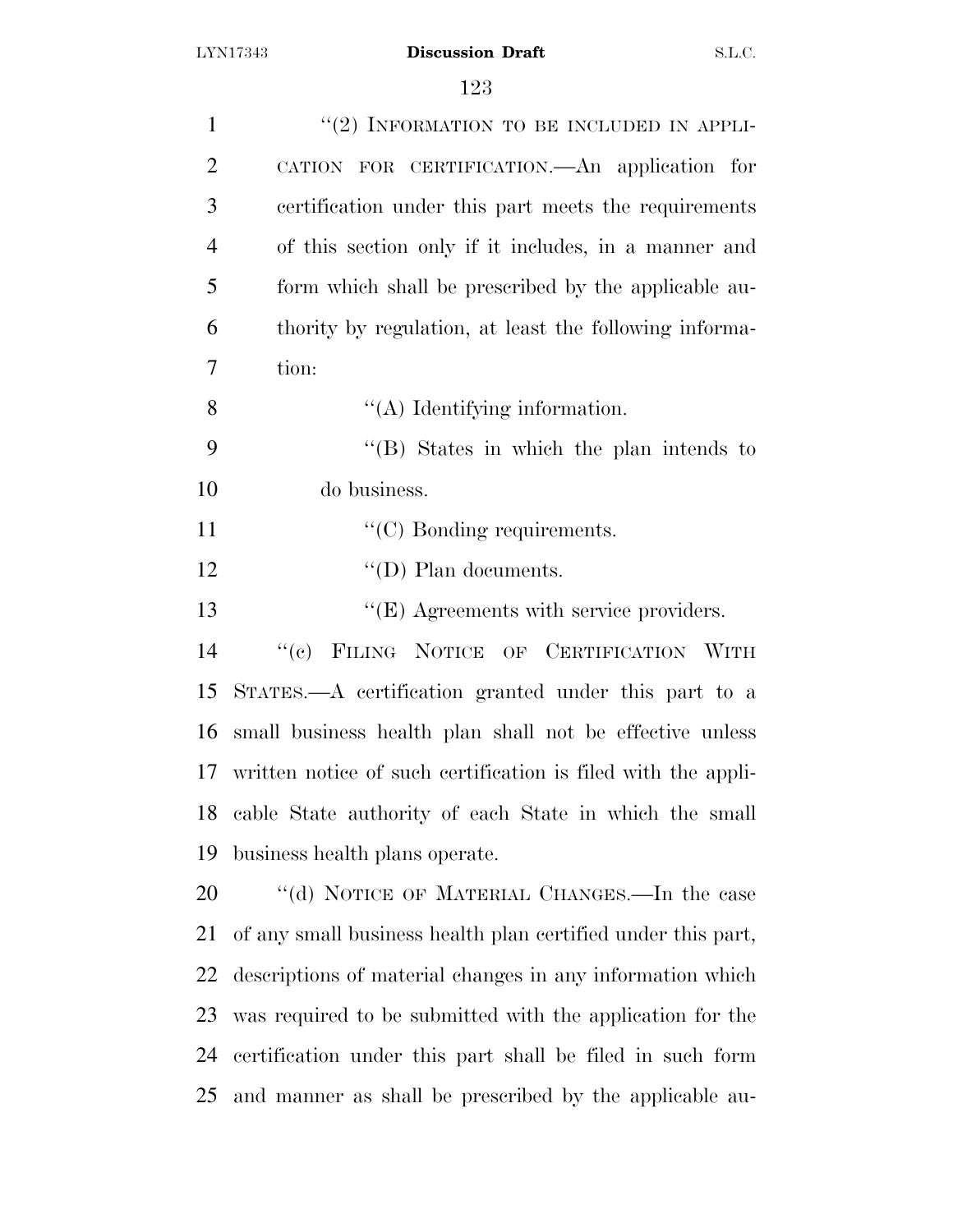| $\mathbf{1}$   | $"(2)$ INFORMATION TO BE INCLUDED IN APPLI-                   |
|----------------|---------------------------------------------------------------|
| $\overline{2}$ | CATION FOR CERTIFICATION. An application for                  |
| 3              | certification under this part meets the requirements          |
| $\overline{4}$ | of this section only if it includes, in a manner and          |
| 5              | form which shall be prescribed by the applicable au-          |
| 6              | thority by regulation, at least the following informa-        |
| 7              | tion:                                                         |
| 8              | $\lq\lq$ (A) Identifying information.                         |
| 9              | $\lq\lq$ . States in which the plan intends to                |
| 10             | do business.                                                  |
| 11             | $\lq\lq$ (C) Bonding requirements.                            |
| 12             | $\lq\lq$ (D) Plan documents.                                  |
| 13             | $\lq\lq(E)$ Agreements with service providers.                |
| 14             | FILING NOTICE OF CERTIFICATION WITH<br>``(e)                  |
| 15             | STATES.—A certification granted under this part to a          |
| 16             | small business health plan shall not be effective unless      |
| 17             | written notice of such certification is filed with the appli- |
|                | 18 cable State authority of each State in which the small     |
| 19             | business health plans operate.                                |
| 20             | "(d) NOTICE OF MATERIAL CHANGES.—In the case                  |
| 21             | of any small business health plan certified under this part,  |
| 22             | descriptions of material changes in any information which     |
| 23             | was required to be submitted with the application for the     |
| 24             | certification under this part shall be filed in such form     |
| 25             | and manner as shall be prescribed by the applicable au-       |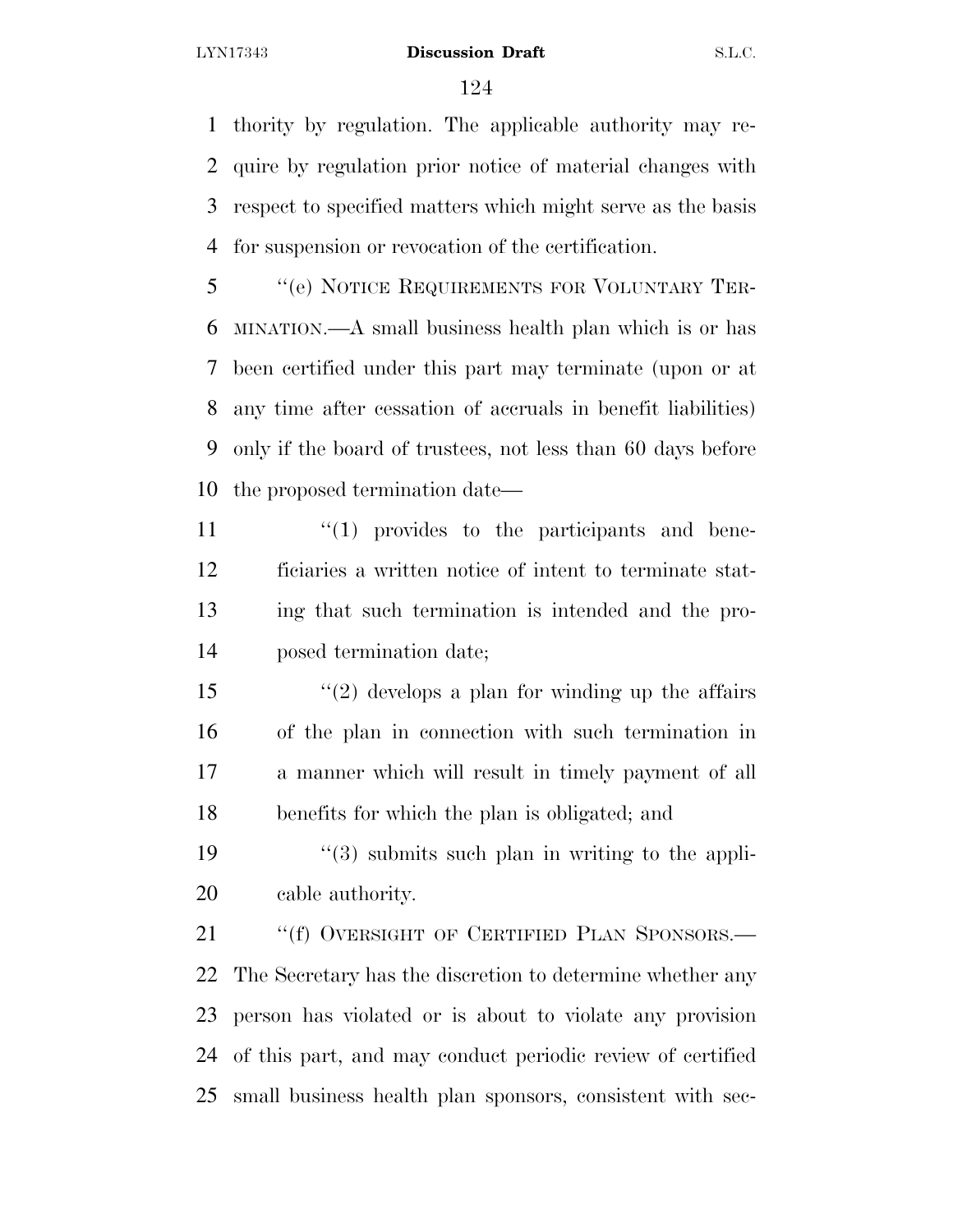thority by regulation. The applicable authority may re- quire by regulation prior notice of material changes with respect to specified matters which might serve as the basis for suspension or revocation of the certification.

 ''(e) NOTICE REQUIREMENTS FOR VOLUNTARY TER- MINATION.—A small business health plan which is or has been certified under this part may terminate (upon or at any time after cessation of accruals in benefit liabilities) only if the board of trustees, not less than 60 days before the proposed termination date—

 $\frac{11}{11}$  ''(1) provides to the participants and bene- ficiaries a written notice of intent to terminate stat- ing that such termination is intended and the pro-posed termination date;

15 ''(2) develops a plan for winding up the affairs of the plan in connection with such termination in a manner which will result in timely payment of all benefits for which the plan is obligated; and

19  $\frac{1}{3}$  submits such plan in writing to the appli-cable authority.

21 ""(f) OVERSIGHT OF CERTIFIED PLAN SPONSORS.— The Secretary has the discretion to determine whether any person has violated or is about to violate any provision of this part, and may conduct periodic review of certified small business health plan sponsors, consistent with sec-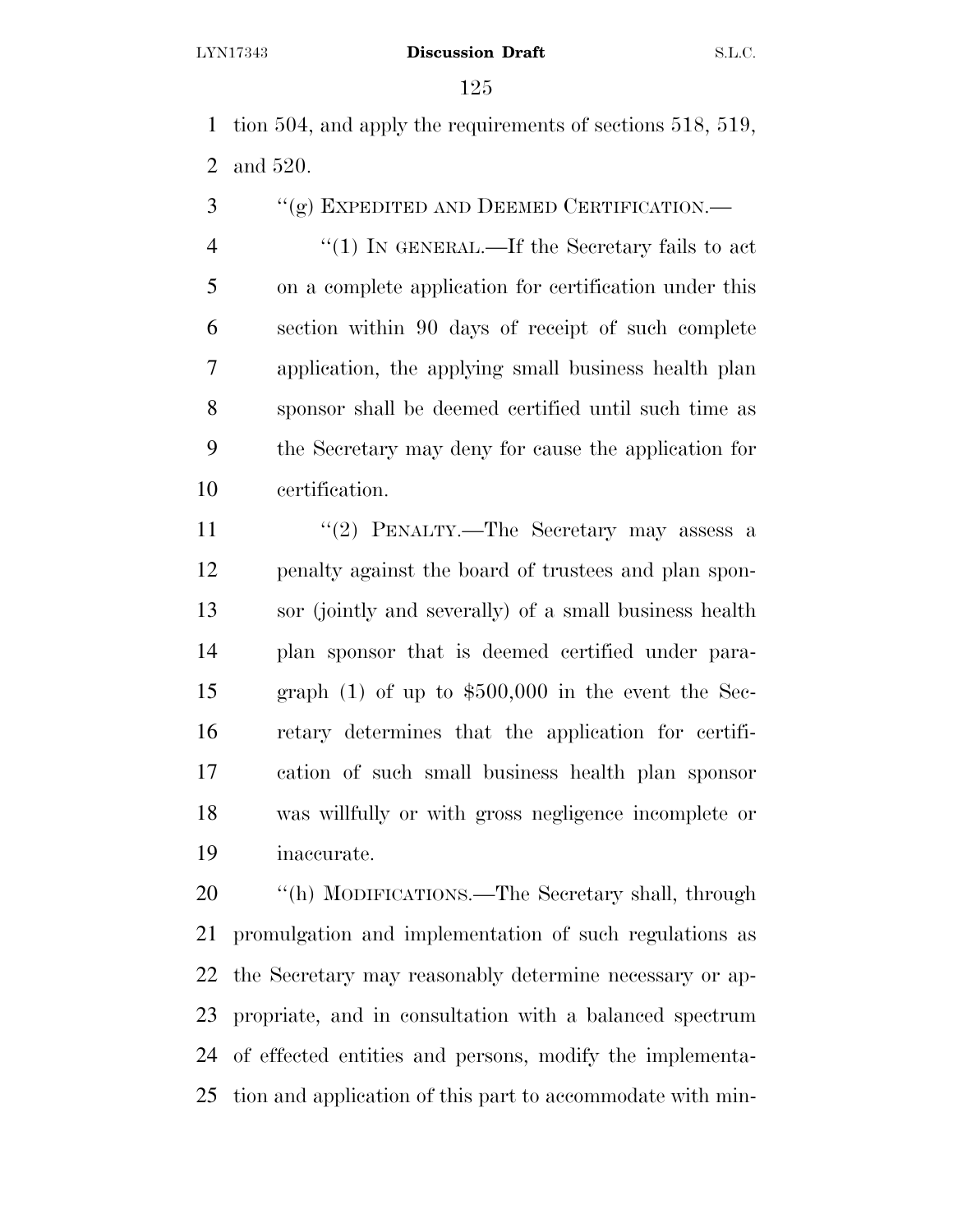tion 504, and apply the requirements of sections 518, 519, and 520.

''(g) EXPEDITED AND DEEMED CERTIFICATION.—

4 "(1) IN GENERAL.—If the Secretary fails to act on a complete application for certification under this section within 90 days of receipt of such complete application, the applying small business health plan sponsor shall be deemed certified until such time as the Secretary may deny for cause the application for certification.

11 ''(2) PENALTY.—The Secretary may assess a penalty against the board of trustees and plan spon- sor (jointly and severally) of a small business health plan sponsor that is deemed certified under para- graph (1) of up to \$500,000 in the event the Sec- retary determines that the application for certifi- cation of such small business health plan sponsor was willfully or with gross negligence incomplete or inaccurate.

 ''(h) MODIFICATIONS.—The Secretary shall, through promulgation and implementation of such regulations as the Secretary may reasonably determine necessary or ap- propriate, and in consultation with a balanced spectrum of effected entities and persons, modify the implementa-tion and application of this part to accommodate with min-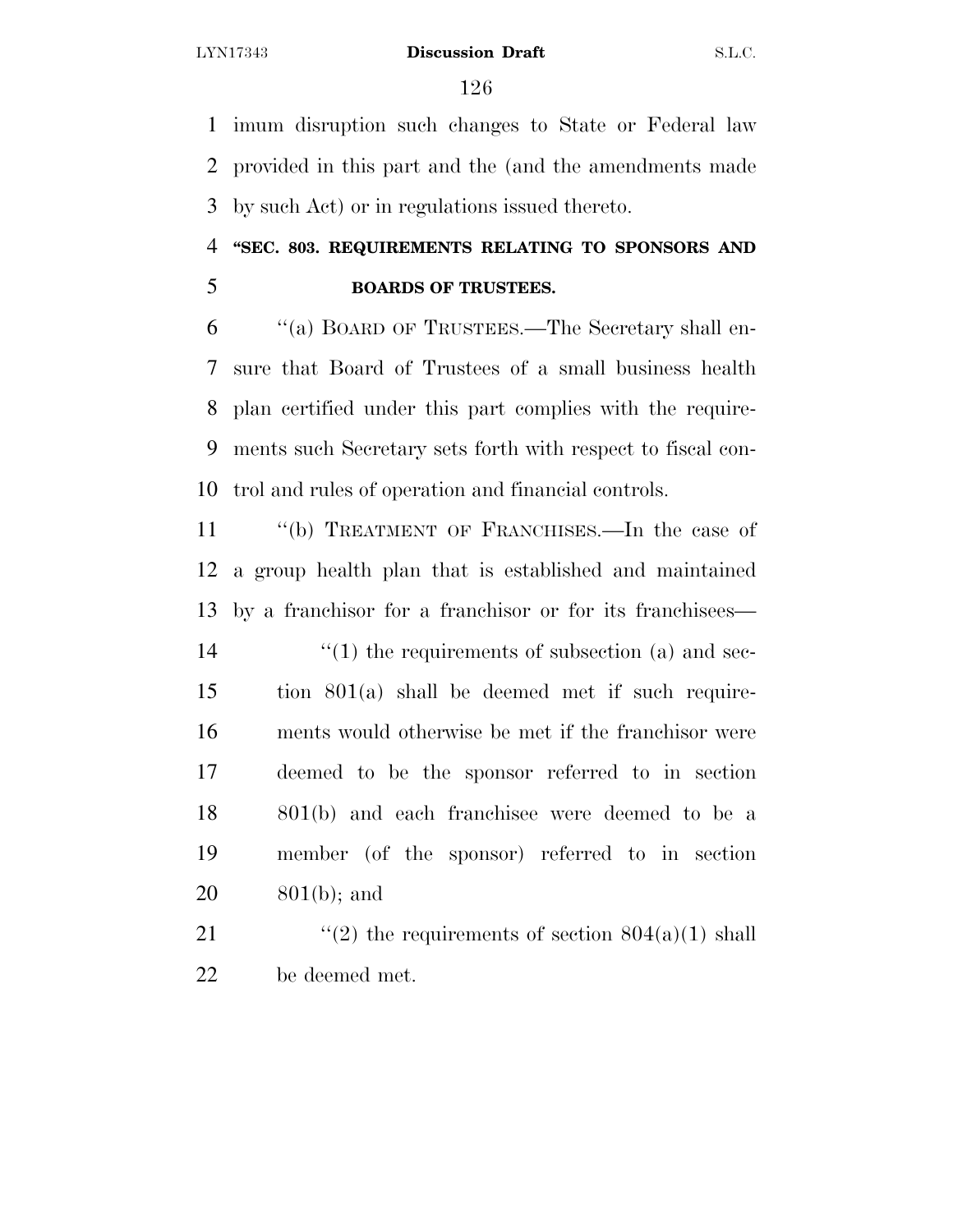imum disruption such changes to State or Federal law provided in this part and the (and the amendments made by such Act) or in regulations issued thereto.

# **''SEC. 803. REQUIREMENTS RELATING TO SPONSORS AND**

# **BOARDS OF TRUSTEES.**

 ''(a) BOARD OF TRUSTEES.—The Secretary shall en- sure that Board of Trustees of a small business health plan certified under this part complies with the require- ments such Secretary sets forth with respect to fiscal con-trol and rules of operation and financial controls.

 ''(b) TREATMENT OF FRANCHISES.—In the case of a group health plan that is established and maintained by a franchisor for a franchisor or for its franchisees—  $\frac{1}{2}$  (1) the requirements of subsection (a) and sec- tion 801(a) shall be deemed met if such require- ments would otherwise be met if the franchisor were deemed to be the sponsor referred to in section 801(b) and each franchisee were deemed to be a member (of the sponsor) referred to in section 801(b); and

21  $\frac{1}{2}$  the requirements of section 804(a)(1) shall be deemed met.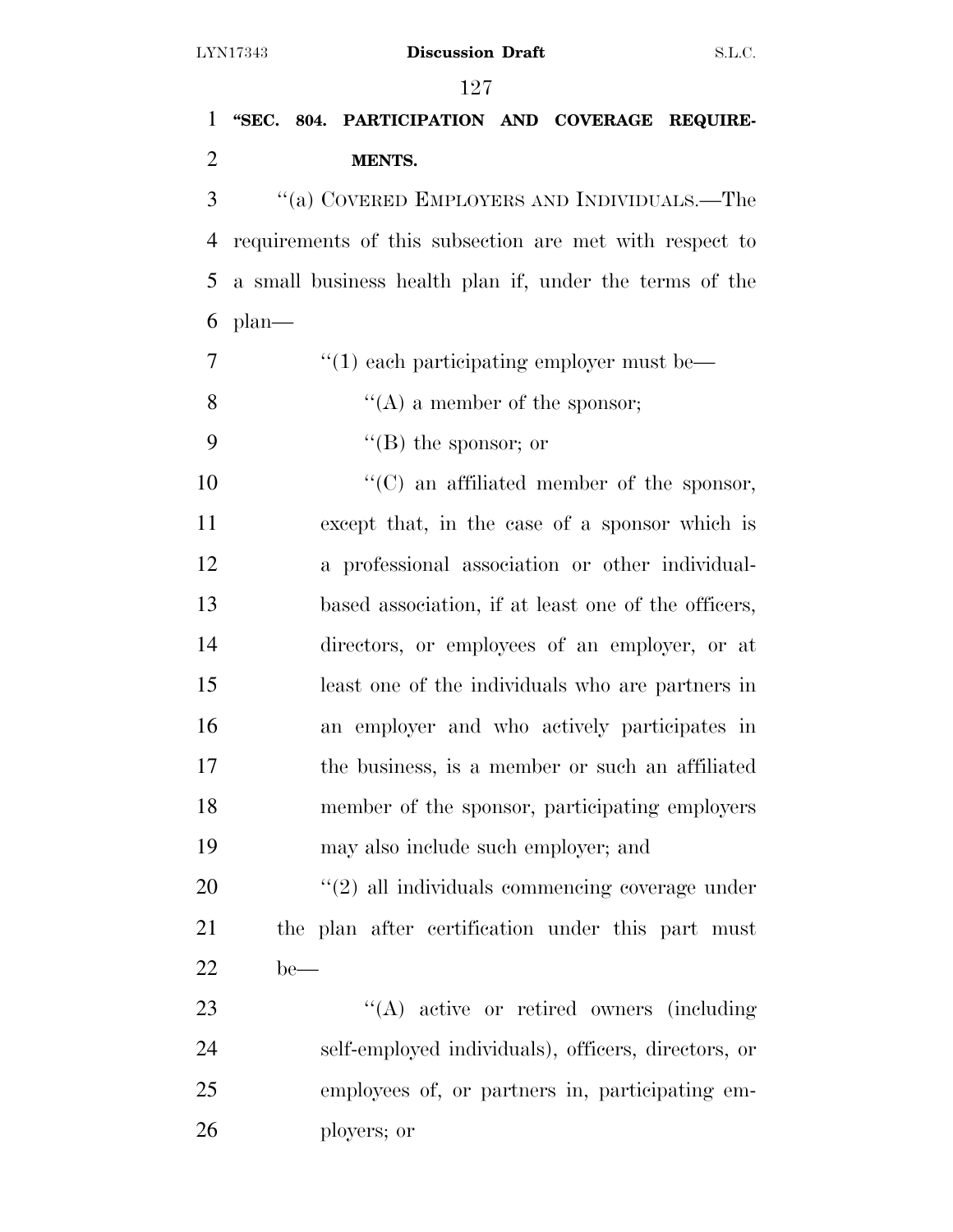| $\mathbf{1}$   | "SEC. 804. PARTICIPATION AND COVERAGE REQUIRE-            |
|----------------|-----------------------------------------------------------|
| $\overline{2}$ | <b>MENTS.</b>                                             |
| 3              | "(a) COVERED EMPLOYERS AND INDIVIDUALS.—The               |
| 4              | requirements of this subsection are met with respect to   |
| 5              | a small business health plan if, under the terms of the   |
| 6              | $plan$ —                                                  |
| $\overline{7}$ | $\cdot\cdot\cdot(1)$ each participating employer must be— |
| 8              | $\lq\lq$ (A) a member of the sponsor;                     |
| 9              | "(B) the sponsor; or                                      |
| 10             | "(C) an affiliated member of the sponsor,                 |
| 11             | except that, in the case of a sponsor which is            |
| 12             | a professional association or other individual-           |
| 13             | based association, if at least one of the officers,       |
| 14             | directors, or employees of an employer, or at             |
| 15             | least one of the individuals who are partners in          |
| 16             | an employer and who actively participates in              |
| 17             | the business, is a member or such an affiliated           |
| 18             | member of the sponsor, participating employers            |
| 19             | may also include such employer; and                       |
| 20             | $\lq(2)$ all individuals commencing coverage under        |
| 21             | the plan after certification under this part must         |
| 22             | $be$ —                                                    |
| 23             | $\lq\lq$ active or retired owners (including              |
| 24             | self-employed individuals), officers, directors, or       |
| 25             | employees of, or partners in, participating em-           |

ployers; or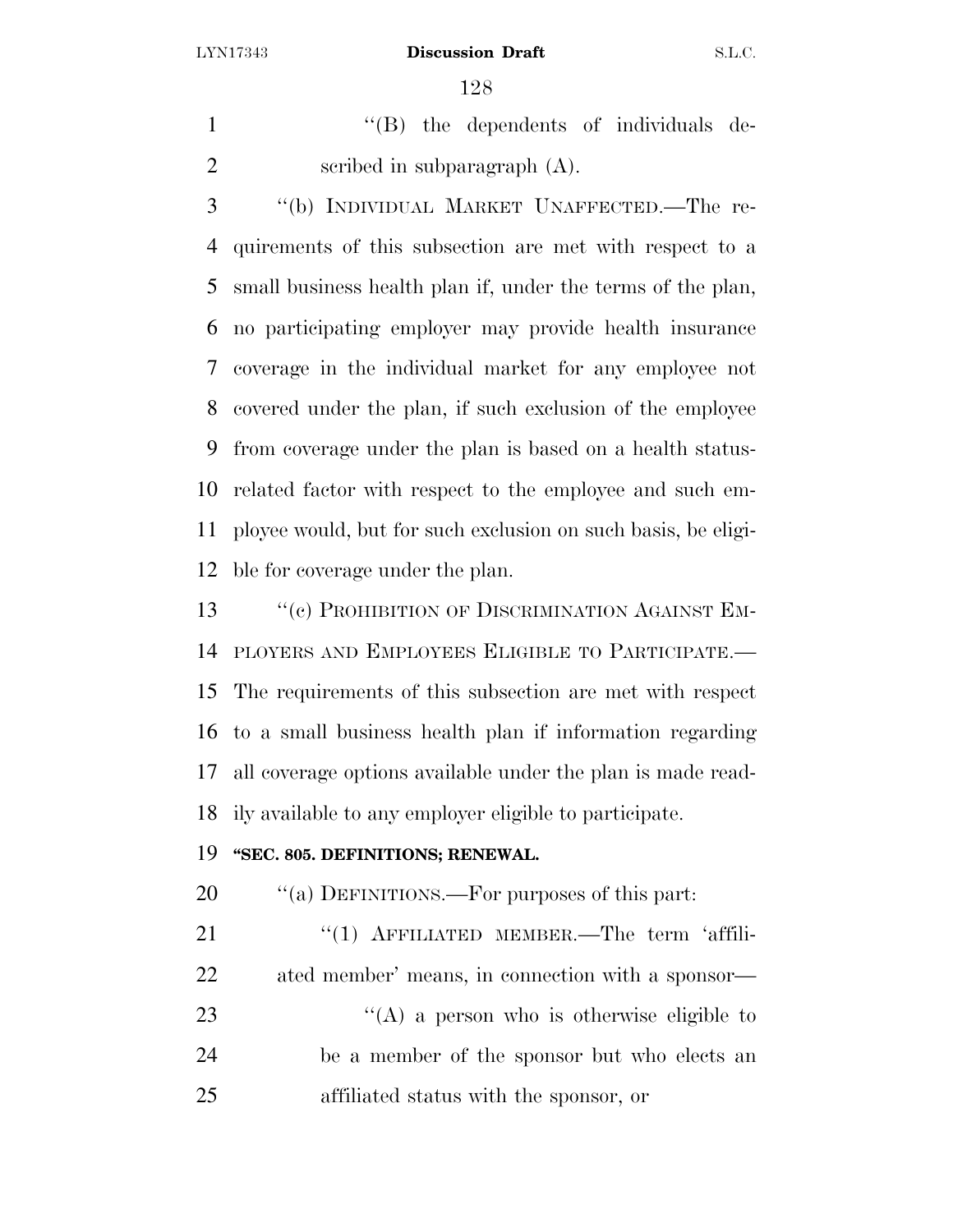1 ''(B) the dependents of individuals de-scribed in subparagraph (A).

 ''(b) INDIVIDUAL MARKET UNAFFECTED.—The re- quirements of this subsection are met with respect to a small business health plan if, under the terms of the plan, no participating employer may provide health insurance coverage in the individual market for any employee not covered under the plan, if such exclusion of the employee from coverage under the plan is based on a health status- related factor with respect to the employee and such em- ployee would, but for such exclusion on such basis, be eligi-ble for coverage under the plan.

13 "C) PROHIBITION OF DISCRIMINATION AGAINST EM- PLOYERS AND EMPLOYEES ELIGIBLE TO PARTICIPATE.— The requirements of this subsection are met with respect to a small business health plan if information regarding all coverage options available under the plan is made read-ily available to any employer eligible to participate.

# **''SEC. 805. DEFINITIONS; RENEWAL.**

20  $\frac{1}{20}$   $\frac{1}{20}$  DEFINITIONS.—For purposes of this part:

21 "(1) AFFILIATED MEMBER.—The term 'affili-ated member' means, in connection with a sponsor—

23 ''(A) a person who is otherwise eligible to be a member of the sponsor but who elects an affiliated status with the sponsor, or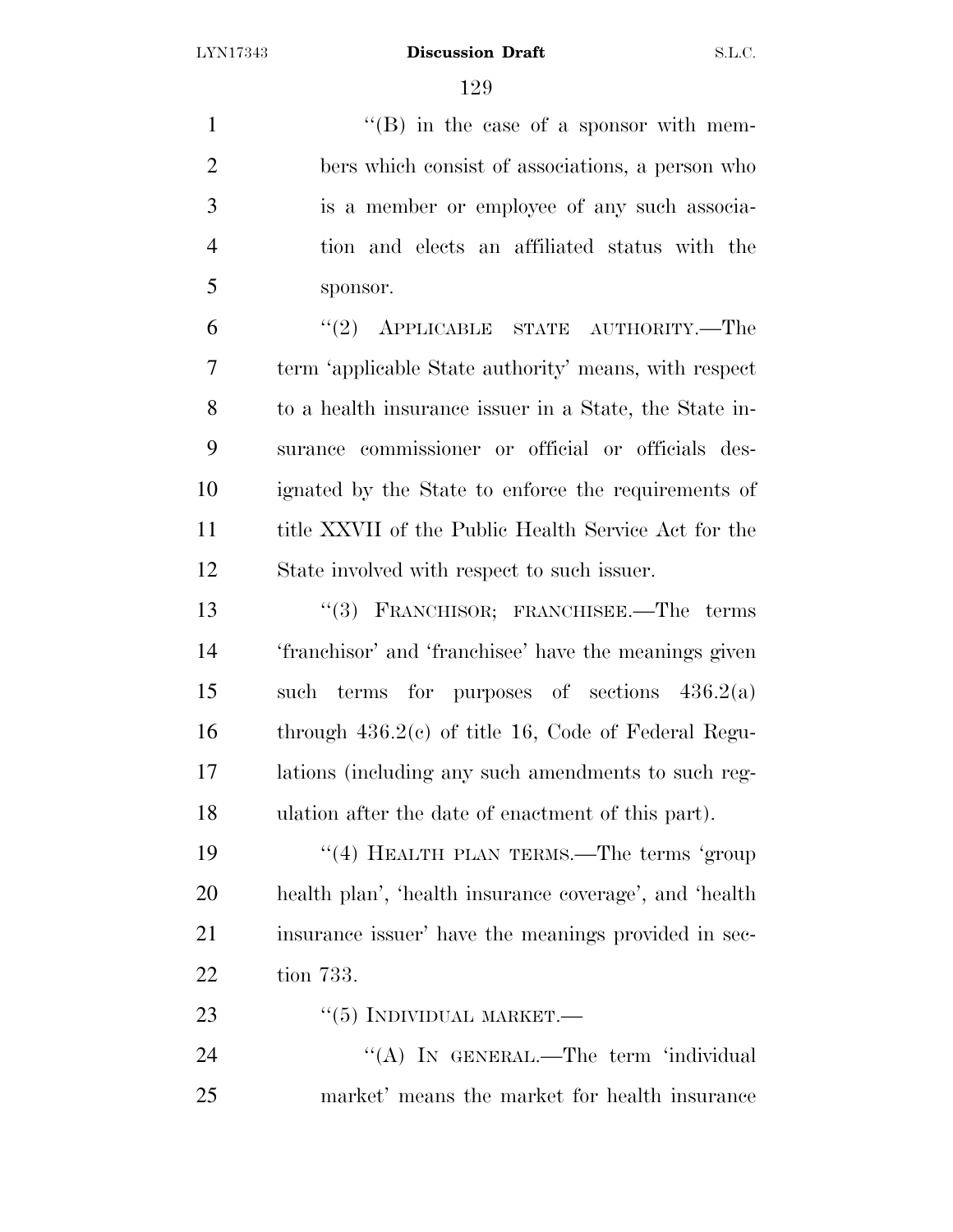1 ''(B) in the case of a sponsor with mem- bers which consist of associations, a person who is a member or employee of any such associa- tion and elects an affiliated status with the sponsor.

 ''(2) APPLICABLE STATE AUTHORITY.—The term 'applicable State authority' means, with respect to a health insurance issuer in a State, the State in- surance commissioner or official or officials des- ignated by the State to enforce the requirements of title XXVII of the Public Health Service Act for the State involved with respect to such issuer.

 ''(3) FRANCHISOR; FRANCHISEE.—The terms 'franchisor' and 'franchisee' have the meanings given such terms for purposes of sections 436.2(a) through 436.2(c) of title 16, Code of Federal Regu- lations (including any such amendments to such reg-ulation after the date of enactment of this part).

19 "(4) HEALTH PLAN TERMS.—The terms 'group health plan', 'health insurance coverage', and 'health insurance issuer' have the meanings provided in sec-tion 733.

23  $\frac{1}{2}$   $\frac{1}{5}$  INDIVIDUAL MARKET.

24 "(A) In GENERAL.—The term 'individual market' means the market for health insurance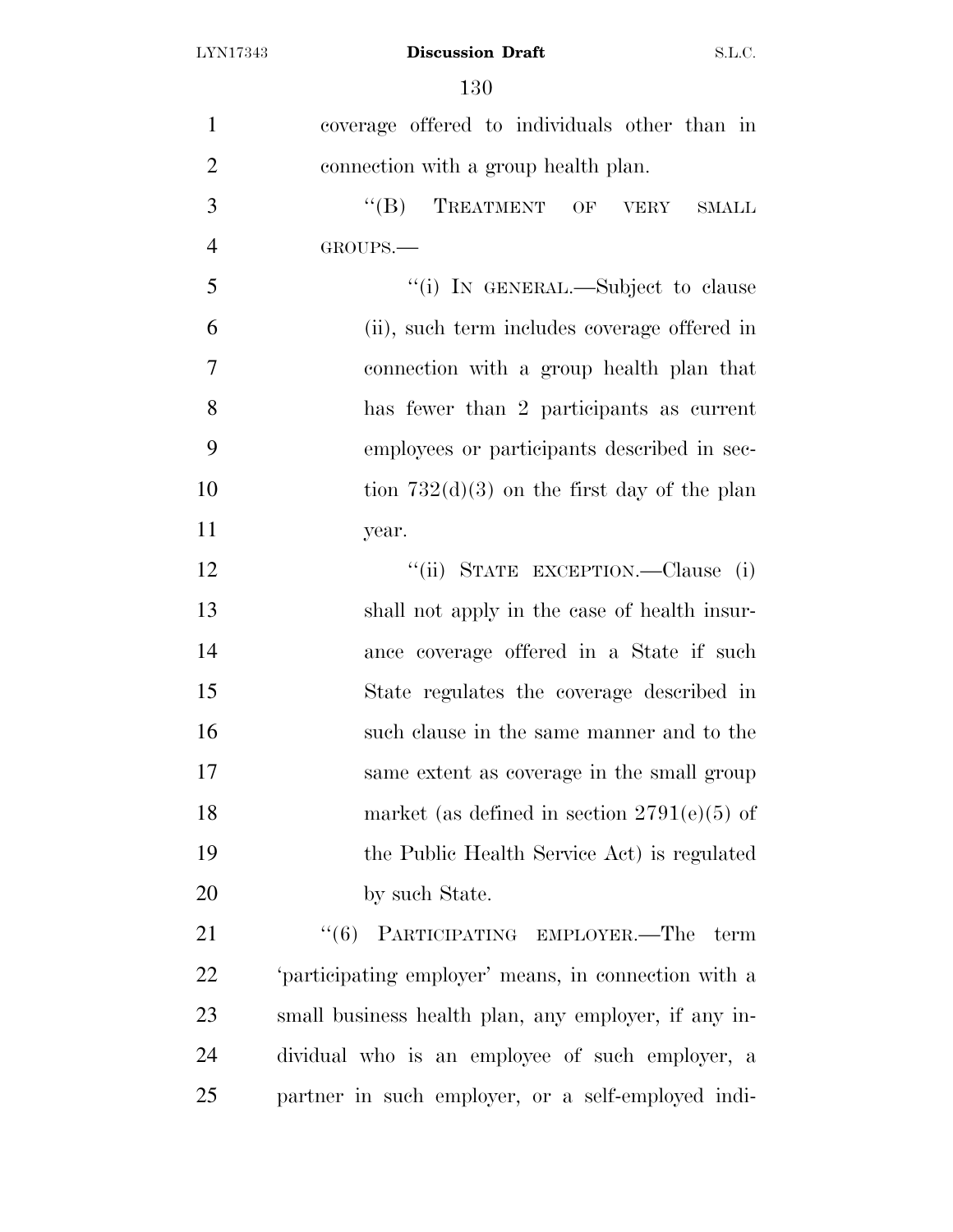| $\mathbf{1}$   | coverage offered to individuals other than in        |
|----------------|------------------------------------------------------|
| $\overline{2}$ | connection with a group health plan.                 |
| 3              | $\lq\lq (B)$<br>TREATMENT OF VERY<br><b>SMALL</b>    |
| $\overline{4}$ | GROUPS.                                              |
| 5              | "(i) IN GENERAL.—Subject to clause                   |
| 6              | (ii), such term includes coverage offered in         |
| $\overline{7}$ | connection with a group health plan that             |
| 8              | has fewer than 2 participants as current             |
| 9              | employees or participants described in sec-          |
| 10             | tion $732(d)(3)$ on the first day of the plan        |
| 11             | year.                                                |
| 12             | "(ii) STATE EXCEPTION.—Clause (i)                    |
| 13             | shall not apply in the case of health insur-         |
| 14             | ance coverage offered in a State if such             |
| 15             | State regulates the coverage described in            |
| 16             | such clause in the same manner and to the            |
| 17             | same extent as coverage in the small group           |
| 18             | market (as defined in section $2791(e)(5)$ of        |
| 19             | the Public Health Service Act) is regulated          |
| 20             | by such State.                                       |
| 21             | PARTICIPATING EMPLOYER.-The<br>``(6)<br>term         |
| 22             | 'participating employer' means, in connection with a |
| 23             | small business health plan, any employer, if any in- |
| 24             | dividual who is an employee of such employer, a      |
| 25             | partner in such employer, or a self-employed indi-   |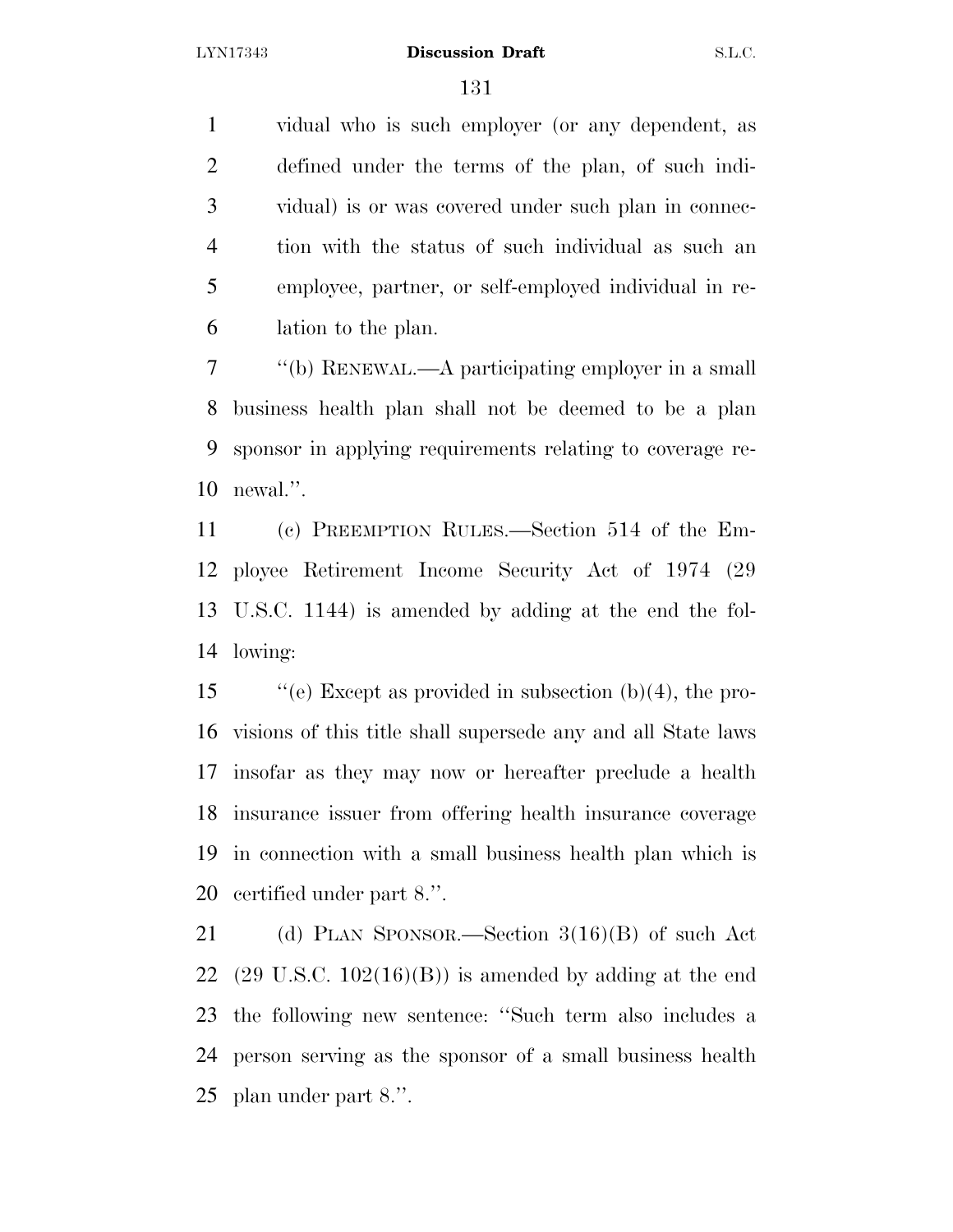vidual who is such employer (or any dependent, as defined under the terms of the plan, of such indi- vidual) is or was covered under such plan in connec- tion with the status of such individual as such an employee, partner, or self-employed individual in re-lation to the plan.

 ''(b) RENEWAL.—A participating employer in a small business health plan shall not be deemed to be a plan sponsor in applying requirements relating to coverage re-newal.''.

 (c) PREEMPTION RULES.—Section 514 of the Em- ployee Retirement Income Security Act of 1974 (29 U.S.C. 1144) is amended by adding at the end the fol-lowing:

 ''(e) Except as provided in subsection (b)(4), the pro- visions of this title shall supersede any and all State laws insofar as they may now or hereafter preclude a health insurance issuer from offering health insurance coverage in connection with a small business health plan which is certified under part 8.''.

 (d) PLAN SPONSOR.—Section 3(16)(B) of such Act 22 (29 U.S.C.  $102(16)(B)$ ) is amended by adding at the end the following new sentence: ''Such term also includes a person serving as the sponsor of a small business health plan under part 8.''.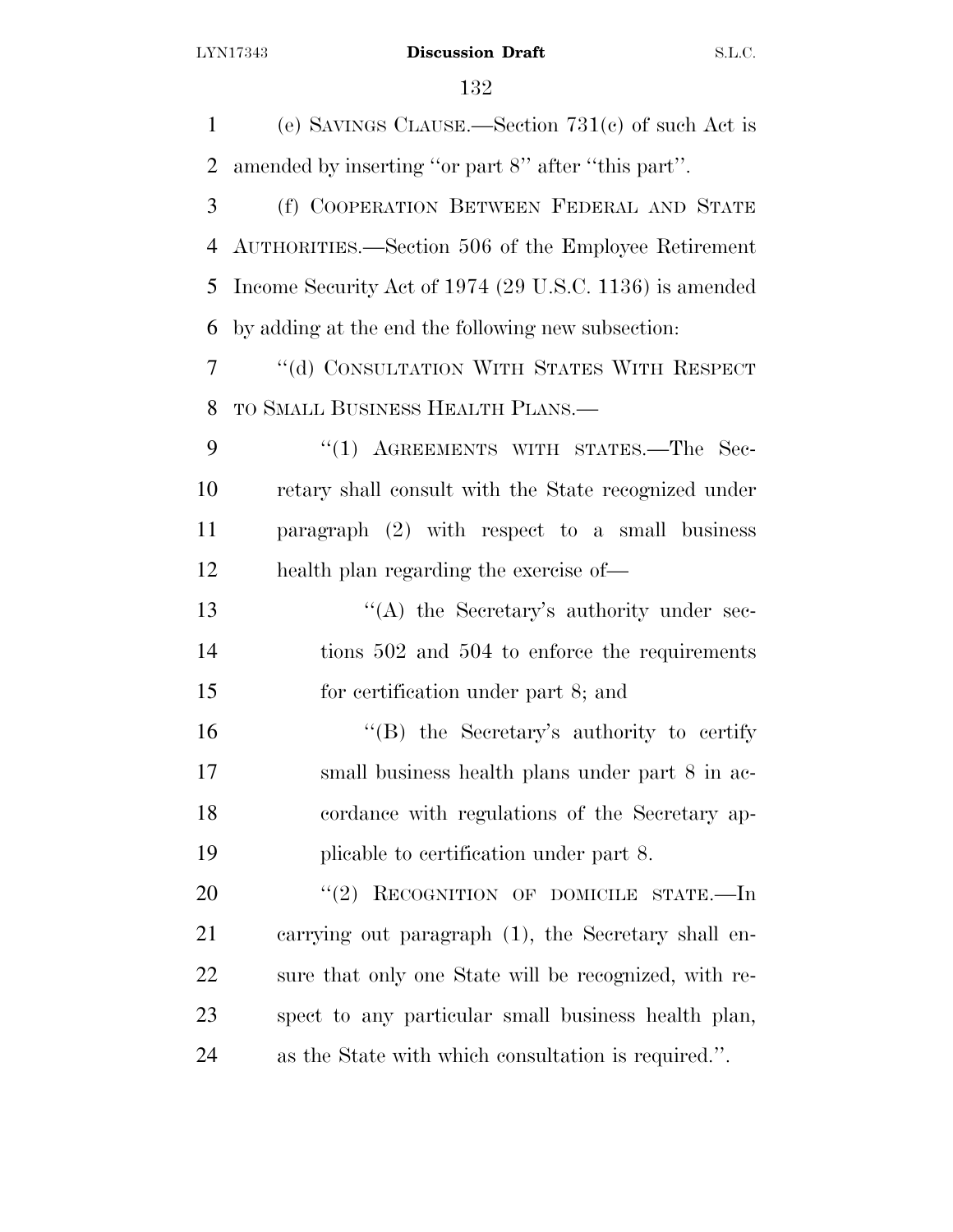(e) SAVINGS CLAUSE.—Section 731(c) of such Act is amended by inserting ''or part 8'' after ''this part''. (f) COOPERATION BETWEEN FEDERAL AND STATE AUTHORITIES.—Section 506 of the Employee Retirement Income Security Act of 1974 (29 U.S.C. 1136) is amended by adding at the end the following new subsection: ''(d) CONSULTATION WITH STATES WITH RESPECT TO SMALL BUSINESS HEALTH PLANS.— 9 "(1) AGREEMENTS WITH STATES.—The Sec- retary shall consult with the State recognized under paragraph (2) with respect to a small business health plan regarding the exercise of— 13 "(A) the Secretary's authority under sec-14 tions 502 and 504 to enforce the requirements for certification under part 8; and 16 "(B) the Secretary's authority to certify small business health plans under part 8 in ac- cordance with regulations of the Secretary ap- plicable to certification under part 8. 20 "(2) RECOGNITION OF DOMICILE STATE.—In carrying out paragraph (1), the Secretary shall en- sure that only one State will be recognized, with re- spect to any particular small business health plan, as the State with which consultation is required.''.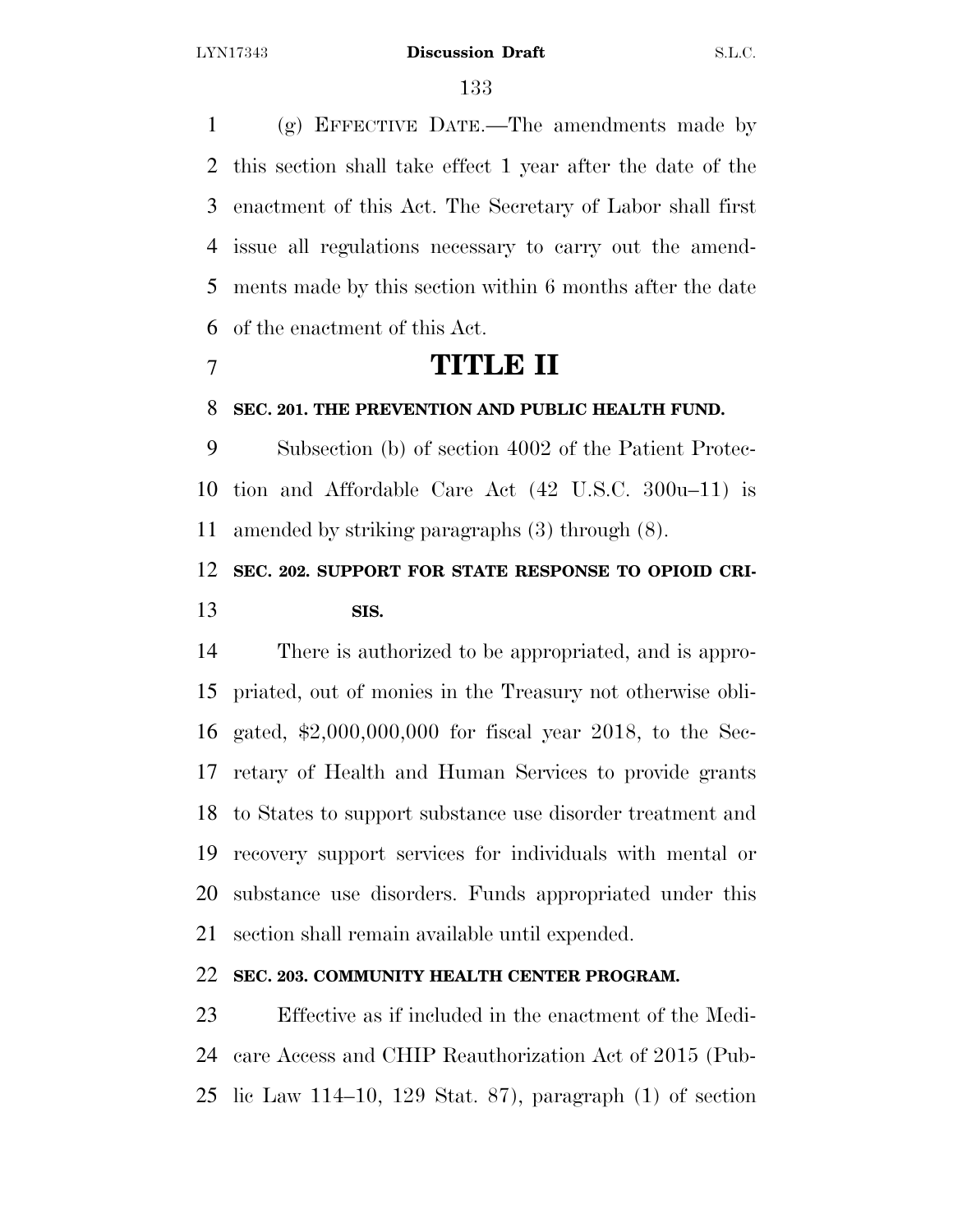(g) EFFECTIVE DATE.—The amendments made by this section shall take effect 1 year after the date of the enactment of this Act. The Secretary of Labor shall first issue all regulations necessary to carry out the amend- ments made by this section within 6 months after the date of the enactment of this Act.

# **TITLE II**

## **SEC. 201. THE PREVENTION AND PUBLIC HEALTH FUND.**

 Subsection (b) of section 4002 of the Patient Protec- tion and Affordable Care Act (42 U.S.C. 300u–11) is amended by striking paragraphs (3) through (8).

# **SEC. 202. SUPPORT FOR STATE RESPONSE TO OPIOID CRI-SIS.**

 There is authorized to be appropriated, and is appro- priated, out of monies in the Treasury not otherwise obli- gated, \$2,000,000,000 for fiscal year 2018, to the Sec- retary of Health and Human Services to provide grants to States to support substance use disorder treatment and recovery support services for individuals with mental or substance use disorders. Funds appropriated under this section shall remain available until expended.

# **SEC. 203. COMMUNITY HEALTH CENTER PROGRAM.**

 Effective as if included in the enactment of the Medi- care Access and CHIP Reauthorization Act of 2015 (Pub-lic Law 114–10, 129 Stat. 87), paragraph (1) of section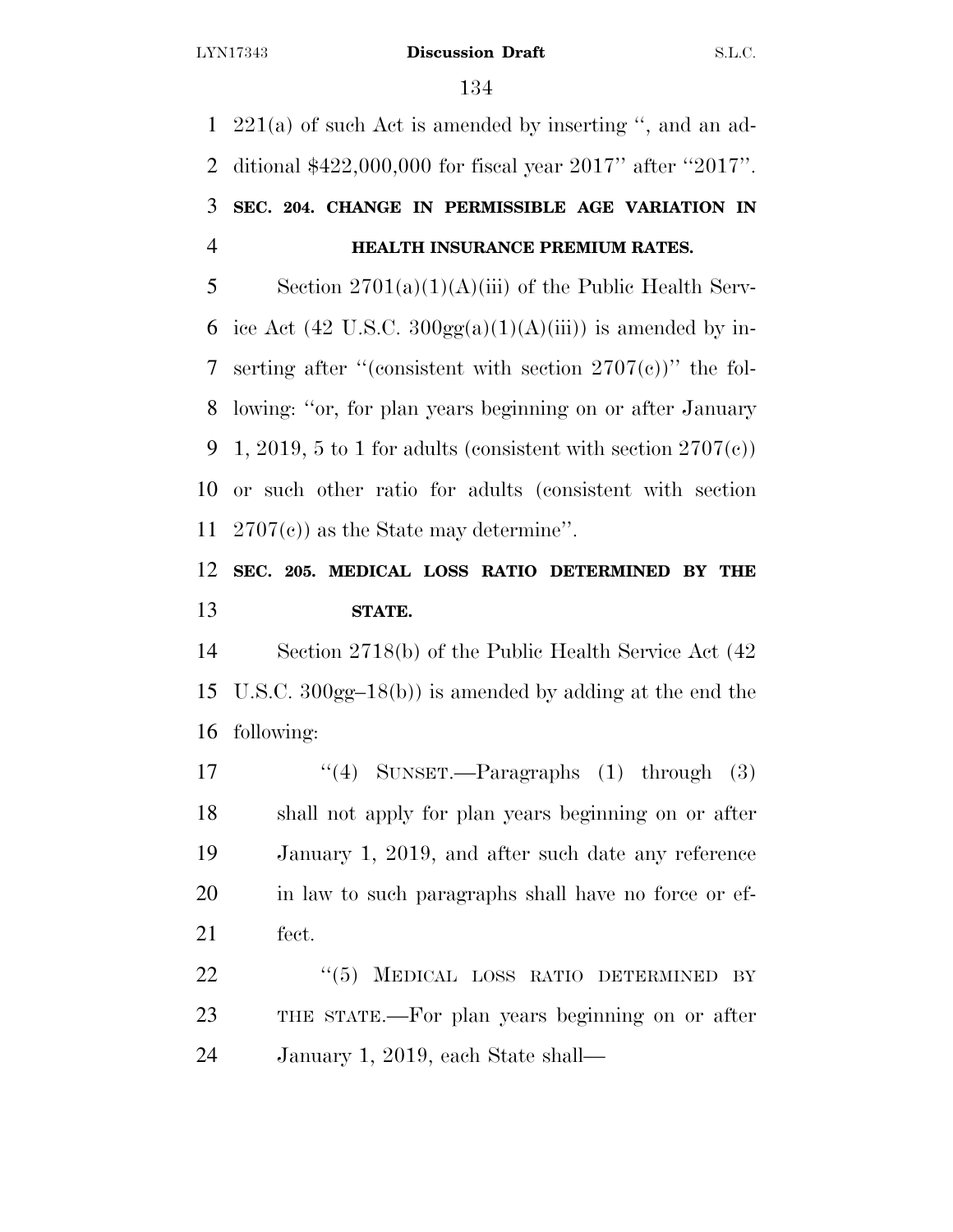221(a) of such Act is amended by inserting '', and an ad- ditional \$422,000,000 for fiscal year 2017'' after ''2017''. **SEC. 204. CHANGE IN PERMISSIBLE AGE VARIATION IN HEALTH INSURANCE PREMIUM RATES.** 

5 Section  $2701(a)(1)(A)(iii)$  of the Public Health Serv-6 ice Act (42 U.S.C.  $300gg(a)(1)(A)(iii)$ ) is amended by in-7 serting after "(consistent with section  $2707(c)$ )" the fol- lowing: ''or, for plan years beginning on or after January 9 1, 2019, 5 to 1 for adults (consistent with section  $2707(c)$ ) or such other ratio for adults (consistent with section 2707(c)) as the State may determine''.

# **SEC. 205. MEDICAL LOSS RATIO DETERMINED BY THE STATE.**

 Section 2718(b) of the Public Health Service Act (42 U.S.C. 300gg–18(b)) is amended by adding at the end the following:

17 "(4) SUNSET.—Paragraphs (1) through (3) shall not apply for plan years beginning on or after January 1, 2019, and after such date any reference in law to such paragraphs shall have no force or ef-fect.

22 "(5) MEDICAL LOSS RATIO DETERMINED BY THE STATE.—For plan years beginning on or after January 1, 2019, each State shall—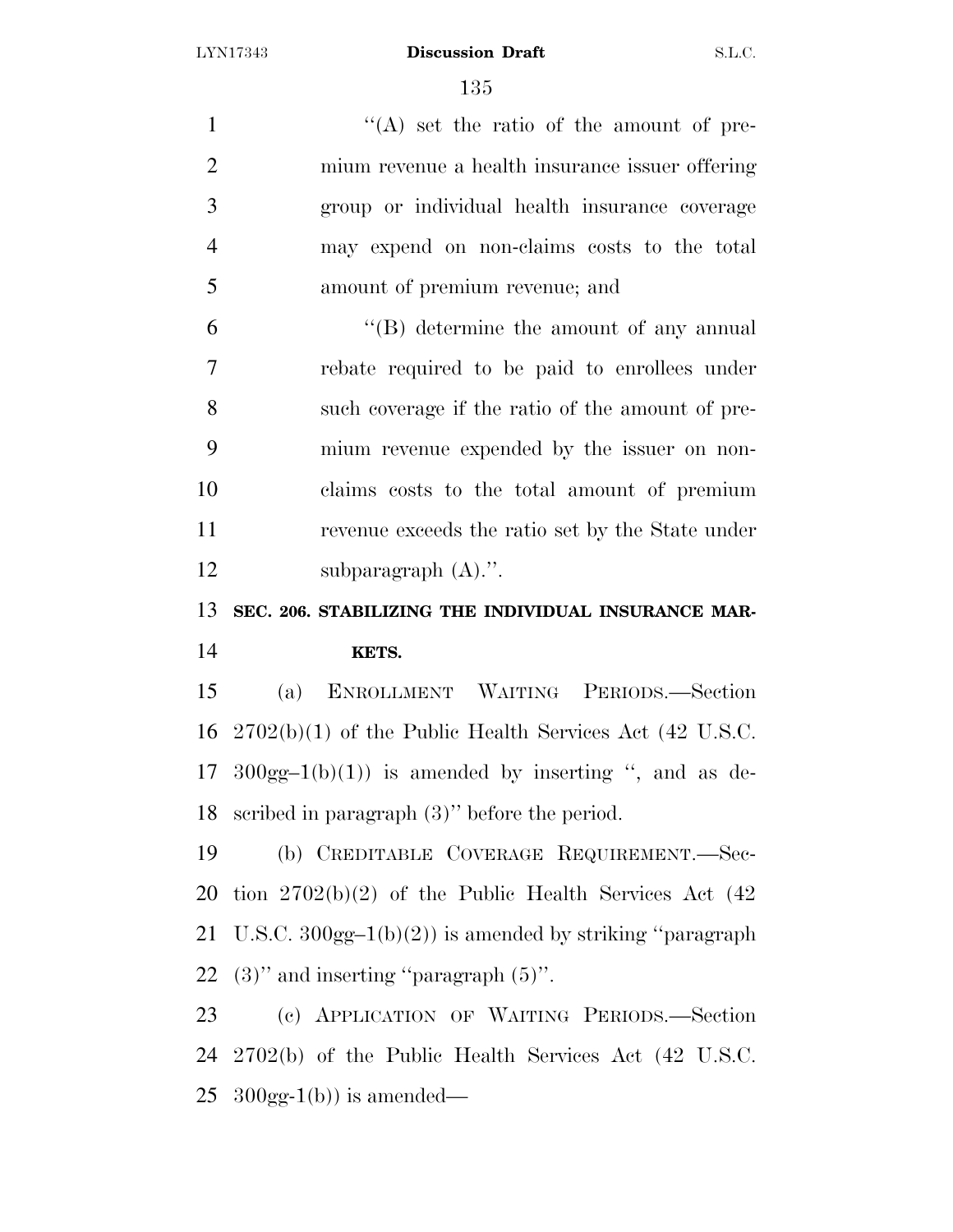1 ''(A) set the ratio of the amount of pre- mium revenue a health insurance issuer offering group or individual health insurance coverage may expend on non-claims costs to the total amount of premium revenue; and ''(B) determine the amount of any annual rebate required to be paid to enrollees under such coverage if the ratio of the amount of pre- mium revenue expended by the issuer on non- claims costs to the total amount of premium revenue exceeds the ratio set by the State under 12 subparagraph  $(A)$ .". **SEC. 206. STABILIZING THE INDIVIDUAL INSURANCE MAR- KETS.**  (a) ENROLLMENT WAITING PERIODS.—Section 2702(b)(1) of the Public Health Services Act (42 U.S.C. 17 300gg-1(b)(1)) is amended by inserting ", and as de- scribed in paragraph (3)'' before the period. (b) CREDITABLE COVERAGE REQUIREMENT.—Sec- tion 2702(b)(2) of the Public Health Services Act (42 21 U.S.C.  $300gg-1(b)(2)$  is amended by striking "paragraph"  $(3)$ " and inserting "paragraph  $(5)$ ". (c) APPLICATION OF WAITING PERIODS.—Section 2702(b) of the Public Health Services Act (42 U.S.C.

25  $300gg-1(b)$  is amended—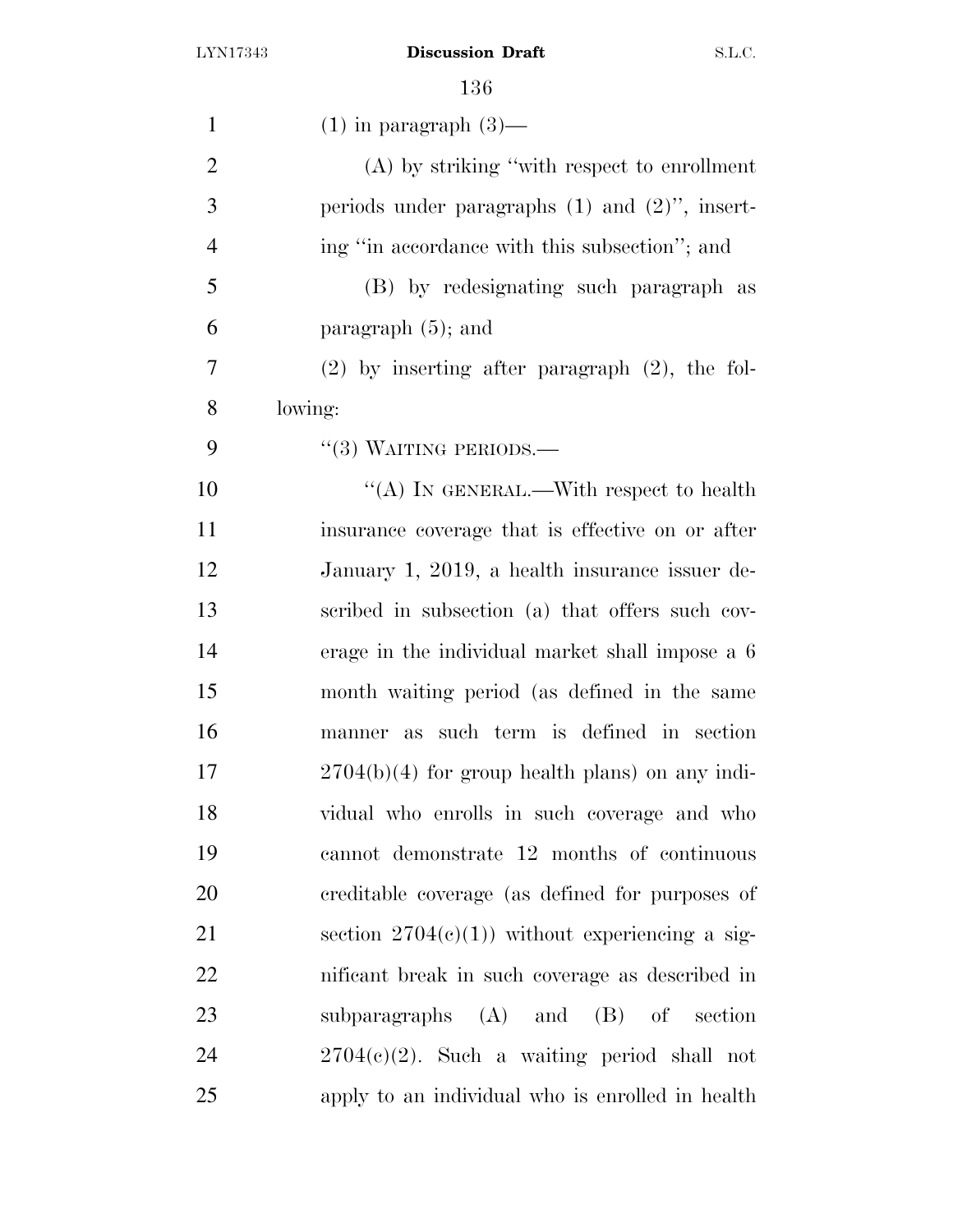| $\mathbf{1}$   | $(1)$ in paragraph $(3)$ —                          |
|----------------|-----------------------------------------------------|
| $\overline{2}$ | (A) by striking "with respect to enrollment         |
| 3              | periods under paragraphs $(1)$ and $(2)$ ", insert- |
| $\overline{4}$ | ing "in accordance with this subsection"; and       |
| 5              | (B) by redesignating such paragraph as              |
| 6              | paragraph $(5)$ ; and                               |
| 7              | $(2)$ by inserting after paragraph $(2)$ , the fol- |
| 8              | lowing:                                             |
| 9              | $``(3)$ WAITING PERIODS.—                           |
| 10             | "(A) IN GENERAL.—With respect to health             |
| 11             | insurance coverage that is effective on or after    |
| 12             | January 1, 2019, a health insurance issuer de-      |
| 13             | scribed in subsection (a) that offers such cov-     |
| 14             | erage in the individual market shall impose a 6     |
| 15             | month waiting period (as defined in the same        |
| 16             | manner as such term is defined in section           |
| 17             | $2704(b)(4)$ for group health plans) on any indi-   |
| 18             | vidual who enrolls in such coverage and who         |
| 19             | cannot demonstrate 12 months of continuous          |
| 20             | creditable coverage (as defined for purposes of     |
| 21             | section $2704(c)(1)$ without experiencing a sig-    |
| 22             | nificant break in such coverage as described in     |
| 23             | subparagraphs $(A)$ and $(B)$ of section            |
| 24             | $2704(e)(2)$ . Such a waiting period shall not      |
| 25             | apply to an individual who is enrolled in health    |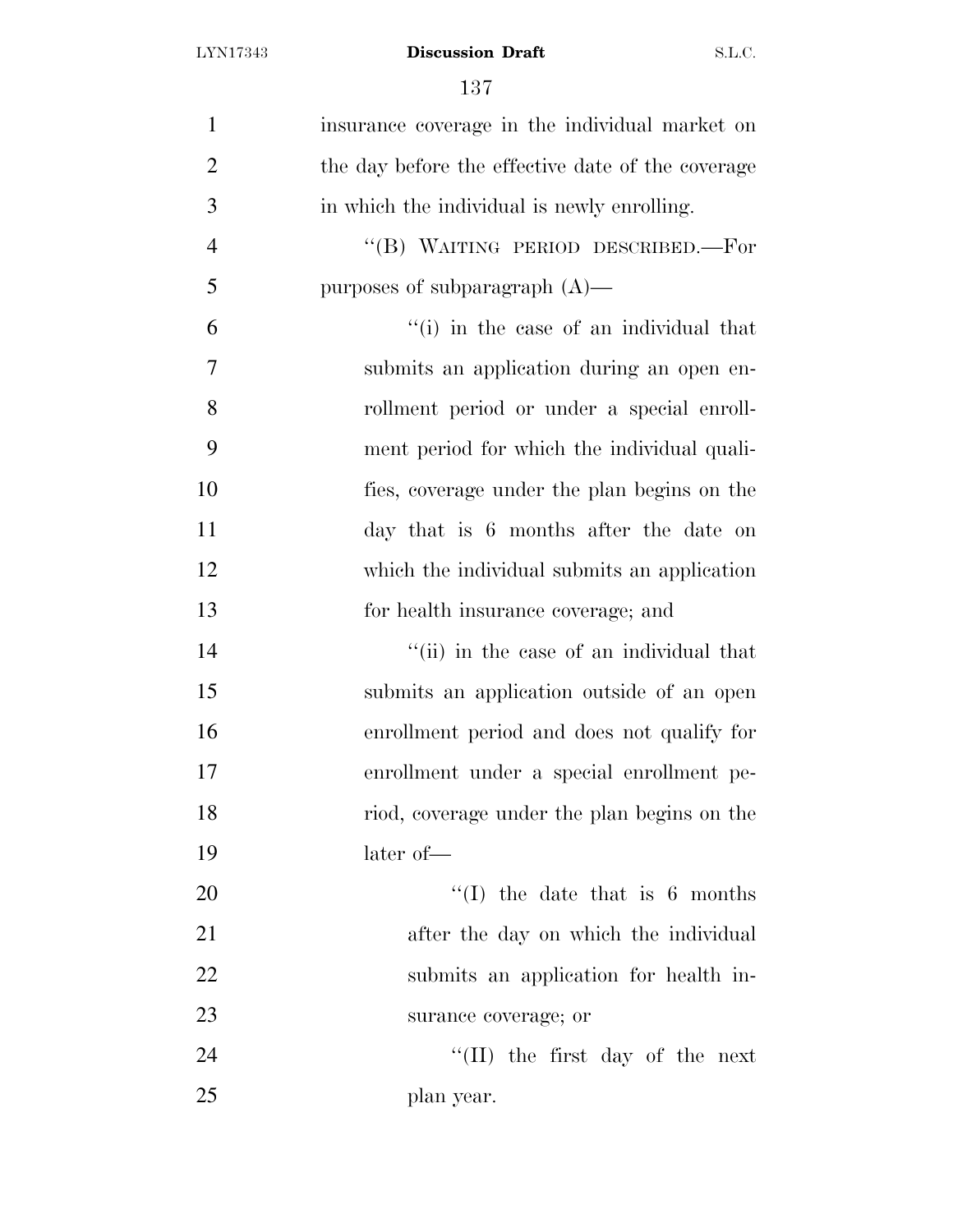| $\mathbf{1}$   | insurance coverage in the individual market on    |
|----------------|---------------------------------------------------|
| $\overline{2}$ | the day before the effective date of the coverage |
| 3              | in which the individual is newly enrolling.       |
| $\overline{4}$ | "(B) WAITING PERIOD DESCRIBED.—For                |
| 5              | purposes of subparagraph $(A)$ —                  |
| 6              | "(i) in the case of an individual that            |
| 7              | submits an application during an open en-         |
| 8              | rollment period or under a special enroll-        |
| 9              | ment period for which the individual quali-       |
| 10             | fies, coverage under the plan begins on the       |
| 11             | day that is 6 months after the date on            |
| 12             | which the individual submits an application       |
| 13             | for health insurance coverage; and                |
| 14             | "(ii) in the case of an individual that           |
| 15             | submits an application outside of an open         |
| 16             | enrollment period and does not qualify for        |
| 17             | enrollment under a special enrollment pe-         |
| 18             | riod, coverage under the plan begins on the       |
| 19             | later of-                                         |
| 20             | $\lq\lq$ (I) the date that is 6 months            |
| 21             | after the day on which the individual             |
| 22             | submits an application for health in-             |
| 23             | surance coverage; or                              |
| 24             | $\lq\lq$ (II) the first day of the next           |
| 25             | plan year.                                        |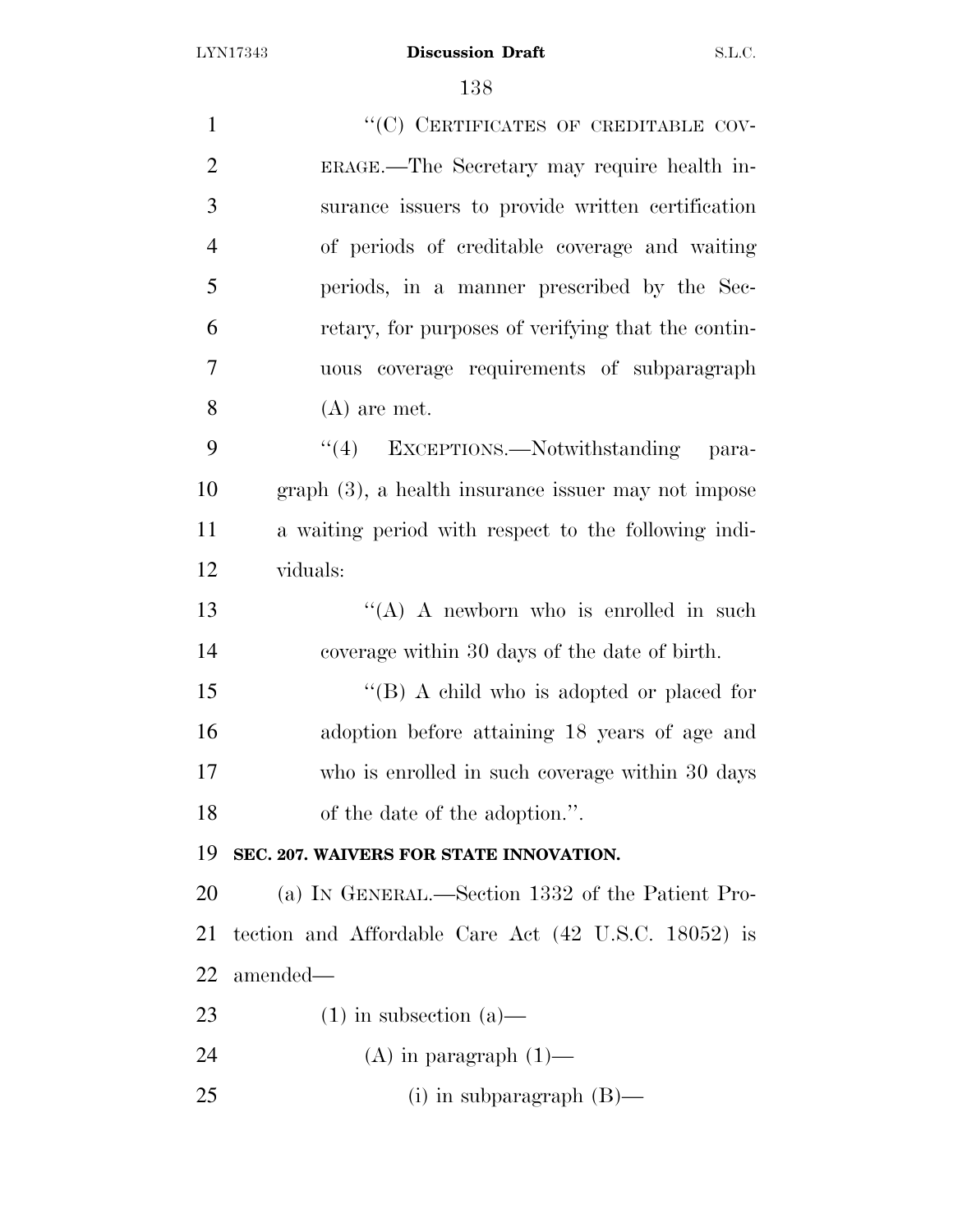| $\mathbf{1}$   | "(C) CERTIFICATES OF CREDITABLE COV-                  |
|----------------|-------------------------------------------------------|
| $\overline{2}$ | ERAGE.—The Secretary may require health in-           |
| 3              | surance issuers to provide written certification      |
| $\overline{4}$ | of periods of creditable coverage and waiting         |
| 5              | periods, in a manner prescribed by the Sec-           |
| 6              | retary, for purposes of verifying that the contin-    |
| 7              | uous coverage requirements of subparagraph            |
| 8              | $(A)$ are met.                                        |
| 9              | "(4) EXCEPTIONS.—Notwithstanding para-                |
| 10             | $graph(3)$ , a health insurance issuer may not impose |
| 11             | a waiting period with respect to the following indi-  |
| 12             | viduals:                                              |
| 13             | "(A) A newborn who is enrolled in such                |
| 14             | coverage within 30 days of the date of birth.         |
| 15             | "(B) A child who is adopted or placed for             |
| 16             | adoption before attaining 18 years of age and         |
| 17             | who is enrolled in such coverage within 30 days       |
| 18             | of the date of the adoption.".                        |
| 19             | SEC. 207. WAIVERS FOR STATE INNOVATION.               |
| 20             | (a) IN GENERAL.—Section 1332 of the Patient Pro-      |
| 21             | tection and Affordable Care Act (42 U.S.C. 18052) is  |
| 22             | amended—                                              |
| 23             | $(1)$ in subsection $(a)$ —                           |
| 24             | $(A)$ in paragraph $(1)$ —                            |
| 25             | (i) in subparagraph $(B)$ —                           |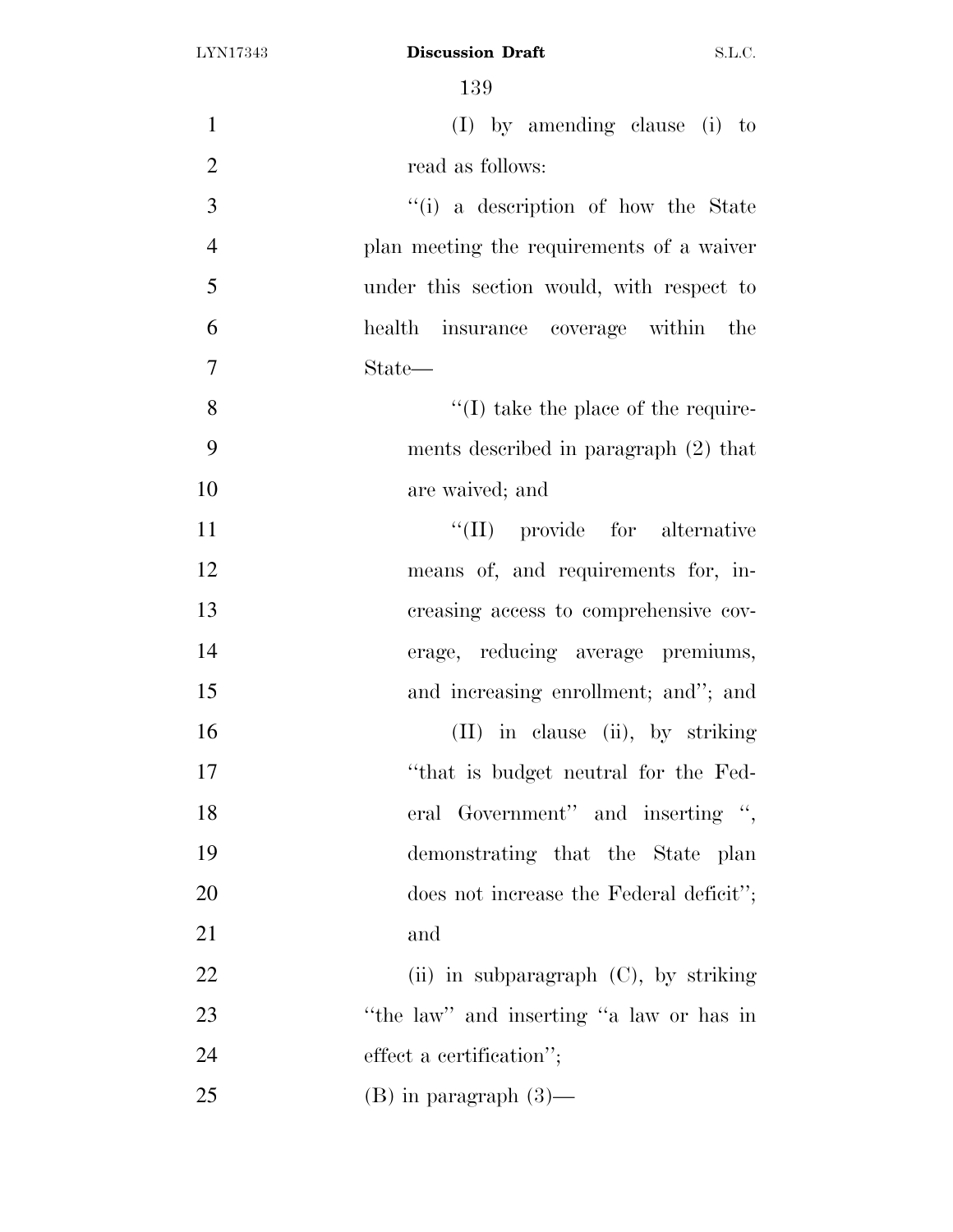| $\mathbf{1}$   | (I) by amending clause (i) to               |
|----------------|---------------------------------------------|
| $\overline{2}$ | read as follows:                            |
| 3              | "(i) a description of how the State         |
| $\overline{4}$ | plan meeting the requirements of a waiver   |
| 5              | under this section would, with respect to   |
| 6              | health insurance coverage within the        |
| 7              | State—                                      |
| 8              | $\lq\lq$ (I) take the place of the require- |
| 9              | ments described in paragraph $(2)$ that     |
| 10             | are waived; and                             |
| 11             | $\lq\lq$ (II) provide for alternative       |
| 12             | means of, and requirements for, in-         |
| 13             | creasing access to comprehensive cov-       |
| 14             | erage, reducing average premiums,           |
| 15             | and increasing enrollment; and"; and        |
| 16             | (II) in clause (ii), by striking            |
| 17             | "that is budget neutral for the Fed-        |
| 18             | eral Government" and inserting ",           |
| 19             | demonstrating that the State plan           |
| 20             | does not increase the Federal deficit";     |
| 21             | and                                         |
| 22             | (ii) in subparagraph $(C)$ , by striking    |
| 23             | "the law" and inserting "a law or has in    |
| 24             | effect a certification";                    |
| 25             | $(B)$ in paragraph $(3)$ —                  |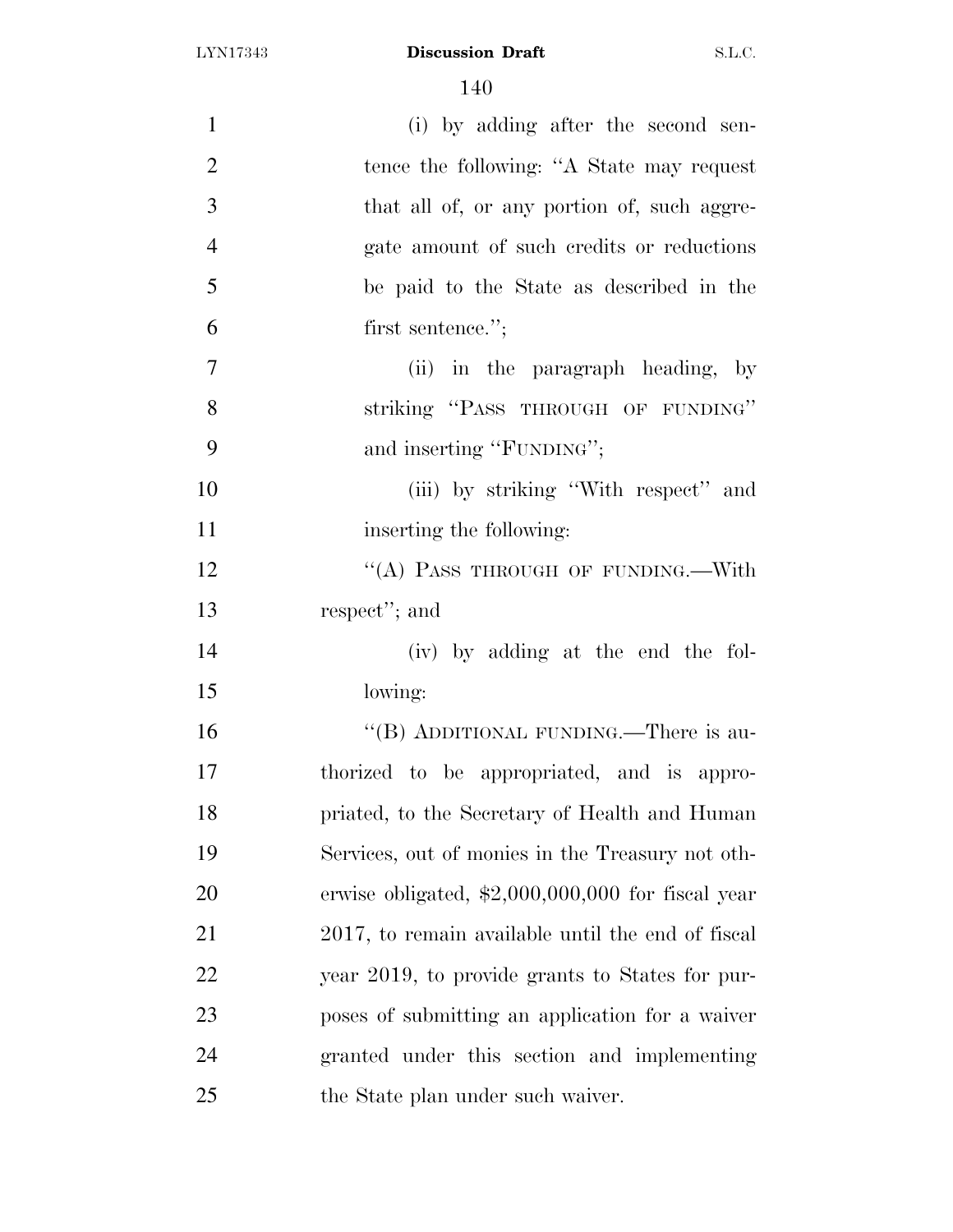| $\mathbf{1}$   | (i) by adding after the second sen-                |
|----------------|----------------------------------------------------|
| $\overline{2}$ | tence the following: "A State may request          |
| 3              | that all of, or any portion of, such aggre-        |
| $\overline{4}$ | gate amount of such credits or reductions          |
| 5              | be paid to the State as described in the           |
| 6              | first sentence.";                                  |
| 7              | (ii) in the paragraph heading, by                  |
| 8              | striking "PASS THROUGH OF FUNDING"                 |
| 9              | and inserting "FUNDING";                           |
| 10             | (iii) by striking "With respect" and               |
| 11             | inserting the following:                           |
| 12             | "(A) PASS THROUGH OF FUNDING.—With                 |
| 13             | respect"; and                                      |
| 14             | (iv) by adding at the end the fol-                 |
| 15             | lowing:                                            |
| 16             | "(B) ADDITIONAL FUNDING.—There is au-              |
| 17             | thorized to be appropriated, and is appro-         |
| 18             | priated, to the Secretary of Health and Human      |
| 19             | Services, out of monies in the Treasury not oth-   |
| 20             | erwise obligated, $$2,000,000,000$ for fiscal year |
| 21             | 2017, to remain available until the end of fiscal  |
| 22             | year 2019, to provide grants to States for pur-    |
| 23             | poses of submitting an application for a waiver    |
| 24             | granted under this section and implementing        |
| 25             | the State plan under such waiver.                  |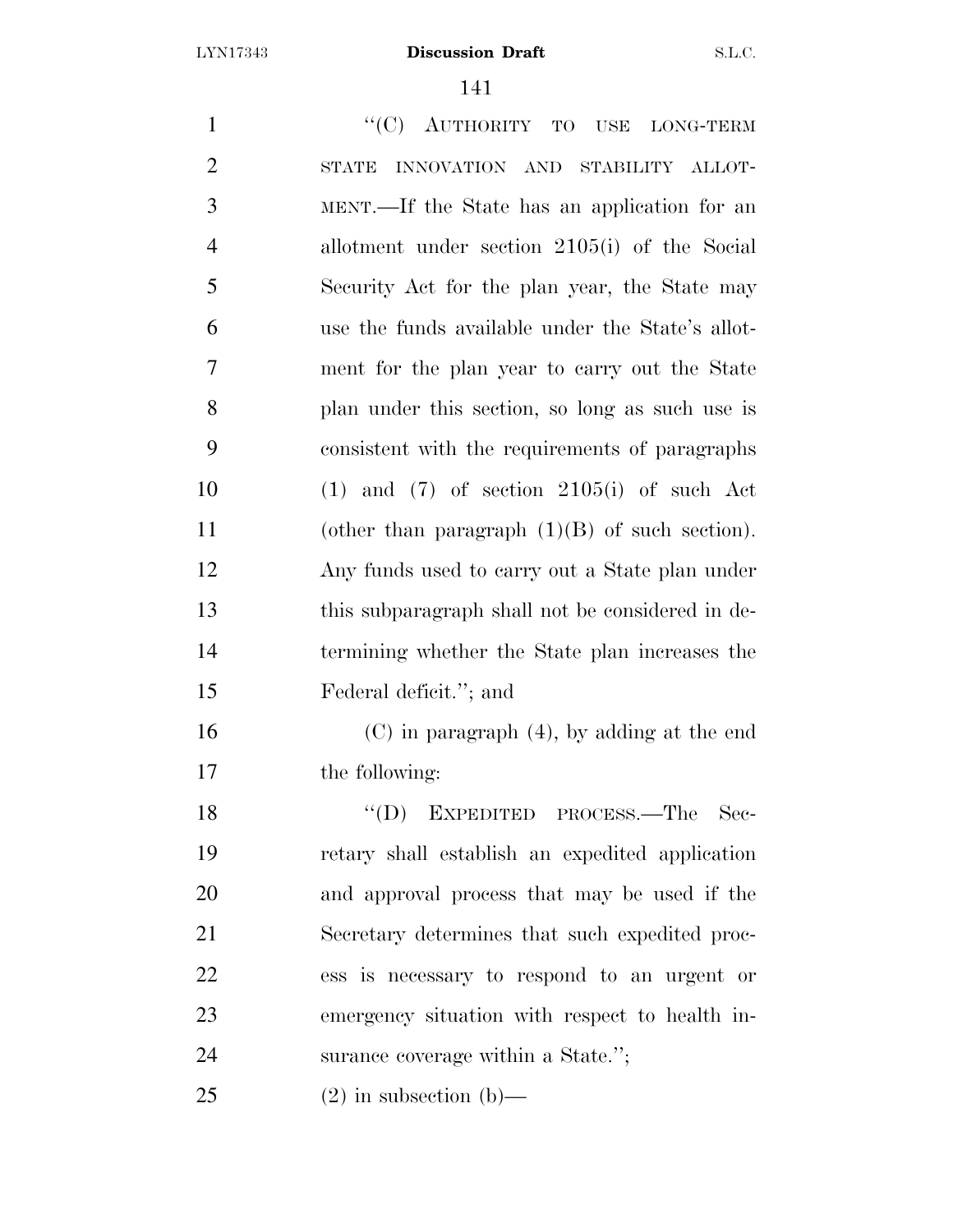1 "'(C) AUTHORITY TO USE LONG-TERM STATE INNOVATION AND STABILITY ALLOT- MENT.—If the State has an application for an allotment under section 2105(i) of the Social Security Act for the plan year, the State may use the funds available under the State's allot- ment for the plan year to carry out the State plan under this section, so long as such use is consistent with the requirements of paragraphs 10 (1) and (7) of section  $2105(i)$  of such Act (other than paragraph (1)(B) of such section). Any funds used to carry out a State plan under this subparagraph shall not be considered in de- termining whether the State plan increases the Federal deficit.''; and (C) in paragraph (4), by adding at the end the following: 18 "(D) EXPEDITED PROCESS.—The Sec- retary shall establish an expedited application and approval process that may be used if the Secretary determines that such expedited proc- ess is necessary to respond to an urgent or emergency situation with respect to health in-surance coverage within a State.'';

25 (2) in subsection (b)—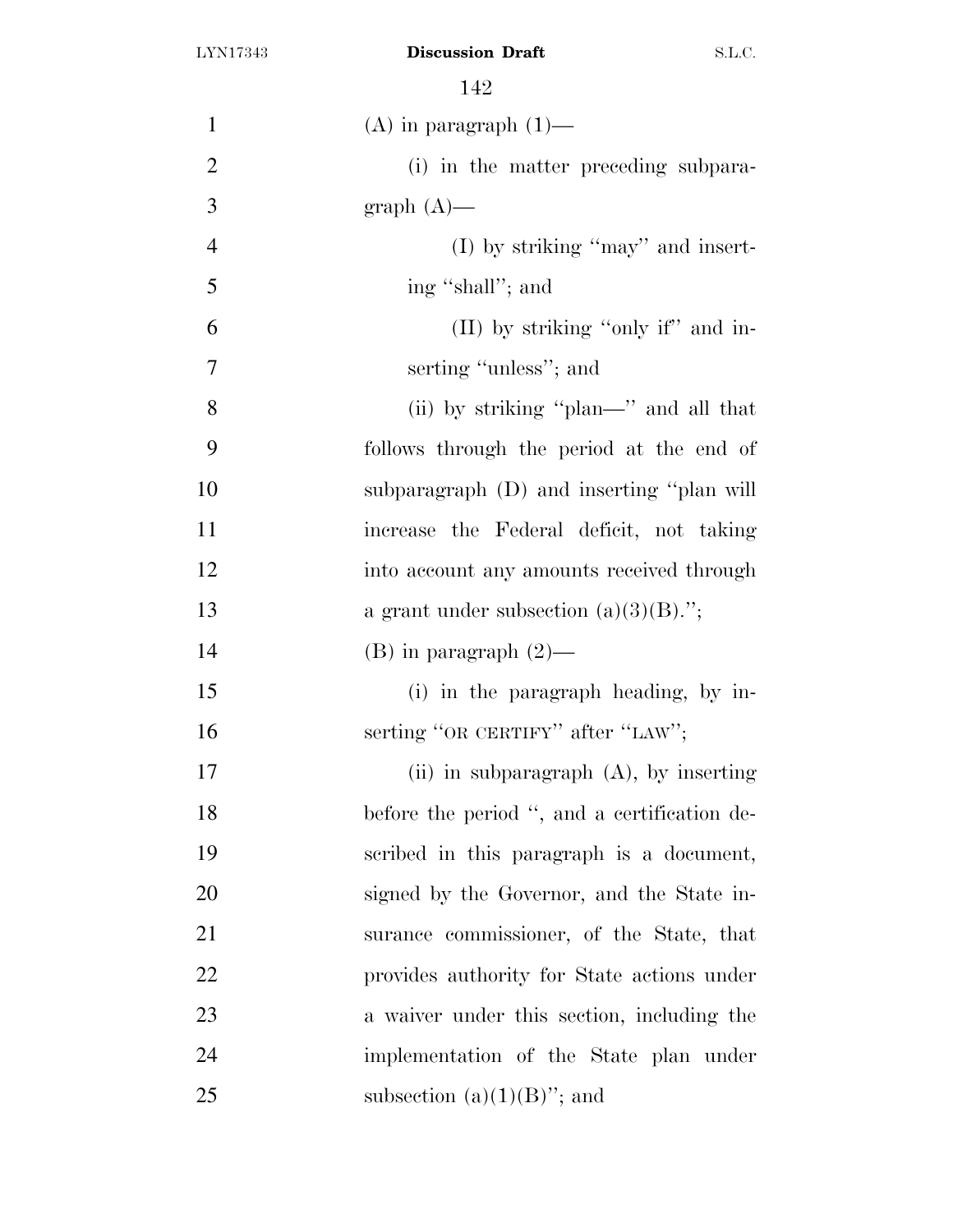| $\mathbf{1}$   | $(A)$ in paragraph $(1)$ —                   |
|----------------|----------------------------------------------|
| $\overline{2}$ | (i) in the matter preceding subpara-         |
| 3              | $graph(A)$ —                                 |
| $\overline{4}$ | $(I)$ by striking "may" and insert-          |
| 5              | ing "shall"; and                             |
| 6              | (II) by striking "only if" and in-           |
| $\overline{7}$ | serting "unless"; and                        |
| 8              | (ii) by striking "plan—" and all that        |
| 9              | follows through the period at the end of     |
| 10             | subparagraph (D) and inserting "plan will    |
| 11             | increase the Federal deficit, not taking     |
| 12             | into account any amounts received through    |
| 13             | a grant under subsection $(a)(3)(B)$ .";     |
| 14             | $(B)$ in paragraph $(2)$ —                   |
| 15             | (i) in the paragraph heading, by in-         |
| 16             | serting "OR CERTIFY" after "LAW";            |
| 17             | (ii) in subparagraph $(A)$ , by inserting    |
| 18             | before the period ", and a certification de- |
| 19             | scribed in this paragraph is a document,     |
| 20             | signed by the Governor, and the State in-    |
| 21             | surance commissioner, of the State, that     |
| 22             | provides authority for State actions under   |
| 23             | a waiver under this section, including the   |
| 24             | implementation of the State plan under       |
| 25             | subsection $(a)(1)(B)$ "; and                |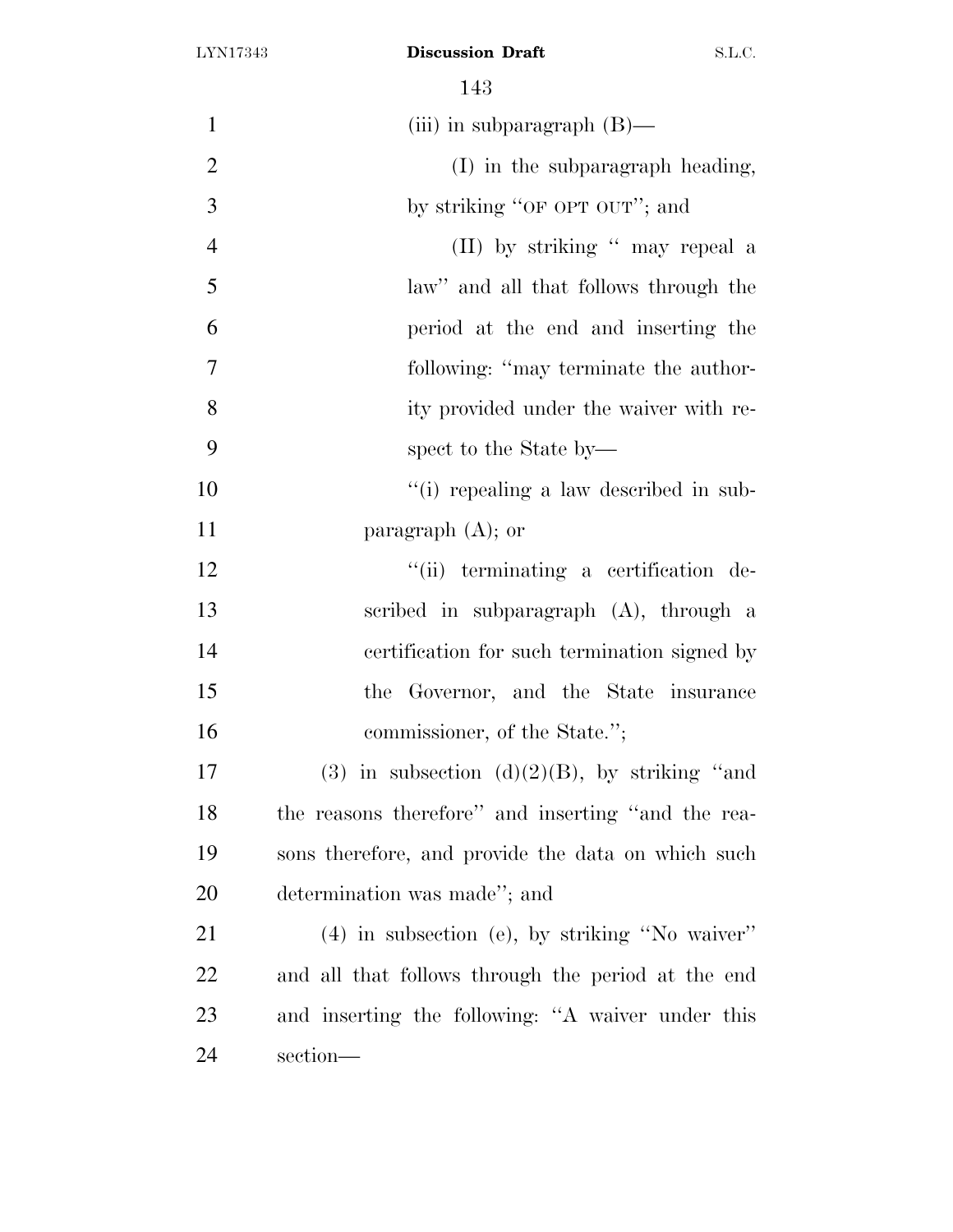| $\mathbf{1}$   | (iii) in subparagraph $(B)$ —                      |
|----------------|----------------------------------------------------|
| $\overline{2}$ | (I) in the subparagraph heading,                   |
| 3              | by striking "OF OPT OUT"; and                      |
| $\overline{4}$ | (II) by striking " may repeal a                    |
| 5              | law" and all that follows through the              |
| 6              | period at the end and inserting the                |
| $\tau$         | following: "may terminate the author-              |
| 8              | ity provided under the waiver with re-             |
| 9              | spect to the State by—                             |
| 10             | "(i) repealing a law described in sub-             |
| 11             | paragraph $(A)$ ; or                               |
| 12             | "(ii) terminating a certification de-              |
| 13             | scribed in subparagraph (A), through a             |
| 14             | certification for such termination signed by       |
| 15             | the Governor, and the State insurance              |
| 16             | commissioner, of the State.";                      |
| 17             | (3) in subsection (d) $(2)(B)$ , by striking "and  |
| 18             | the reasons therefore" and inserting "and the rea- |
| 19             | sons therefore, and provide the data on which such |
| 20             | determination was made"; and                       |
| 21             | (4) in subsection (e), by striking "No waiver"     |
| 22             | and all that follows through the period at the end |
| 23             | and inserting the following: "A waiver under this  |
| 24             | section-                                           |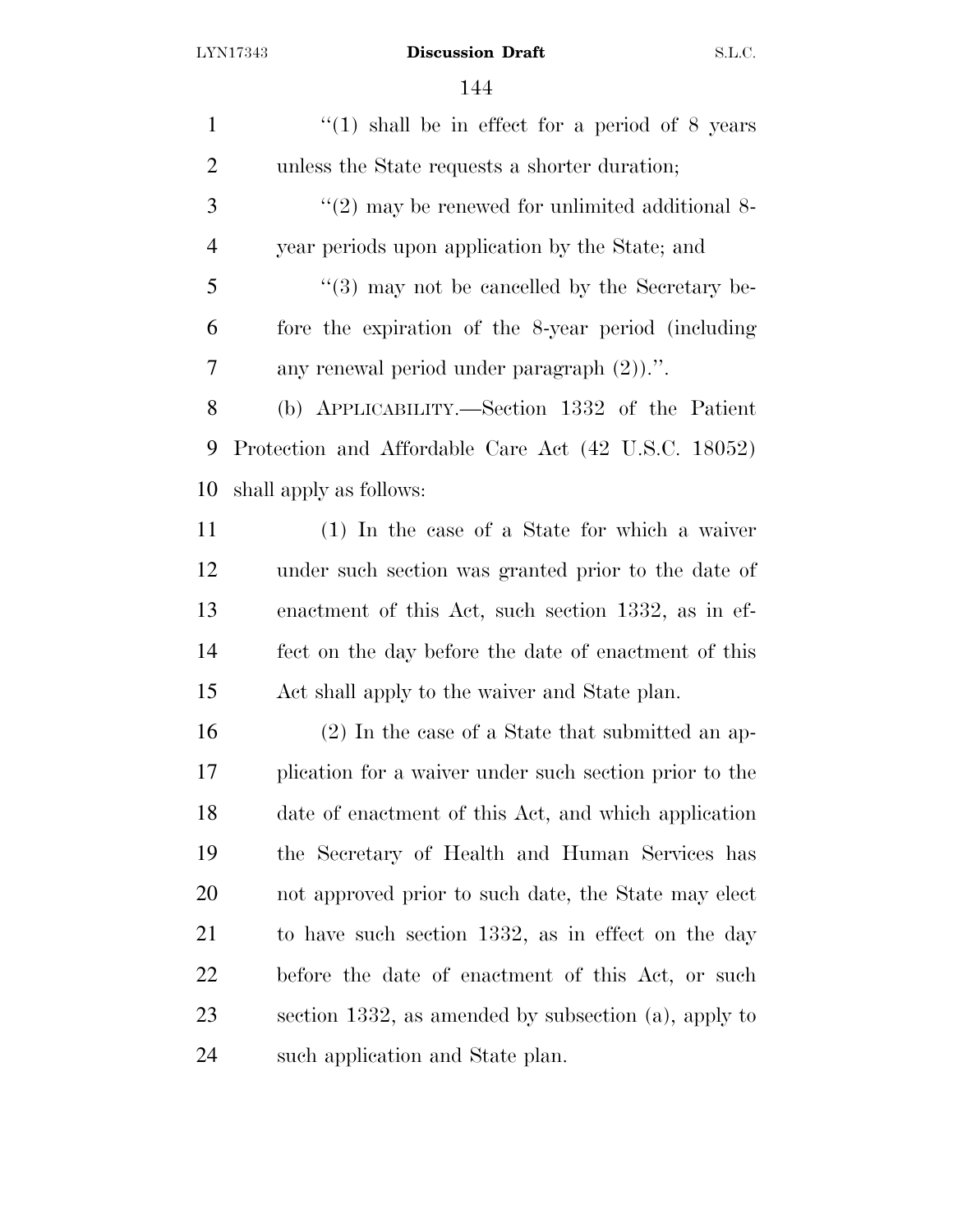| $\mathbf{1}$   | "(1) shall be in effect for a period of $8$ years          |
|----------------|------------------------------------------------------------|
| $\overline{2}$ | unless the State requests a shorter duration;              |
| 3              | $\lq(2)$ may be renewed for unlimited additional 8-        |
| $\overline{4}$ | year periods upon application by the State; and            |
| 5              | $\cdot\cdot$ (3) may not be cancelled by the Secretary be- |
| 6              | fore the expiration of the 8-year period (including        |
| 7              | any renewal period under paragraph $(2)$ .".               |
| 8              | (b) APPLICABILITY.—Section 1332 of the Patient             |
| 9              | Protection and Affordable Care Act (42 U.S.C. 18052)       |
| 10             | shall apply as follows:                                    |
| 11             | $(1)$ In the case of a State for which a waiver            |
| 12             | under such section was granted prior to the date of        |
| 13             | enactment of this Act, such section 1332, as in ef-        |
| 14             | fect on the day before the date of enactment of this       |
| 15             | Act shall apply to the waiver and State plan.              |
| 16             | $(2)$ In the case of a State that submitted an ap-         |
| 17             | plication for a waiver under such section prior to the     |
| 18             | date of enactment of this Act, and which application       |
| 19             | the Secretary of Health and Human Services has             |
| 20             | not approved prior to such date, the State may elect       |
| 21             | to have such section 1332, as in effect on the day         |
| 22             | before the date of enactment of this Act, or such          |
| 23             | section 1332, as amended by subsection (a), apply to       |
| 24             | such application and State plan.                           |